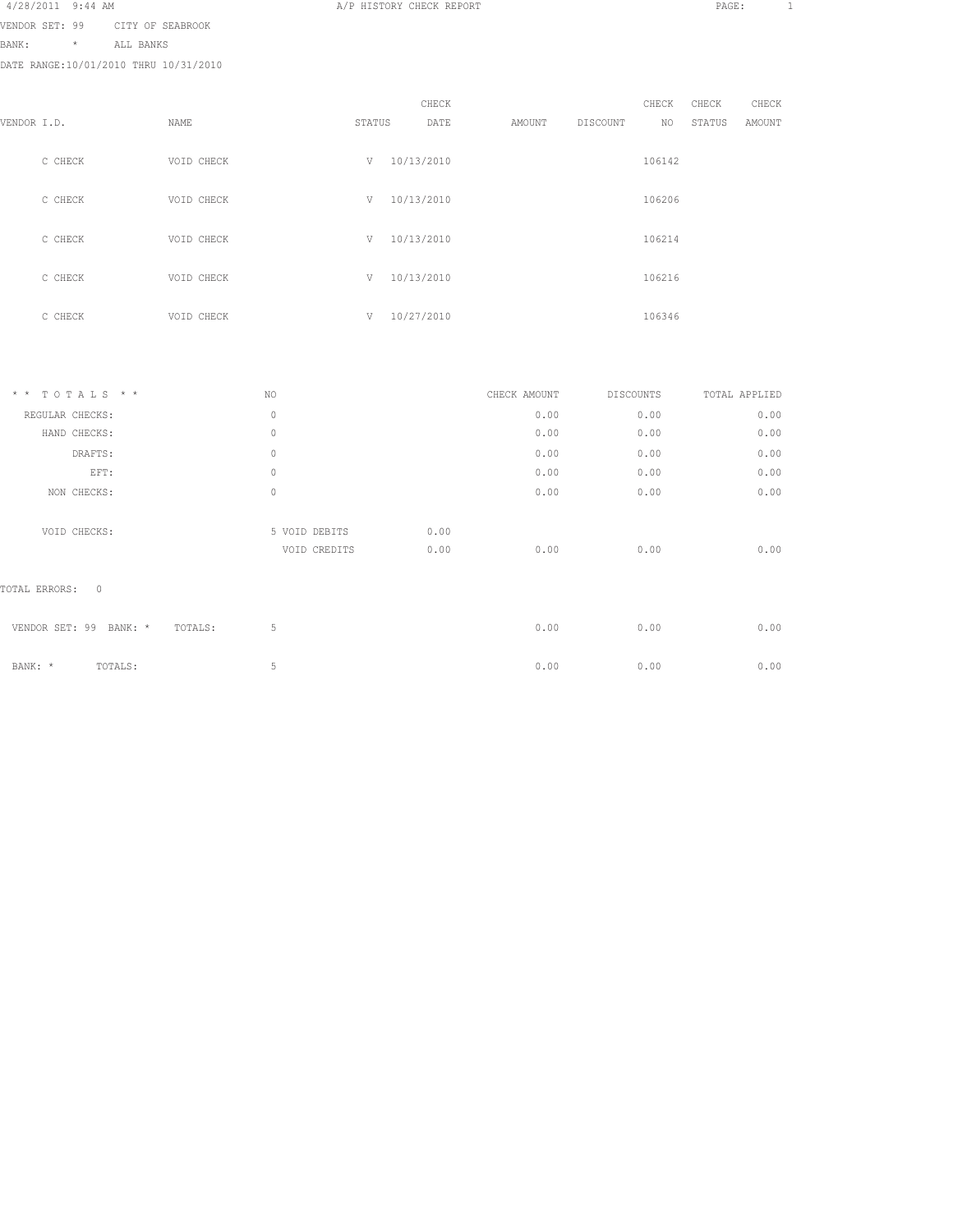| 4/28/2011 9:44 AM |  |  |
|-------------------|--|--|
|                   |  |  |

VENDOR SET: 99 CITY OF SEABROOK

BANK: \* ALL BANKS

DATE RANGE:10/01/2010 THRU 10/31/2010

|             |         |            |        | CHECK      |        |          | CHECK  | CHECK  | CHECK  |
|-------------|---------|------------|--------|------------|--------|----------|--------|--------|--------|
| VENDOR I.D. |         | NAME       | STATUS | DATE       | AMOUNT | DISCOUNT | NO     | STATUS | AMOUNT |
|             | C CHECK | VOID CHECK | V      | 10/13/2010 |        |          | 106142 |        |        |
|             | C CHECK | VOID CHECK | V      | 10/13/2010 |        |          | 106206 |        |        |
|             | C CHECK | VOID CHECK | V      | 10/13/2010 |        |          | 106214 |        |        |
|             | C CHECK | VOID CHECK | V      | 10/13/2010 |        |          | 106216 |        |        |
|             | C CHECK | VOID CHECK | V      | 10/27/2010 |        |          | 106346 |        |        |

A/P HISTORY CHECK REPORT PAGE: 1

| $*$ * TOTALS * *                  | NO.                           |              | CHECK AMOUNT | DISCOUNTS | TOTAL APPLIED |
|-----------------------------------|-------------------------------|--------------|--------------|-----------|---------------|
| REGULAR CHECKS:                   | $\mathbf{0}$                  |              | 0.00         | 0.00      | 0.00          |
| HAND CHECKS:                      | $\circ$                       |              | 0.00         | 0.00      | 0.00          |
| DRAFTS:                           | $\circ$                       |              | 0.00         | 0.00      | 0.00          |
| EFT:                              | $\circ$                       |              | 0.00         | 0.00      | 0.00          |
| NON CHECKS:                       | $\circ$                       |              | 0.00         | 0.00      | 0.00          |
| VOID CHECKS:                      | 5 VOID DEBITS<br>VOID CREDITS | 0.00<br>0.00 | 0.00         | 0.00      | 0.00          |
| $\mathbf{0}$<br>TOTAL ERRORS:     |                               |              |              |           |               |
| VENDOR SET: 99 BANK: *<br>TOTALS: | 5                             |              | 0.00         | 0.00      | 0.00          |
| BANK: *<br>TOTALS:                | 5                             |              | 0.00         | 0.00      | 0.00          |
|                                   |                               |              |              |           |               |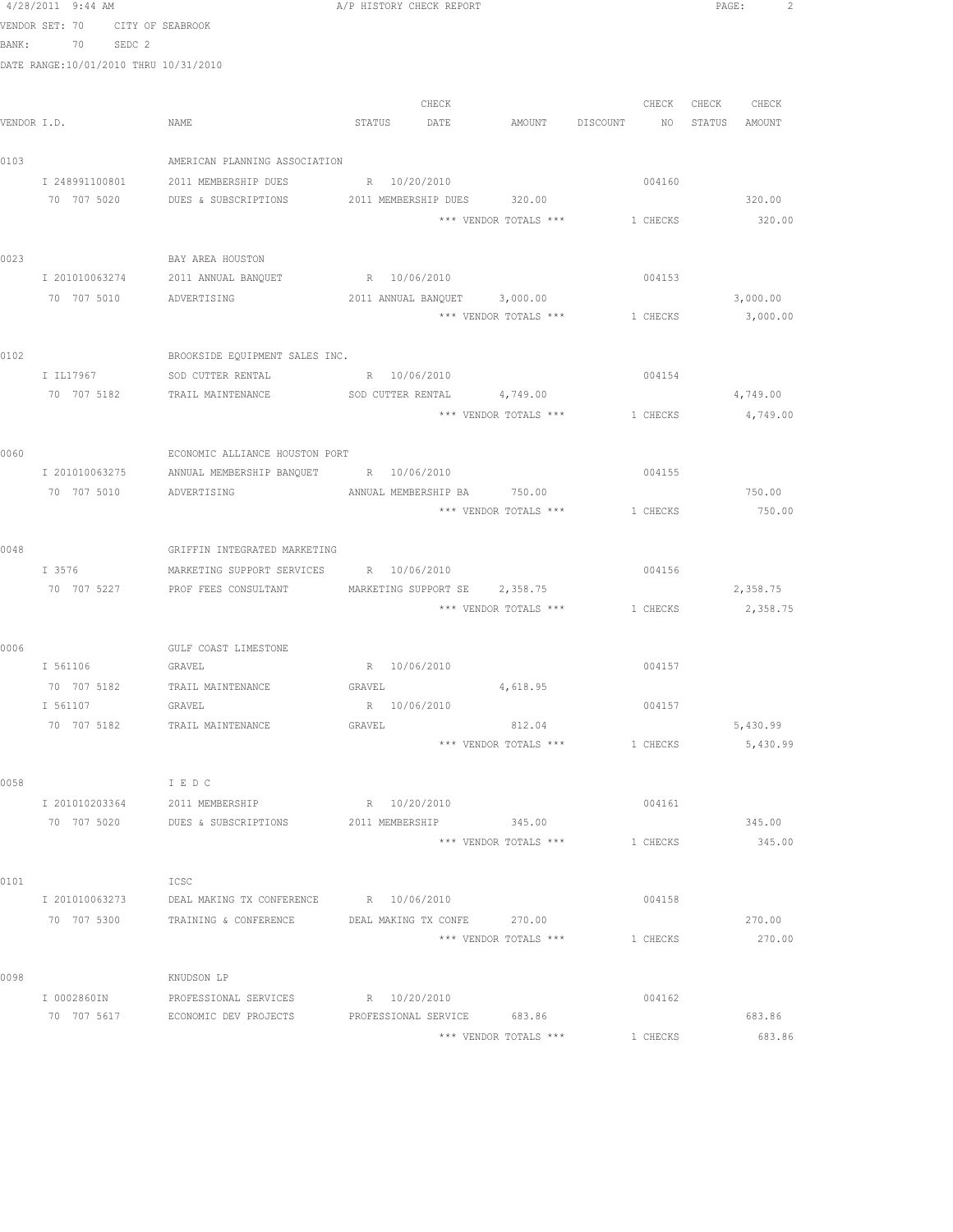|      | 4/28/2011 9:44 AM                     |                                                                                        | A/P HISTORY CHECK REPORT    |       |                                  |          | PAGE: |                    | 2 |
|------|---------------------------------------|----------------------------------------------------------------------------------------|-----------------------------|-------|----------------------------------|----------|-------|--------------------|---|
|      | VENDOR SET: 70                        | CITY OF SEABROOK                                                                       |                             |       |                                  |          |       |                    |   |
|      | BANK: 70 SEDC 2                       |                                                                                        |                             |       |                                  |          |       |                    |   |
|      | DATE RANGE:10/01/2010 THRU 10/31/2010 |                                                                                        |                             |       |                                  |          |       |                    |   |
|      |                                       |                                                                                        |                             |       |                                  |          |       |                    |   |
|      | VENDOR I.D.                           | NAME                                                                                   | STATUS DATE                 | CHECK | AMOUNT DISCOUNT NO STATUS AMOUNT | CHECK    | CHECK | CHECK              |   |
|      |                                       |                                                                                        |                             |       |                                  |          |       |                    |   |
| 0103 |                                       | AMERICAN PLANNING ASSOCIATION                                                          |                             |       |                                  |          |       |                    |   |
|      | I 248991100801                        | 2011 MEMBERSHIP DUES                                                                   | R 10/20/2010                |       |                                  | 004160   |       |                    |   |
|      |                                       | 70 707 5020 DUES & SUBSCRIPTIONS                                                       |                             |       | 2011 MEMBERSHIP DUES 320.00      |          |       | 320.00             |   |
|      |                                       |                                                                                        |                             |       | *** VENDOR TOTALS ***            | 1 CHECKS |       | 320.00             |   |
|      |                                       |                                                                                        |                             |       |                                  |          |       |                    |   |
| 0023 |                                       | BAY AREA HOUSTON                                                                       |                             |       |                                  |          |       |                    |   |
|      | I 201010063274                        | 2011 ANNUAL BANQUET                                                                    | R 10/06/2010                |       |                                  | 004153   |       |                    |   |
|      | 70 707 5010 ADVERTISING               |                                                                                        |                             |       | 2011 ANNUAL BANQUET 3,000.00     |          |       | 3,000.00           |   |
|      |                                       |                                                                                        |                             |       | *** VENDOR TOTALS ***            | 1 CHECKS |       | 3,000.00           |   |
| 0102 |                                       | BROOKSIDE EQUIPMENT SALES INC.                                                         |                             |       |                                  |          |       |                    |   |
|      | I IL17967                             | SOD CUTTER RENTAL                                                                      | R 10/06/2010                |       |                                  | 004154   |       |                    |   |
|      | 70 707 5182                           | TRAIL MAINTENANCE SOD CUTTER RENTAL 4,749.00                                           |                             |       |                                  |          |       | 4,749.00           |   |
|      |                                       |                                                                                        |                             |       | *** VENDOR TOTALS *** 1 CHECKS   |          |       | 4,749.00           |   |
|      |                                       |                                                                                        |                             |       |                                  |          |       |                    |   |
| 0060 |                                       | ECONOMIC ALLIANCE HOUSTON PORT                                                         |                             |       |                                  |          |       |                    |   |
|      | I 201010063275                        | ANNUAL MEMBERSHIP BANQUET R 10/06/2010                                                 |                             |       |                                  | 004155   |       |                    |   |
|      | 70 707 5010 ADVERTISING               |                                                                                        | ANNUAL MEMBERSHIP BA 750.00 |       |                                  |          |       | 750.00             |   |
|      |                                       |                                                                                        |                             |       | *** VENDOR TOTALS ***            | 1 CHECKS |       | 750.00             |   |
| 0048 |                                       | GRIFFIN INTEGRATED MARKETING                                                           |                             |       |                                  |          |       |                    |   |
|      | I 3576                                | MARKETING SUPPORT SERVICES R 10/06/2010                                                |                             |       |                                  | 004156   |       |                    |   |
|      |                                       | 70 707 5227 PROF FEES CONSULTANT MARKETING SUPPORT SE 2,358.75                         |                             |       |                                  |          |       | 2,358.75           |   |
|      |                                       |                                                                                        |                             |       | *** VENDOR TOTALS ***            |          |       | 1 CHECKS 2, 358.75 |   |
|      |                                       |                                                                                        |                             |       |                                  |          |       |                    |   |
| 0006 |                                       | GULF COAST LIMESTONE                                                                   |                             |       |                                  |          |       |                    |   |
|      | I 561106 GRAVEL                       |                                                                                        | R 10/06/2010                |       |                                  | 004157   |       |                    |   |
|      | 70 707 5182                           | TRAIL MAINTENANCE GRAVEL                                                               |                             |       | 4,618.95                         |          |       |                    |   |
|      | I 561107                              | GRAVEL                                                                                 | R 10/06/2010                |       |                                  | 004157   |       |                    |   |
|      | 70 707 5182                           | TRAIL MAINTENANCE                                                                      | GRAVEL                      |       | 812.04<br>*** VENDOR TOTALS ***  |          |       | 5,430.99           |   |
|      |                                       |                                                                                        |                             |       |                                  | 1 CHECKS |       | 5,430.99           |   |
| 0058 |                                       | I E D C                                                                                |                             |       |                                  |          |       |                    |   |
|      |                                       | I 201010203364 2011 MEMBERSHIP                                                         | R 10/20/2010                |       |                                  | 004161   |       |                    |   |
|      |                                       | 70 707 5020 DUES & SUBSCRIPTIONS 2011 MEMBERSHIP 345.00                                |                             |       |                                  |          |       | 345.00             |   |
|      |                                       |                                                                                        |                             |       | *** VENDOR TOTALS ***            | 1 CHECKS |       | 345.00             |   |
|      |                                       |                                                                                        |                             |       |                                  |          |       |                    |   |
| 0101 |                                       | ICSC                                                                                   |                             |       |                                  |          |       |                    |   |
|      |                                       | I 201010063273 DEAL MAKING TX CONFERENCE R 10/06/2010                                  |                             |       |                                  | 004158   |       |                    |   |
|      | 70 707 5300                           | TRAINING & CONFERENCE DEAL MAKING TX CONFE 270.00                                      |                             |       |                                  |          |       | 270.00             |   |
|      |                                       |                                                                                        |                             |       | *** VENDOR TOTALS ***            | 1 CHECKS |       | 270.00             |   |
| 0098 |                                       | KNUDSON LP                                                                             |                             |       |                                  |          |       |                    |   |
|      | I 0002860IN                           | PROFESSIONAL SERVICES                                                                  | R 10/20/2010                |       |                                  | 004162   |       |                    |   |
|      |                                       | 70 707 5617         ECONOMIC DEV PROJECTS          PROFESSIONAL SERVICE         683.86 |                             |       |                                  |          |       | 683.86             |   |
|      |                                       |                                                                                        |                             |       | *** VENDOR TOTALS ***            | 1 CHECKS |       | 683.86             |   |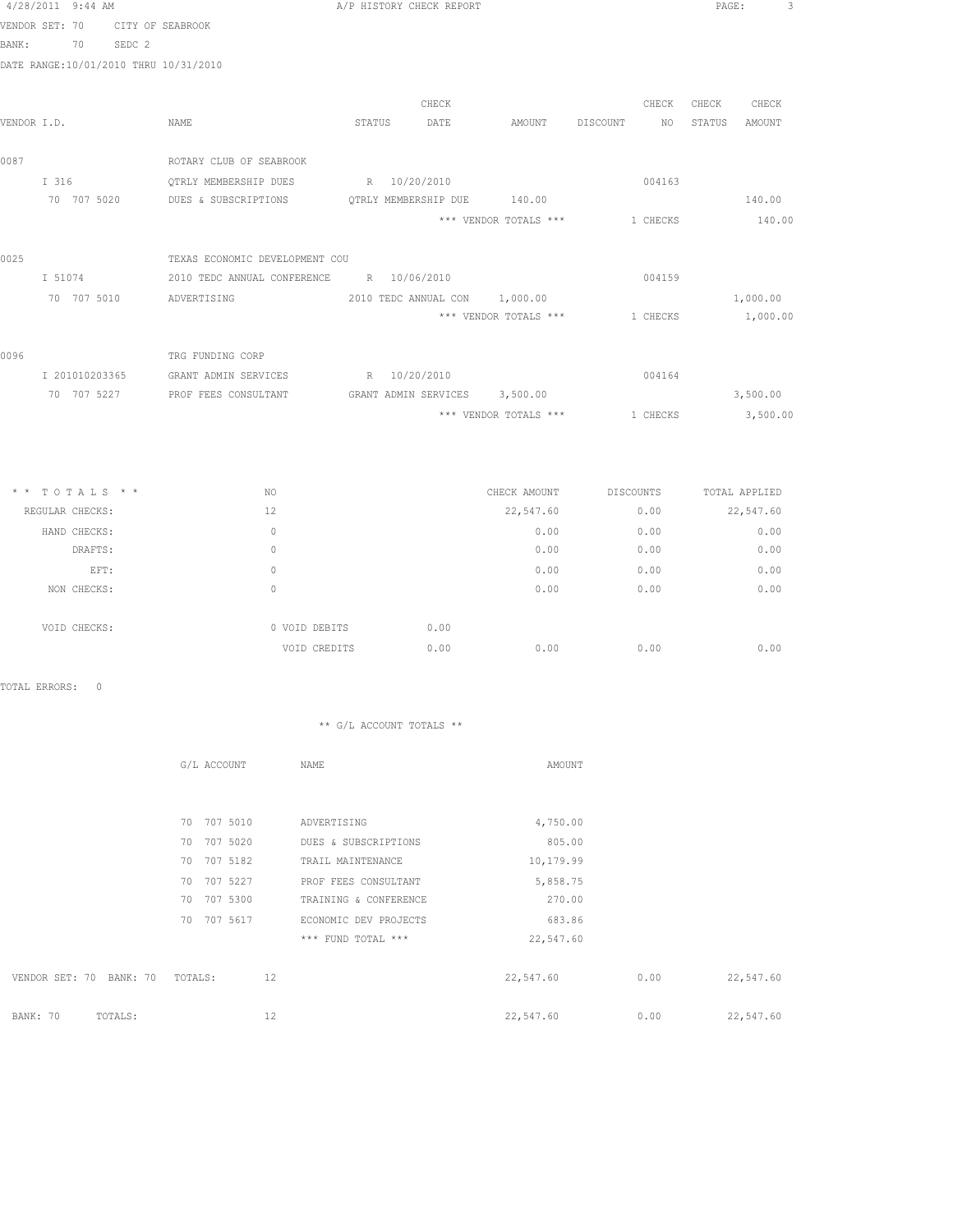|                | 4/28/2011 9:44 AM |                                          | A/P HISTORY CHECK REPORT      |                               |                                      | 3<br>PAGE:       |
|----------------|-------------------|------------------------------------------|-------------------------------|-------------------------------|--------------------------------------|------------------|
| VENDOR SET: 70 |                   | CITY OF SEABROOK                         |                               |                               |                                      |                  |
| BANK:          | 70                | SEDC 2                                   |                               |                               |                                      |                  |
|                |                   | DATE RANGE:10/01/2010 THRU 10/31/2010    |                               |                               |                                      |                  |
|                |                   |                                          |                               |                               |                                      |                  |
|                |                   |                                          | CHECK                         |                               | CHECK                                | CHECK<br>CHECK   |
| VENDOR I.D.    |                   | NAME                                     | STATUS<br>DATE                |                               | AMOUNT DISCOUNT NO                   | STATUS<br>AMOUNT |
|                |                   |                                          |                               |                               |                                      |                  |
| 0087           |                   | ROTARY CLUB OF SEABROOK                  |                               |                               |                                      |                  |
|                | I 316             | OTRLY MEMBERSHIP DUES                    | R 10/20/2010                  |                               | 004163                               |                  |
|                | 70 707 5020       | DUES & SUBSCRIPTIONS                     | OTRLY MEMBERSHIP DUE 140.00   |                               |                                      | 140.00           |
|                |                   |                                          |                               | *** VENDOR TOTALS ***         | 1 CHECKS                             | 140.00           |
| 0025           |                   | TEXAS ECONOMIC DEVELOPMENT COU           |                               |                               |                                      |                  |
|                | I 51074           | 2010 TEDC ANNUAL CONFERENCE R 10/06/2010 |                               |                               | 004159                               |                  |
|                | 70 707 5010       |                                          |                               | 2010 TEDC ANNUAL CON 1,000.00 |                                      | 1,000.00         |
|                |                   | ADVERTISING                              |                               | *** VENDOR TOTALS ***         |                                      |                  |
|                |                   |                                          |                               |                               | 1 CHECKS                             | 1,000.00         |
| 0096           |                   | TRG FUNDING CORP                         |                               |                               |                                      |                  |
|                | I 201010203365    | GRANT ADMIN SERVICES                     | R 10/20/2010                  |                               | 004164                               |                  |
|                | 70 707 5227       | PROF FEES CONSULTANT                     | GRANT ADMIN SERVICES 3,500.00 |                               |                                      | 3,500.00         |
|                |                   |                                          |                               | *** VENDOR TOTALS ***         | 1 CHECKS                             | 3,500.00         |
|                |                   |                                          |                               |                               |                                      |                  |
|                |                   |                                          |                               |                               |                                      |                  |
|                |                   |                                          |                               |                               |                                      |                  |
|                | $* * TOTALS **$   | NO                                       |                               |                               | CHECK AMOUNT DISCOUNTS TOTAL APPLIED |                  |
|                | REGULAR CHECKS:   | 12                                       |                               | 22,547.60                     | 0.00                                 | 22,547.60        |
|                |                   |                                          |                               |                               |                                      |                  |

| REGULAR CHECKS: |              | 12            |      | 22,547.60 | 0.00 | 22,547.60 |
|-----------------|--------------|---------------|------|-----------|------|-----------|
|                 | HAND CHECKS: | 0             |      | 0.00      | 0.00 | 0.00      |
|                 | DRAFTS:      | 0             |      | 0.00      | 0.00 | 0.00      |
|                 | EFT:         | 0             |      | 0.00      | 0.00 | 0.00      |
|                 | NON CHECKS:  | 0             |      | 0.00      | 0.00 | 0.00      |
|                 |              |               |      |           |      |           |
|                 | VOID CHECKS: | 0 VOID DEBITS | 0.00 |           |      |           |
|                 |              | VOID CREDITS  | 0.00 | 0.00      | 0.00 | 0.00      |
|                 |              |               |      |           |      |           |

TOTAL ERRORS: 0

|                            | G/L ACCOUNT    | NAME                  | AMOUNT    |      |           |
|----------------------------|----------------|-----------------------|-----------|------|-----------|
|                            |                |                       |           |      |           |
|                            | 70 707 5010    | ADVERTISING           | 4,750.00  |      |           |
|                            | 70 707 5020    | DUES & SUBSCRIPTIONS  | 805.00    |      |           |
|                            | 707 5182<br>70 | TRAIL MAINTENANCE     | 10,179.99 |      |           |
|                            | 707 5227<br>70 | PROF FEES CONSULTANT  | 5,858.75  |      |           |
|                            | 70<br>707 5300 | TRAINING & CONFERENCE | 270.00    |      |           |
|                            | 707 5617<br>70 | ECONOMIC DEV PROJECTS | 683.86    |      |           |
|                            |                | *** FUND TOTAL ***    | 22,547.60 |      |           |
|                            |                |                       |           |      |           |
| VENDOR SET: 70<br>BANK: 70 | 12<br>TOTALS:  |                       | 22,547.60 | 0.00 | 22,547.60 |
|                            |                |                       |           |      |           |
| BANK: 70<br>TOTALS:        | 12             |                       | 22,547.60 | 0.00 | 22,547.60 |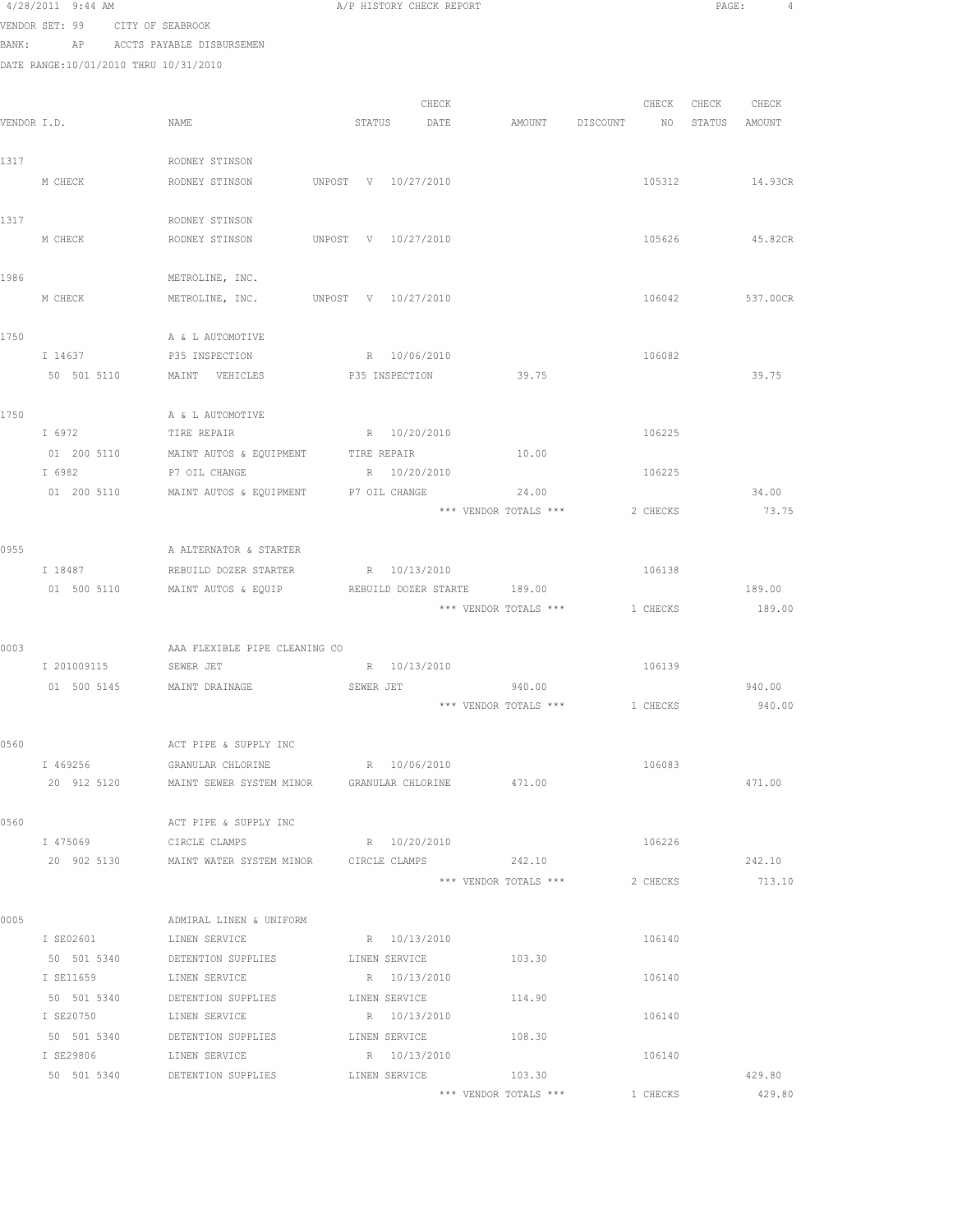|             | 4/28/2011 9:44 AM        |                                                 | A/P HISTORY CHECK REPORT                                             |          | PAGE:<br>4           |
|-------------|--------------------------|-------------------------------------------------|----------------------------------------------------------------------|----------|----------------------|
|             |                          | VENDOR SET: 99 CITY OF SEABROOK                 |                                                                      |          |                      |
|             |                          | BANK: AP ACCTS PAYABLE DISBURSEMEN              |                                                                      |          |                      |
|             |                          | DATE RANGE:10/01/2010 THRU 10/31/2010           |                                                                      |          |                      |
|             |                          |                                                 |                                                                      |          |                      |
|             |                          |                                                 | CHECK                                                                |          | CHECK CHECK<br>CHECK |
| VENDOR I.D. |                          | NAME                                            | STATUS DATE<br>AMOUNT DISCOUNT NO STATUS AMOUNT                      |          |                      |
|             |                          |                                                 |                                                                      |          |                      |
| 1317        |                          | RODNEY STINSON                                  |                                                                      |          |                      |
|             | M CHECK                  | RODNEY STINSON                                  | UNPOST V 10/27/2010                                                  | 105312   | 14.93CR              |
|             |                          |                                                 |                                                                      |          |                      |
| 1317        |                          | RODNEY STINSON                                  |                                                                      |          | 45.82CR              |
|             | M CHECK                  | RODNEY STINSON                                  | UNPOST V 10/27/2010                                                  | 105626   |                      |
| 1986        |                          | METROLINE, INC.                                 |                                                                      |          |                      |
|             | M CHECK                  |                                                 | METROLINE, INC. UNPOST V 10/27/2010                                  | 106042   | 537.00CR             |
|             |                          |                                                 |                                                                      |          |                      |
| 1750        |                          | A & L AUTOMOTIVE                                |                                                                      |          |                      |
|             | I 14637                  | P35 INSPECTION                                  | R 10/06/2010                                                         | 106082   |                      |
|             | 50 501 5110              | MAINT VEHICLES                                  | 39.75<br>P35 INSPECTION                                              |          | 39.75                |
|             |                          |                                                 |                                                                      |          |                      |
| 1750        |                          | A & L AUTOMOTIVE                                |                                                                      |          |                      |
|             | I 6972                   | TIRE REPAIR TIRE 2012 10/20/2010                |                                                                      | 106225   |                      |
|             |                          | 01 200 5110 MAINT AUTOS & EQUIPMENT TIRE REPAIR | 10.00                                                                |          |                      |
|             | I 6982                   | P7 OIL CHANGE                                   | R 10/20/2010                                                         | 106225   |                      |
|             | 01 200 5110              | MAINT AUTOS & EQUIPMENT                         | 24.00<br>P7 OIL CHANGE                                               |          | 34.00                |
|             |                          |                                                 | *** VENDOR TOTALS ***                                                | 2 CHECKS | 73.75                |
| 0955        |                          | A ALTERNATOR & STARTER                          |                                                                      |          |                      |
|             | I 18487                  | REBUILD DOZER STARTER                           | R 10/13/2010                                                         | 106138   |                      |
|             | 01 500 5110              | MAINT AUTOS & EQUIP                             | REBUILD DOZER STARTE 189.00                                          |          | 189.00               |
|             |                          |                                                 | *** VENDOR TOTALS *** 1 CHECKS                                       |          | 189.00               |
|             |                          |                                                 |                                                                      |          |                      |
| 0003        |                          | AAA FLEXIBLE PIPE CLEANING CO                   |                                                                      |          |                      |
|             |                          | I 201009115 SEWER JET                           | R 10/13/2010                                                         | 106139   |                      |
|             |                          | 01 500 5145 MAINT DRAINAGE SEWER JET            | 940.00                                                               |          | 940.00               |
|             |                          |                                                 | *** VENDOR TOTALS ***                                                | 1 CHECKS | 940.00               |
|             |                          |                                                 |                                                                      |          |                      |
| 0560        |                          | ACT PIPE & SUPPLY INC                           |                                                                      |          |                      |
|             | I 469256<br>20 912 5120  | GRANULAR CHLORINE                               | R 10/06/2010<br>MAINT SEWER SYSTEM MINOR GRANULAR CHLORINE<br>471.00 | 106083   | 471.00               |
|             |                          |                                                 |                                                                      |          |                      |
| 0560        |                          | ACT PIPE & SUPPLY INC                           |                                                                      |          |                      |
|             | I 475069                 | CIRCLE CLAMPS                                   | R 10/20/2010                                                         | 106226   |                      |
|             |                          |                                                 | 20 902 5130 MAINT WATER SYSTEM MINOR CIRCLE CLAMPS 242.10            |          | 242.10               |
|             |                          |                                                 | *** VENDOR TOTALS ***                                                | 2 CHECKS | 713.10               |
|             |                          |                                                 |                                                                      |          |                      |
| 0005        |                          | ADMIRAL LINEN & UNIFORM                         |                                                                      |          |                      |
|             |                          | I SE02601 LINEN SERVICE                         | R 10/13/2010                                                         | 106140   |                      |
|             | 50 501 5340              | DETENTION SUPPLIES                              | LINEN SERVICE<br>103.30                                              |          |                      |
|             | I SE11659                | LINEN SERVICE                                   | R 10/13/2010                                                         | 106140   |                      |
|             | 50 501 5340              | DETENTION SUPPLIES                              | LINEN SERVICE<br>114.90                                              |          |                      |
|             | I SE20750<br>50 501 5340 | LINEN SERVICE<br>DETENTION SUPPLIES             | R 10/13/2010<br>108.30<br>LINEN SERVICE                              | 106140   |                      |
|             | I SE29806                | LINEN SERVICE                                   | R 10/13/2010                                                         | 106140   |                      |
|             |                          |                                                 |                                                                      |          |                      |

50 501 5340 DETENTION SUPPLIES LINEN SERVICE 103.30 LISS 103.30 429.80 \*\*\* VENDOR TOTALS \*\*\* 1 CHECKS 429.80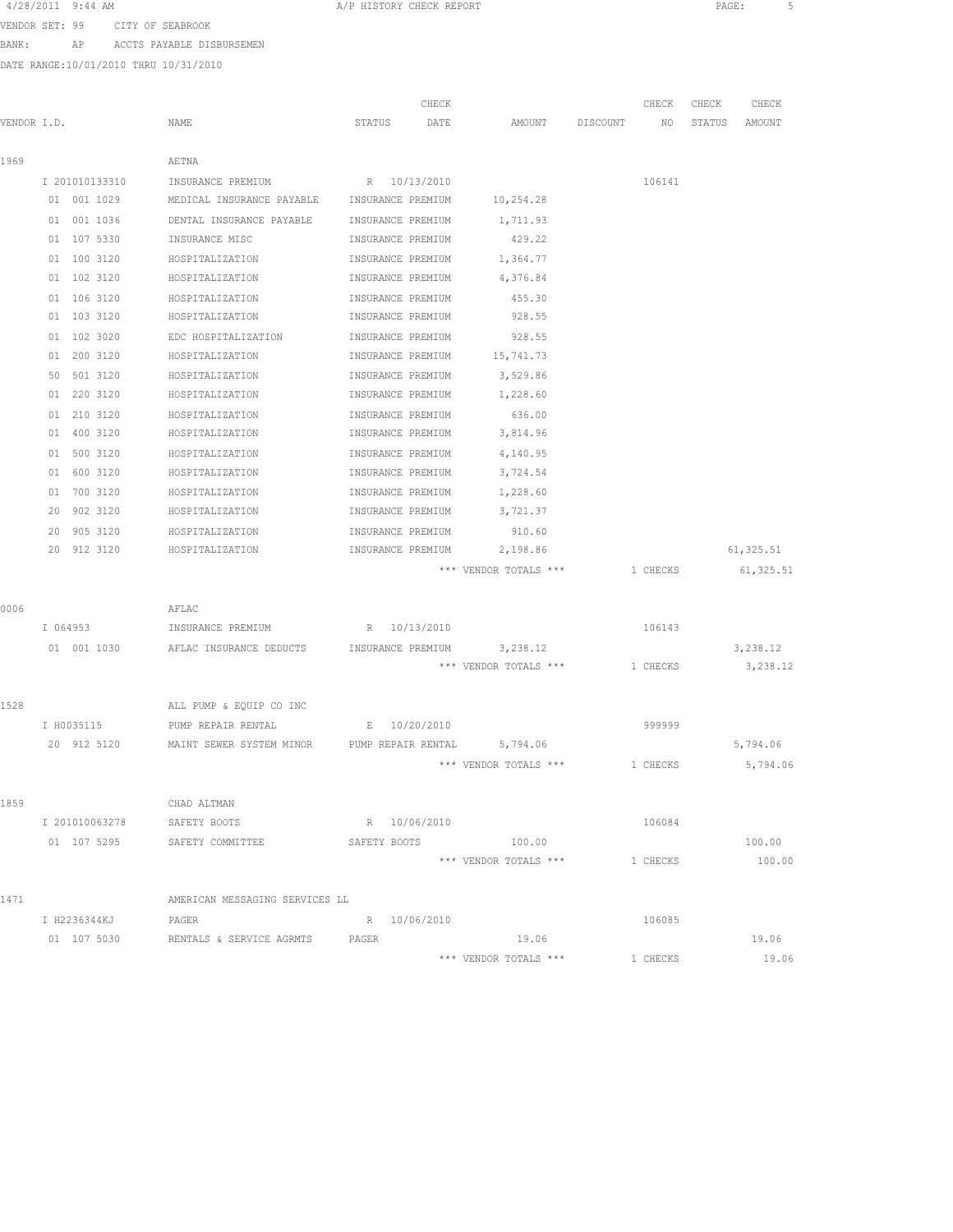| 4/28/2011 | $9:44$ AM |  |
|-----------|-----------|--|
|-----------|-----------|--|

A/P HISTORY CHECK REPORT **PAGE:** 5

VENDOR SET: 99 CITY OF SEABROOK

BANK: AP ACCTS PAYABLE DISBURSEMEN

DATE RANGE:10/01/2010 THRU 10/31/2010

|             |                            |                                             |                   | CHECK        |                                 |          | CHECK    | CHECK  | CHECK      |
|-------------|----------------------------|---------------------------------------------|-------------------|--------------|---------------------------------|----------|----------|--------|------------|
| VENDOR I.D. |                            | NAME                                        | STATUS            | DATE         | AMOUNT                          | DISCOUNT | NO       | STATUS | AMOUNT     |
| 1969        |                            | AETNA                                       |                   |              |                                 |          |          |        |            |
|             | I 201010133310             | INSURANCE PREMIUM                           | R 10/13/2010      |              |                                 |          | 106141   |        |            |
|             | 01 001 1029                | MEDICAL INSURANCE PAYABLE INSURANCE PREMIUM |                   |              | 10,254.28                       |          |          |        |            |
|             | 01 001 1036                | DENTAL INSURANCE PAYABLE                    | INSURANCE PREMIUM |              | 1,711.93                        |          |          |        |            |
|             | 01 107 5330                | INSURANCE MISC                              | INSURANCE PREMIUM |              | 429.22                          |          |          |        |            |
|             |                            |                                             |                   |              |                                 |          |          |        |            |
|             | 01 100 3120<br>01 102 3120 | HOSPITALIZATION<br>HOSPITALIZATION          | INSURANCE PREMIUM |              | 1,364.77<br>4,376.84            |          |          |        |            |
|             |                            |                                             | INSURANCE PREMIUM |              |                                 |          |          |        |            |
|             | 01 106 3120                | HOSPITALIZATION                             | INSURANCE PREMIUM |              | 455.30                          |          |          |        |            |
|             | 01 103 3120                | HOSPITALIZATION                             | INSURANCE PREMIUM |              | 928.55                          |          |          |        |            |
|             | 01 102 3020                | EDC HOSPITALIZATION                         | INSURANCE PREMIUM |              | 928.55                          |          |          |        |            |
|             | 01 200 3120                | HOSPITALIZATION                             | INSURANCE PREMIUM |              | 15,741.73                       |          |          |        |            |
|             | 501 3120<br>50             | HOSPITALIZATION                             | INSURANCE PREMIUM |              | 3,529.86                        |          |          |        |            |
|             | 01 220 3120                | HOSPITALIZATION                             | INSURANCE PREMIUM |              | 1,228.60                        |          |          |        |            |
|             | 01 210 3120                | HOSPITALIZATION                             | INSURANCE PREMIUM |              | 636.00                          |          |          |        |            |
|             | 01 400 3120                | HOSPITALIZATION                             | INSURANCE PREMIUM |              | 3,814.96                        |          |          |        |            |
|             | 500 3120<br>01             | HOSPITALIZATION                             | INSURANCE PREMIUM |              | 4,140.95                        |          |          |        |            |
|             | 01 600 3120                | HOSPITALIZATION                             | INSURANCE PREMIUM |              | 3,724.54                        |          |          |        |            |
|             | 700 3120<br>01             | HOSPITALIZATION                             | INSURANCE PREMIUM |              | 1,228.60                        |          |          |        |            |
|             | 902 3120<br>20             | HOSPITALIZATION                             | INSURANCE PREMIUM |              | 3,721.37                        |          |          |        |            |
|             | 905 3120<br>20             | HOSPITALIZATION                             | INSURANCE PREMIUM |              | 910.60                          |          |          |        |            |
|             | 20 912 3120                | HOSPITALIZATION                             | INSURANCE PREMIUM |              | 2,198.86                        |          |          |        | 61, 325.51 |
|             |                            |                                             |                   |              | *** VENDOR TOTALS ***           |          | 1 CHECKS |        | 61,325.51  |
| 0006        |                            | AFLAC                                       |                   |              |                                 |          |          |        |            |
|             | I 064953                   | INSURANCE PREMIUM                           |                   | R 10/13/2010 |                                 |          | 106143   |        |            |
|             | 01 001 1030                | AFLAC INSURANCE DEDUCTS                     | INSURANCE PREMIUM |              | 3,238.12                        |          |          |        | 3,238.12   |
|             |                            |                                             |                   |              | *** VENDOR TOTALS ***           |          | 1 CHECKS |        | 3,238.12   |
|             |                            |                                             |                   |              |                                 |          |          |        |            |
| 1528        |                            | ALL PUMP & EQUIP CO INC                     |                   |              |                                 |          |          |        |            |
|             | I H0035115                 | PUMP REPAIR RENTAL                          | E                 | 10/20/2010   |                                 |          | 999999   |        |            |
|             | 20 912 5120                | MAINT SEWER SYSTEM MINOR                    |                   |              | PUMP REPAIR RENTAL 5,794.06     |          |          |        | 5,794.06   |
|             |                            |                                             |                   |              | *** VENDOR TOTALS ***           |          | 1 CHECKS |        | 5,794.06   |
| 1859        |                            | CHAD ALTMAN                                 |                   |              |                                 |          |          |        |            |
|             | I 201010063278             | SAFETY BOOTS                                |                   | R 10/06/2010 |                                 |          | 106084   |        |            |
|             |                            |                                             | SAFETY BOOTS      |              |                                 |          |          |        | 100.00     |
|             |                            | 01 107 5295 SAFETY COMMITTEE                |                   |              | 100.00<br>*** VENDOR TOTALS *** |          | 1 CHECKS |        | 100.00     |
|             |                            |                                             |                   |              |                                 |          |          |        |            |
| 1471        |                            | AMERICAN MESSAGING SERVICES LL              |                   |              |                                 |          |          |        |            |
|             | I H2236344KJ               | PAGER                                       |                   | R 10/06/2010 |                                 |          | 106085   |        |            |
|             | 01 107 5030                | RENTALS & SERVICE AGRMTS PAGER              |                   |              | 19.06                           |          |          |        | 19.06      |
|             |                            |                                             |                   |              | *** VENDOR TOTALS ***           |          | 1 CHECKS |        | 19.06      |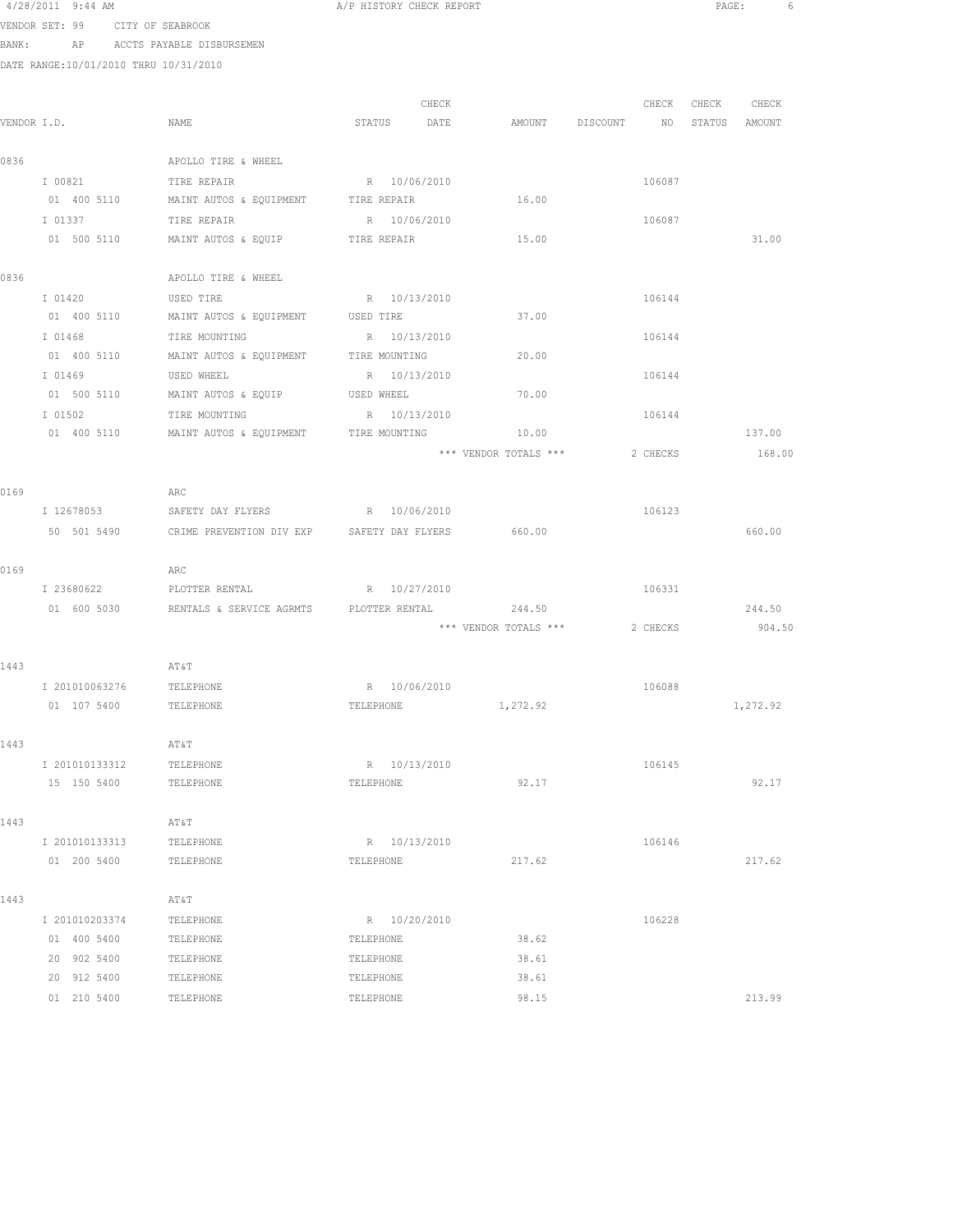| 4/28/2011 9:44 AM |                      |  |                                                                                                      |
|-------------------|----------------------|--|------------------------------------------------------------------------------------------------------|
| companies and     | $\sim$ $\sim$ $\sim$ |  | $\alpha$ $\tau$ $\sigma$ $\tau$ $\tau$ $\alpha$ $\tau$ $\tau$ $\tau$ $\alpha$ $\alpha$ $\tau$ $\tau$ |

A/P HISTORY CHECK REPORT **PAGE:** 6

VENDOR SET: 99 CITY OF SEABROOK BANK: AP ACCTS PAYABLE DISBURSEMEN

DATE RANGE:10/01/2010 THRU 10/31/2010

| VENDOR I.D. |                            | NAME                                       | CHECK<br>STATUS<br>DATE   | AMOUNT DISCOUNT       | CHECK<br>NO | CHECK<br>CHECK<br>STATUS<br>AMOUNT |
|-------------|----------------------------|--------------------------------------------|---------------------------|-----------------------|-------------|------------------------------------|
|             |                            |                                            |                           |                       |             |                                    |
| 0836        |                            | APOLLO TIRE & WHEEL                        |                           |                       |             |                                    |
|             | I 00821                    | TIRE REPAIR                                | R 10/06/2010              |                       | 106087      |                                    |
|             | 01 400 5110                | MAINT AUTOS & EQUIPMENT TIRE REPAIR        |                           | 16.00                 |             |                                    |
|             | I 01337                    | TIRE REPAIR                                | R 10/06/2010              |                       | 106087      |                                    |
|             | 01 500 5110                | MAINT AUTOS & EQUIP                        | TIRE REPAIR               | 15.00                 |             | 31.00                              |
|             |                            |                                            |                           |                       |             |                                    |
| 0836        |                            | APOLLO TIRE & WHEEL                        |                           |                       |             |                                    |
|             | I 01420                    | USED TIRE                                  | R 10/13/2010              |                       | 106144      |                                    |
|             | 01 400 5110                | MAINT AUTOS & EQUIPMENT                    | USED TIRE                 | 37.00                 |             |                                    |
|             | I 01468                    | TIRE MOUNTING                              | R 10/13/2010              |                       | 106144      |                                    |
|             | 01 400 5110                | MAINT AUTOS & EQUIPMENT                    | TIRE MOUNTING             | 20.00                 |             |                                    |
|             | I 01469                    | USED WHEEL                                 | R 10/13/2010              |                       | 106144      |                                    |
|             | 01 500 5110                | MAINT AUTOS & EQUIP USED WHEEL             |                           | 70.00                 |             |                                    |
|             | I 01502                    | TIRE MOUNTING                              | R 10/13/2010              |                       | 106144      |                                    |
|             | 01 400 5110                | MAINT AUTOS & EQUIPMENT TIRE MOUNTING      |                           | 10.00                 |             | 137.00                             |
|             |                            |                                            |                           | *** VENDOR TOTALS *** | 2 CHECKS    | 168.00                             |
|             |                            |                                            |                           |                       |             |                                    |
| 0169        | I 12678053                 | ARC<br>SAFETY DAY FLYERS                   | R 10/06/2010              |                       | 106123      |                                    |
|             | 50 501 5490                |                                            |                           | 660.00                |             | 660.00                             |
|             |                            | CRIME PREVENTION DIV EXP SAFETY DAY FLYERS |                           |                       |             |                                    |
| 0169        |                            | ARC                                        |                           |                       |             |                                    |
|             | I 23680622                 | PLOTTER RENTAL                             | R 10/27/2010              |                       | 106331      |                                    |
|             | 01 600 5030                | RENTALS & SERVICE AGRMTS                   | PLOTTER RENTAL            | 244.50                |             | 244.50                             |
|             |                            |                                            |                           | *** VENDOR TOTALS *** | 2 CHECKS    | 904.50                             |
|             |                            |                                            |                           |                       |             |                                    |
| 1443        |                            | AT&T                                       |                           |                       |             |                                    |
|             | I 201010063276             | TELEPHONE                                  | R 10/06/2010              |                       | 106088      |                                    |
|             | 01 107 5400                | TELEPHONE                                  | TELEPHONE                 | 1,272.92              |             | 1,272.92                           |
|             |                            |                                            |                           |                       |             |                                    |
| 1443        |                            | AT&T                                       |                           |                       |             |                                    |
|             | I 201010133312             | TELEPHONE                                  | R 10/13/2010              |                       | 106145      |                                    |
|             | 15 150 5400                | TELEPHONE                                  | TELEPHONE                 | 92.17                 |             | 92.17                              |
|             |                            |                                            |                           |                       |             |                                    |
| 1443        |                            | AT&T                                       |                           |                       |             |                                    |
|             | I 201010133313             | TELEPHONE                                  | R 10/13/2010              |                       | 106146      |                                    |
|             | 01 200 5400                | TELEPHONE                                  | TELEPHONE                 | 217.62                |             | 217.62                             |
|             |                            |                                            |                           |                       |             |                                    |
| 1443        |                            | AT&T                                       |                           |                       |             |                                    |
|             | I 201010203374             | TELEPHONE                                  | R 10/20/2010<br>TELEPHONE |                       | 106228      |                                    |
|             | 01 400 5400                | TELEPHONE                                  |                           | 38.62                 |             |                                    |
|             | 20 902 5400<br>20 912 5400 | TELEPHONE<br>TELEPHONE                     | TELEPHONE<br>TELEPHONE    | 38.61<br>38.61        |             |                                    |
|             | 01 210 5400                | TELEPHONE                                  | TELEPHONE                 | 98.15                 |             | 213.99                             |
|             |                            |                                            |                           |                       |             |                                    |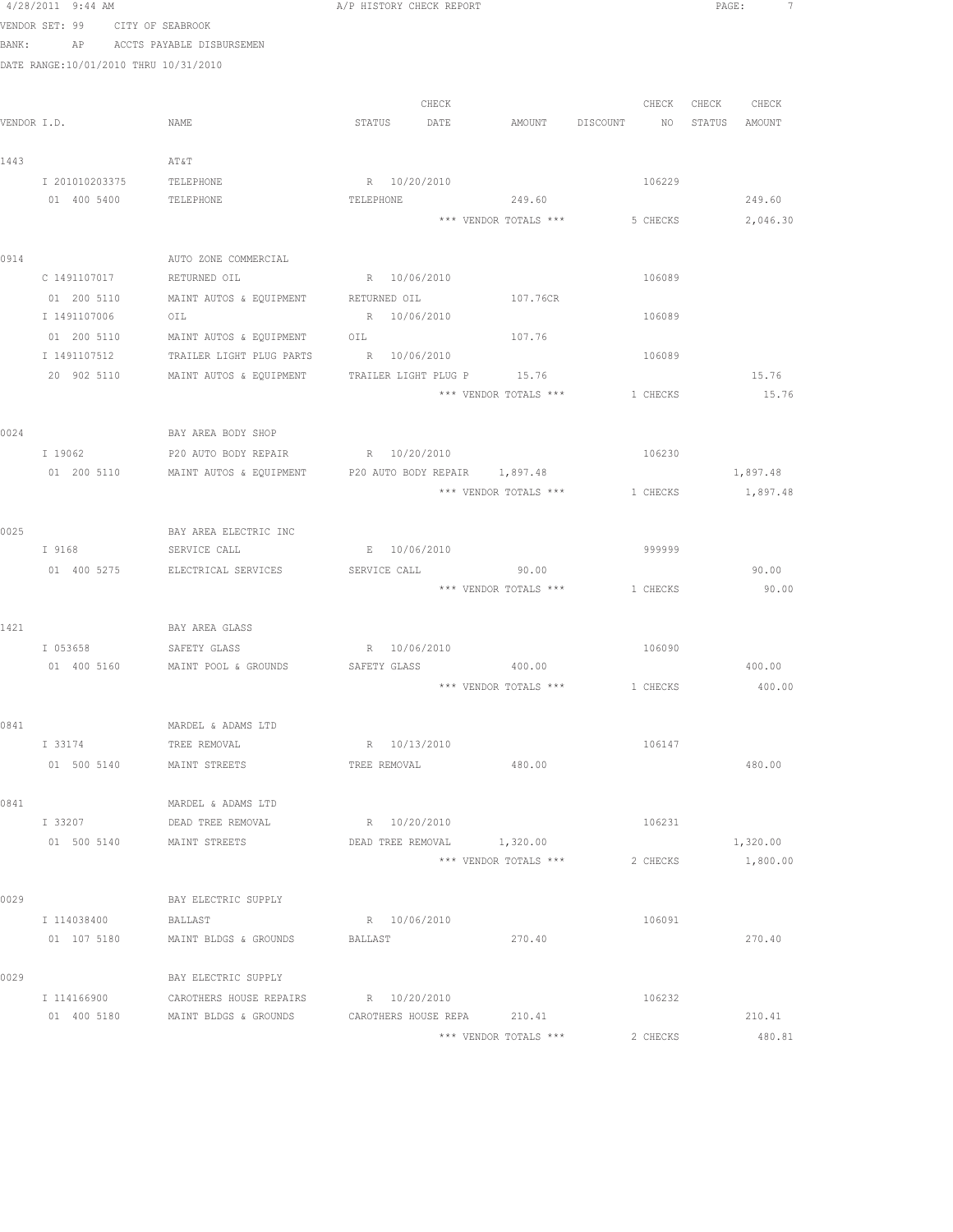|      | 4/28/2011 9:44 AM                     |                                                                   | A/P HISTORY CHECK REPORT     |              |                                |             |          | PAGE:         |                |  |
|------|---------------------------------------|-------------------------------------------------------------------|------------------------------|--------------|--------------------------------|-------------|----------|---------------|----------------|--|
|      | VENDOR SET: 99 CITY OF SEABROOK       |                                                                   |                              |              |                                |             |          |               |                |  |
|      |                                       | BANK: AP ACCTS PAYABLE DISBURSEMEN                                |                              |              |                                |             |          |               |                |  |
|      | DATE RANGE:10/01/2010 THRU 10/31/2010 |                                                                   |                              |              |                                |             |          |               |                |  |
|      |                                       |                                                                   |                              |              |                                |             |          |               |                |  |
|      | VENDOR I.D.                           | NAME                                                              | STATUS DATE                  | CHECK        | AMOUNT                         | DISCOUNT NO | CHECK    | STATUS AMOUNT | CHECK CHECK    |  |
|      |                                       |                                                                   |                              |              |                                |             |          |               |                |  |
| 1443 |                                       | AT&T                                                              |                              |              |                                |             |          |               |                |  |
|      | I 201010203375                        | TELEPHONE                                                         | R 10/20/2010                 |              |                                |             | 106229   |               |                |  |
|      | 01 400 5400                           | TELEPHONE                                                         | TELEPHONE                    |              | 249.60                         |             |          |               | 249.60         |  |
|      |                                       |                                                                   |                              |              | *** VENDOR TOTALS ***          |             | 5 CHECKS |               | 2,046.30       |  |
|      |                                       |                                                                   |                              |              |                                |             |          |               |                |  |
| 0914 |                                       | AUTO ZONE COMMERCIAL                                              |                              |              |                                |             |          |               |                |  |
|      | C 1491107017                          | RETURNED OIL                                                      | R 10/06/2010                 |              |                                |             | 106089   |               |                |  |
|      | 01 200 5110                           | MAINT AUTOS & EQUIPMENT                                           | RETURNED OIL                 |              | 107.76CR                       |             |          |               |                |  |
|      | I 1491107006                          | OIL                                                               | R 10/06/2010                 |              |                                |             | 106089   |               |                |  |
|      | 01 200 5110                           | MAINT AUTOS & EQUIPMENT                                           | OIL                          |              | 107.76                         |             |          |               |                |  |
|      | I 1491107512                          | TRAILER LIGHT PLUG PARTS                                          | R 10/06/2010                 |              |                                |             | 106089   |               |                |  |
|      | 20 902 5110                           | MAINT AUTOS & EQUIPMENT                                           | TRAILER LIGHT PLUG P         |              | 15.76<br>*** VENDOR TOTALS *** |             | 1 CHECKS |               | 15.76<br>15.76 |  |
|      |                                       |                                                                   |                              |              |                                |             |          |               |                |  |
| 0024 |                                       | BAY AREA BODY SHOP                                                |                              |              |                                |             |          |               |                |  |
|      | I 19062                               | P20 AUTO BODY REPAIR R 10/20/2010                                 |                              |              |                                |             | 106230   |               |                |  |
|      |                                       | 01 200 5110 MAINT AUTOS & EQUIPMENT P20 AUTO BODY REPAIR 1,897.48 |                              |              |                                |             |          |               | 1,897.48       |  |
|      |                                       |                                                                   |                              |              | *** VENDOR TOTALS ***          |             | 1 CHECKS |               | 1,897.48       |  |
|      |                                       |                                                                   |                              |              |                                |             |          |               |                |  |
| 0025 |                                       | BAY AREA ELECTRIC INC                                             |                              |              |                                |             |          |               |                |  |
|      | I 9168                                | SERVICE CALL                                                      |                              | E 10/06/2010 |                                |             | 999999   |               |                |  |
|      | 01 400 5275                           | ELECTRICAL SERVICES                                               | SERVICE CALL                 |              | 90.00                          |             |          |               | 90.00          |  |
|      |                                       |                                                                   |                              |              | *** VENDOR TOTALS ***          |             | 1 CHECKS |               | 90.00          |  |
|      |                                       |                                                                   |                              |              |                                |             |          |               |                |  |
| 1421 |                                       | BAY AREA GLASS                                                    |                              |              |                                |             |          |               |                |  |
|      | I 053658                              | SAFETY GLASS<br>01 400 5160 MAINT POOL & GROUNDS                  | R 10/06/2010<br>SAFETY GLASS |              | 400.00                         |             | 106090   |               | 400.00         |  |
|      |                                       |                                                                   |                              |              | *** VENDOR TOTALS *** 1 CHECKS |             |          |               | 400.00         |  |
|      |                                       |                                                                   |                              |              |                                |             |          |               |                |  |
| 0841 |                                       | MARDEL & ADAMS LTD                                                |                              |              |                                |             |          |               |                |  |
|      | I 33174                               | TREE REMOVAL                                                      | R 10/13/2010                 |              |                                |             | 106147   |               |                |  |
|      |                                       | 01 500 5140 MAINT STREETS                                         | TREE REMOVAL                 |              | 480.00                         |             |          |               | 480.00         |  |
|      |                                       |                                                                   |                              |              |                                |             |          |               |                |  |
| 0841 |                                       | MARDEL & ADAMS LTD                                                |                              |              |                                |             |          |               |                |  |
|      | I 33207                               | DEAD TREE REMOVAL                                                 | R 10/20/2010                 |              |                                |             | 106231   |               |                |  |
|      | 01 500 5140                           | MAINT STREETS                                                     | DEAD TREE REMOVAL            |              | 1,320.00                       |             |          |               | 1,320.00       |  |
|      |                                       |                                                                   |                              |              | *** VENDOR TOTALS ***          |             | 2 CHECKS |               | 1,800.00       |  |
|      |                                       |                                                                   |                              |              |                                |             |          |               |                |  |
| 0029 |                                       | BAY ELECTRIC SUPPLY                                               |                              |              |                                |             |          |               |                |  |
|      | I 114038400                           | BALLAST<br>01 107 5180 MAINT BLDGS & GROUNDS                      | R 10/06/2010<br>BALLAST      |              | 270.40                         |             | 106091   |               | 270.40         |  |
|      |                                       |                                                                   |                              |              |                                |             |          |               |                |  |
| 0029 |                                       | BAY ELECTRIC SUPPLY                                               |                              |              |                                |             |          |               |                |  |
|      | I 114166900                           | CAROTHERS HOUSE REPAIRS                                           | R 10/20/2010                 |              |                                |             | 106232   |               |                |  |
|      |                                       | 01 400 5180 MAINT BLDGS & GROUNDS                                 | CAROTHERS HOUSE REPA 210.41  |              |                                |             |          |               | 210.41         |  |
|      |                                       |                                                                   |                              |              | *** VENDOR TOTALS ***          |             | 2 CHECKS |               | 480.81         |  |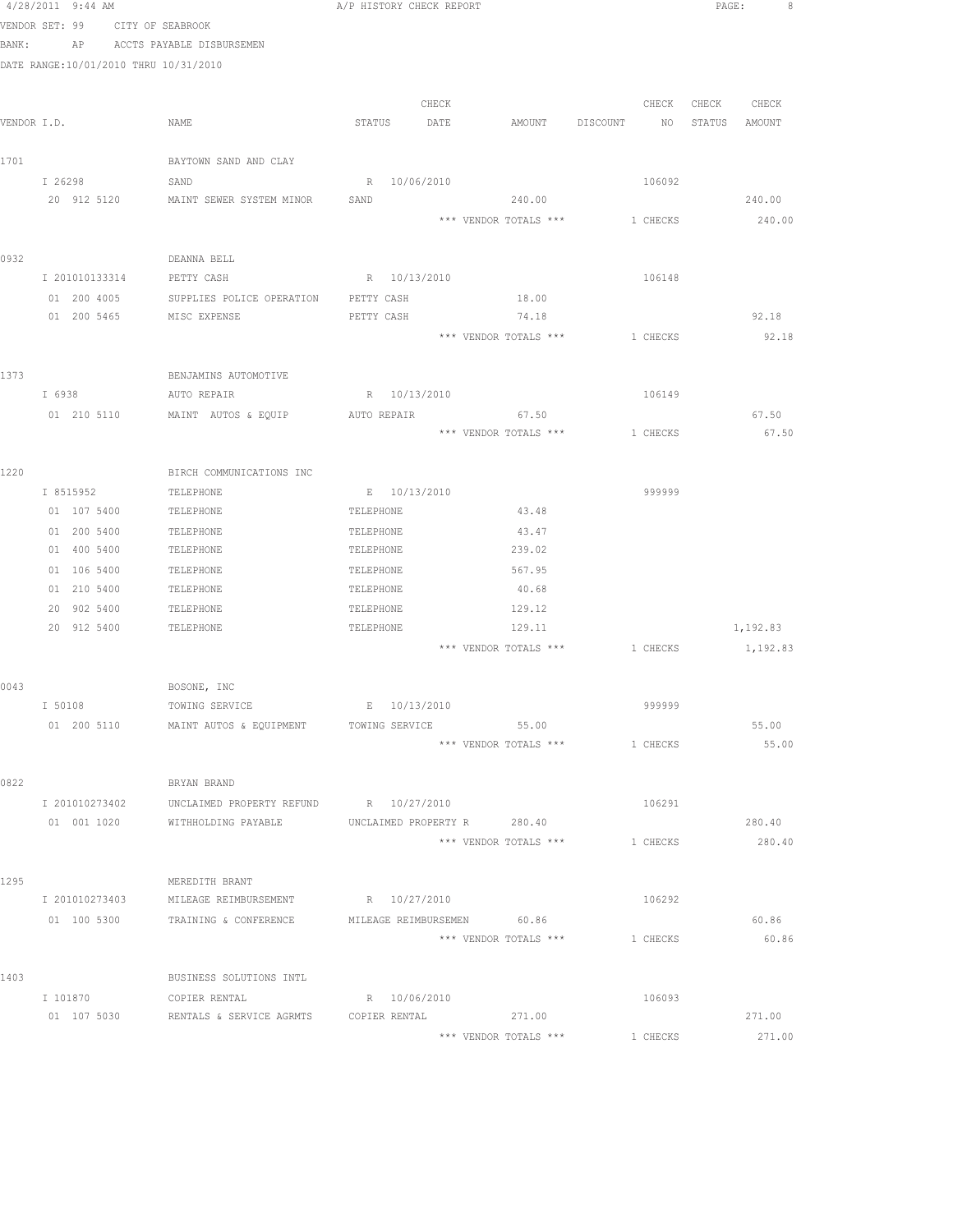|       | 4/28/2011 9:44 AM                     |                                             | A/P HISTORY CHECK REPORT    |                       |                                         | PAGE:<br>8     |
|-------|---------------------------------------|---------------------------------------------|-----------------------------|-----------------------|-----------------------------------------|----------------|
|       | VENDOR SET: 99 CITY OF SEABROOK       |                                             |                             |                       |                                         |                |
| BANK: |                                       | AP ACCTS PAYABLE DISBURSEMEN                |                             |                       |                                         |                |
|       | DATE RANGE:10/01/2010 THRU 10/31/2010 |                                             |                             |                       |                                         |                |
|       |                                       |                                             |                             |                       |                                         |                |
|       |                                       |                                             | CHECK                       |                       | CHECK                                   | CHECK<br>CHECK |
|       | VENDOR I.D.                           | NAME                                        | STATUS DATE                 | AMOUNT                | DISCOUNT<br>NO <sub>N</sub>             | STATUS AMOUNT  |
|       |                                       |                                             |                             |                       |                                         |                |
| 1701  |                                       | BAYTOWN SAND AND CLAY                       |                             |                       |                                         |                |
|       | I 26298                               | SAND                                        | R 10/06/2010                |                       | 106092                                  |                |
|       | 20 912 5120                           | MAINT SEWER SYSTEM MINOR                    | SAND                        | 240.00                |                                         | 240.00         |
|       |                                       |                                             |                             | *** VENDOR TOTALS *** | 1 CHECKS                                | 240.00         |
|       |                                       |                                             |                             |                       |                                         |                |
| 0932  |                                       | DEANNA BELL                                 |                             |                       |                                         |                |
|       | I 201010133314                        | PETTY CASH                                  | R 10/13/2010                |                       | 106148                                  |                |
|       | 01 200 4005                           | SUPPLIES POLICE OPERATION                   | PETTY CASH                  | 18.00                 |                                         |                |
|       | 01 200 5465                           | MISC EXPENSE                                | PETTY CASH                  | 74.18                 |                                         | 92.18          |
|       |                                       |                                             |                             | *** VENDOR TOTALS *** | 1 CHECKS                                | 92.18          |
|       |                                       |                                             |                             |                       |                                         |                |
| 1373  |                                       | BENJAMINS AUTOMOTIVE                        |                             |                       |                                         |                |
|       | I 6938                                | AUTO REPAIR                                 | R 10/13/2010                |                       | 106149                                  |                |
|       |                                       | 01 210 5110 MAINT AUTOS & EQUIP AUTO REPAIR |                             | 67.50                 |                                         | 67.50          |
|       |                                       |                                             |                             |                       | *** VENDOR TOTALS *** 1 CHECKS          | 67.50          |
|       |                                       |                                             |                             |                       |                                         |                |
| 1220  |                                       | BIRCH COMMUNICATIONS INC                    |                             |                       |                                         |                |
|       | I 8515952                             | TELEPHONE                                   | E 10/13/2010                |                       | 999999                                  |                |
|       | 01 107 5400                           | TELEPHONE                                   | TELEPHONE                   | 43.48                 |                                         |                |
|       | 01 200 5400                           | TELEPHONE                                   | TELEPHONE                   | 43.47                 |                                         |                |
|       | 01 400 5400                           | TELEPHONE                                   | TELEPHONE                   | 239.02                |                                         |                |
|       | 01 106 5400                           | TELEPHONE                                   | TELEPHONE                   | 567.95                |                                         |                |
|       | 01 210 5400                           | TELEPHONE                                   | TELEPHONE                   | 40.68                 |                                         |                |
|       | 20 902 5400                           | TELEPHONE                                   | TELEPHONE                   | 129.12                |                                         |                |
|       | 20 912 5400                           | TELEPHONE                                   | TELEPHONE                   | 129.11                |                                         | 1,192.83       |
|       |                                       |                                             |                             |                       | *** VENDOR TOTALS *** 1 CHECKS 1,192.83 |                |
|       |                                       |                                             |                             |                       |                                         |                |
| 0043  |                                       | BOSONE, INC                                 |                             |                       |                                         |                |
|       | I 50108                               | TOWING SERVICE                              | E 10/13/2010                |                       | 999999                                  |                |
|       | 01 200 5110                           | MAINT AUTOS & EQUIPMENT                     | TOWING SERVICE              | 55.00                 |                                         | 55.00          |
|       |                                       |                                             |                             | *** VENDOR TOTALS *** | 1 CHECKS                                | 55.00          |
|       |                                       |                                             |                             |                       |                                         |                |
| 0822  |                                       | BRYAN BRAND                                 |                             |                       |                                         |                |
|       | I 201010273402                        | UNCLAIMED PROPERTY REFUND R 10/27/2010      |                             |                       | 106291                                  |                |
|       | 01 001 1020                           | WITHHOLDING PAYABLE                         | UNCLAIMED PROPERTY R 280.40 |                       |                                         | 280.40         |
|       |                                       |                                             |                             | *** VENDOR TOTALS *** | 1 CHECKS                                | 280.40         |
|       |                                       |                                             |                             |                       |                                         |                |
| 1295  | I 201010273403                        | MEREDITH BRANT<br>MILEAGE REIMBURSEMENT     | R 10/27/2010                |                       | 106292                                  |                |
|       | 01 100 5300                           | TRAINING & CONFERENCE                       | MILEAGE REIMBURSEMEN 60.86  |                       |                                         | 60.86          |
|       |                                       |                                             |                             | *** VENDOR TOTALS *** | 1 CHECKS                                | 60.86          |
|       |                                       |                                             |                             |                       |                                         |                |
| 1403  |                                       | BUSINESS SOLUTIONS INTL                     |                             |                       |                                         |                |
|       | I 101870                              | COPIER RENTAL                               | R 10/06/2010                |                       | 106093                                  |                |
|       | 01 107 5030                           | RENTALS & SERVICE AGRMTS                    | COPIER RENTAL               | 271.00                |                                         | 271.00         |
|       |                                       |                                             |                             | *** VENDOR TOTALS *** | 1 CHECKS                                | 271.00         |
|       |                                       |                                             |                             |                       |                                         |                |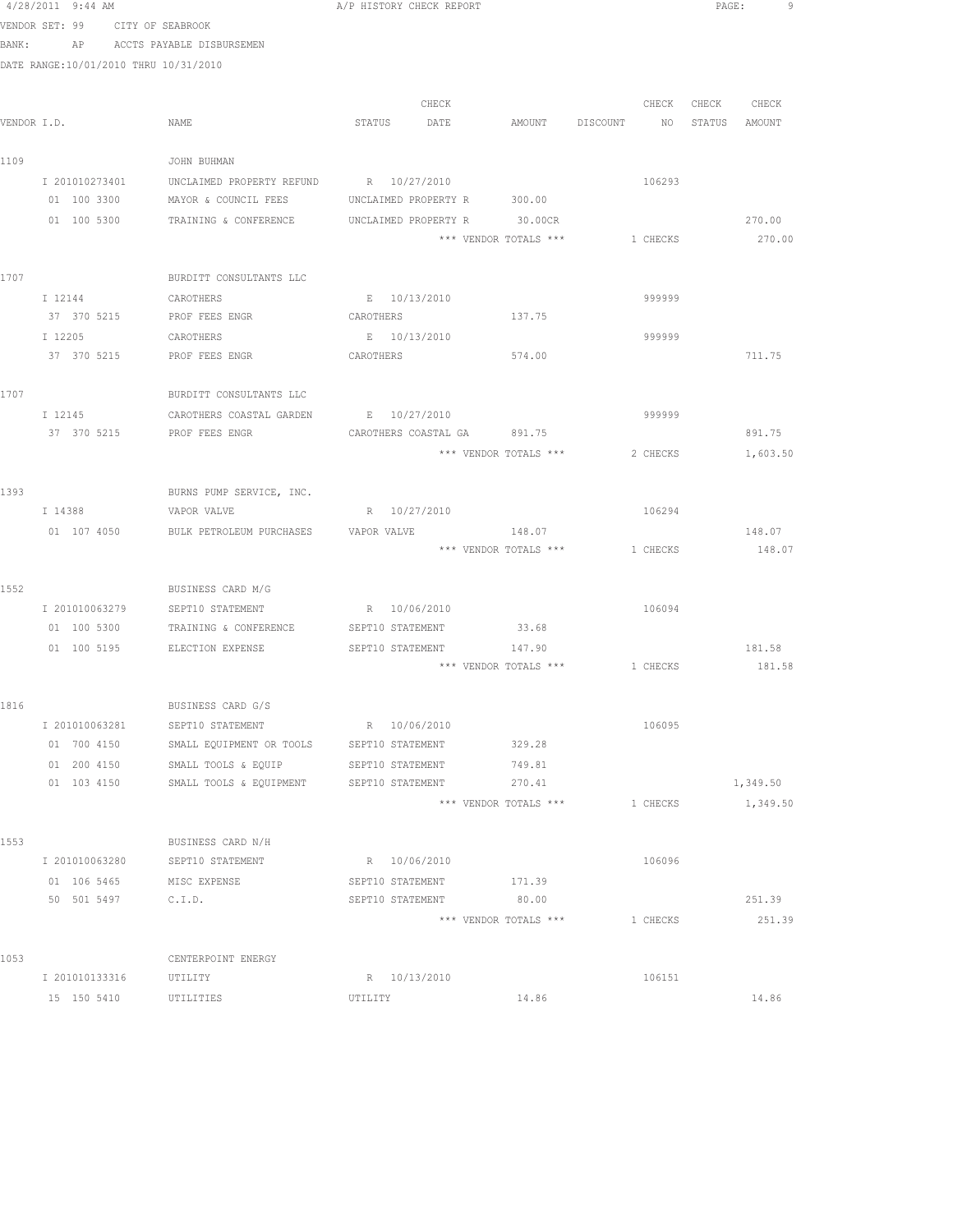|      | 4/28/2011 9:44 AM                     |                                        | A/P HISTORY CHECK REPORT                     |                       |                                | PAGE:             | 9        |
|------|---------------------------------------|----------------------------------------|----------------------------------------------|-----------------------|--------------------------------|-------------------|----------|
|      | VENDOR SET: 99 CITY OF SEABROOK       |                                        |                                              |                       |                                |                   |          |
|      |                                       | BANK: AP ACCTS PAYABLE DISBURSEMEN     |                                              |                       |                                |                   |          |
|      | DATE RANGE:10/01/2010 THRU 10/31/2010 |                                        |                                              |                       |                                |                   |          |
|      |                                       |                                        |                                              |                       |                                |                   |          |
|      |                                       |                                        | CHECK                                        |                       |                                | CHECK CHECK CHECK |          |
|      | VENDOR I.D.                           | NAME                                   | STATUS DATE AMOUNT DISCOUNT NO STATUS AMOUNT |                       |                                |                   |          |
|      |                                       |                                        |                                              |                       |                                |                   |          |
| 1109 |                                       | JOHN BUHMAN                            |                                              |                       |                                |                   |          |
|      | I 201010273401                        | UNCLAIMED PROPERTY REFUND R 10/27/2010 |                                              |                       | 106293                         |                   |          |
|      | 01 100 3300                           | MAYOR & COUNCIL FEES                   | UNCLAIMED PROPERTY R 300.00                  |                       |                                |                   |          |
|      |                                       | 01 100 5300 TRAINING & CONFERENCE      | UNCLAIMED PROPERTY R 30.00CR                 |                       |                                |                   | 270.00   |
|      |                                       |                                        |                                              | *** VENDOR TOTALS *** | 1 CHECKS                       |                   | 270.00   |
| 1707 |                                       | BURDITT CONSULTANTS LLC                |                                              |                       |                                |                   |          |
|      | I 12144                               | CAROTHERS                              | E 10/13/2010                                 |                       | 999999                         |                   |          |
|      | 37 370 5215                           | PROF FEES ENGR                         | CAROTHERS                                    | 137.75                |                                |                   |          |
|      | I 12205                               | CAROTHERS                              | E 10/13/2010                                 |                       | 999999                         |                   |          |
|      | 37 370 5215                           | PROF FEES ENGR                         | CAROTHERS                                    | 574.00                |                                |                   | 711.75   |
|      |                                       |                                        |                                              |                       |                                |                   |          |
| 1707 |                                       | BURDITT CONSULTANTS LLC                |                                              |                       |                                |                   |          |
|      | I 12145                               | CAROTHERS COASTAL GARDEN E 10/27/2010  |                                              |                       | 999999                         |                   |          |
|      | 37 370 5215                           | PROF FEES ENGR                         | CAROTHERS COASTAL GA 891.75                  |                       |                                |                   | 891.75   |
|      |                                       |                                        |                                              | *** VENDOR TOTALS *** | 2 CHECKS                       |                   | 1,603.50 |
|      |                                       |                                        |                                              |                       |                                |                   |          |
| 1393 |                                       | BURNS PUMP SERVICE, INC.               |                                              |                       |                                |                   |          |
|      | I 14388                               | VAPOR VALVE                            | R 10/27/2010                                 |                       | 106294                         |                   |          |
|      | 01 107 4050                           | BULK PETROLEUM PURCHASES               | VAPOR VALVE                                  | 148.07                |                                |                   | 148.07   |
|      |                                       |                                        |                                              | *** VENDOR TOTALS *** | 1 CHECKS                       |                   | 148.07   |
|      |                                       |                                        |                                              |                       |                                |                   |          |
| 1552 |                                       | BUSINESS CARD M/G                      |                                              |                       |                                |                   |          |
|      |                                       | I 201010063279 SEPT10 STATEMENT        | R 10/06/2010                                 |                       | 106094                         |                   |          |
|      | 01 100 5300                           | TRAINING & CONFERENCE                  | SEPT10 STATEMENT 33.68                       |                       |                                |                   |          |
|      |                                       | 01 100 5195 ELECTION EXPENSE           | SEPT10 STATEMENT                             | 147.90                |                                |                   | 181.58   |
|      |                                       |                                        |                                              |                       | *** VENDOR TOTALS *** 1 CHECKS |                   | 181.58   |
|      |                                       |                                        |                                              |                       |                                |                   |          |
| 1816 |                                       | BUSINESS CARD G/S                      |                                              |                       |                                |                   |          |
|      | I 201010063281                        | SEPT10 STATEMENT                       | R 10/06/2010                                 |                       | 106095                         |                   |          |
|      | 01 700 4150                           | SMALL EQUIPMENT OR TOOLS               | SEPT10 STATEMENT                             | 329.28                |                                |                   |          |
|      | 01 200 4150<br>01 103 4150            | SMALL TOOLS & EQUIP                    | SEPT10 STATEMENT                             | 749.81                |                                |                   |          |
|      |                                       | SMALL TOOLS & EQUIPMENT                | SEPT10 STATEMENT                             | 270.41                | 1 CHECKS                       |                   | 1,349.50 |
|      |                                       |                                        |                                              | *** VENDOR TOTALS *** |                                |                   | 1,349.50 |
| 1553 |                                       | BUSINESS CARD N/H                      |                                              |                       |                                |                   |          |
|      | I 201010063280                        | SEPT10 STATEMENT                       | R 10/06/2010                                 |                       | 106096                         |                   |          |
|      | 01 106 5465                           | MISC EXPENSE                           | SEPT10 STATEMENT                             | 171.39                |                                |                   |          |
|      | 50 501 5497                           | C.I.D.                                 | SEPT10 STATEMENT                             | 80.00                 |                                |                   | 251.39   |
|      |                                       |                                        |                                              | *** VENDOR TOTALS *** | 1 CHECKS                       |                   | 251.39   |
|      |                                       |                                        |                                              |                       |                                |                   |          |
| 1053 |                                       | CENTERPOINT ENERGY                     |                                              |                       |                                |                   |          |
|      | I 201010133316                        | UTILITY                                | R 10/13/2010                                 |                       | 106151                         |                   |          |
|      | 15 150 5410                           | UTILITIES                              | UTILITY                                      | 14.86                 |                                |                   | 14.86    |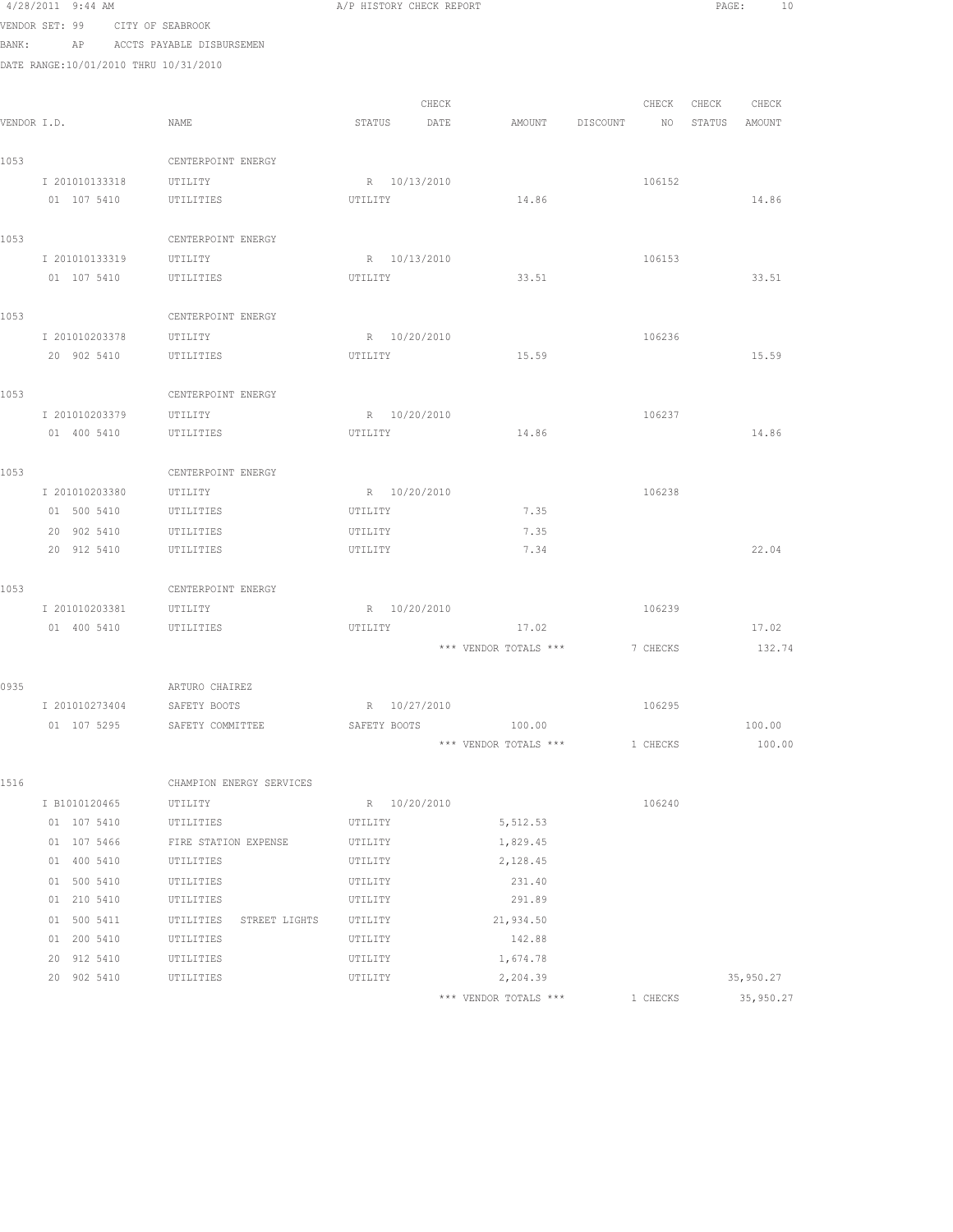|      | 4/28/2011 9:44 AM                     |                                    | A/P HISTORY CHECK REPORT |                       |          | PAGE:            | 10     |
|------|---------------------------------------|------------------------------------|--------------------------|-----------------------|----------|------------------|--------|
|      | VENDOR SET: 99 CITY OF SEABROOK       |                                    |                          |                       |          |                  |        |
|      |                                       | BANK: AP ACCTS PAYABLE DISBURSEMEN |                          |                       |          |                  |        |
|      | DATE RANGE:10/01/2010 THRU 10/31/2010 |                                    |                          |                       |          |                  |        |
|      |                                       |                                    |                          |                       |          |                  |        |
|      |                                       |                                    | CHECK                    |                       |          | CHECK CHECK      | CHECK  |
|      | VENDOR I.D.                           | NAME                               | STATUS DATE              | AMOUNT                | DISCOUNT | NO STATUS AMOUNT |        |
|      |                                       |                                    |                          |                       |          |                  |        |
| 1053 |                                       | CENTERPOINT ENERGY                 |                          |                       |          |                  |        |
|      | I 201010133318                        | UTILITY                            | R 10/13/2010             |                       | 106152   |                  |        |
|      | 01 107 5410                           | UTILITIES                          | UTILITY                  | 14.86                 |          |                  | 14.86  |
|      |                                       |                                    |                          |                       |          |                  |        |
| 1053 |                                       | CENTERPOINT ENERGY                 |                          |                       |          |                  |        |
|      | I 201010133319 UTILITY                |                                    | R 10/13/2010             |                       | 106153   |                  |        |
|      | 01 107 5410 UTILITIES                 |                                    | UTILITY                  | 33.51                 |          |                  | 33.51  |
|      |                                       |                                    |                          |                       |          |                  |        |
| 1053 |                                       | CENTERPOINT ENERGY                 |                          |                       |          |                  |        |
|      | I 201010203378                        | UTILITY                            | R 10/20/2010             |                       | 106236   |                  |        |
|      | 20 902 5410                           | UTILITIES                          | UTILITY                  | 15.59                 |          |                  | 15.59  |
|      |                                       |                                    |                          |                       |          |                  |        |
| 1053 |                                       | CENTERPOINT ENERGY                 |                          |                       |          |                  |        |
|      | I 201010203379 UTILITY                |                                    | R 10/20/2010             |                       | 106237   |                  |        |
|      | 01 400 5410                           | UTILITIES                          | UTILITY                  | 14.86                 |          |                  | 14.86  |
| 1053 |                                       | CENTERPOINT ENERGY                 |                          |                       |          |                  |        |
|      | I 201010203380 UTILITY                |                                    | R 10/20/2010             |                       | 106238   |                  |        |
|      | 01 500 5410                           | UTILITIES                          | UTILITY                  | 7.35                  |          |                  |        |
|      | 20 902 5410                           | UTILITIES                          | UTILITY                  | 7.35                  |          |                  |        |
|      | 20 912 5410                           | UTILITIES                          | UTILITY                  | 7.34                  |          |                  | 22.04  |
|      |                                       |                                    |                          |                       |          |                  |        |
| 1053 |                                       | CENTERPOINT ENERGY                 |                          |                       |          |                  |        |
|      | I 201010203381                        | UTILITY                            | R 10/20/2010             |                       | 106239   |                  |        |
|      | 01 400 5410                           | UTILITIES                          | UTILITY                  | 17.02                 |          |                  | 17.02  |
|      |                                       |                                    |                          | *** VENDOR TOTALS *** | 7 CHECKS |                  | 132.74 |
|      |                                       |                                    |                          |                       |          |                  |        |
| 0935 |                                       | ARTURO CHAIREZ                     |                          |                       |          |                  |        |
|      | I 201010273404                        | SAFETY BOOTS                       | R 10/27/2010             |                       | 106295   |                  |        |
|      | 01 107 5295                           | SAFETY COMMITTEE                   | SAFETY BOOTS             | 100.00                |          |                  | 100.00 |
|      |                                       |                                    |                          | *** VENDOR TOTALS *** | 1 CHECKS |                  | 100.00 |
|      |                                       |                                    |                          |                       |          |                  |        |
| 1516 |                                       | CHAMPION ENERGY SERVICES           |                          |                       |          |                  |        |
|      | I B1010120465                         | UTILITY                            | R 10/20/2010             |                       | 106240   |                  |        |
|      | 01 107 5410                           | UTILITIES                          | UTILITY                  | 5,512.53              |          |                  |        |
|      | 01 107 5466                           | FIRE STATION EXPENSE               | UTILITY                  | 1,829.45              |          |                  |        |
|      | 01 400 5410                           | UTILITIES                          | UTILITY                  | 2,128.45              |          |                  |        |
|      | 01 500 5410                           | UTILITIES                          | UTILITY                  | 231.40                |          |                  |        |
|      | 01 210 5410                           | UTILITIES                          | UTILITY                  | 291.89                |          |                  |        |
|      | 01 500 5411                           | UTILITIES<br>STREET LIGHTS         | UTILITY                  | 21,934.50             |          |                  |        |
|      | 01 200 5410                           | UTILITIES                          | UTILITY                  | 142.88                |          |                  |        |

 20 902 5410 UTILITIES UTILITY 2,204.39 35,950.27 \*\*\* VENDOR TOTALS \*\*\* 1 CHECKS 35,950.27

 $20$  912 5410 UTILITIES UTILITY 1,674.78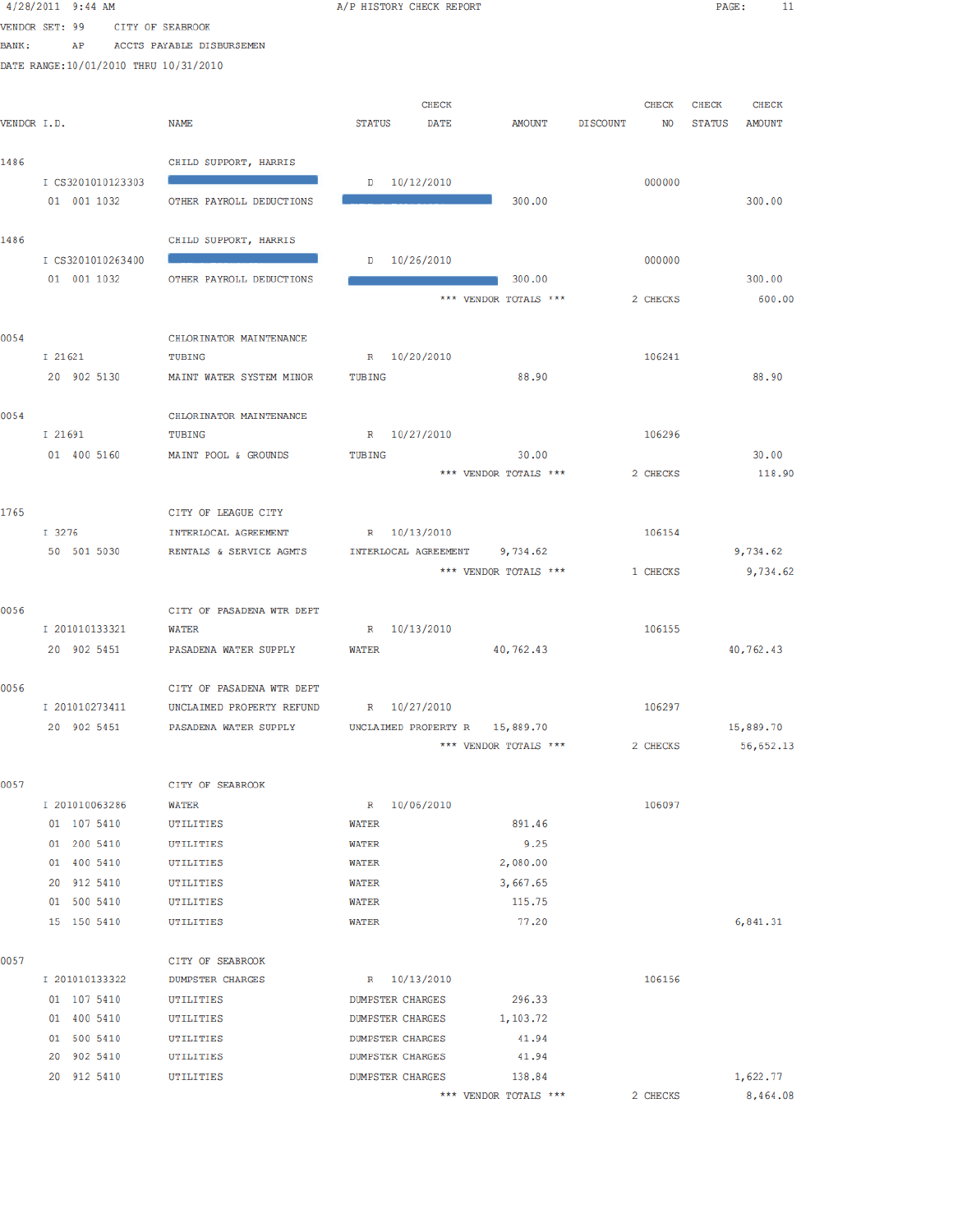|             | $4/28/2011$ 9:44 AM                   |                                             | A/P HISTORY CHECK REPORT |                       |                 |              | PAGE:         | 11           |  |
|-------------|---------------------------------------|---------------------------------------------|--------------------------|-----------------------|-----------------|--------------|---------------|--------------|--|
|             | VENDOR SET: 99<br>CITY OF SEABROOK    |                                             |                          |                       |                 |              |               |              |  |
| BANK:       | AP                                    | ACCTS PAYABLE DISBURSEMEN                   |                          |                       |                 |              |               |              |  |
|             | DATE RANGE:10/01/2010 THRU 10/31/2010 |                                             |                          |                       |                 |              |               |              |  |
|             |                                       |                                             |                          |                       |                 |              |               |              |  |
|             |                                       |                                             | <b>CHECK</b>             |                       |                 | <b>CHECK</b> | CHECK         | <b>CHECK</b> |  |
| VENDOR I.D. |                                       | NAME                                        | <b>STATUS</b><br>DATE    | <b>AMOUNT</b>         | <b>DISCOUNT</b> | NO           | <b>STATUS</b> | AMOUNT       |  |
|             |                                       |                                             |                          |                       |                 |              |               |              |  |
| 1486        |                                       | CHILD SUPPORT, HARRIS                       |                          |                       |                 |              |               |              |  |
|             | I CS3201010123303                     |                                             | $D = 10/12/2010$         |                       |                 | 000000       |               |              |  |
|             | 01 001 1032                           | OTHER PAYROLL DEDUCTIONS                    |                          | 300.00                |                 |              |               | 300.00       |  |
|             |                                       |                                             |                          |                       |                 |              |               |              |  |
| 1486        |                                       | CHILD SUPPORT, HARRIS                       |                          |                       |                 |              |               |              |  |
|             | I CS3201010263400                     |                                             | $D = 10/26/2010$         |                       |                 | 000000       |               |              |  |
|             | 01 001 1032                           | OTHER PAYROLL DEDUCTIONS                    |                          | 300.00                |                 |              |               | 300.00       |  |
|             |                                       |                                             |                          | *** VENDOR TOTALS *** |                 | 2 CHECKS     |               | 600.00       |  |
|             |                                       |                                             |                          |                       |                 |              |               |              |  |
| 0054        | I 21621                               | CHLORINATOR MAINTENANCE<br>TUBING           |                          |                       |                 | 106241       |               |              |  |
|             |                                       |                                             | R 10/20/2010             | 88.90                 |                 |              |               |              |  |
|             | 20 902 5130                           | MAINT WATER SYSTEM MINOR                    | TUBING                   |                       |                 |              |               | 88.90        |  |
| 0054        |                                       | CHLORINATOR MAINTENANCE                     |                          |                       |                 |              |               |              |  |
|             | I 21691                               | TUBING                                      | R 10/27/2010             |                       |                 | 106296       |               |              |  |
|             | 01 400 5160                           | MAINT POOL & GROUNDS                        | TUBING                   | 30.00                 |                 |              |               | 30.00        |  |
|             |                                       |                                             |                          | *** VENDOR TOTALS *** |                 | 2 CHECKS     |               | 118.90       |  |
|             |                                       |                                             |                          |                       |                 |              |               |              |  |
| 1765        |                                       | CITY OF LEAGUE CITY                         |                          |                       |                 |              |               |              |  |
|             | I 3276                                | INTERLOCAL AGREEMENT                        | R 10/13/2010             |                       |                 | 106154       |               |              |  |
|             | 50 501 5030                           | RENTALS & SERVICE AGMTS                     | INTERLOCAL AGREEMENT     | 9,734.62              |                 |              |               | 9,734.62     |  |
|             |                                       |                                             |                          | *** VENDOR TOTALS *** |                 | 1 CHECKS     |               | 9,734.62     |  |
|             |                                       |                                             |                          |                       |                 |              |               |              |  |
| 0056        |                                       | CITY OF PASADENA WTR DEPT                   |                          |                       |                 |              |               |              |  |
|             | I 201010133321                        | <b>WATER</b>                                | R 10/13/2010             |                       |                 | 106155       |               |              |  |
|             | 20 902 5451                           | PASADENA WATER SUPPLY                       | <b>WATER</b>             | 40,762.43             |                 |              |               | 40,762.43    |  |
|             |                                       |                                             |                          |                       |                 |              |               |              |  |
| 0056        |                                       | CITY OF PASADENA WTR DEPT                   |                          |                       |                 |              |               |              |  |
|             | I 201010273411                        | UNCLAIMED PROPERTY REFUND                   | R 10/27/2010             |                       |                 | 106297       |               |              |  |
|             | 20 902 5451                           | PASADENA WATER SUPPLY                       | UNCLAIMED PROPERTY R     | 15,889.70             |                 |              |               | 15,889.70    |  |
|             |                                       |                                             |                          | *** VENDOR TOTALS *** |                 | 2 CHECKS     |               | 56,652.13    |  |
|             |                                       |                                             |                          |                       |                 |              |               |              |  |
| 0057        |                                       | CITY OF SEABROOK                            |                          |                       |                 |              |               |              |  |
|             | I 201010063286                        | WATER                                       | R 10/06/2010             |                       |                 | 106097       |               |              |  |
|             | 01 107 5410                           | UTILITIES                                   | <b>WATER</b>             | 891.46                |                 |              |               |              |  |
|             | 01 200 5410                           | UTILITIES                                   | WATER                    | 9.25                  |                 |              |               |              |  |
|             | 01 400 5410                           | UTILITIES                                   | WATER                    | 2,080.00              |                 |              |               |              |  |
|             | 20 912 5410                           | UTILITIES                                   | WATER                    | 3,667.65              |                 |              |               |              |  |
|             | 01 500 5410                           | UTILITIES                                   | <b>WATER</b>             | 115.75                |                 |              |               |              |  |
|             | 15 150 5410                           | UTILITIES                                   | WATER                    | 77.20                 |                 |              |               | 6,841.31     |  |
|             |                                       |                                             |                          |                       |                 |              |               |              |  |
| 0057        | I 201010133322                        | CITY OF SEABROOK<br><b>DUMPSTER CHARGES</b> | R 10/13/2010             |                       |                 | 106156       |               |              |  |
|             | 01 107 5410                           | UTILITIES                                   | DUMPSTER CHARGES         | 296.33                |                 |              |               |              |  |
|             | 01 400 5410                           | UTILITIES                                   | DUMPSTER CHARGES         | 1,103.72              |                 |              |               |              |  |
|             | 01 500 5410                           | UTILITIES                                   | <b>DUMPSTER CHARGES</b>  | 41.94                 |                 |              |               |              |  |
|             | 20 902 5410                           | UTILITIES                                   | <b>DUMPSTER CHARGES</b>  | 41.94                 |                 |              |               |              |  |
|             | 20 912 5410                           | UTILITIES                                   | <b>DUMPSTER CHARGES</b>  | 138.84                |                 |              |               | 1,622.77     |  |
|             |                                       |                                             |                          | *** VENDOR TOTALS *** |                 | 2 CHECKS     |               | 8,464.08     |  |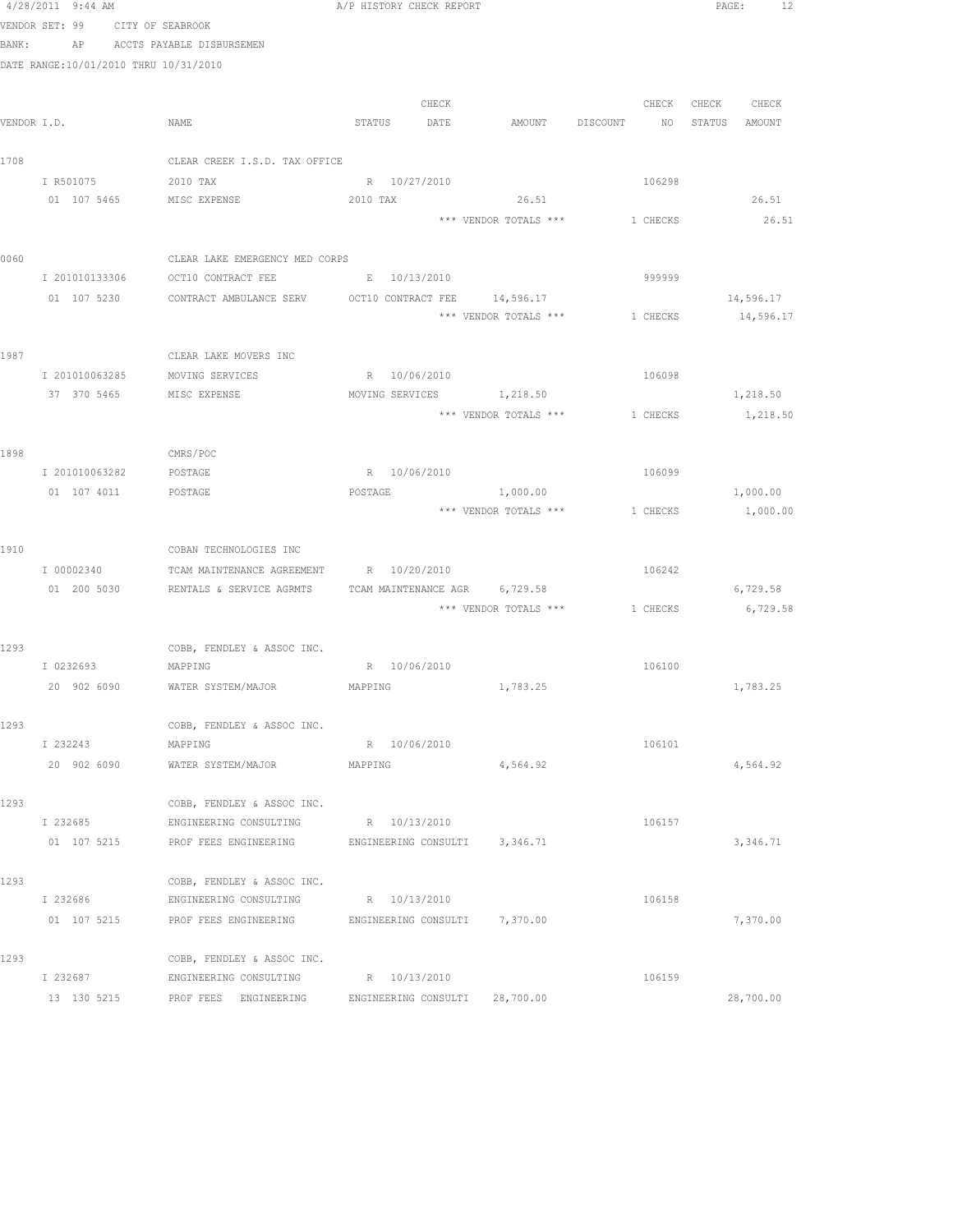|             | 4/28/2011 9:44 AM         |                                                                                                   | A/P HISTORY CHECK REPORT |       |                                         |                                  |        |             | PAGE: 12  |  |
|-------------|---------------------------|---------------------------------------------------------------------------------------------------|--------------------------|-------|-----------------------------------------|----------------------------------|--------|-------------|-----------|--|
|             | VENDOR SET: 99            | CITY OF SEABROOK                                                                                  |                          |       |                                         |                                  |        |             |           |  |
| BANK:       |                           | AP ACCTS PAYABLE DISBURSEMEN                                                                      |                          |       |                                         |                                  |        |             |           |  |
|             |                           | DATE RANGE:10/01/2010 THRU 10/31/2010                                                             |                          |       |                                         |                                  |        |             |           |  |
|             |                           |                                                                                                   |                          |       |                                         |                                  |        |             |           |  |
|             |                           |                                                                                                   |                          | CHECK |                                         |                                  | CHECK  | CHECK CHECK |           |  |
| VENDOR I.D. |                           | NAME                                                                                              | STATUS DATE              |       |                                         | AMOUNT DISCOUNT NO STATUS AMOUNT |        |             |           |  |
| 1708        |                           | CLEAR CREEK I.S.D. TAX OFFICE                                                                     |                          |       |                                         |                                  |        |             |           |  |
|             | I R501075                 | 2010 TAX                                                                                          | R 10/27/2010             |       |                                         |                                  | 106298 |             |           |  |
|             |                           | 01 107 5465 MISC EXPENSE                                                                          | 2010 TAX                 |       | 26.51                                   |                                  |        |             | 26.51     |  |
|             |                           |                                                                                                   |                          |       | *** VENDOR TOTALS *** 1 CHECKS          |                                  |        |             | 26.51     |  |
|             |                           |                                                                                                   |                          |       |                                         |                                  |        |             |           |  |
| 0060        |                           | CLEAR LAKE EMERGENCY MED CORPS                                                                    |                          |       |                                         |                                  |        |             |           |  |
|             |                           | I 201010133306 OCT10 CONTRACT FEE B B 10/13/2010                                                  |                          |       |                                         |                                  | 999999 |             |           |  |
|             |                           | 01 107 5230 CONTRACT AMBULANCE SERV OCT10 CONTRACT FEE 14,596.17                                  |                          |       |                                         |                                  |        |             | 14,596.17 |  |
|             |                           |                                                                                                   |                          |       | *** VENDOR TOTALS ***                   | 1 CHECKS                         |        |             | 14,596.17 |  |
| 1987        |                           | CLEAR LAKE MOVERS INC                                                                             |                          |       |                                         |                                  |        |             |           |  |
|             | I 201010063285            | MOVING SERVICES                                                                                   | R 10/06/2010             |       |                                         |                                  | 106098 |             |           |  |
|             | 37 370 5465               | MISC EXPENSE                                                                                      |                          |       | MOVING SERVICES 1,218.50                |                                  |        |             | 1,218.50  |  |
|             |                           |                                                                                                   |                          |       | *** VENDOR TOTALS *** 1 CHECKS 1,218.50 |                                  |        |             |           |  |
|             |                           |                                                                                                   |                          |       |                                         |                                  |        |             |           |  |
| 1898        |                           | CMRS/POC                                                                                          |                          |       |                                         |                                  |        |             |           |  |
|             |                           | I 201010063282 POSTAGE                                                                            | R 10/06/2010             |       |                                         |                                  | 106099 |             |           |  |
|             |                           | 01 107 4011 POSTAGE                                                                               | POSTAGE                  |       | 1,000.00                                |                                  |        |             | 1,000.00  |  |
|             |                           |                                                                                                   |                          |       | *** VENDOR TOTALS *** 1 CHECKS 1,000.00 |                                  |        |             |           |  |
|             |                           |                                                                                                   |                          |       |                                         |                                  |        |             |           |  |
| 1910        |                           | COBAN TECHNOLOGIES INC                                                                            |                          |       |                                         |                                  |        |             |           |  |
|             | I 00002340<br>01 200 5030 | TCAM MAINTENANCE AGREEMENT R 10/20/2010<br>RENTALS & SERVICE AGRMTS TCAM MAINTENANCE AGR 6,729.58 |                          |       |                                         |                                  | 106242 |             | 6,729.58  |  |
|             |                           |                                                                                                   |                          |       | *** VENDOR TOTALS *** 1 CHECKS          |                                  |        |             | 6,729.58  |  |
|             |                           |                                                                                                   |                          |       |                                         |                                  |        |             |           |  |
| 1293        |                           | COBB, FENDLEY & ASSOC INC.                                                                        |                          |       |                                         |                                  |        |             |           |  |
|             |                           | I 0232693 MAPPING                                                                                 | R 10/06/2010             |       |                                         |                                  | 106100 |             |           |  |
|             | 20 902 6090               | WATER SYSTEM/MAJOR                                                                                | MAPPING                  |       | 1,783.25                                |                                  |        |             | 1,783.25  |  |
|             |                           |                                                                                                   |                          |       |                                         |                                  |        |             |           |  |
| 1293        |                           | COBB, FENDLEY & ASSOC INC.                                                                        |                          |       |                                         |                                  |        |             |           |  |
|             | I 232243                  | MAPPING                                                                                           | R 10/06/2010             |       |                                         |                                  | 106101 |             |           |  |
|             | 20 902 6090               | WATER SYSTEM/MAJOR                                                                                | MAPPING                  |       | 4,564.92                                |                                  |        |             | 4,564.92  |  |
|             |                           |                                                                                                   |                          |       |                                         |                                  |        |             |           |  |
| 1293        | I 232685                  | COBB, FENDLEY & ASSOC INC.<br>ENGINEERING CONSULTING                                              | R 10/13/2010             |       |                                         |                                  | 106157 |             |           |  |
|             | 01 107 5215               | PROF FEES ENGINEERING FENGINEERING CONSULTI 3,346.71                                              |                          |       |                                         |                                  |        |             | 3,346.71  |  |
|             |                           |                                                                                                   |                          |       |                                         |                                  |        |             |           |  |
| 1293        |                           | COBB, FENDLEY & ASSOC INC.                                                                        |                          |       |                                         |                                  |        |             |           |  |
|             | I 232686                  | ENGINEERING CONSULTING R 10/13/2010                                                               |                          |       |                                         |                                  | 106158 |             |           |  |
|             |                           | 01 107 5215 PROF FEES ENGINEERING ENGINEERING CONSULTI 7,370.00                                   |                          |       |                                         |                                  |        |             | 7,370.00  |  |
|             |                           |                                                                                                   |                          |       |                                         |                                  |        |             |           |  |
| 1293        |                           | COBB, FENDLEY & ASSOC INC.                                                                        |                          |       |                                         |                                  |        |             |           |  |
|             | I 232687                  | ENGINEERING CONSULTING R 10/13/2010                                                               |                          |       |                                         |                                  | 106159 |             |           |  |
|             | 13 130 5215               | PROF FEES ENGINEERING ENGINEERING CONSULTI 28,700.00                                              |                          |       |                                         |                                  |        |             | 28,700.00 |  |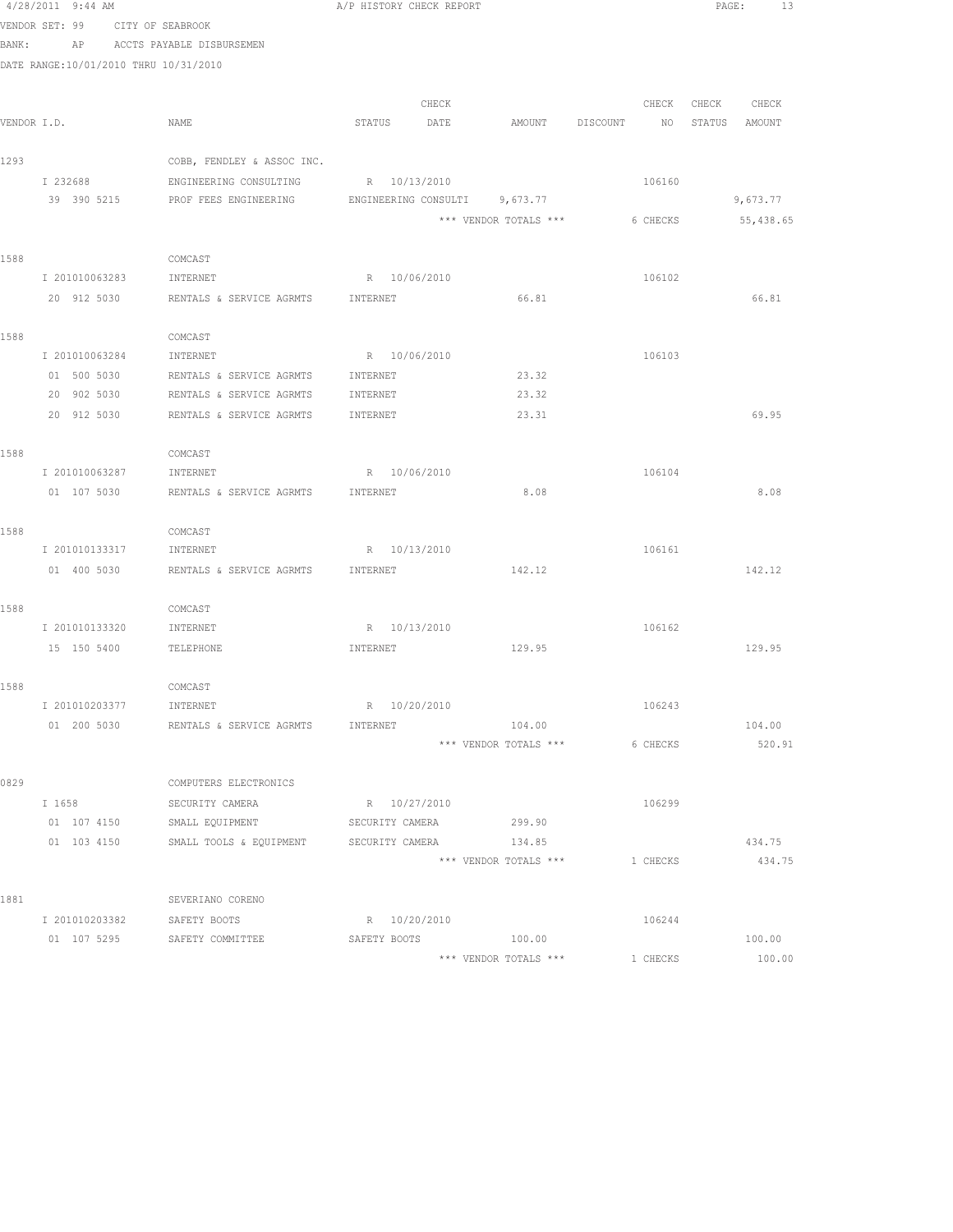|       | 4/28/2011 9:44 AM                     |                                                     | A/P HISTORY CHECK REPORT |       |                                 |          | PAGE:<br>13       |  |
|-------|---------------------------------------|-----------------------------------------------------|--------------------------|-------|---------------------------------|----------|-------------------|--|
| BANK: | VENDOR SET: 99                        | CITY OF SEABROOK<br>AP ACCTS PAYABLE DISBURSEMEN    |                          |       |                                 |          |                   |  |
|       | DATE RANGE:10/01/2010 THRU 10/31/2010 |                                                     |                          |       |                                 |          |                   |  |
|       |                                       |                                                     |                          |       |                                 |          |                   |  |
|       |                                       |                                                     |                          | CHECK |                                 |          | CHECK CHECK CHECK |  |
|       | VENDOR I.D.                           | NAME                                                | STATUS                   | DATE  | AMOUNT DISCOUNT                 |          | NO STATUS AMOUNT  |  |
| 1293  |                                       | COBB, FENDLEY & ASSOC INC.                          |                          |       |                                 |          |                   |  |
|       | I 232688                              | ENGINEERING CONSULTING                              | R 10/13/2010             |       |                                 | 106160   |                   |  |
|       | 39 390 5215                           | PROF FEES ENGINEERING ENGINEERING CONSULTI 9,673.77 |                          |       |                                 |          | 9,673.77          |  |
|       |                                       |                                                     |                          |       | *** VENDOR TOTALS ***           | 6 CHECKS | 55,438.65         |  |
|       |                                       |                                                     |                          |       |                                 |          |                   |  |
| 1588  |                                       | COMCAST                                             |                          |       |                                 |          |                   |  |
|       | I 201010063283                        | INTERNET                                            | R 10/06/2010             |       |                                 | 106102   |                   |  |
|       | 20 912 5030                           | RENTALS & SERVICE AGRMTS                            | INTERNET                 |       | 66.81                           |          | 66.81             |  |
|       |                                       |                                                     |                          |       |                                 |          |                   |  |
| 1588  |                                       | COMCAST                                             |                          |       |                                 |          |                   |  |
|       | I 201010063284                        | INTERNET                                            | R 10/06/2010             |       |                                 | 106103   |                   |  |
|       | 01 500 5030                           | RENTALS & SERVICE AGRMTS                            | INTERNET                 |       | 23.32                           |          |                   |  |
|       | 20 902 5030                           | RENTALS & SERVICE AGRMTS                            | INTERNET                 |       | 23.32                           |          |                   |  |
|       | 20 912 5030                           | RENTALS & SERVICE AGRMTS                            | INTERNET                 |       | 23.31                           |          | 69.95             |  |
|       |                                       |                                                     |                          |       |                                 |          |                   |  |
| 1588  |                                       | COMCAST                                             |                          |       |                                 |          |                   |  |
|       | I 201010063287                        | INTERNET                                            | R 10/06/2010             |       |                                 | 106104   |                   |  |
|       |                                       | 01 107 5030 RENTALS & SERVICE AGRMTS                | INTERNET                 |       | 8.08                            |          | 8.08              |  |
| 1588  |                                       | COMCAST                                             |                          |       |                                 |          |                   |  |
|       | I 201010133317                        | INTERNET                                            | R 10/13/2010             |       |                                 | 106161   |                   |  |
|       | 01 400 5030                           | RENTALS & SERVICE AGRMTS                            | INTERNET                 |       | 142.12                          |          | 142.12            |  |
|       |                                       |                                                     |                          |       |                                 |          |                   |  |
| 1588  |                                       | COMCAST                                             |                          |       |                                 |          |                   |  |
|       | I 201010133320                        | INTERNET                                            | R 10/13/2010             |       |                                 | 106162   |                   |  |
|       | 15 150 5400                           | TELEPHONE                                           | INTERNET                 |       | 129.95                          |          | 129.95            |  |
|       |                                       |                                                     |                          |       |                                 |          |                   |  |
| 1588  |                                       | COMCAST                                             |                          |       |                                 |          |                   |  |
|       | I 201010203377                        | INTERNET                                            | R 10/20/2010             |       |                                 | 106243   |                   |  |
|       |                                       | 01 200 5030 RENTALS & SERVICE AGRMTS                | INTERNET                 |       | 104.00                          |          | 104.00            |  |
|       |                                       |                                                     |                          |       | *** VENDOR TOTALS ***           | 6 CHECKS | 520.91            |  |
|       |                                       |                                                     |                          |       |                                 |          |                   |  |
| 0829  |                                       | COMPUTERS ELECTRONICS                               |                          |       |                                 |          |                   |  |
|       | I 1658                                | SECURITY CAMERA                                     | R 10/27/2010             |       |                                 | 106299   |                   |  |
|       | 01 107 4150                           | SMALL EQUIPMENT                                     | SECURITY CAMERA          |       | 299.90                          |          |                   |  |
|       | 01 103 4150                           | SMALL TOOLS & EQUIPMENT SECURITY CAMERA             |                          |       | 134.85<br>*** VENDOR TOTALS *** |          | 434.75            |  |
|       |                                       |                                                     |                          |       |                                 | 1 CHECKS | 434.75            |  |
| 1881  |                                       | SEVERIANO CORENO                                    |                          |       |                                 |          |                   |  |
|       | I 201010203382 SAFETY BOOTS           |                                                     | R 10/20/2010             |       |                                 | 106244   |                   |  |
|       |                                       | 01 107 5295 SAFETY COMMITTEE                        |                          |       | SAFETY BOOTS 100.00             |          | 100.00            |  |
|       |                                       |                                                     |                          |       | *** VENDOR TOTALS ***           | 1 CHECKS | 100.00            |  |
|       |                                       |                                                     |                          |       |                                 |          |                   |  |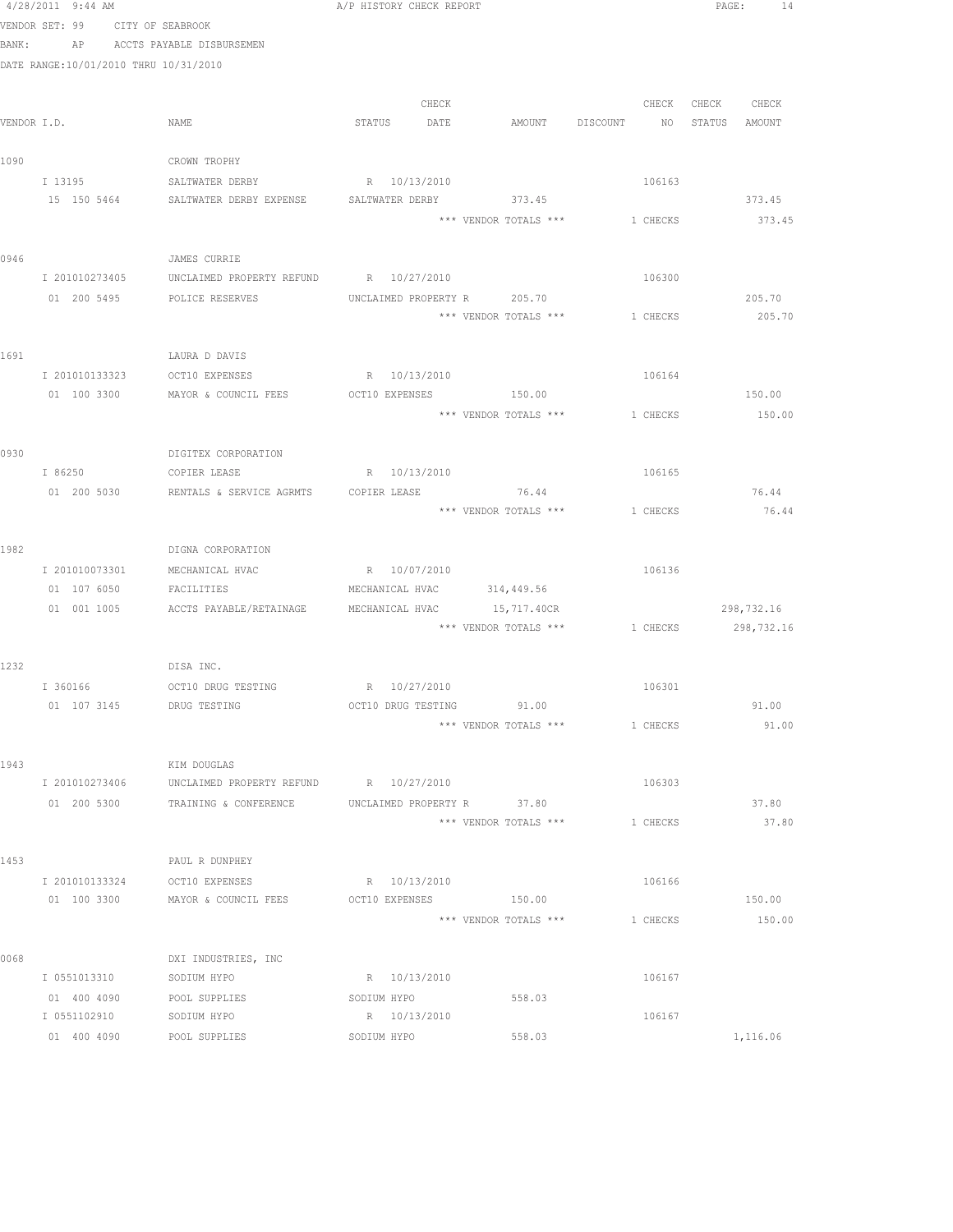|      | 4/28/2011 9:44 AM                     |                                                            | A/P HISTORY CHECK REPORT    |                       |                                           | PAGE: 14      |
|------|---------------------------------------|------------------------------------------------------------|-----------------------------|-----------------------|-------------------------------------------|---------------|
|      | VENDOR SET: 99 CITY OF SEABROOK       |                                                            |                             |                       |                                           |               |
|      |                                       | BANK: AP ACCTS PAYABLE DISBURSEMEN                         |                             |                       |                                           |               |
|      | DATE RANGE:10/01/2010 THRU 10/31/2010 |                                                            |                             |                       |                                           |               |
|      |                                       |                                                            |                             |                       |                                           |               |
|      |                                       |                                                            | CHECK                       |                       | CHECK                                     | CHECK CHECK   |
|      | VENDOR I.D.                           | NAME                                                       | STATUS DATE                 | AMOUNT DISCOUNT       | NO <sub>1</sub>                           | STATUS AMOUNT |
|      |                                       |                                                            |                             |                       |                                           |               |
| 1090 |                                       | CROWN TROPHY                                               |                             |                       |                                           |               |
|      | I 13195                               | SALTWATER DERBY                                            | R 10/13/2010                |                       | 106163                                    |               |
|      |                                       | 15 150 5464 SALTWATER DERBY EXPENSE SALTWATER DERBY 373.45 |                             |                       |                                           | 373.45        |
|      |                                       |                                                            |                             | *** VENDOR TOTALS *** | 1 CHECKS                                  | 373.45        |
| 0946 |                                       | JAMES CURRIE                                               |                             |                       |                                           |               |
|      | I 201010273405                        | UNCLAIMED PROPERTY REFUND R 10/27/2010                     |                             |                       | 106300                                    |               |
|      |                                       | 01 200 5495 POLICE RESERVES                                | UNCLAIMED PROPERTY R 205.70 |                       |                                           | 205.70        |
|      |                                       |                                                            |                             |                       | *** VENDOR TOTALS *** 1 CHECKS            | 205.70        |
|      |                                       |                                                            |                             |                       |                                           |               |
| 1691 |                                       | LAURA D DAVIS                                              |                             |                       |                                           |               |
|      |                                       | I 201010133323 OCT10 EXPENSES                              | R 10/13/2010                |                       | 106164                                    |               |
|      | 01 100 3300                           | MAYOR & COUNCIL FEES                                       | OCT10 EXPENSES 150.00       |                       |                                           | 150.00        |
|      |                                       |                                                            |                             |                       | *** VENDOR TOTALS *** 1 CHECKS            | 150.00        |
|      |                                       |                                                            |                             |                       |                                           |               |
| 0930 |                                       | DIGITEX CORPORATION                                        |                             |                       |                                           |               |
|      | I 86250                               | COPIER LEASE                                               | R 10/13/2010                |                       | 106165                                    |               |
|      | 01 200 5030                           | RENTALS & SERVICE AGRMTS                                   | COPIER LEASE                | 76.44                 |                                           | 76.44         |
|      |                                       |                                                            |                             | *** VENDOR TOTALS *** | 1 CHECKS                                  | 76.44         |
|      |                                       |                                                            |                             |                       |                                           |               |
| 1982 |                                       | DIGNA CORPORATION                                          |                             |                       |                                           |               |
|      | I 201010073301                        | MECHANICAL HVAC                                            | R 10/07/2010                |                       | 106136                                    |               |
|      | 01 107 6050                           | FACILITIES                                                 | MECHANICAL HVAC 314,449.56  |                       |                                           |               |
|      |                                       | 01 001 1005 ACCTS PAYABLE/RETAINAGE                        | MECHANICAL HVAC 15,717.40CR |                       | *** VENDOR TOTALS *** 1 CHECKS 298,732.16 | 298,732.16    |
|      |                                       |                                                            |                             |                       |                                           |               |
| 1232 |                                       | DISA INC.                                                  |                             |                       |                                           |               |
|      |                                       |                                                            |                             |                       | 106301                                    |               |
|      | 01 107 3145                           | DRUG TESTING                                               | OCT10 DRUG TESTING          | 91.00                 |                                           | 91.00         |
|      |                                       |                                                            |                             | *** VENDOR TOTALS *** | 1 CHECKS                                  | 91.00         |
|      |                                       |                                                            |                             |                       |                                           |               |
| 1943 |                                       | KIM DOUGLAS                                                |                             |                       |                                           |               |
|      | I 201010273406                        | UNCLAIMED PROPERTY REFUND R 10/27/2010                     |                             |                       | 106303                                    |               |
|      | 01 200 5300                           | TRAINING & CONFERENCE                                      | UNCLAIMED PROPERTY R 37.80  |                       |                                           | 37.80         |
|      |                                       |                                                            |                             | *** VENDOR TOTALS *** | 1 CHECKS                                  | 37.80         |
|      |                                       |                                                            |                             |                       |                                           |               |
| 1453 |                                       | PAUL R DUNPHEY                                             |                             |                       |                                           |               |
|      | I 201010133324                        | OCT10 EXPENSES                                             | R 10/13/2010                |                       | 106166                                    |               |
|      | 01 100 3300                           | MAYOR & COUNCIL FEES                                       | OCT10 EXPENSES              | 150.00                |                                           | 150.00        |
|      |                                       |                                                            |                             | *** VENDOR TOTALS *** | 1 CHECKS                                  | 150.00        |
|      |                                       |                                                            |                             |                       |                                           |               |
| 0068 | I 0551013310                          | DXI INDUSTRIES, INC                                        |                             |                       | 106167                                    |               |
|      | 01 400 4090                           | SODIUM HYPO                                                | R 10/13/2010                | 558.03                |                                           |               |
|      | I 0551102910                          | POOL SUPPLIES<br>SODIUM HYPO                               | SODIUM HYPO<br>R 10/13/2010 |                       | 106167                                    |               |
|      | 01 400 4090                           | POOL SUPPLIES                                              | SODIUM HYPO                 | 558.03                |                                           | 1,116.06      |
|      |                                       |                                                            |                             |                       |                                           |               |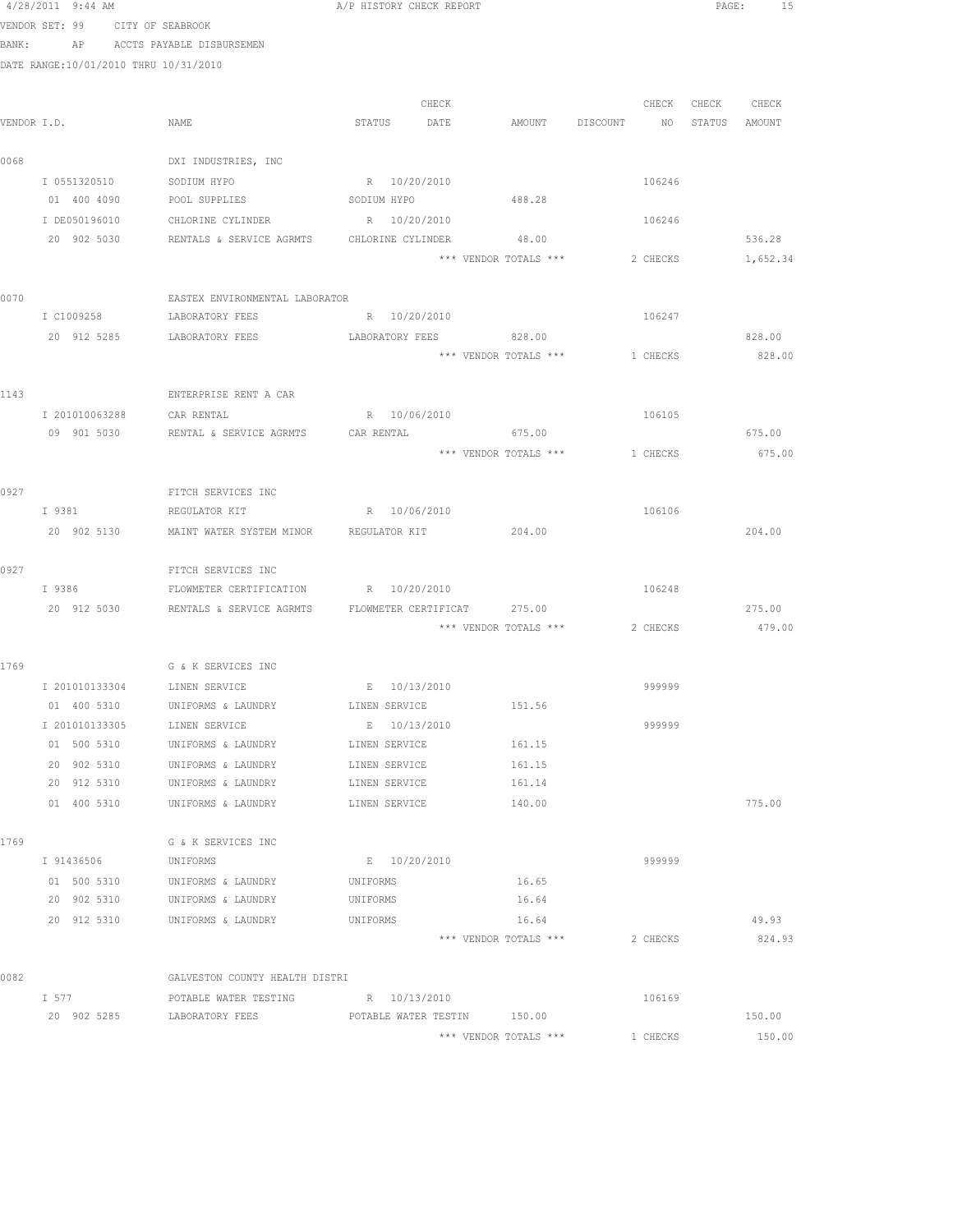|      | 4/28/2011 9:44 AM                     |                                                            | A/P HISTORY CHECK REPORT    |                                          |          |                   | PAGE: 15         |
|------|---------------------------------------|------------------------------------------------------------|-----------------------------|------------------------------------------|----------|-------------------|------------------|
|      | VENDOR SET: 99 CITY OF SEABROOK       |                                                            |                             |                                          |          |                   |                  |
|      |                                       | BANK: AP ACCTS PAYABLE DISBURSEMEN                         |                             |                                          |          |                   |                  |
|      | DATE RANGE:10/01/2010 THRU 10/31/2010 |                                                            |                             |                                          |          |                   |                  |
|      |                                       |                                                            |                             |                                          |          |                   |                  |
|      |                                       |                                                            | CHECK                       |                                          |          | CHECK CHECK CHECK |                  |
|      | VENDOR I.D.                           | NAME                                                       | STATUS DATE                 | AMOUNT DISCOUNT NO STATUS AMOUNT         |          |                   |                  |
| 0068 |                                       | DXI INDUSTRIES, INC                                        |                             |                                          |          |                   |                  |
|      | I 0551320510                          | SODIUM HYPO                                                | R 10/20/2010                |                                          | 106246   |                   |                  |
|      | 01 400 4090                           | POOL SUPPLIES SODIUM HYPO                                  |                             | 488.28                                   |          |                   |                  |
|      | I DE050196010                         | CHLORINE CYLINDER                                          | R 10/20/2010                |                                          | 106246   |                   |                  |
|      | 20 902 5030                           | RENTALS & SERVICE AGRMTS CHLORINE CYLINDER                 |                             | 48.00                                    |          |                   | 536.28           |
|      |                                       |                                                            |                             | *** VENDOR TOTALS ***                    | 2 CHECKS |                   | 1,652.34         |
|      |                                       |                                                            |                             |                                          |          |                   |                  |
| 0070 |                                       | EASTEX ENVIRONMENTAL LABORATOR                             |                             |                                          |          |                   |                  |
|      | I C1009258                            | LABORATORY FEES                                            | R 10/20/2010                |                                          | 106247   |                   |                  |
|      | 20 912 5285                           | LABORATORY FEES                                            | LABORATORY FEES             | 828.00<br>*** VENDOR TOTALS *** 1 CHECKS |          |                   | 828.00<br>828.00 |
|      |                                       |                                                            |                             |                                          |          |                   |                  |
| 1143 |                                       | ENTERPRISE RENT A CAR                                      |                             |                                          |          |                   |                  |
|      | I 201010063288 CAR RENTAL             |                                                            | R 10/06/2010                |                                          | 106105   |                   |                  |
|      |                                       |                                                            |                             |                                          |          |                   | 675.00           |
|      |                                       |                                                            |                             | *** VENDOR TOTALS ***                    | 1 CHECKS |                   | 675.00           |
|      |                                       |                                                            |                             |                                          |          |                   |                  |
| 0927 |                                       | FITCH SERVICES INC                                         |                             |                                          |          |                   |                  |
|      | I 9381                                | REGULATOR KIT                                              | R 10/06/2010                |                                          | 106106   |                   |                  |
|      |                                       | 20 902 5130 MAINT WATER SYSTEM MINOR REGULATOR KIT         |                             | 204.00                                   |          |                   | 204.00           |
|      |                                       |                                                            |                             |                                          |          |                   |                  |
| 0927 | I 9386                                | FITCH SERVICES INC<br>FLOWMETER CERTIFICATION R 10/20/2010 |                             |                                          | 106248   |                   |                  |
|      | 20 912 5030                           | RENTALS & SERVICE AGRMTS FLOWMETER CERTIFICAT 275.00       |                             |                                          |          |                   | 275.00           |
|      |                                       |                                                            |                             | *** VENDOR TOTALS *** 2 CHECKS           |          |                   | 479.00           |
|      |                                       |                                                            |                             |                                          |          |                   |                  |
| 1769 |                                       | G & K SERVICES INC                                         |                             |                                          |          |                   |                  |
|      | I 201010133304 LINEN SERVICE          |                                                            | E 10/13/2010                |                                          | 999999   |                   |                  |
|      | 01 400 5310                           | UNIFORMS & LAUNDRY                                         | LINEN SERVICE               | 151.56                                   |          |                   |                  |
|      | T 201010133305                        | LINEN SERVICE                                              | E 10/13/2010                |                                          | 999999   |                   |                  |
|      | 01 500 5310                           | UNIFORMS & LAUNDRY                                         | LINEN SERVICE               | 161.15                                   |          |                   |                  |
|      | 20 902 5310                           | UNIFORMS & LAUNDRY                                         | LINEN SERVICE               | 161.15                                   |          |                   |                  |
|      | 20 912 5310                           | UNIFORMS & LAUNDRY                                         | LINEN SERVICE               | 161.14                                   |          |                   |                  |
|      | 01 400 5310                           | UNIFORMS & LAUNDRY                                         | LINEN SERVICE               | 140.00                                   |          |                   | 775.00           |
| 1769 |                                       | G & K SERVICES INC                                         |                             |                                          |          |                   |                  |
|      | I 91436506                            | UNIFORMS                                                   | E 10/20/2010                |                                          | 999999   |                   |                  |
|      | 01 500 5310                           | UNIFORMS & LAUNDRY                                         | UNIFORMS                    | 16.65                                    |          |                   |                  |
|      | 20 902 5310                           | UNIFORMS & LAUNDRY                                         | UNIFORMS                    | 16.64                                    |          |                   |                  |
|      | 20 912 5310                           | UNIFORMS & LAUNDRY                                         | UNIFORMS                    | 16.64                                    |          |                   | 49.93            |
|      |                                       |                                                            |                             | *** VENDOR TOTALS ***                    | 2 CHECKS |                   | 824.93           |
|      |                                       |                                                            |                             |                                          |          |                   |                  |
| 0082 |                                       | GALVESTON COUNTY HEALTH DISTRI                             |                             |                                          |          |                   |                  |
|      | I 577                                 | POTABLE WATER TESTING                                      | R 10/13/2010                |                                          | 106169   |                   |                  |
|      | 20 902 5285                           | LABORATORY FEES                                            | POTABLE WATER TESTIN 150.00 |                                          |          |                   | 150.00           |
|      |                                       |                                                            |                             | *** VENDOR TOTALS ***                    | 1 CHECKS |                   | 150.00           |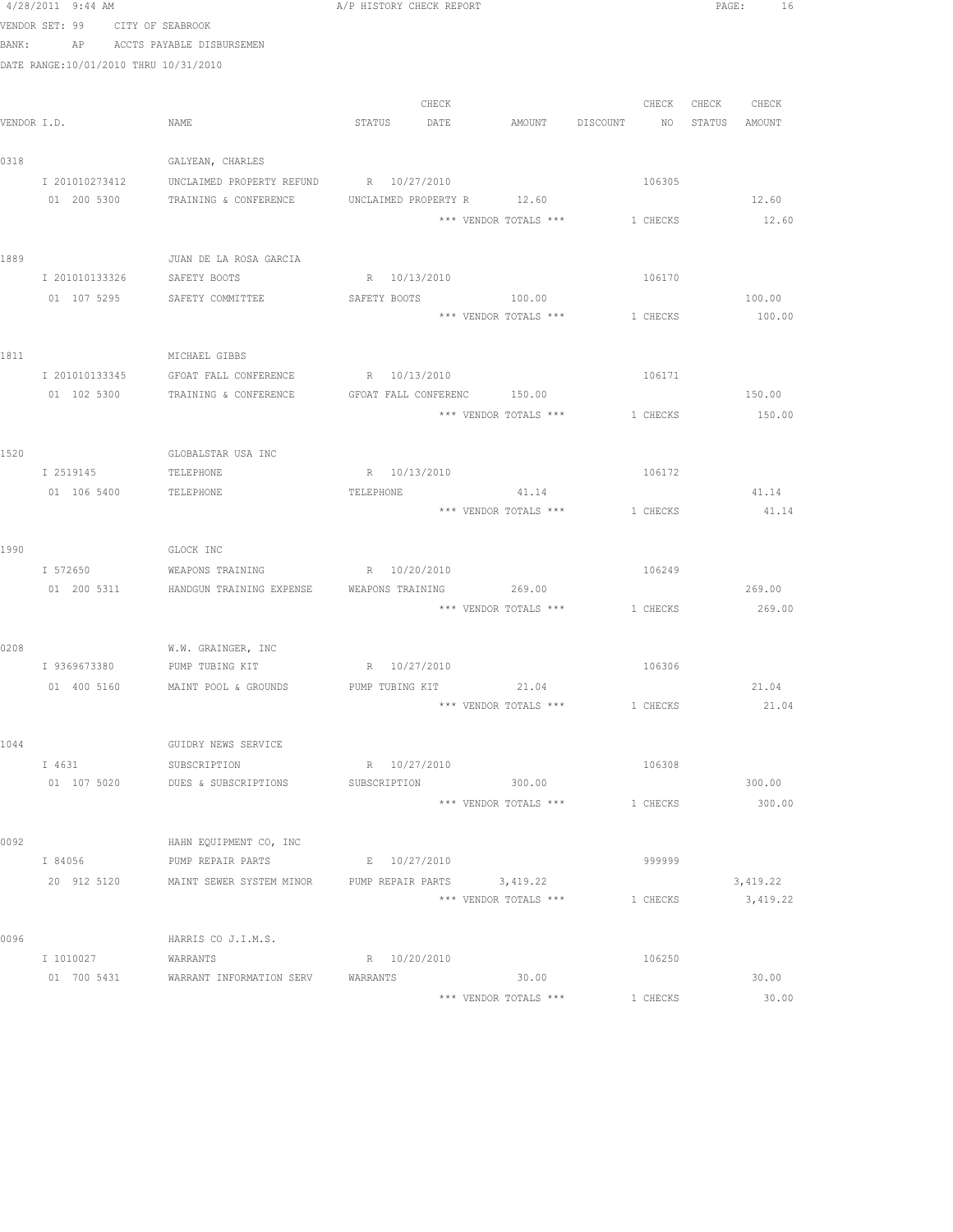|      | 4/28/2011 9:44 AM                     |                                                    | A/P HISTORY CHECK REPORT                                        |          | PAGE: 16      |
|------|---------------------------------------|----------------------------------------------------|-----------------------------------------------------------------|----------|---------------|
|      | VENDOR SET: 99 CITY OF SEABROOK       |                                                    |                                                                 |          |               |
|      | BANK:                                 | AP ACCTS PAYABLE DISBURSEMEN                       |                                                                 |          |               |
|      | DATE RANGE:10/01/2010 THRU 10/31/2010 |                                                    |                                                                 |          |               |
|      |                                       |                                                    |                                                                 |          |               |
|      |                                       |                                                    | CHECK                                                           | CHECK    | CHECK CHECK   |
|      | VENDOR I.D.                           | NAME                                               | STATUS DATE<br>AMOUNT DISCOUNT                                  | NQ       | STATUS AMOUNT |
|      |                                       |                                                    |                                                                 |          |               |
| 0318 |                                       | GALYEAN, CHARLES                                   |                                                                 |          |               |
|      | I 201010273412                        | UNCLAIMED PROPERTY REFUND R 10/27/2010             |                                                                 | 106305   |               |
|      | 01 200 5300                           | TRAINING & CONFERENCE                              | UNCLAIMED PROPERTY R 12.60                                      |          | 12.60         |
|      |                                       |                                                    | *** VENDOR TOTALS *** 1 CHECKS                                  |          | 12.60         |
| 1889 |                                       | JUAN DE LA ROSA GARCIA                             |                                                                 |          |               |
|      | I 201010133326                        | SAFETY BOOTS                                       | R 10/13/2010                                                    | 106170   |               |
|      |                                       | 01 107 5295 SAFETY COMMITTEE                       | SAFETY BOOTS<br>100.00                                          |          | 100.00        |
|      |                                       |                                                    | *** VENDOR TOTALS ***                                           | 1 CHECKS | 100.00        |
|      |                                       |                                                    |                                                                 |          |               |
| 1811 |                                       | MICHAEL GIBBS                                      |                                                                 |          |               |
|      |                                       | I 201010133345 GFOAT FALL CONFERENCE               | R 10/13/2010                                                    | 106171   |               |
|      |                                       | 01 102 5300 TRAINING & CONFERENCE                  | GFOAT FALL CONFERENC 150.00                                     |          | 150.00        |
|      |                                       |                                                    | *** VENDOR TOTALS *** 1 CHECKS                                  |          | 150.00        |
|      |                                       |                                                    |                                                                 |          |               |
| 1520 |                                       | GLOBALSTAR USA INC                                 |                                                                 |          |               |
|      | I 2519145                             | TELEPHONE                                          | R 10/13/2010                                                    | 106172   |               |
|      | 01 106 5400                           | <b>TELEPHONE</b>                                   | TELEPHONE<br>41.14                                              |          | 41.14         |
|      |                                       |                                                    | *** VENDOR TOTALS ***                                           | 1 CHECKS | 41.14         |
|      |                                       |                                                    |                                                                 |          |               |
| 1990 |                                       | GLOCK INC                                          |                                                                 |          |               |
|      | I 572650                              | WEAPONS TRAINING                                   | R 10/20/2010                                                    | 106249   |               |
|      |                                       | 01 200 5311 HANDGUN TRAINING EXPENSE               | 269.00<br>WEAPONS TRAINING                                      |          | 269.00        |
|      |                                       |                                                    | *** VENDOR TOTALS *** 1 CHECKS                                  |          | 269.00        |
|      |                                       |                                                    |                                                                 |          |               |
| 0208 |                                       | W.W. GRAINGER, INC<br>I 9369673380 PUMP TUBING KIT | R 10/27/2010                                                    | 106306   |               |
|      | 01 400 5160                           |                                                    | MAINT POOL & GROUNDS PUMP TUBING KIT 21.04                      |          | 21.04         |
|      |                                       |                                                    | *** VENDOR TOTALS ***                                           | 1 CHECKS | 21.04         |
|      |                                       |                                                    |                                                                 |          |               |
| 1044 |                                       | GUIDRY NEWS SERVICE                                |                                                                 |          |               |
|      | I 4631                                | SUBSCRIPTION                                       | R 10/27/2010                                                    | 106308   |               |
|      | 01 107 5020                           | DUES & SUBSCRIPTIONS                               | 300.00<br>SUBSCRIPTION                                          |          | 300.00        |
|      |                                       |                                                    | *** VENDOR TOTALS ***                                           | 1 CHECKS | 300.00        |
|      |                                       |                                                    |                                                                 |          |               |
| 0092 |                                       | HAHN EQUIPMENT CO, INC                             |                                                                 |          |               |
|      | I 84056                               | PUMP REPAIR PARTS                                  | E 10/27/2010                                                    | 999999   |               |
|      |                                       |                                                    | 20 912 5120 MAINT SEWER SYSTEM MINOR PUMP REPAIR PARTS 3,419.22 |          | 3,419.22      |
|      |                                       |                                                    | *** VENDOR TOTALS ***                                           | 1 CHECKS | 3,419.22      |
|      |                                       |                                                    |                                                                 |          |               |
| 0096 |                                       | HARRIS CO J.I.M.S.                                 |                                                                 |          |               |
|      | I 1010027                             | WARRANTS                                           | R 10/20/2010                                                    | 106250   |               |
|      | 01 700 5431                           | WARRANT INFORMATION SERV                           | 30.00<br>WARRANTS                                               |          | 30.00         |
|      |                                       |                                                    | *** VENDOR TOTALS ***                                           | 1 CHECKS | 30.00         |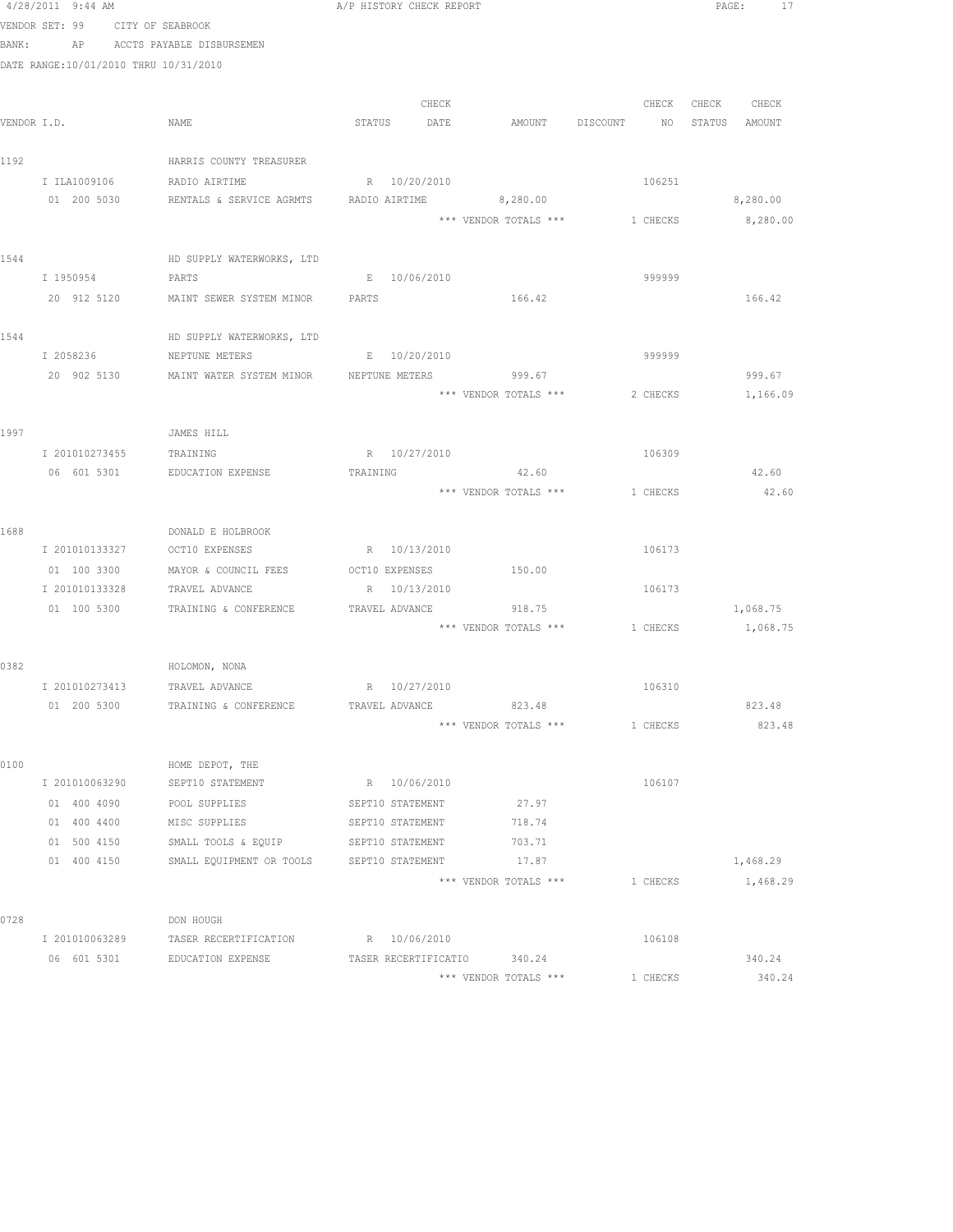|      | 4/28/2011 9:44 AM                     |                                                                  | A/P HISTORY CHECK REPORT |                       |                                | PAGE:<br>17       |
|------|---------------------------------------|------------------------------------------------------------------|--------------------------|-----------------------|--------------------------------|-------------------|
|      | VENDOR SET: 99 CITY OF SEABROOK       |                                                                  |                          |                       |                                |                   |
|      |                                       | BANK: AP ACCTS PAYABLE DISBURSEMEN                               |                          |                       |                                |                   |
|      | DATE RANGE:10/01/2010 THRU 10/31/2010 |                                                                  |                          |                       |                                |                   |
|      |                                       |                                                                  |                          |                       |                                |                   |
|      |                                       |                                                                  | CHECK                    |                       | CHECK                          | CHECK CHECK       |
|      | VENDOR I.D.                           | NAME                                                             | STATUS DATE              | AMOUNT DISCOUNT       | NO <sub>1</sub>                | STATUS AMOUNT     |
|      |                                       |                                                                  |                          |                       |                                |                   |
| 1192 |                                       | HARRIS COUNTY TREASURER                                          |                          |                       |                                |                   |
|      | I ILA1009106 RADIO AIRTIME            |                                                                  | R 10/20/2010             |                       | 106251                         |                   |
|      |                                       | 01  200  5030  RENTALS & SERVICE AGRMTS  RADIO AIRTIME  8,280.00 |                          |                       |                                | 8,280.00          |
|      |                                       |                                                                  |                          |                       | *** VENDOR TOTALS *** 1 CHECKS | 8,280.00          |
| 1544 |                                       | HD SUPPLY WATERWORKS, LTD                                        |                          |                       |                                |                   |
|      | I 1950954                             | PARTS                                                            | E 10/06/2010             |                       | 999999                         |                   |
|      | 20 912 5120                           | MAINT SEWER SYSTEM MINOR PARTS                                   |                          | 166.42                |                                | 166.42            |
|      |                                       |                                                                  |                          |                       |                                |                   |
| 1544 |                                       | HD SUPPLY WATERWORKS, LTD                                        |                          |                       |                                |                   |
|      | I 2058236                             | NEPTUNE METERS                                                   | E 10/20/2010             |                       | 999999                         |                   |
|      |                                       | 20 902 5130 MAINT WATER SYSTEM MINOR NEPTUNE METERS 999.67       |                          |                       |                                | 999.67            |
|      |                                       |                                                                  |                          | *** VENDOR TOTALS *** |                                | 2 CHECKS 1,166.09 |
|      |                                       |                                                                  |                          |                       |                                |                   |
| 1997 |                                       | JAMES HILL                                                       |                          |                       |                                |                   |
|      | I 201010273455                        | TRAINING                                                         | R 10/27/2010             |                       | 106309                         |                   |
|      |                                       | 06 601 5301 EDUCATION EXPENSE                                    | TRAINING                 | 42.60                 |                                | 42.60             |
|      |                                       |                                                                  |                          | *** VENDOR TOTALS *** | 1 CHECKS                       | 42.60             |
|      |                                       |                                                                  |                          |                       |                                |                   |
| 1688 |                                       | DONALD E HOLBROOK                                                |                          |                       |                                |                   |
|      | I 201010133327                        | OCT10 EXPENSES                                                   | R 10/13/2010             |                       | 106173                         |                   |
|      | 01 100 3300                           | MAYOR & COUNCIL FEES                                             | OCT10 EXPENSES           | 150.00                |                                |                   |
|      | I 201010133328                        | TRAVEL ADVANCE                                                   | R 10/13/2010             |                       | 106173                         |                   |
|      | 01 100 5300                           | TRAINING & CONFERENCE                                            | TRAVEL ADVANCE           | 918.75                |                                | 1,068.75          |
|      |                                       |                                                                  |                          |                       | *** VENDOR TOTALS *** 1 CHECKS | 1,068.75          |
| 0382 |                                       | HOLOMON, NONA                                                    |                          |                       |                                |                   |
|      | I 201010273413 TRAVEL ADVANCE         |                                                                  | R 10/27/2010             |                       | 106310                         |                   |
|      | 01 200 5300                           | TRAINING & CONFERENCE                                            | TRAVEL ADVANCE           | 823.48                |                                | 823.48            |
|      |                                       |                                                                  |                          | *** VENDOR TOTALS *** | 1 CHECKS                       | 823.48            |
|      |                                       |                                                                  |                          |                       |                                |                   |
| 0100 |                                       | HOME DEPOT, THE                                                  |                          |                       |                                |                   |
|      | I 201010063290                        | SEPT10 STATEMENT                                                 | R 10/06/2010             |                       | 106107                         |                   |
|      | 01 400 4090                           | POOL SUPPLIES                                                    | SEPT10 STATEMENT         | 27.97                 |                                |                   |
|      | 01 400 4400                           | MISC SUPPLIES                                                    | SEPT10 STATEMENT         | 718.74                |                                |                   |
|      | 01 500 4150                           | SMALL TOOLS & EQUIP                                              | SEPT10 STATEMENT         | 703.71                |                                |                   |
|      | 01 400 4150                           | SMALL EQUIPMENT OR TOOLS                                         | SEPT10 STATEMENT         | 17.87                 |                                | 1,468.29          |
|      |                                       |                                                                  |                          | *** VENDOR TOTALS *** | 1 CHECKS                       | 1,468.29          |
|      |                                       |                                                                  |                          |                       |                                |                   |
| 0728 |                                       | DON HOUGH                                                        |                          |                       |                                |                   |
|      | I 201010063289                        | TASER RECERTIFICATION                                            | R 10/06/2010             |                       | 106108                         |                   |
|      | 06 601 5301                           | EDUCATION EXPENSE                                                | TASER RECERTIFICATIO     | 340.24                |                                | 340.24            |
|      |                                       |                                                                  |                          | *** VENDOR TOTALS *** | 1 CHECKS                       | 340.24            |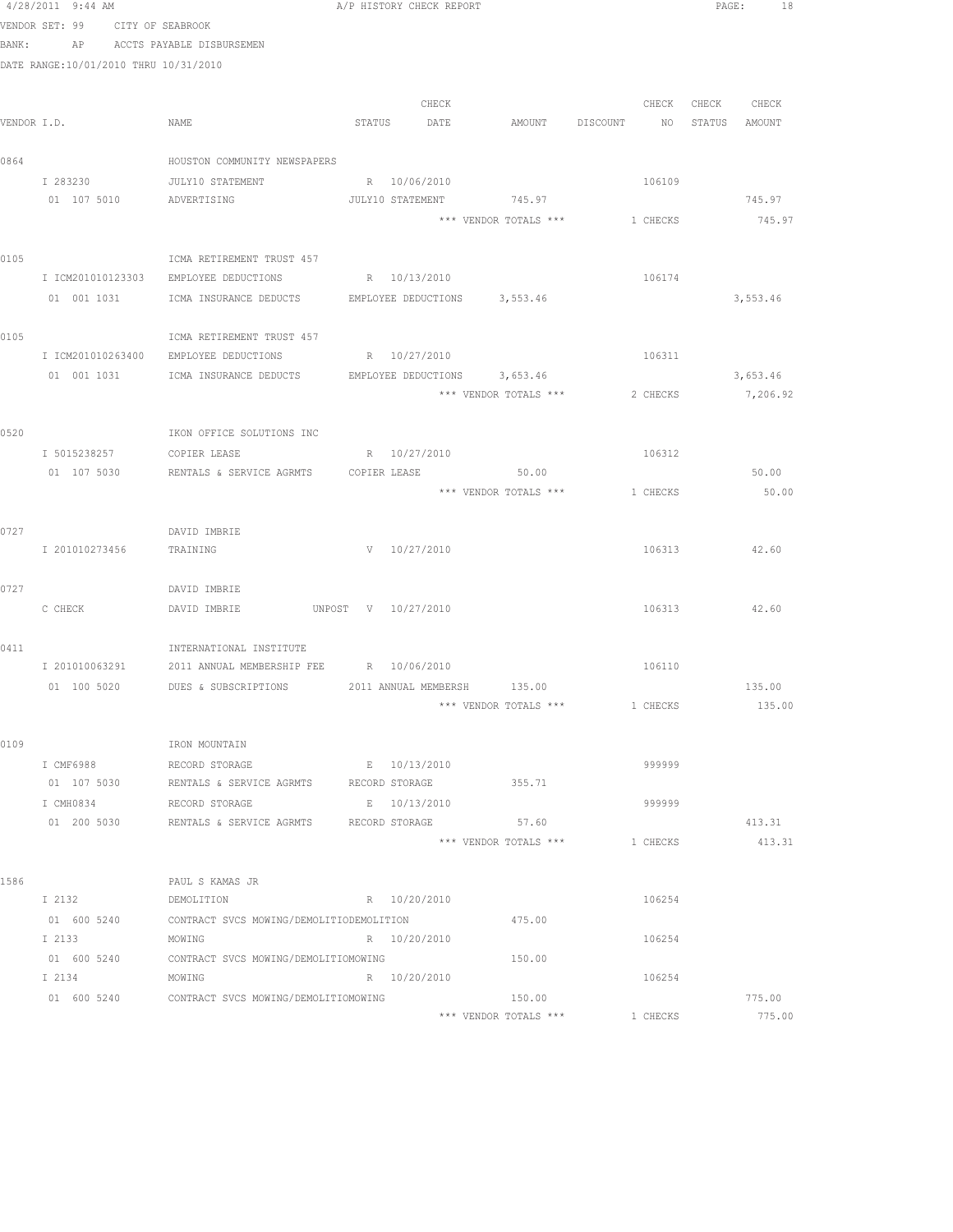|      | 4/28/2011 9:44 AM                     |                                                                          |                                | A/P HISTORY CHECK REPORT |                                |          |                   | PAGE: 18 |
|------|---------------------------------------|--------------------------------------------------------------------------|--------------------------------|--------------------------|--------------------------------|----------|-------------------|----------|
|      | VENDOR SET: 99 CITY OF SEABROOK       |                                                                          |                                |                          |                                |          |                   |          |
|      | BANK: AP ACCTS PAYABLE DISBURSEMEN    |                                                                          |                                |                          |                                |          |                   |          |
|      | DATE RANGE:10/01/2010 THRU 10/31/2010 |                                                                          |                                |                          |                                |          |                   |          |
|      |                                       |                                                                          |                                |                          |                                |          |                   |          |
|      |                                       |                                                                          |                                | CHECK                    |                                |          | CHECK CHECK CHECK |          |
|      | VENDOR I.D.                           | NAME                                                                     | STATUS DATE                    |                          | AMOUNT DISCOUNT                |          | NO STATUS AMOUNT  |          |
| 0864 |                                       | HOUSTON COMMUNITY NEWSPAPERS                                             |                                |                          |                                |          |                   |          |
|      | I 283230                              | JULY10 STATEMENT                                                         | R 10/06/2010                   |                          |                                | 106109   |                   |          |
|      | 01 107 5010 ADVERTISING               |                                                                          |                                |                          | JULY10 STATEMENT 745.97        |          |                   | 745.97   |
|      |                                       |                                                                          |                                |                          | *** VENDOR TOTALS *** 1 CHECKS |          |                   | 745.97   |
|      |                                       |                                                                          |                                |                          |                                |          |                   |          |
| 0105 |                                       | ICMA RETIREMENT TRUST 457                                                |                                |                          |                                |          |                   |          |
|      |                                       | I ICM201010123303 EMPLOYEE DEDUCTIONS                                    | R 10/13/2010                   |                          |                                | 106174   |                   |          |
|      |                                       | 01 001 1031    ICMA INSURANCE DEDUCTS    EMPLOYEE DEDUCTIONS    3,553.46 |                                |                          |                                |          |                   | 3,553.46 |
|      |                                       |                                                                          |                                |                          |                                |          |                   |          |
| 0105 |                                       | ICMA RETIREMENT TRUST 457                                                |                                |                          |                                |          |                   |          |
|      |                                       | I ICM201010263400 EMPLOYEE DEDUCTIONS                                    | R 10/27/2010                   |                          |                                | 106311   |                   |          |
|      |                                       | 01 001 1031 ICMA INSURANCE DEDUCTS EMPLOYEE DEDUCTIONS 3,653.46          |                                |                          |                                |          |                   | 3,653.46 |
|      |                                       |                                                                          |                                |                          | *** VENDOR TOTALS ***          | 2 CHECKS |                   | 7,206.92 |
|      |                                       |                                                                          |                                |                          |                                |          |                   |          |
| 0520 |                                       | IKON OFFICE SOLUTIONS INC                                                |                                |                          |                                |          |                   |          |
|      | I 5015238257 COPIER LEASE             | R 10/27/2010                                                             |                                |                          |                                | 106312   |                   | 50.00    |
|      | 01 107 5030                           | RENTALS & SERVICE AGRMTS  COPIER LEASE   50.00                           |                                |                          | *** VENDOR TOTALS *** 1 CHECKS |          |                   |          |
|      |                                       |                                                                          |                                |                          |                                |          |                   | 50.00    |
| 0727 |                                       | DAVID IMBRIE                                                             |                                |                          |                                |          |                   |          |
|      | I 201010273456                        | TRAINING                                                                 | V 10/27/2010                   |                          |                                | 106313   |                   | 42.60    |
|      |                                       |                                                                          |                                |                          |                                |          |                   |          |
| 0727 |                                       | DAVID IMBRIE                                                             |                                |                          |                                |          |                   |          |
|      | C CHECK                               | DAVID IMBRIE                                                             | UNPOST V 10/27/2010            |                          |                                | 106313   |                   | 42.60    |
|      |                                       |                                                                          |                                |                          |                                |          |                   |          |
| 0411 |                                       | INTERNATIONAL INSTITUTE                                                  |                                |                          |                                |          |                   |          |
|      |                                       | I 201010063291 2011 ANNUAL MEMBERSHIP FEE R 10/06/2010                   |                                |                          |                                | 106110   |                   |          |
|      |                                       | 01 100 5020 DUES & SUBSCRIPTIONS 2011 ANNUAL MEMBERSH 135.00             |                                |                          |                                |          |                   | 135.00   |
|      |                                       |                                                                          |                                |                          | *** VENDOR TOTALS ***          | 1 CHECKS |                   | 135.00   |
|      |                                       |                                                                          |                                |                          |                                |          |                   |          |
| 0109 |                                       | IRON MOUNTAIN                                                            |                                |                          |                                |          |                   |          |
|      | I CMF6988<br>01 107 5030              | RECORD STORAGE<br>RENTALS & SERVICE AGRMTS                               | E 10/13/2010<br>RECORD STORAGE |                          | 355.71                         | 999999   |                   |          |
|      | I CMH0834                             | RECORD STORAGE                                                           | E 10/13/2010                   |                          |                                | 999999   |                   |          |
|      | 01 200 5030                           | RENTALS & SERVICE AGRMTS RECORD STORAGE                                  |                                |                          | 57.60                          |          |                   | 413.31   |
|      |                                       |                                                                          |                                |                          | *** VENDOR TOTALS ***          | 1 CHECKS |                   | 413.31   |
|      |                                       |                                                                          |                                |                          |                                |          |                   |          |
| 1586 |                                       | PAUL S KAMAS JR                                                          |                                |                          |                                |          |                   |          |
|      | I 2132                                | DEMOLITION                                                               | R 10/20/2010                   |                          |                                | 106254   |                   |          |
|      |                                       | 01 600 5240 CONTRACT SVCS MOWING/DEMOLITIODEMOLITION                     |                                |                          | 475.00                         |          |                   |          |
|      | I 2133                                | MOWING                                                                   | R 10/20/2010                   |                          |                                | 106254   |                   |          |
|      |                                       | 01 600 5240 CONTRACT SVCS MOWING/DEMOLITIOMOWING                         |                                |                          | 150.00                         |          |                   |          |
|      | I 2134                                | MOWING                                                                   | R 10/20/2010                   |                          |                                | 106254   |                   |          |
|      | 01 600 5240                           | CONTRACT SVCS MOWING/DEMOLITIOMOWING                                     |                                |                          | 150.00                         |          |                   | 775.00   |
|      |                                       |                                                                          |                                |                          | *** VENDOR TOTALS ***          | 1 CHECKS |                   | 775.00   |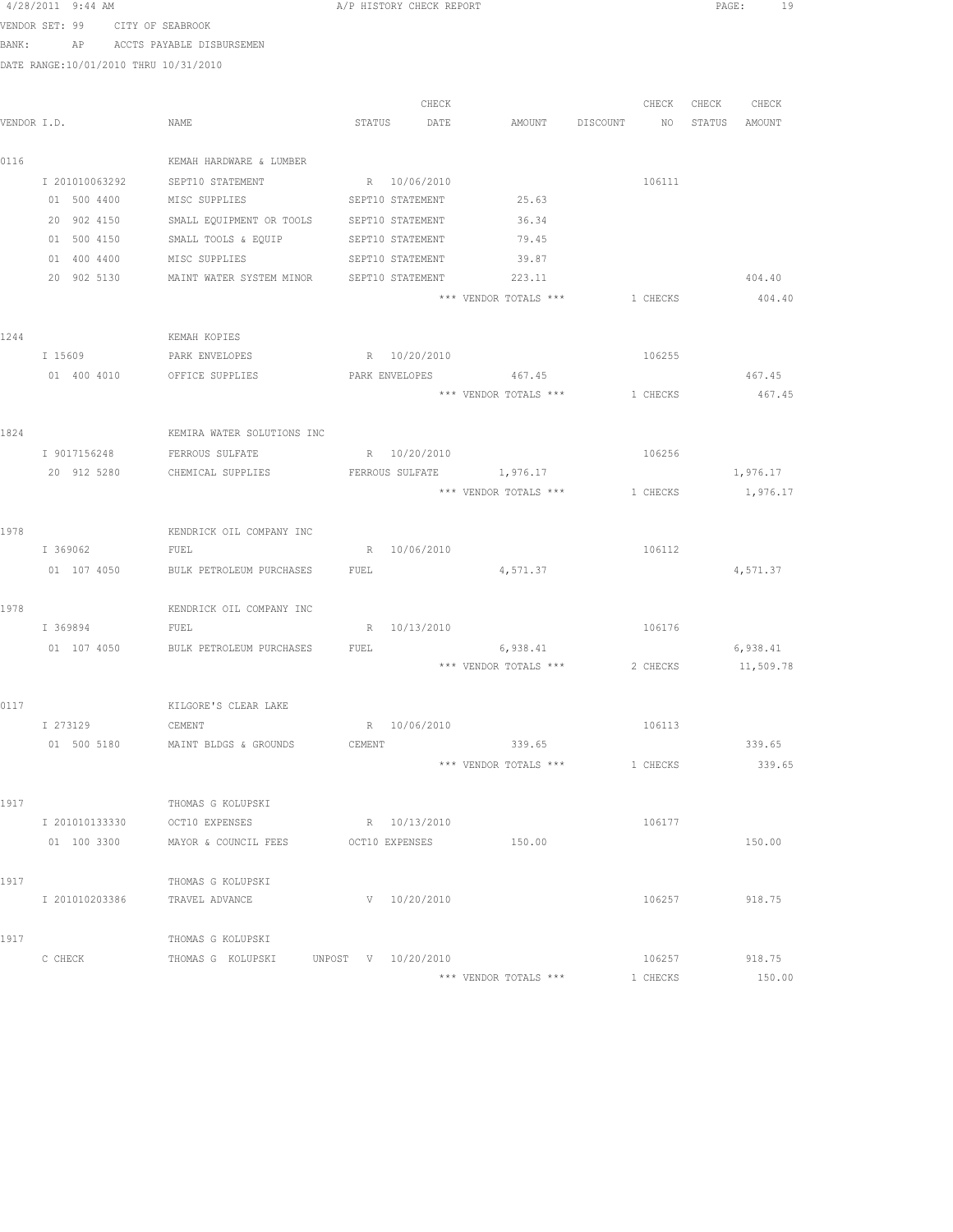|             | $4/28/2011$ 9:44 AM                   |                                      | A/P HISTORY CHECK REPORT |       |                          |             |          | PAGE:         | 19        |
|-------------|---------------------------------------|--------------------------------------|--------------------------|-------|--------------------------|-------------|----------|---------------|-----------|
|             | VENDOR SET: 99 CITY OF SEABROOK       |                                      |                          |       |                          |             |          |               |           |
| BANK:       |                                       | AP ACCTS PAYABLE DISBURSEMEN         |                          |       |                          |             |          |               |           |
|             | DATE RANGE:10/01/2010 THRU 10/31/2010 |                                      |                          |       |                          |             |          |               |           |
|             |                                       |                                      |                          |       |                          |             |          |               |           |
|             |                                       |                                      |                          | CHECK |                          |             | CHECK    | CHECK         | CHECK     |
| VENDOR I.D. |                                       | NAME                                 | STATUS DATE              |       | AMOUNT                   | DISCOUNT NO |          | STATUS AMOUNT |           |
|             |                                       |                                      |                          |       |                          |             |          |               |           |
| 0116        |                                       | KEMAH HARDWARE & LUMBER              |                          |       |                          |             |          |               |           |
|             | I 201010063292                        | SEPT10 STATEMENT                     | R 10/06/2010             |       |                          |             | 106111   |               |           |
|             | 01 500 4400                           | MISC SUPPLIES                        | SEPT10 STATEMENT         |       | 25.63                    |             |          |               |           |
|             | 20 902 4150                           | SMALL EQUIPMENT OR TOOLS             | SEPT10 STATEMENT         |       | 36.34                    |             |          |               |           |
|             | 01 500 4150                           | SMALL TOOLS & EQUIP                  | SEPT10 STATEMENT         |       | 79.45                    |             |          |               |           |
|             | 01 400 4400                           | MISC SUPPLIES                        | SEPT10 STATEMENT         |       | 39.87                    |             |          |               |           |
|             | 20 902 5130                           | MAINT WATER SYSTEM MINOR             | SEPT10 STATEMENT         |       | 223.11                   |             |          |               | 404.40    |
|             |                                       |                                      |                          |       | *** VENDOR TOTALS ***    |             | 1 CHECKS |               | 404.40    |
|             |                                       |                                      |                          |       |                          |             |          |               |           |
| 1244        |                                       | KEMAH KOPIES                         |                          |       |                          |             |          |               |           |
|             | I 15609                               | PARK ENVELOPES                       | R 10/20/2010             |       |                          |             | 106255   |               |           |
|             | 01 400 4010                           | OFFICE SUPPLIES                      |                          |       | PARK ENVELOPES 467.45    |             |          |               | 467.45    |
|             |                                       |                                      |                          |       | *** VENDOR TOTALS ***    |             | 1 CHECKS |               | 467.45    |
|             |                                       |                                      |                          |       |                          |             |          |               |           |
| 1824        |                                       | KEMIRA WATER SOLUTIONS INC           |                          |       |                          |             |          |               |           |
|             | I 9017156248                          | FERROUS SULFATE                      | R 10/20/2010             |       |                          |             | 106256   |               |           |
|             | 20 912 5280                           | CHEMICAL SUPPLIES                    |                          |       | FERROUS SULFATE 1,976.17 |             |          |               | 1,976.17  |
|             |                                       |                                      |                          |       | *** VENDOR TOTALS ***    |             | 1 CHECKS |               | 1,976.17  |
|             |                                       |                                      |                          |       |                          |             |          |               |           |
| 1978        |                                       | KENDRICK OIL COMPANY INC             |                          |       |                          |             |          |               |           |
|             | I 369062                              | FUEL                                 | R 10/06/2010             |       |                          |             | 106112   |               |           |
|             | 01 107 4050                           | BULK PETROLEUM PURCHASES             | FUEL                     |       | 4,571.37                 |             |          |               | 4,571.37  |
|             |                                       |                                      |                          |       |                          |             |          |               |           |
| 1978        |                                       | KENDRICK OIL COMPANY INC             |                          |       |                          |             |          |               |           |
|             | I 369894                              | FUEL                                 | R 10/13/2010             |       |                          |             | 106176   |               |           |
|             |                                       | 01 107 4050 BULK PETROLEUM PURCHASES | FUEL                     |       | 6,938.41                 |             |          |               | 6,938.41  |
|             |                                       |                                      |                          |       | *** VENDOR TOTALS ***    |             | 2 CHECKS |               | 11,509.78 |
|             |                                       |                                      |                          |       |                          |             |          |               |           |
| 0117        |                                       | KILGORE'S CLEAR LAKE                 |                          |       |                          |             |          |               |           |
|             | I 273129                              | CEMENT                               | R 10/06/2010             |       |                          |             | 106113   |               |           |
|             | 01 500 5180                           | MAINT BLDGS & GROUNDS                | CEMENT                   |       | 339.65                   |             |          |               | 339.65    |
|             |                                       |                                      |                          |       | *** VENDOR TOTALS ***    |             | 1 CHECKS |               | 339.65    |
|             |                                       |                                      |                          |       |                          |             |          |               |           |
| 1917        |                                       | THOMAS G KOLUPSKI                    |                          |       |                          |             |          |               |           |
|             | I 201010133330                        | OCT10 EXPENSES                       | R 10/13/2010             |       |                          |             | 106177   |               |           |
|             | 01 100 3300                           | MAYOR & COUNCIL FEES OCT10 EXPENSES  |                          |       | 150.00                   |             |          |               | 150.00    |
|             |                                       |                                      |                          |       |                          |             |          |               |           |
| 1917        |                                       | THOMAS G KOLUPSKI                    |                          |       |                          |             |          |               |           |
|             | I 201010203386                        | TRAVEL ADVANCE                       | V 10/20/2010             |       |                          |             | 106257   |               | 918.75    |
|             |                                       |                                      |                          |       |                          |             |          |               |           |
| 1917        |                                       | THOMAS G KOLUPSKI                    |                          |       |                          |             |          |               |           |
|             | C CHECK                               | THOMAS G KOLUPSKI                    | UNPOST V 10/20/2010      |       |                          |             | 106257   |               | 918.75    |
|             |                                       |                                      |                          |       | *** VENDOR TOTALS ***    |             | 1 CHECKS |               | 150.00    |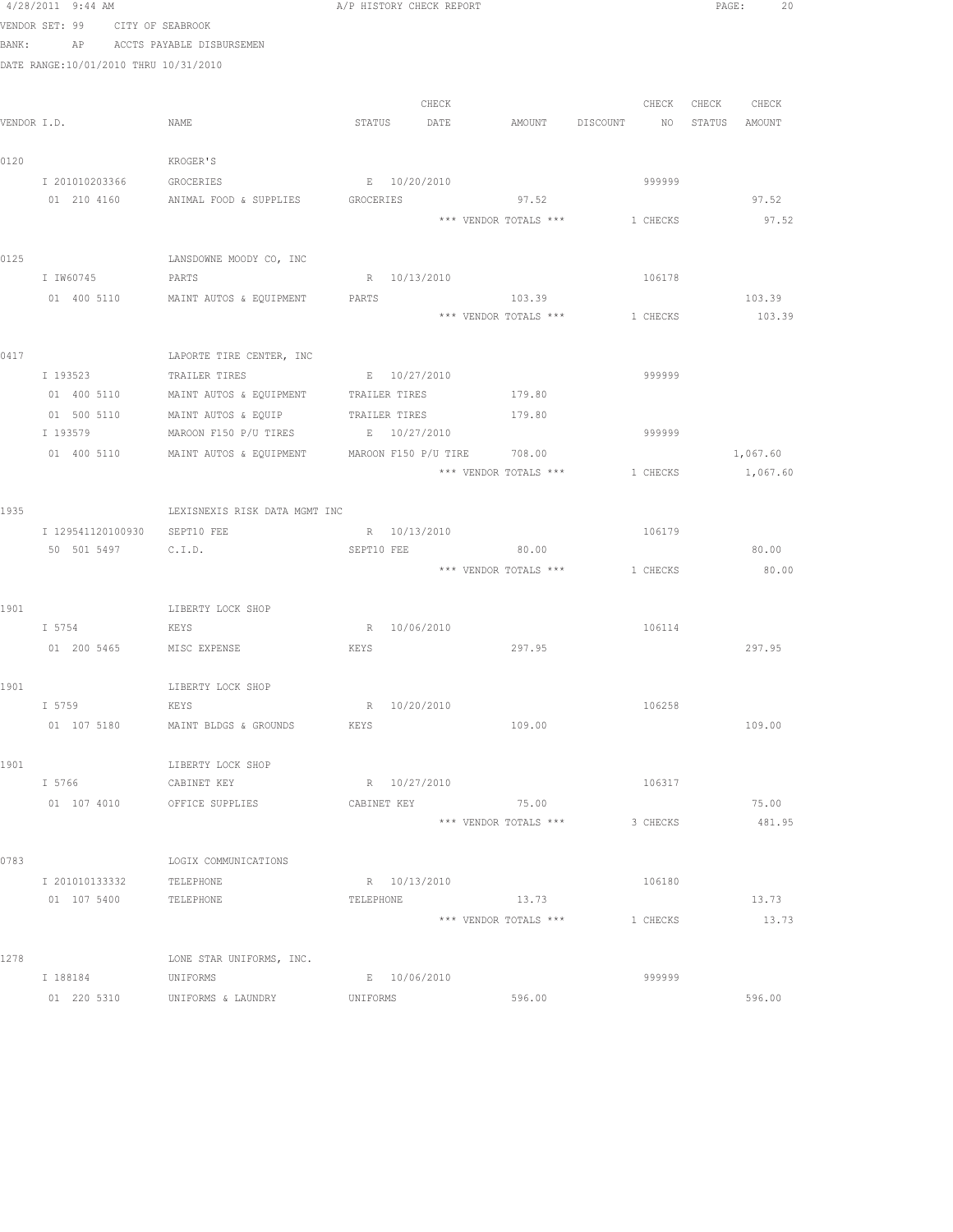|      | 4/28/2011 9:44 AM                     |                                           | A/P HISTORY CHECK REPORT                                    | PAGE:<br>20       |
|------|---------------------------------------|-------------------------------------------|-------------------------------------------------------------|-------------------|
|      | VENDOR SET: 99 CITY OF SEABROOK       |                                           |                                                             |                   |
|      | BANK: AP ACCTS PAYABLE DISBURSEMEN    |                                           |                                                             |                   |
|      | DATE RANGE:10/01/2010 THRU 10/31/2010 |                                           |                                                             |                   |
|      |                                       |                                           |                                                             |                   |
|      |                                       |                                           | CHECK                                                       | CHECK CHECK CHECK |
|      | VENDOR I.D.                           | NAME                                      | STATUS<br>DATE<br>AMOUNT DISCOUNT                           | NO STATUS AMOUNT  |
|      |                                       |                                           |                                                             |                   |
| 0120 |                                       | KROGER'S                                  |                                                             |                   |
|      | I 201010203366                        | GROCERIES                                 | E 10/20/2010<br>999999                                      |                   |
|      |                                       | 01 210 4160 ANIMAL FOOD & SUPPLIES        | 97.52<br>GROCERIES                                          | 97.52             |
|      |                                       |                                           | 1 CHECKS<br>*** VENDOR TOTALS ***                           | 97.52             |
|      |                                       |                                           |                                                             |                   |
| 0125 |                                       | LANSDOWNE MOODY CO, INC                   |                                                             |                   |
|      | I IW60745                             | PARTS                                     | R 10/13/2010<br>106178                                      |                   |
|      |                                       | 01 400 5110 MAINT AUTOS & EQUIPMENT PARTS | 103.39<br>*** VENDOR TOTALS *** 1 CHECKS                    | 103.39<br>103.39  |
|      |                                       |                                           |                                                             |                   |
| 0417 |                                       | LAPORTE TIRE CENTER, INC                  |                                                             |                   |
|      | I 193523                              | TRAILER TIRES                             | E 10/27/2010<br>999999                                      |                   |
|      |                                       |                                           | 01 400 5110 MAINT AUTOS & EQUIPMENT TRAILER TIRES 60 179.80 |                   |
|      | 01 500 5110                           |                                           | MAINT AUTOS & EQUIP TRAILER TIRES 179.80                    |                   |
|      | I 193579                              | MAROON F150 P/U TIRES B 10/27/2010        | 999999                                                      |                   |
|      | 01 400 5110                           | MAINT AUTOS & EQUIPMENT                   | MAROON F150 P/U TIRE 708.00                                 | 1,067.60          |
|      |                                       |                                           | *** VENDOR TOTALS ***<br>1 CHECKS                           | 1,067.60          |
|      |                                       |                                           |                                                             |                   |
| 1935 |                                       | LEXISNEXIS RISK DATA MGMT INC             |                                                             |                   |
|      | I 129541120100930 SEPT10 FEE          |                                           | R 10/13/2010<br>106179                                      |                   |
|      | 50 501 5497                           | C.I.D.                                    | SEPT10 FEE<br>80.00                                         | 80.00             |
|      |                                       |                                           | *** VENDOR TOTALS *** 1 CHECKS                              | 80.00             |
|      |                                       |                                           |                                                             |                   |
| 1901 |                                       | LIBERTY LOCK SHOP                         |                                                             |                   |
|      | I 5754                                | KEYS                                      | R 10/06/2010<br>106114                                      |                   |
|      | 01  200  5465   MISC EXPENSE          |                                           | 297.95<br>KEYS                                              | 297.95            |
|      |                                       |                                           |                                                             |                   |
| 1901 | I 5759                                | LIBERTY LOCK SHOP<br>KEYS                 | R 10/20/2010<br>106258                                      |                   |
|      | 01 107 5180                           | MAINT BLDGS & GROUNDS                     | KEYS<br>109.00                                              | 109.00            |
|      |                                       |                                           |                                                             |                   |
| 1901 |                                       | LIBERTY LOCK SHOP                         |                                                             |                   |
|      | I 5766                                | CABINET KEY                               | R 10/27/2010<br>106317                                      |                   |
|      | 01 107 4010                           | OFFICE SUPPLIES                           | 75.00<br>CABINET KEY                                        | 75.00             |
|      |                                       |                                           | *** VENDOR TOTALS ***<br>3 CHECKS                           | 481.95            |
|      |                                       |                                           |                                                             |                   |
| 0783 |                                       | LOGIX COMMUNICATIONS                      |                                                             |                   |
|      | I 201010133332                        | TELEPHONE                                 | R 10/13/2010<br>106180                                      |                   |
|      | 01 107 5400                           | TELEPHONE                                 | 13.73<br>TELEPHONE                                          | 13.73             |
|      |                                       |                                           | *** VENDOR TOTALS ***<br>1 CHECKS                           | 13.73             |
|      |                                       |                                           |                                                             |                   |
| 1278 |                                       | LONE STAR UNIFORMS, INC.                  |                                                             |                   |
|      | I 188184                              | UNIFORMS                                  | E 10/06/2010<br>999999                                      |                   |
|      | 01 220 5310                           | UNIFORMS & LAUNDRY                        | 596.00<br>UNIFORMS                                          | 596.00            |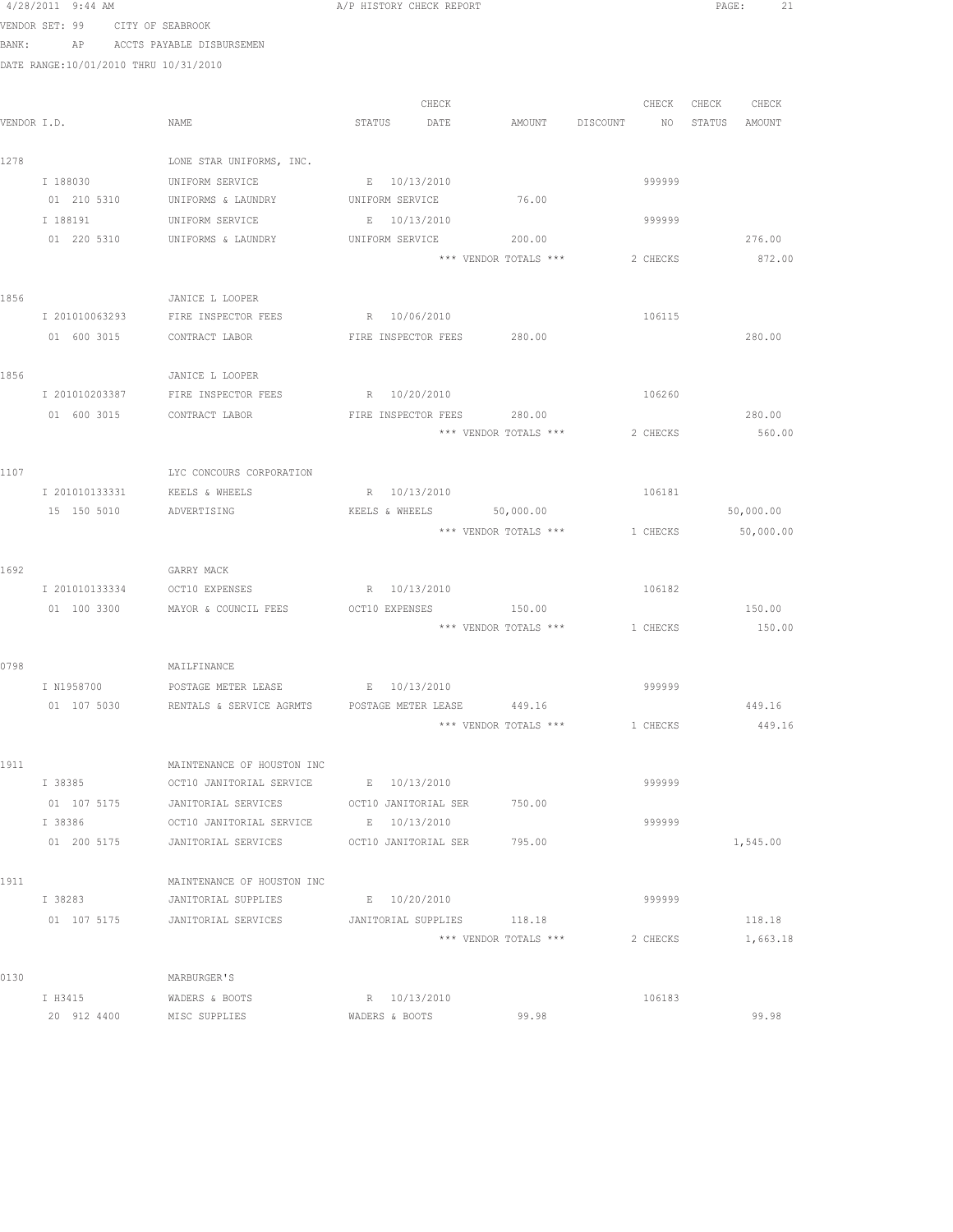VENDOR SET: 99 CITY OF SEABROOK BANK: AP ACCTS PAYABLE DISBURSEMEN DATE RANGE:10/01/2010 THRU 10/31/2010 CHECK CHECK CHECK CHECK VENDOR I.D. NAME STATUS DATE AMOUNT DISCOUNT NO STATUS AMOUNT 1278 LONE STAR UNIFORMS, INC. I 188030 UNIFORM SERVICE B 10/13/2010<br>
01 210 5310 UNIFORMS & LAUNDRY UNIFORM SERVICE 76.00 01 210 5310 UNIFORMS & LAUNDRY UNIFORM SERVICE<br>198191 UNIFORM SERVICE E 10/13/2010 I 188191 UNIFORM SERVICE E 10/13/2010 999999 01 220 5310 UNIFORMS & LAUNDRY UNIFORM SERVICE 200.00 226.00 276.00 \*\*\* VENDOR TOTALS \*\*\* 2 CHECKS 872.00 1856 JANICE L LOOPER I 201010063293 FIRE INSPECTOR FEES R 10/06/2010 106115 01 600 3015 CONTRACT LABOR FIRE INSPECTOR FEES 280.00 280.00 1856 JANICE L LOOPER I 201010203387 FIRE INSPECTOR FEES R 10/20/2010 R 100260 01 600 3015 CONTRACT LABOR FIRE INSPECTOR FEES 280.00 280.00 280.00 \*\*\* VENDOR TOTALS \*\*\* 2 CHECKS 560.00 1107 LYC CONCOURS CORPORATION I 201010133331 KEELS & WHEELS R 10/13/2010 106181 ADVERTISING 6000.00 KEELS & WHEELS 50,000.00 50,000 50,000.00 \*\*\* VENDOR TOTALS \*\*\* 1 CHECKS 50,000.00 1692 GARRY MACK I 201010133334 OCT10 EXPENSES R 10/13/2010 106182 01 100 3300 MAYOR & COUNCIL FEES OCT10 EXPENSES 150.00 150.00 \*\*\* VENDOR TOTALS \*\*\* 1 CHECKS 150.00 0798 MAILFINANCE I N1958700 POSTAGE METER LEASE E 10/13/2010 999999 RENTALS & SERVICE AGRMTS POSTAGE METER LEASE 449.16 449.16 449.16 \*\*\* VENDOR TOTALS \*\*\* 1 CHECKS 449.16 1911 MAINTENANCE OF HOUSTON INC<br>I 38385 OCT10 JANITORIAL SERVICE I 38385 OCT10 JANITORIAL SERVICE E 10/13/2010 999999 01 107 5175 JANITORIAL SERVICES OCT10 JANITORIAL SER 750.00 I 38386 OCT10 JANITORIAL SERVICE E 10/13/2010 999999 01 200 5175 JANITORIAL SERVICES OCT10 JANITORIAL SER 795.00 1,545.00 1911 MAINTENANCE OF HOUSTON INC I 38283 JANITORIAL SUPPLIES E 10/20/2010 999999 01 107 5175 JANITORIAL SERVICES JANITORIAL SUPPLIES 118.18 118.18 \*\*\* VENDOR TOTALS \*\*\* 2 CHECKS 1,663.18 0130 MARBURGER'S I H3415 WADERS & BOOTS R 10/13/2010<br>20 912 4400 MISC SUPPLIES WADERS & BOOTS 99.98 20 912 4400 MISC SUPPLIES WADERS & BOOTS 99.98 99.98

4/28/2011 9:44 AM A/P HISTORY CHECK REPORT PAGE: 21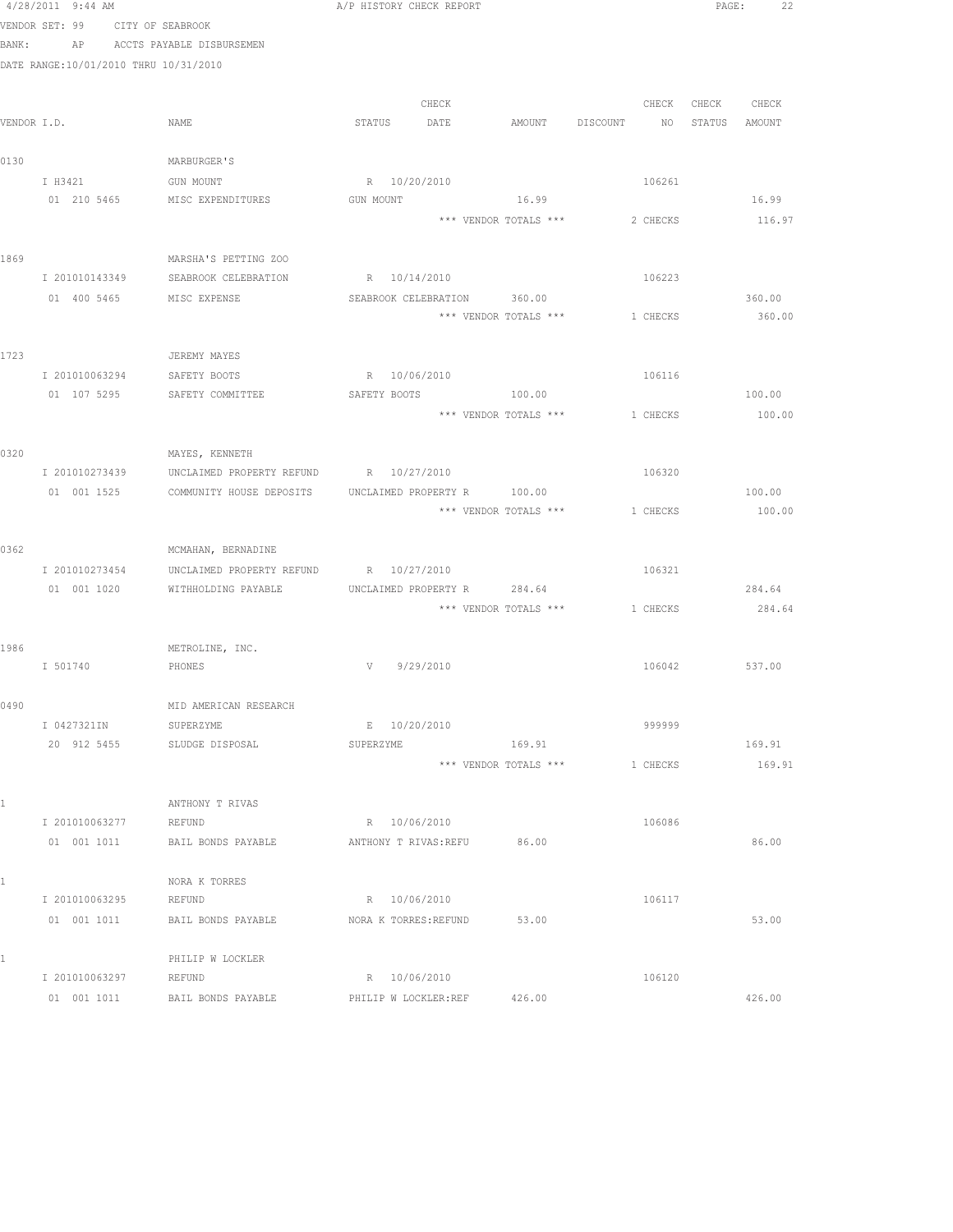|      | 4/28/2011 9:44 AM                     |                                                       | A/P HISTORY CHECK REPORT    |                       |                                |                   | PAGE: 22 |
|------|---------------------------------------|-------------------------------------------------------|-----------------------------|-----------------------|--------------------------------|-------------------|----------|
|      | VENDOR SET: 99 CITY OF SEABROOK       |                                                       |                             |                       |                                |                   |          |
|      |                                       | BANK: AP ACCTS PAYABLE DISBURSEMEN                    |                             |                       |                                |                   |          |
|      | DATE RANGE:10/01/2010 THRU 10/31/2010 |                                                       |                             |                       |                                |                   |          |
|      |                                       |                                                       |                             |                       |                                |                   |          |
|      |                                       |                                                       | CHECK                       |                       |                                | CHECK CHECK CHECK |          |
|      | VENDOR I.D.                           | NAME                                                  | STATUS DATE                 | AMOUNT DISCOUNT       | NO STATUS AMOUNT               |                   |          |
|      |                                       |                                                       |                             |                       |                                |                   |          |
| 0130 |                                       | MARBURGER'S                                           |                             |                       |                                |                   |          |
|      | I H3421                               | GUN MOUNT                                             | R 10/20/2010                |                       | 106261                         |                   |          |
|      |                                       | 01 210 5465 MISC EXPENDITURES                         | GUN MOUNT                   | 16.99                 |                                |                   | 16.99    |
|      |                                       |                                                       |                             | *** VENDOR TOTALS *** | 2 CHECKS                       |                   | 116.97   |
| 1869 |                                       | MARSHA'S PETTING ZOO                                  |                             |                       |                                |                   |          |
|      | I 201010143349                        | SEABROOK CELEBRATION                                  | R 10/14/2010                |                       | 106223                         |                   |          |
|      | 01 400 5465 MISC EXPENSE              |                                                       | SEABROOK CELEBRATION 360.00 |                       |                                |                   | 360.00   |
|      |                                       |                                                       |                             | *** VENDOR TOTALS *** | 1 CHECKS                       |                   | 360.00   |
|      |                                       |                                                       |                             |                       |                                |                   |          |
| 1723 |                                       | JEREMY MAYES                                          |                             |                       |                                |                   |          |
|      | I 201010063294 SAFETY BOOTS           |                                                       | R 10/06/2010                |                       | 106116                         |                   |          |
|      |                                       | 01 107 5295 SAFETY COMMITTEE                          | SAFETY BOOTS 100.00         |                       |                                |                   | 100.00   |
|      |                                       |                                                       |                             | *** VENDOR TOTALS *** | 1 CHECKS                       |                   | 100.00   |
|      |                                       |                                                       |                             |                       |                                |                   |          |
| 0320 |                                       | MAYES, KENNETH                                        |                             |                       |                                |                   |          |
|      |                                       | I 201010273439 UNCLAIMED PROPERTY REFUND R 10/27/2010 |                             |                       | 106320                         |                   |          |
|      | 01 001 1525                           | COMMUNITY HOUSE DEPOSITS                              | UNCLAIMED PROPERTY R 100.00 |                       |                                |                   | 100.00   |
|      |                                       |                                                       |                             | *** VENDOR TOTALS *** | 1 CHECKS                       |                   | 100.00   |
| 0362 |                                       | MCMAHAN, BERNADINE                                    |                             |                       |                                |                   |          |
|      | I 201010273454                        | UNCLAIMED PROPERTY REFUND                             | R 10/27/2010                |                       | 106321                         |                   |          |
|      | 01 001 1020                           | WITHHOLDING PAYABLE                                   | UNCLAIMED PROPERTY R 284.64 |                       |                                |                   | 284.64   |
|      |                                       |                                                       |                             |                       | *** VENDOR TOTALS *** 1 CHECKS |                   | 284.64   |
|      |                                       |                                                       |                             |                       |                                |                   |          |
| 1986 |                                       | METROLINE, INC.                                       |                             |                       |                                |                   |          |
|      | I 501740 PHONES                       |                                                       | V 9/29/2010                 |                       |                                | 106042            | 537.00   |
|      |                                       |                                                       |                             |                       |                                |                   |          |
| 0490 |                                       | MID AMERICAN RESEARCH                                 |                             |                       |                                |                   |          |
|      | I 0427321IN                           | SUPERZYME                                             | E 10/20/2010                |                       | 999999                         |                   |          |
|      | 20 912 5455                           | SLUDGE DISPOSAL                                       | <b>SUPERZYME</b>            | 169.91                |                                |                   | 169.91   |
|      |                                       |                                                       |                             | *** VENDOR TOTALS *** | 1 CHECKS                       |                   | 169.91   |
|      |                                       |                                                       |                             |                       |                                |                   |          |
| 1    | I 201010063277                        | ANTHONY T RIVAS<br>REFUND                             | R 10/06/2010                |                       | 106086                         |                   |          |
|      | 01 001 1011                           | BAIL BONDS PAYABLE                                    | ANTHONY T RIVAS: REFU       | 86.00                 |                                |                   | 86.00    |
|      |                                       |                                                       |                             |                       |                                |                   |          |
| 1    |                                       | NORA K TORRES                                         |                             |                       |                                |                   |          |
|      | I 201010063295                        | REFUND                                                | R 10/06/2010                |                       | 106117                         |                   |          |
|      | 01 001 1011                           | BAIL BONDS PAYABLE                                    | NORA K TORRES: REFUND       | 53.00                 |                                |                   | 53.00    |
|      |                                       |                                                       |                             |                       |                                |                   |          |
| 1    |                                       | PHILIP W LOCKLER                                      |                             |                       |                                |                   |          |
|      | I 201010063297                        | REFUND                                                | R 10/06/2010                |                       | 106120                         |                   |          |
|      | 01 001 1011                           | BAIL BONDS PAYABLE                                    | PHILIP W LOCKLER:REF        | 426.00                |                                |                   | 426.00   |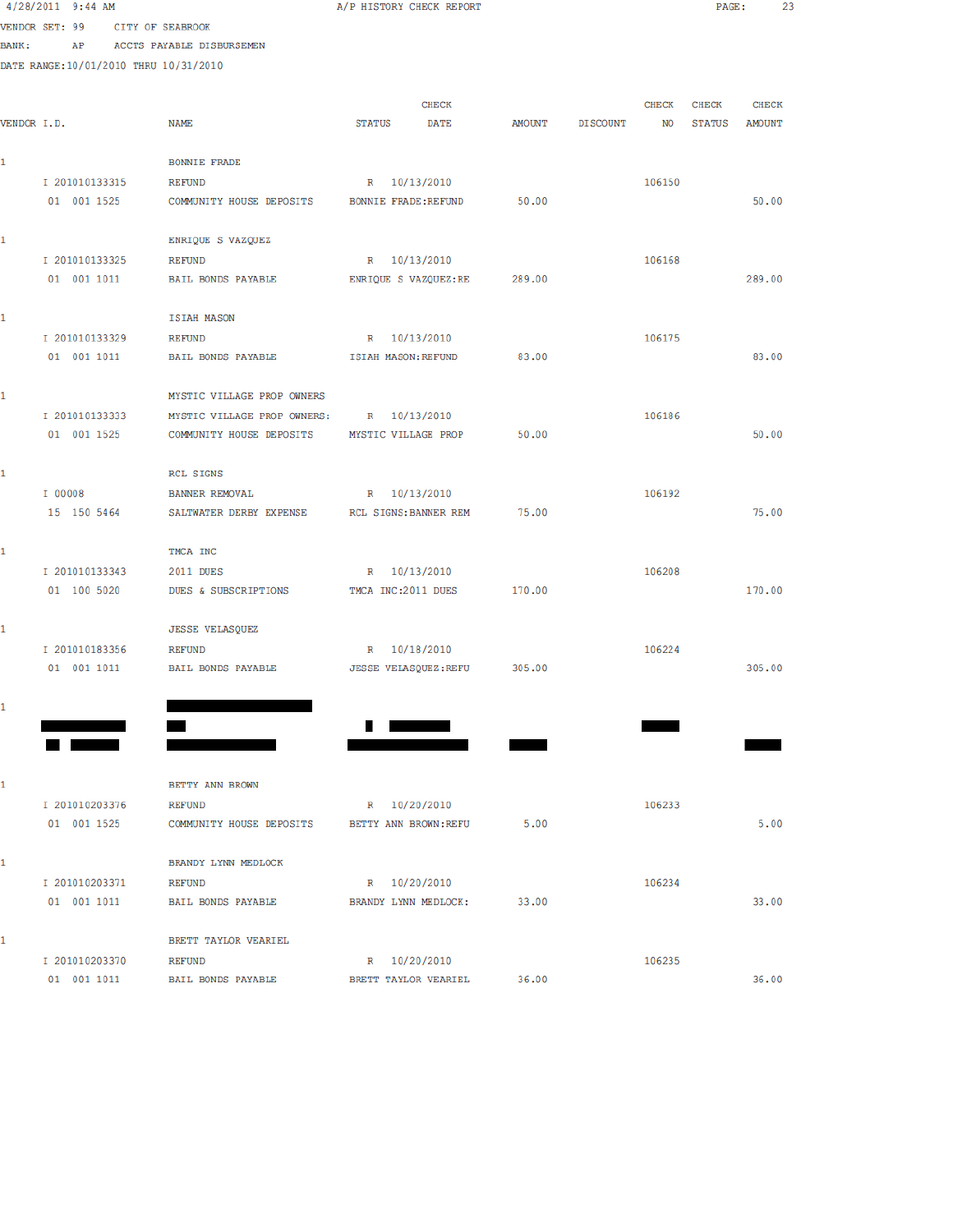|              | $4/28/2011$ 9:44 AM                    |                                       | A/P HISTORY CHECK REPORT    |        |                 |        | PAGE:  | 23           |  |
|--------------|----------------------------------------|---------------------------------------|-----------------------------|--------|-----------------|--------|--------|--------------|--|
|              | VENDOR SET: 99                         | CITY OF SEABROOK                      |                             |        |                 |        |        |              |  |
| <b>BANK:</b> | AP                                     | ACCTS PAYABLE DISBURSEMEN             |                             |        |                 |        |        |              |  |
|              | DATE RANGE: 10/01/2010 THRU 10/31/2010 |                                       |                             |        |                 |        |        |              |  |
|              |                                        |                                       |                             |        |                 |        |        |              |  |
|              |                                        |                                       | <b>CHECK</b>                |        |                 | CHECK  | CHECK  | <b>CHECK</b> |  |
| VENDOR I.D.  |                                        | NAME                                  | <b>STATUS</b><br>DATE       | AMOUNT | <b>DISCOUNT</b> | NO     | STATUS | AMOUNT       |  |
|              |                                        |                                       |                             |        |                 |        |        |              |  |
| $\mathbf{1}$ |                                        | <b>BONNIE FRADE</b>                   |                             |        |                 |        |        |              |  |
|              | I 201010133315                         | <b>REFUND</b>                         | R 10/13/2010                |        |                 | 106150 |        |              |  |
|              | 01 001 1525                            | COMMUNITY HOUSE DEPOSITS              | <b>BONNIE FRADE: REFUND</b> | 50.00  |                 |        |        | 50.00        |  |
|              |                                        |                                       |                             |        |                 |        |        |              |  |
| $\mathbf{1}$ |                                        | ENRIQUE S VAZQUEZ                     |                             |        |                 |        |        |              |  |
|              | I 201010133325                         | <b>REFUND</b>                         | R 10/13/2010                |        |                 | 106168 |        |              |  |
|              | 01 001 1011                            | BAIL BONDS PAYABLE                    | ENRIQUE S VAZQUEZ:RE        | 289.00 |                 |        |        | 289.00       |  |
|              |                                        |                                       |                             |        |                 |        |        |              |  |
|              |                                        | <b>ISIAH MASON</b>                    |                             |        |                 |        |        |              |  |
|              | I 201010133329                         | <b>REFUND</b>                         | R 10/13/2010                |        |                 | 106175 |        |              |  |
|              | 01 001 1011                            | BAIL BONDS PAYABLE                    | ISIAH MASON: REFUND         | 83.00  |                 |        |        | 83.00        |  |
|              |                                        | MYSTIC VILLAGE PROP OWNERS            |                             |        |                 |        |        |              |  |
|              | I 201010133333                         | MYSTIC VILLAGE PROP OWNERS:           | R 10/13/2010                |        |                 | 106186 |        |              |  |
|              | 01 001 1525                            | COMMUNITY HOUSE DEPOSITS              | MYSTIC VILLAGE PROP         | 50.00  |                 |        |        | 50.00        |  |
|              |                                        |                                       |                             |        |                 |        |        |              |  |
| 1            |                                        | RCL SIGNS                             |                             |        |                 |        |        |              |  |
|              | I 00008                                | <b>BANNER REMOVAL</b>                 | R 10/13/2010                |        |                 | 106192 |        |              |  |
|              | 15 150 5464                            | SALTWATER DERBY EXPENSE               | RCL SIGNS: BANNER REM       | 75.00  |                 |        |        | 75.00        |  |
|              |                                        |                                       |                             |        |                 |        |        |              |  |
| 1            |                                        | TMCA INC                              |                             |        |                 |        |        |              |  |
|              | I 201010133343                         | 2011 DUES                             | R 10/13/2010                |        |                 | 106208 |        |              |  |
|              | 01 100 5020                            | DUES & SUBSCRIPTIONS                  | TMCA INC:2011 DUES          | 170.00 |                 |        |        | 170.00       |  |
|              |                                        |                                       |                             |        |                 |        |        |              |  |
| 1.           |                                        | <b>JESSE VELASQUEZ</b>                |                             |        |                 |        |        |              |  |
|              | I 201010183356                         | <b>REFUND</b>                         | R 10/18/2010                |        |                 | 106224 |        |              |  |
|              | 01 001 1011                            | BAIL BONDS PAYABLE                    | JESSE VELASQUEZ: REFU       | 305.00 |                 |        |        | 305.00       |  |
|              |                                        |                                       |                             |        |                 |        |        |              |  |
|              |                                        |                                       |                             |        |                 |        |        |              |  |
|              |                                        |                                       |                             |        |                 |        |        |              |  |
|              |                                        |                                       |                             |        |                 |        |        |              |  |
|              |                                        |                                       |                             |        |                 |        |        |              |  |
|              |                                        | BETTY ANN BROWN                       |                             |        |                 |        |        |              |  |
|              | I 201010203376                         | <b>REFUND</b>                         | R 10/20/2010                |        |                 | 106233 |        |              |  |
|              | 01 001 1525                            | COMMUNITY HOUSE DEPOSITS              | BETTY ANN BROWN: REFU       | 5.00   |                 |        |        | 5.00         |  |
|              |                                        |                                       |                             |        |                 |        |        |              |  |
| 1.           |                                        | BRANDY LYNN MEDLOCK                   |                             |        |                 |        |        |              |  |
|              | I 201010203371                         | <b>REFUND</b>                         | R 10/20/2010                |        |                 | 106234 |        |              |  |
|              | 01 001 1011                            | BAIL BONDS PAYABLE                    | BRANDY LYNN MEDLOCK:        | 33.00  |                 |        |        | 33.00        |  |
|              |                                        |                                       |                             |        |                 |        |        |              |  |
|              | I 201010203370                         | BRETT TAYLOR VEARIEL<br><b>REFUND</b> | R 10/20/2010                |        |                 | 106235 |        |              |  |
|              |                                        |                                       |                             |        |                 |        |        |              |  |

36.00

01 001 1011 BAIL BONDS PAYABLE BRETT TAYLOR VEARIEL 36.00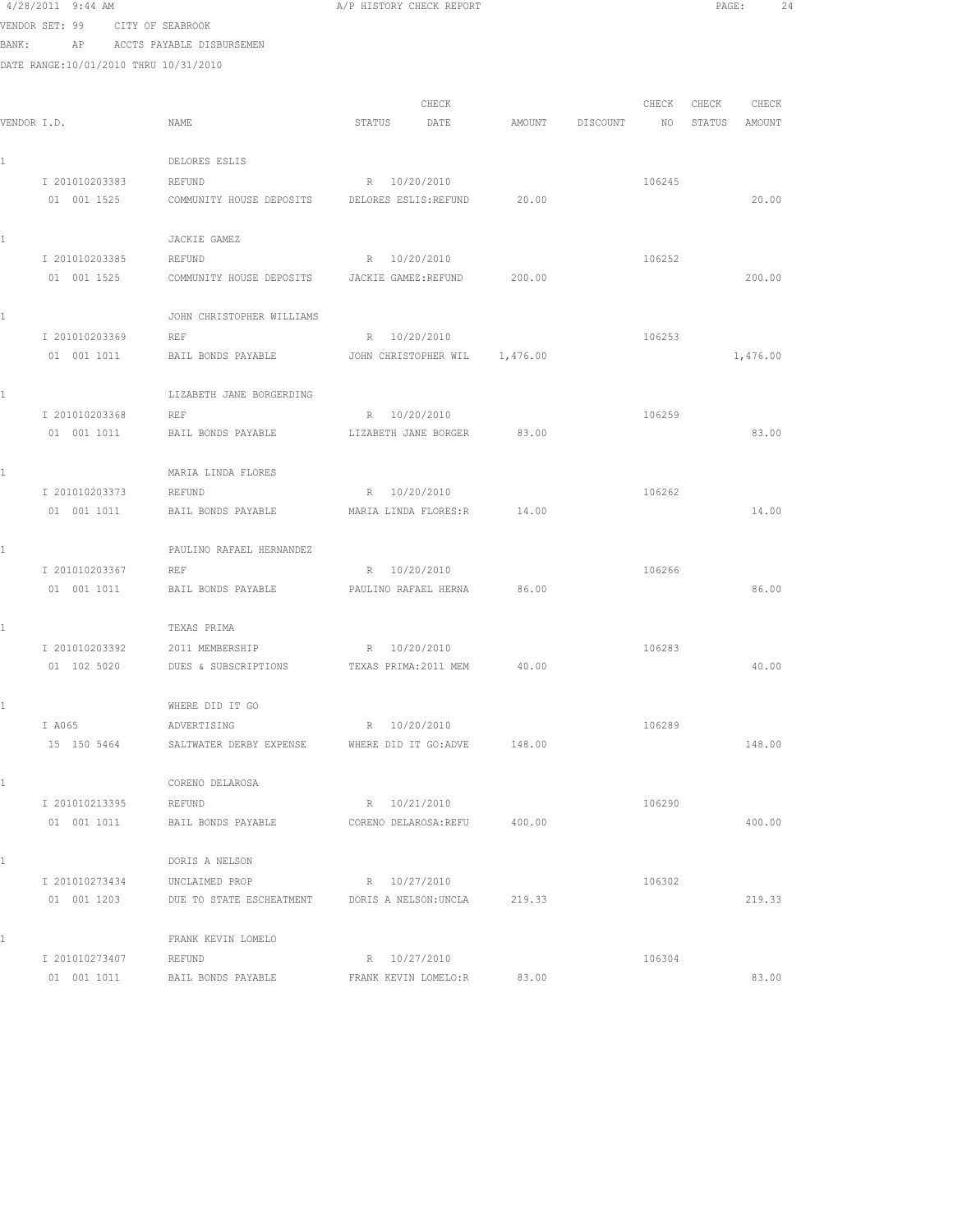|       | $4/28/2011$ 9:44 AM                   |                                                  | A/P HISTORY CHECK REPORT              |        |          |        | PAGE:  | 24       |  |
|-------|---------------------------------------|--------------------------------------------------|---------------------------------------|--------|----------|--------|--------|----------|--|
|       | VENDOR SET: 99                        | CITY OF SEABROOK                                 |                                       |        |          |        |        |          |  |
| BANK: | AP                                    | ACCTS PAYABLE DISBURSEMEN                        |                                       |        |          |        |        |          |  |
|       | DATE RANGE:10/01/2010 THRU 10/31/2010 |                                                  |                                       |        |          |        |        |          |  |
|       |                                       |                                                  |                                       |        |          |        |        |          |  |
|       |                                       |                                                  | CHECK                                 |        |          | CHECK  | CHECK  | CHECK    |  |
|       | VENDOR I.D.                           | NAME                                             | STATUS<br>DATE                        | AMOUNT | DISCOUNT | NO     | STATUS | AMOUNT   |  |
|       |                                       |                                                  |                                       |        |          |        |        |          |  |
| 1     | I 201010203383                        | DELORES ESLIS                                    |                                       |        |          |        |        |          |  |
|       | 01 001 1525                           | <b>REFUND</b><br>COMMUNITY HOUSE DEPOSITS        | R 10/20/2010<br>DELORES ESLIS: REFUND | 20.00  |          | 106245 |        | 20.00    |  |
|       |                                       |                                                  |                                       |        |          |        |        |          |  |
| 1     |                                       | JACKIE GAMEZ                                     |                                       |        |          |        |        |          |  |
|       | I 201010203385                        | REFUND                                           | R 10/20/2010                          |        |          | 106252 |        |          |  |
|       | 01 001 1525                           | COMMUNITY HOUSE DEPOSITS                         | JACKIE GAMEZ:REFUND                   | 200.00 |          |        |        | 200.00   |  |
|       |                                       |                                                  |                                       |        |          |        |        |          |  |
| 1     |                                       | JOHN CHRISTOPHER WILLIAMS                        |                                       |        |          |        |        |          |  |
|       | I 201010203369                        | REF                                              | R 10/20/2010                          |        |          | 106253 |        |          |  |
|       | 01 001 1011                           | BAIL BONDS PAYABLE                               | JOHN CHRISTOPHER WIL 1,476.00         |        |          |        |        | 1,476.00 |  |
|       |                                       |                                                  |                                       |        |          |        |        |          |  |
| 1     |                                       | LIZABETH JANE BORGERDING                         |                                       |        |          |        |        |          |  |
|       | I 201010203368                        | <b>REF</b>                                       | R 10/20/2010                          |        |          | 106259 |        |          |  |
|       | 01 001 1011                           | BAIL BONDS PAYABLE                               | LIZABETH JANE BORGER                  | 83.00  |          |        |        | 83.00    |  |
|       |                                       |                                                  |                                       |        |          |        |        |          |  |
| 1     |                                       | MARIA LINDA FLORES                               |                                       |        |          |        |        |          |  |
|       | I 201010203373                        | REFUND                                           | R 10/20/2010                          |        |          | 106262 |        |          |  |
|       | 01 001 1011                           | BAIL BONDS PAYABLE                               | MARIA LINDA FLORES:R                  | 14.00  |          |        |        | 14.00    |  |
| 1     |                                       | PAULINO RAFAEL HERNANDEZ                         |                                       |        |          |        |        |          |  |
|       | I 201010203367                        | REF                                              | R 10/20/2010                          |        |          | 106266 |        |          |  |
|       | 01 001 1011                           | BAIL BONDS PAYABLE                               | PAULINO RAFAEL HERNA                  | 86.00  |          |        |        | 86.00    |  |
|       |                                       |                                                  |                                       |        |          |        |        |          |  |
| 1     |                                       | TEXAS PRIMA                                      |                                       |        |          |        |        |          |  |
|       | I 201010203392                        | 2011 MEMBERSHIP                                  | R 10/20/2010                          |        |          | 106283 |        |          |  |
|       | 01 102 5020                           | DUES & SUBSCRIPTIONS TEXAS PRIMA: 2011 MEM 40.00 |                                       |        |          |        |        | 40.00    |  |
|       |                                       |                                                  |                                       |        |          |        |        |          |  |
| 1     |                                       | WHERE DID IT GO                                  |                                       |        |          |        |        |          |  |
|       | I A065                                | ADVERTISING                                      | R 10/20/2010                          |        |          | 106289 |        |          |  |
|       | 15 150 5464                           | SALTWATER DERBY EXPENSE                          | WHERE DID IT GO:ADVE                  | 148.00 |          |        |        | 148.00   |  |
|       |                                       |                                                  |                                       |        |          |        |        |          |  |
| 1     |                                       | CORENO DELAROSA                                  |                                       |        |          |        |        |          |  |
|       | I 201010213395                        | REFUND                                           | R 10/21/2010                          |        |          | 106290 |        |          |  |
|       | 01 001 1011                           | BAIL BONDS PAYABLE                               | CORENO DELAROSA: REFU                 | 400.00 |          |        |        | 400.00   |  |
| 1     |                                       | DORIS A NELSON                                   |                                       |        |          |        |        |          |  |
|       | I 201010273434                        | UNCLAIMED PROP                                   | R 10/27/2010                          |        |          | 106302 |        |          |  |
|       | 01 001 1203                           | DUE TO STATE ESCHEATMENT                         | DORIS A NELSON:UNCLA                  | 219.33 |          |        |        | 219.33   |  |
|       |                                       |                                                  |                                       |        |          |        |        |          |  |
| 1     |                                       | FRANK KEVIN LOMELO                               |                                       |        |          |        |        |          |  |
|       | I 201010273407                        | REFUND                                           | R 10/27/2010                          |        |          | 106304 |        |          |  |
|       |                                       |                                                  |                                       |        |          |        |        |          |  |

01 001 1011 BAIL BONDS PAYABLE FRANK KEVIN LOMELO:R 83.00 83.00 83.00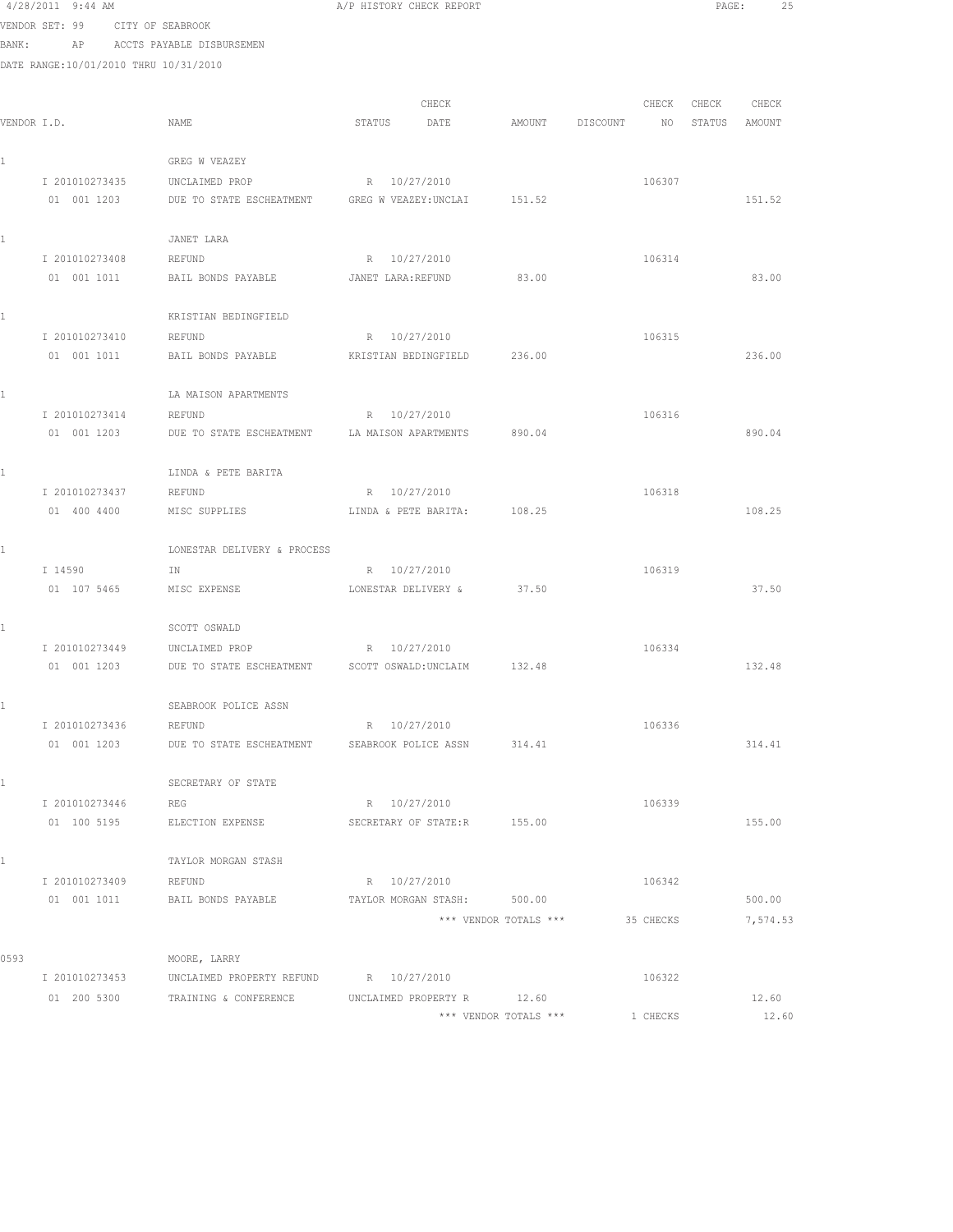|       | 4/28/2011 9:44 AM                     |                                                       | A/P HISTORY CHECK REPORT |                       |          |           | PAGE:       | 25       |  |
|-------|---------------------------------------|-------------------------------------------------------|--------------------------|-----------------------|----------|-----------|-------------|----------|--|
|       | VENDOR SET: 99                        | CITY OF SEABROOK                                      |                          |                       |          |           |             |          |  |
| BANK: | AP                                    | ACCTS PAYABLE DISBURSEMEN                             |                          |                       |          |           |             |          |  |
|       | DATE RANGE:10/01/2010 THRU 10/31/2010 |                                                       |                          |                       |          |           |             |          |  |
|       |                                       |                                                       |                          |                       |          |           |             |          |  |
|       |                                       |                                                       | CHECK                    |                       |          |           | CHECK CHECK | CHECK    |  |
|       | VENDOR I.D.                           | NAME                                                  | STATUS<br>DATE           | AMOUNT                | DISCOUNT | NO        | STATUS      | AMOUNT   |  |
|       |                                       | GREG W VEAZEY                                         |                          |                       |          |           |             |          |  |
|       | I 201010273435                        | UNCLAIMED PROP                                        | R 10/27/2010             |                       |          | 106307    |             |          |  |
|       | 01 001 1203                           | DUE TO STATE ESCHEATMENT GREG W VEAZEY:UNCLAI         |                          | 151.52                |          |           |             | 151.52   |  |
|       |                                       |                                                       |                          |                       |          |           |             |          |  |
|       |                                       | JANET LARA                                            |                          |                       |          |           |             |          |  |
|       | I 201010273408                        | REFUND                                                | R 10/27/2010             |                       |          | 106314    |             |          |  |
|       | 01 001 1011                           | BAIL BONDS PAYABLE                                    | JANET LARA:REFUND        | 83.00                 |          |           |             | 83.00    |  |
|       |                                       |                                                       |                          |                       |          |           |             |          |  |
|       | I 201010273410                        | KRISTIAN BEDINGFIELD                                  | R 10/27/2010             |                       |          | 106315    |             |          |  |
|       | 01 001 1011                           | REFUND<br>BAIL BONDS PAYABLE                          | KRISTIAN BEDINGFIELD     | 236.00                |          |           |             | 236.00   |  |
|       |                                       |                                                       |                          |                       |          |           |             |          |  |
|       |                                       | LA MAISON APARTMENTS                                  |                          |                       |          |           |             |          |  |
|       | I 201010273414                        | REFUND                                                | R 10/27/2010             |                       |          | 106316    |             |          |  |
|       | 01 001 1203                           | DUE TO STATE ESCHEATMENT LA MAISON APARTMENTS         |                          | 890.04                |          |           |             | 890.04   |  |
|       |                                       |                                                       |                          |                       |          |           |             |          |  |
|       |                                       | LINDA & PETE BARITA                                   |                          |                       |          |           |             |          |  |
|       | I 201010273437                        | REFUND                                                | R 10/27/2010             |                       |          | 106318    |             |          |  |
|       | 01 400 4400                           | MISC SUPPLIES                                         | LINDA & PETE BARITA:     | 108.25                |          |           |             | 108.25   |  |
|       |                                       | LONESTAR DELIVERY & PROCESS                           |                          |                       |          |           |             |          |  |
|       | I 14590                               | IN                                                    | R 10/27/2010             |                       |          | 106319    |             |          |  |
|       | 01 107 5465                           | MISC EXPENSE                                          | LONESTAR DELIVERY &      | 37.50                 |          |           |             | 37.50    |  |
|       |                                       |                                                       |                          |                       |          |           |             |          |  |
|       |                                       | SCOTT OSWALD                                          |                          |                       |          |           |             |          |  |
|       | I 201010273449                        | UNCLAIMED PROP                                        | R 10/27/2010             |                       |          | 106334    |             |          |  |
|       | 01 001 1203                           | DUE TO STATE ESCHEATMENT SCOTT OSWALD: UNCLAIM 132.48 |                          |                       |          |           |             | 132.48   |  |
|       |                                       |                                                       |                          |                       |          |           |             |          |  |
|       |                                       | SEABROOK POLICE ASSN                                  |                          |                       |          |           |             |          |  |
|       | I 201010273436<br>01 001 1203         | REFUND<br>DUE TO STATE ESCHEATMENT                    | R 10/27/2010             | 314.41                |          | 106336    |             | 314.41   |  |
|       |                                       |                                                       | SEABROOK POLICE ASSN     |                       |          |           |             |          |  |
|       |                                       | SECRETARY OF STATE                                    |                          |                       |          |           |             |          |  |
|       | I 201010273446                        | REG                                                   | R 10/27/2010             |                       |          | 106339    |             |          |  |
|       | 01 100 5195                           | ELECTION EXPENSE                                      | SECRETARY OF STATE:R     | 155.00                |          |           |             | 155.00   |  |
|       |                                       |                                                       |                          |                       |          |           |             |          |  |
|       |                                       | TAYLOR MORGAN STASH                                   |                          |                       |          |           |             |          |  |
|       | I 201010273409                        | REFUND                                                | R 10/27/2010             |                       |          | 106342    |             |          |  |
|       | 01 001 1011                           | BAIL BONDS PAYABLE                                    | TAYLOR MORGAN STASH:     | 500.00                |          |           |             | 500.00   |  |
|       |                                       |                                                       |                          | *** VENDOR TOTALS *** |          | 35 CHECKS |             | 7,574.53 |  |
| 0593  |                                       | MOORE, LARRY                                          |                          |                       |          |           |             |          |  |
|       | I 201010273453                        | UNCLAIMED PROPERTY REFUND                             | R 10/27/2010             |                       |          | 106322    |             |          |  |
|       | 01 200 5300                           | TRAINING & CONFERENCE                                 | UNCLAIMED PROPERTY R     | 12.60                 |          |           |             | 12.60    |  |
|       |                                       |                                                       |                          |                       |          |           |             |          |  |

\*\*\* VENDOR TOTALS \*\*\* 1 CHECKS 12.60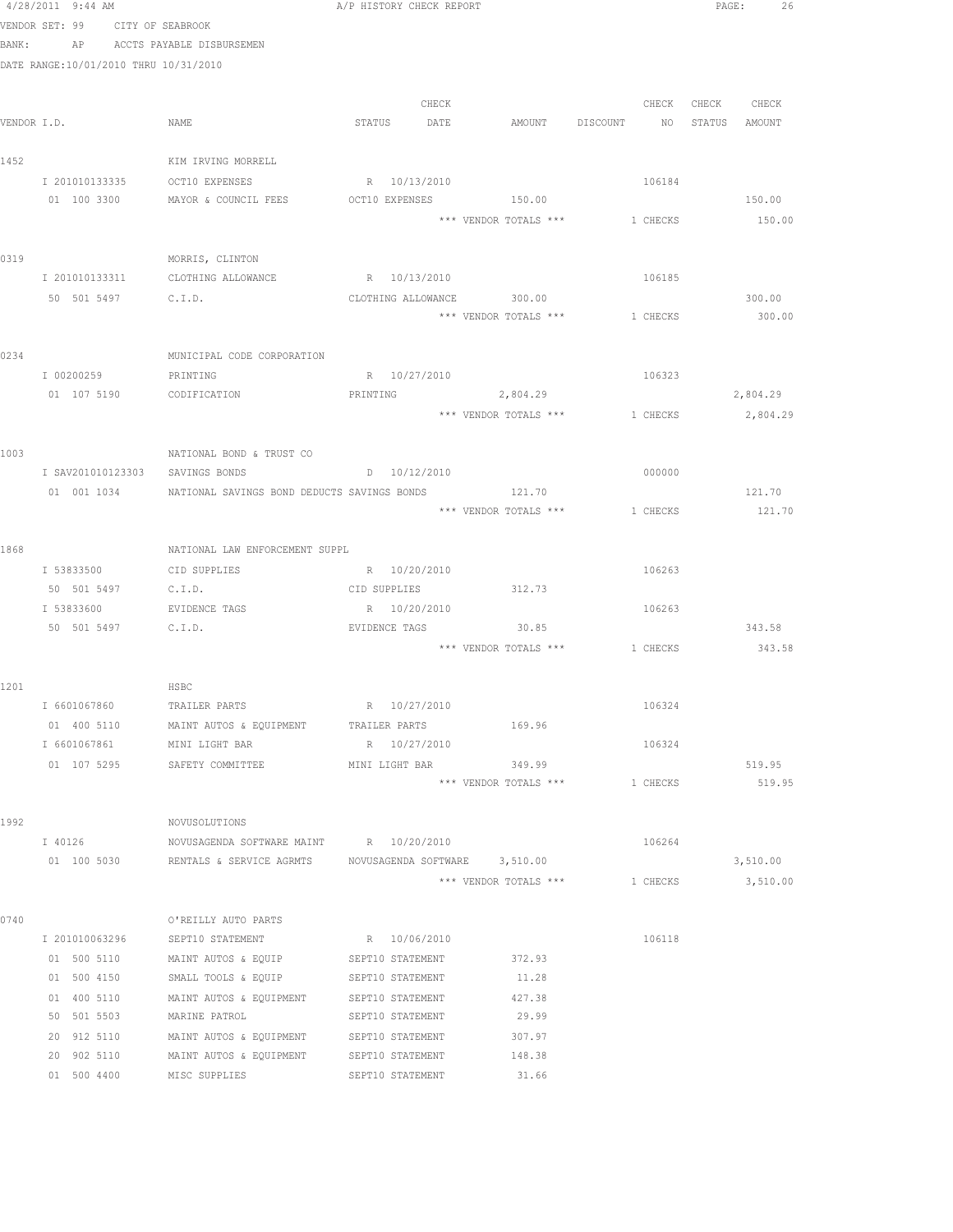|      | 4/28/2011 9:44 AM               |                                                              | A/P HISTORY CHECK REPORT             |                                       |          | 26<br>PAGE:      |
|------|---------------------------------|--------------------------------------------------------------|--------------------------------------|---------------------------------------|----------|------------------|
|      | VENDOR SET: 99 CITY OF SEABROOK |                                                              |                                      |                                       |          |                  |
|      |                                 | BANK: AP ACCTS PAYABLE DISBURSEMEN                           |                                      |                                       |          |                  |
|      |                                 | DATE RANGE:10/01/2010 THRU 10/31/2010                        |                                      |                                       |          |                  |
|      |                                 |                                                              |                                      |                                       |          |                  |
|      |                                 |                                                              | CHECK                                |                                       | CHECK    | CHECK CHECK      |
|      | VENDOR I.D.                     | NAME                                                         |                                      | STATUS DATE AMOUNT DISCOUNT NO        |          | STATUS AMOUNT    |
| 1452 |                                 | KIM IRVING MORRELL                                           |                                      |                                       |          |                  |
|      |                                 | I 201010133335 OCT10 EXPENSES                                | R 10/13/2010                         |                                       | 106184   |                  |
|      |                                 | 01 100 3300 MAYOR & COUNCIL FEES OCT10 EXPENSES 150.00       |                                      |                                       |          | 150.00           |
|      |                                 |                                                              |                                      | *** VENDOR TOTALS ***                 | 1 CHECKS | 150.00           |
| 0319 |                                 | MORRIS, CLINTON                                              |                                      |                                       |          |                  |
|      | I 201010133311                  | CLOTHING ALLOWANCE                                           | R 10/13/2010                         |                                       | 106185   |                  |
|      |                                 | 50 501 5497 C.I.D.                                           | CLOTHING ALLOWANCE 300.00            |                                       |          | 300.00           |
|      |                                 |                                                              |                                      | *** VENDOR TOTALS ***                 | 1 CHECKS | 300.00           |
| 0234 |                                 | MUNICIPAL CODE CORPORATION                                   |                                      |                                       |          |                  |
|      | I 00200259                      | PRINTING                                                     | R 10/27/2010                         |                                       | 106323   |                  |
|      |                                 | 01 107 5190 CODIFICATION                                     | PRINTING 2,804.29                    |                                       |          | 2,804.29         |
|      |                                 |                                                              |                                      | *** VENDOR TOTALS ***                 | 1 CHECKS | 2,804.29         |
|      |                                 |                                                              |                                      |                                       |          |                  |
| 1003 |                                 | NATIONAL BOND & TRUST CO                                     |                                      |                                       |          |                  |
|      |                                 | I SAV201010123303 SAVINGS BONDS                              | D 10/12/2010                         |                                       | 000000   |                  |
|      |                                 | 01  001  1034    NATIONAL SAVINGS BOND DEDUCTS SAVINGS BONDS |                                      | 121.70<br>*** VENDOR TOTALS ***       | 1 CHECKS | 121.70<br>121.70 |
|      |                                 |                                                              |                                      |                                       |          |                  |
| 1868 |                                 | NATIONAL LAW ENFORCEMENT SUPPL                               |                                      |                                       |          |                  |
|      | I 53833500                      | CID SUPPLIES                                                 | R 10/20/2010                         |                                       | 106263   |                  |
|      | 50 501 5497                     | C.I.D.                                                       | CID SUPPLIES                         | 312.73                                |          |                  |
|      |                                 | I 53833600 EVIDENCE TAGS                                     | R 10/20/2010                         |                                       | 106263   |                  |
|      |                                 | 50 501 5497 C.I.D.                                           | EVIDENCE TAGS                        | 30.85                                 |          | 343.58           |
|      |                                 |                                                              |                                      | *** VENDOR TOTALS *** 1 CHECKS 343.58 |          |                  |
| 1201 |                                 | HSBC                                                         |                                      |                                       |          |                  |
|      | I 6601067860                    | TRAILER PARTS                                                | R 10/27/2010                         |                                       | 106324   |                  |
|      | 01 400 5110                     | MAINT AUTOS & EQUIPMENT                                      | TRAILER PARTS                        | 169.96                                |          |                  |
|      | I 6601067861                    | MINI LIGHT BAR                                               | R 10/27/2010                         |                                       | 106324   |                  |
|      | 01 107 5295                     | SAFETY COMMITTEE                                             | MINI LIGHT BAR                       | 349.99                                |          | 519.95           |
|      |                                 |                                                              |                                      | *** VENDOR TOTALS ***                 | 1 CHECKS | 519.95           |
| 1992 |                                 | NOVUSOLUTIONS                                                |                                      |                                       |          |                  |
|      | I 40126                         | NOVUSAGENDA SOFTWARE MAINT R 10/20/2010                      |                                      |                                       | 106264   |                  |
|      | 01 100 5030                     | RENTALS & SERVICE AGRMTS                                     | NOVUSAGENDA SOFTWARE 3,510.00        |                                       |          | 3,510.00         |
|      |                                 |                                                              |                                      | *** VENDOR TOTALS ***                 | 1 CHECKS | 3,510.00         |
| 0740 |                                 | O'REILLY AUTO PARTS                                          |                                      |                                       |          |                  |
|      | I 201010063296                  | SEPT10 STATEMENT                                             | R 10/06/2010                         |                                       | 106118   |                  |
|      | 01 500 5110                     | MAINT AUTOS & EQUIP                                          | SEPT10 STATEMENT                     | 372.93                                |          |                  |
|      | 01 500 4150                     | SMALL TOOLS & EQUIP                                          | SEPT10 STATEMENT                     | 11.28                                 |          |                  |
|      | 01 400 5110                     | MAINT AUTOS & EQUIPMENT                                      | SEPT10 STATEMENT                     | 427.38                                |          |                  |
|      | 50 501 5503                     | MARINE PATROL                                                | SEPT10 STATEMENT                     | 29.99                                 |          |                  |
|      | 20 912 5110<br>20 902 5110      | MAINT AUTOS & EQUIPMENT<br>MAINT AUTOS & EQUIPMENT           | SEPT10 STATEMENT<br>SEPT10 STATEMENT | 307.97<br>148.38                      |          |                  |
|      | 01 500 4400                     | MISC SUPPLIES                                                | SEPT10 STATEMENT                     | 31.66                                 |          |                  |
|      |                                 |                                                              |                                      |                                       |          |                  |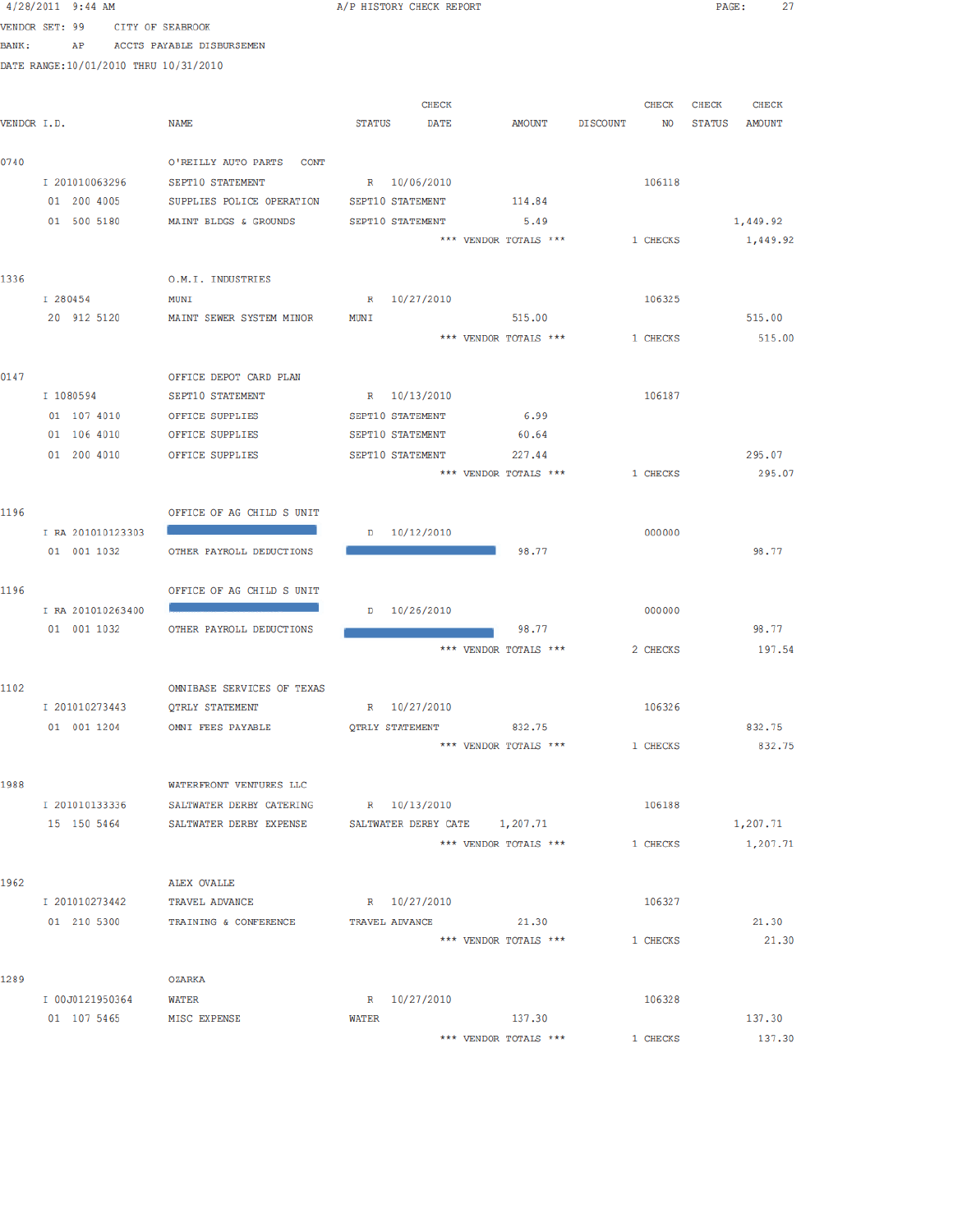|        | $4/28/2011$ 9:44 AM                   |                                   | A/P HISTORY CHECK REPORT          | 27<br>$\texttt{PAGE}$ :      |
|--------|---------------------------------------|-----------------------------------|-----------------------------------|------------------------------|
|        | <b>ENDOR SET: 99 CITY OF SEABROOK</b> |                                   |                                   |                              |
| BANK : | AP                                    | ACCTS PAYABLE DISBURSEMEN         |                                   |                              |
|        | DATE RANGE:10/01/2010 THRU 10/31/2010 |                                   |                                   |                              |
|        |                                       |                                   |                                   |                              |
|        |                                       |                                   | <b>CHECK</b><br>CHECK             | <b>CHECK</b><br><b>CHECK</b> |
|        | ENDOR I.D.                            | <b>NAME</b>                       | STATUS DATE<br>AMOUNT DISCOUNT    | NO STATUS AMOUNT             |
|        |                                       |                                   |                                   |                              |
| 0740   |                                       | O'REILLY AUTO PARTS CONT          |                                   |                              |
|        | I 201010063296                        | SEPT10 STATEMENT                  | R 10/06/2010<br>106118            |                              |
|        | 01 200 4005                           | SUPPLIES POLICE OPERATION         | SEPT10 STATEMENT 114.84           |                              |
|        | 01 500 5180                           | MAINT BLDGS & GROUNDS             | 5.49<br>SEPT10 STATEMENT          | 1,449.92                     |
|        |                                       |                                   | *** VENDOR TOTALS ***<br>1 CHECKS | 1,449.92                     |
| 1336   |                                       |                                   |                                   |                              |
|        | I 280454                              | O.M.I. INDUSTRIES<br>MUNI         | R 10/27/2010<br>106325            |                              |
|        | 20 912 5120                           | MAINT SEWER SYSTEM MINOR          | 515.00<br>MUNI                    | 515.00                       |
|        |                                       |                                   | *** VENDOR TOTALS ***<br>1 CHECKS | 515.00                       |
|        |                                       |                                   |                                   |                              |
| 0147   |                                       | OFFICE DEPOT CARD PLAN            |                                   |                              |
|        | I 1080594                             | SEPT10 STATEMENT                  | R 10/13/2010<br>106187            |                              |
|        | 01 107 4010                           | OFFICE SUPPLIES                   | 6.99<br>SEPT10 STATEMENT          |                              |
|        | 01 106 4010                           | OFFICE SUPPLIES                   | SEPT10 STATEMENT<br>60.64         |                              |
|        | 01 200 4010                           | OFFICE SUPPLIES                   | SEPT10 STATEMENT<br>227.44        | 295.07                       |
|        |                                       |                                   | *** VENDOR TOTALS ***<br>1 CHECKS | 295.07                       |
|        |                                       |                                   |                                   |                              |
| 1196   |                                       | OFFICE OF AG CHILD S UNIT         |                                   |                              |
|        | I RA 201010123303                     |                                   | $D = 10/12/2010$<br>000000        |                              |
|        | 01 001 1032                           | OTHER PAYROLL DEDUCTIONS          | 98.77                             | 98.77                        |
|        |                                       |                                   |                                   |                              |
| 1196   |                                       | OFFICE OF AG CHILD S UNIT         |                                   |                              |
|        | I RA 201010263400                     |                                   | D 10/26/2010<br>000000            |                              |
|        | 01 001 1032                           | OTHER PAYROLL DEDUCTIONS          | 98.77                             | 98.77                        |
|        |                                       |                                   | *** VENDOR TOTALS ***<br>2 CHECKS | 197.54                       |
| 1102   |                                       | OMNIBASE SERVICES OF TEXAS        |                                   |                              |
|        | I 201010273443                        | <b>QTRLY STATEMENT</b>            | 106326<br>R 10/27/2010            |                              |
|        | 01 001 1204                           | OMNI FEES PAYABLE                 | <b>OTRLY STATEMENT</b><br>832.75  | 832.75                       |
|        |                                       |                                   | *** VENDOR TOTALS ***<br>1 CHECKS | 832.75                       |
|        |                                       |                                   |                                   |                              |
| 1988   |                                       | WATERFRONT VENTURES LLC           |                                   |                              |
|        | I 201010133336                        | SALTWATER DERBY CATERING          | R 10/13/2010<br>106188            |                              |
|        | 15 150 5464                           | SALTWATER DERBY EXPENSE           | SALTWATER DERBY CATE 1, 207.71    | 1,207.71                     |
|        |                                       |                                   | *** VENDOR TOTALS ***<br>1 CHECKS | 1,207.71                     |
|        |                                       |                                   |                                   |                              |
| 1962   |                                       | <b>ALEX OVALLE</b>                |                                   |                              |
|        | I 201010273442                        | TRAVEL ADVANCE                    | R 10/27/2010<br>106327            |                              |
|        |                                       | 01 210 5300 TRAINING & CONFERENCE | 21.30<br>TRAVEL ADVANCE           | 21.30                        |
|        |                                       |                                   | *** VENDOR TOTALS ***<br>1 CHECKS | 21.30                        |
| 1289   |                                       | OZARKA                            |                                   |                              |
|        | I 00J0121950364                       | <b>WATER</b>                      | R 10/27/2010<br>106328            |                              |
|        | 01 107 5465                           | MISC EXPENSE                      | 137.30<br>WATER                   | 137.30                       |
|        |                                       |                                   | *** VENDOR TOTALS ***<br>1 CHECKS | 137.30                       |
|        |                                       |                                   |                                   |                              |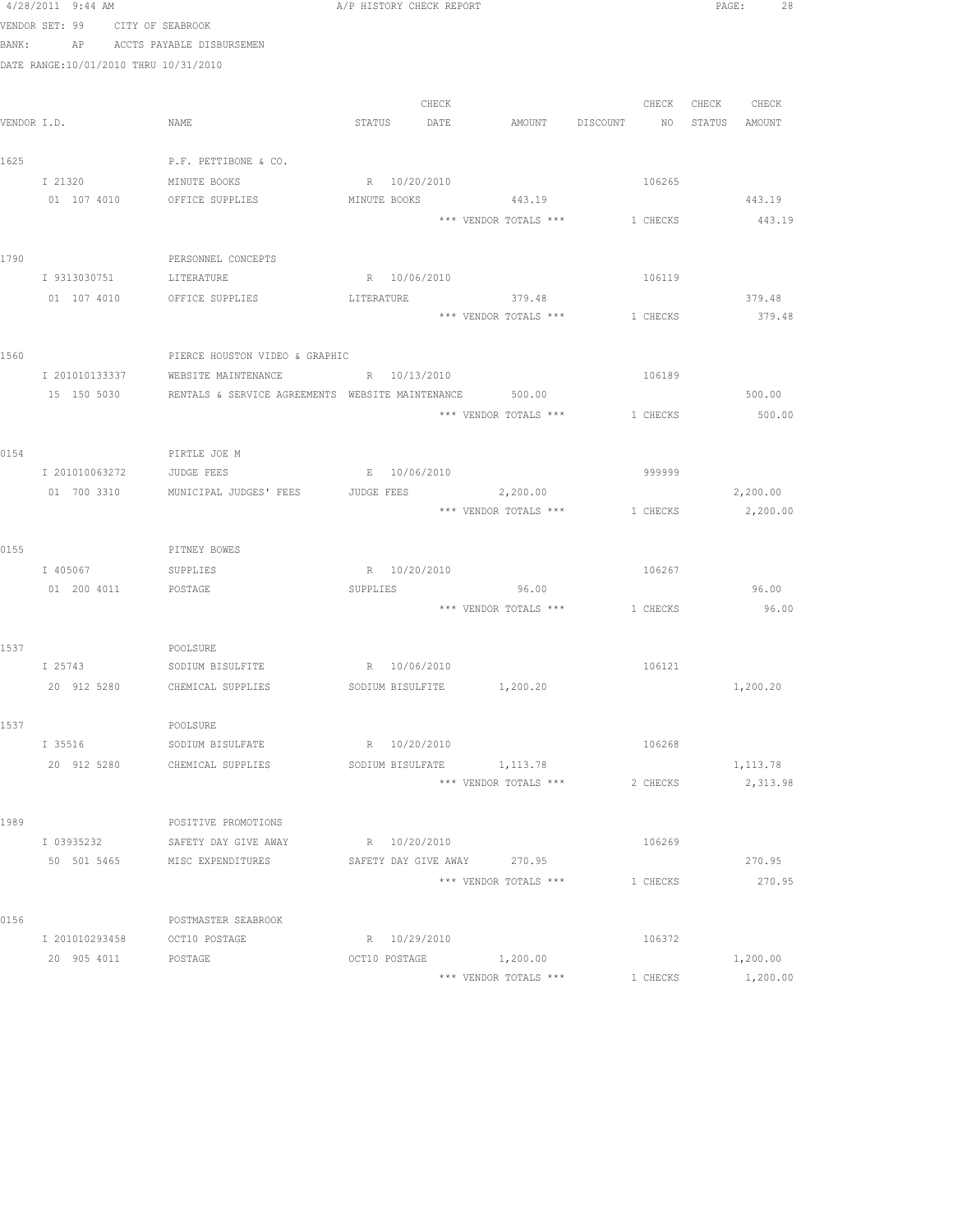|       | 4/28/2011 9:44 AM                     |                                                         | A/P HISTORY CHECK REPORT |       |                                         |          |                   | PAGE: 28 |
|-------|---------------------------------------|---------------------------------------------------------|--------------------------|-------|-----------------------------------------|----------|-------------------|----------|
|       | VENDOR SET: 99                        | CITY OF SEABROOK                                        |                          |       |                                         |          |                   |          |
| BANK: |                                       | AP ACCTS PAYABLE DISBURSEMEN                            |                          |       |                                         |          |                   |          |
|       | DATE RANGE:10/01/2010 THRU 10/31/2010 |                                                         |                          |       |                                         |          |                   |          |
|       |                                       |                                                         |                          |       |                                         |          |                   |          |
|       |                                       |                                                         |                          | CHECK |                                         |          | CHECK CHECK CHECK |          |
|       | VENDOR I.D.                           | NAME                                                    | STATUS DATE              |       | AMOUNT DISCOUNT NO STATUS AMOUNT        |          |                   |          |
|       |                                       |                                                         |                          |       |                                         |          |                   |          |
| 1625  |                                       | P.F. PETTIBONE & CO.                                    |                          |       |                                         |          |                   |          |
|       | I 21320                               | MINUTE BOOKS                                            | R 10/20/2010             |       |                                         | 106265   |                   |          |
|       | 01 107 4010                           | OFFICE SUPPLIES                                         | MINUTE BOOKS             |       | 443.19                                  |          |                   | 443.19   |
|       |                                       |                                                         |                          |       | *** VENDOR TOTALS *** 1 CHECKS          |          |                   | 443.19   |
| 1790  |                                       | PERSONNEL CONCEPTS                                      |                          |       |                                         |          |                   |          |
|       |                                       | I 9313030751 LITERATURE                                 | R 10/06/2010             |       |                                         | 106119   |                   |          |
|       |                                       | 01 107 4010 OFFICE SUPPLIES                             |                          |       | LITERATURE 379.48                       |          |                   | 379.48   |
|       |                                       |                                                         |                          |       | *** VENDOR TOTALS *** 1 CHECKS          |          |                   | 379.48   |
|       |                                       |                                                         |                          |       |                                         |          |                   |          |
| 1560  |                                       | PIERCE HOUSTON VIDEO & GRAPHIC                          |                          |       |                                         |          |                   |          |
|       | I 201010133337                        | WEBSITE MAINTENANCE                                     | R 10/13/2010             |       |                                         | 106189   |                   |          |
|       | 15 150 5030                           | RENTALS & SERVICE AGREEMENTS WEBSITE MAINTENANCE        |                          |       | 500.00                                  |          |                   | 500.00   |
|       |                                       |                                                         |                          |       | *** VENDOR TOTALS ***                   | 1 CHECKS |                   | 500.00   |
|       |                                       |                                                         |                          |       |                                         |          |                   |          |
| 0154  |                                       | PIRTLE JOE M                                            |                          |       |                                         |          |                   |          |
|       | I 201010063272                        | JUDGE FEES                                              | E 10/06/2010             |       |                                         | 999999   |                   |          |
|       |                                       | 01 700 3310 MUNICIPAL JUDGES' FEES JUDGE FEES           |                          |       | 2,200.00                                |          |                   | 2,200.00 |
|       |                                       |                                                         |                          |       | *** VENDOR TOTALS *** 1 CHECKS 2,200.00 |          |                   |          |
|       |                                       |                                                         |                          |       |                                         |          |                   |          |
| 0155  |                                       | PITNEY BOWES                                            |                          |       |                                         |          |                   |          |
|       | I 405067 SUPPLIES                     |                                                         | R 10/20/2010             |       |                                         | 106267   |                   |          |
|       | 01  200  4011  POSTAGE                |                                                         | SUPPLIES                 |       | 96.00                                   |          |                   | 96.00    |
|       |                                       |                                                         |                          |       | *** VENDOR TOTALS ***                   | 1 CHECKS |                   | 96.00    |
|       |                                       |                                                         |                          |       |                                         |          |                   |          |
| 1537  |                                       | POOLSURE                                                |                          |       |                                         |          |                   |          |
|       | I 25743                               | SODIUM BISULFITE R 10/06/2010                           |                          |       |                                         | 106121   |                   |          |
|       |                                       | 20 912 5280 CHEMICAL SUPPLIES SODIUM BISULFITE 1,200.20 |                          |       |                                         |          |                   | 1,200.20 |
| 1537  |                                       | POOLSURE                                                |                          |       |                                         |          |                   |          |
|       | I 35516                               | SODIUM BISULFATE                                        | R 10/20/2010             |       |                                         | 106268   |                   |          |
|       | 20 912 5280                           | CHEMICAL SUPPLIES                                       |                          |       | SODIUM BISULFATE 1,113.78               |          |                   | 1,113.78 |
|       |                                       |                                                         |                          |       | *** VENDOR TOTALS ***                   | 2 CHECKS |                   | 2,313.98 |
|       |                                       |                                                         |                          |       |                                         |          |                   |          |
| 1989  |                                       | POSITIVE PROMOTIONS                                     |                          |       |                                         |          |                   |          |
|       | I 03935232                            | SAFETY DAY GIVE AWAY                                    | R 10/20/2010             |       |                                         | 106269   |                   |          |
|       | 50 501 5465                           | MISC EXPENDITURES                                       |                          |       | SAFETY DAY GIVE AWAY 270.95             |          |                   | 270.95   |
|       |                                       |                                                         |                          |       | *** VENDOR TOTALS ***                   | 1 CHECKS |                   | 270.95   |
|       |                                       |                                                         |                          |       |                                         |          |                   |          |
| 0156  |                                       | POSTMASTER SEABROOK                                     |                          |       |                                         |          |                   |          |
|       | I 201010293458                        | OCT10 POSTAGE                                           | R 10/29/2010             |       |                                         | 106372   |                   |          |
|       | 20 905 4011                           | POSTAGE                                                 |                          |       | OCT10 POSTAGE 1,200.00                  |          |                   | 1,200.00 |
|       |                                       |                                                         |                          |       | *** VENDOR TOTALS ***                   | 1 CHECKS |                   | 1,200.00 |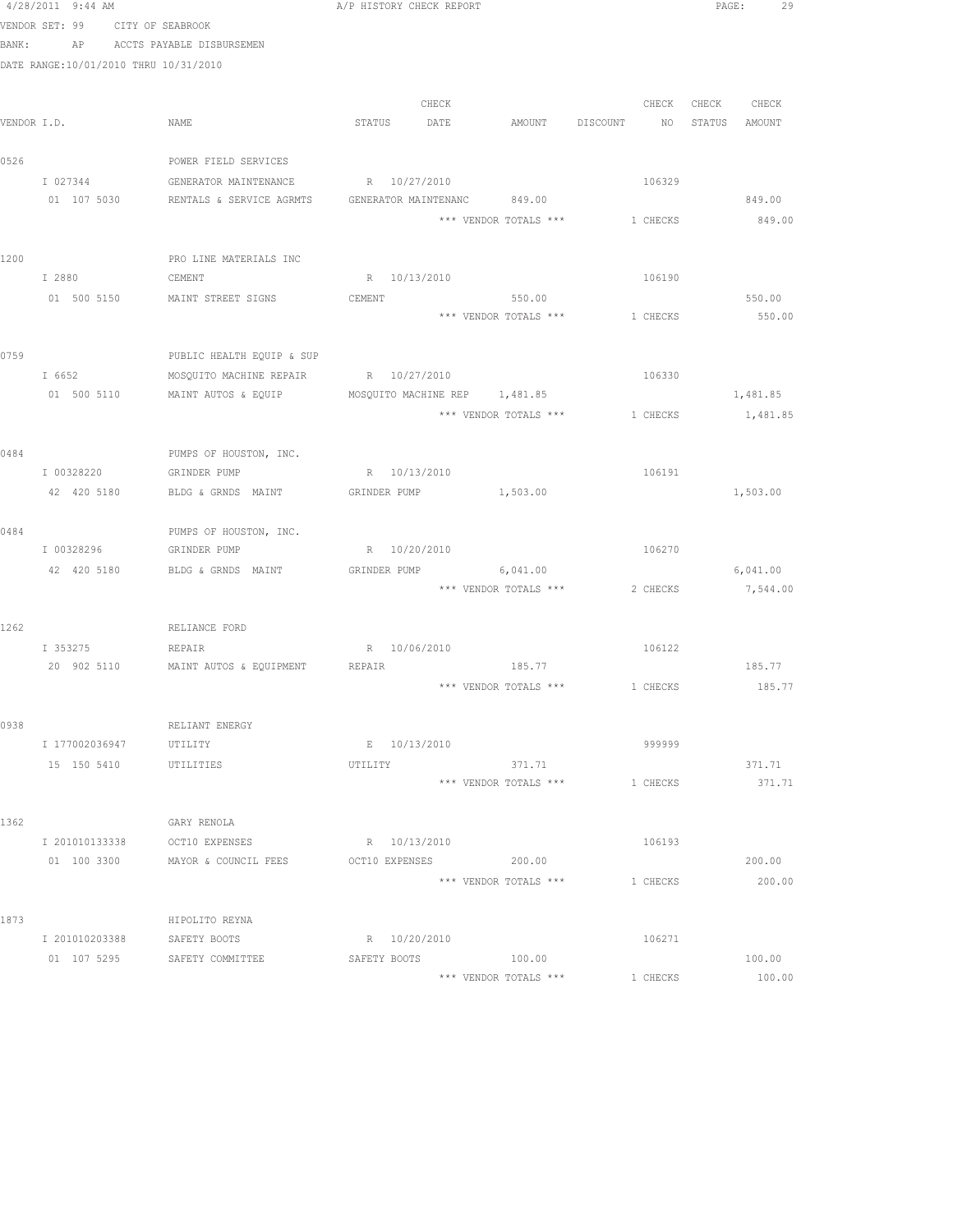|       | 4/28/2011 9:44 AM                     |                                            | A/P HISTORY CHECK REPORT      |       |                                         |          |                 |               | PAGE:<br>29 |
|-------|---------------------------------------|--------------------------------------------|-------------------------------|-------|-----------------------------------------|----------|-----------------|---------------|-------------|
|       | VENDOR SET: 99 CITY OF SEABROOK       |                                            |                               |       |                                         |          |                 |               |             |
| BANK: |                                       | AP ACCTS PAYABLE DISBURSEMEN               |                               |       |                                         |          |                 |               |             |
|       | DATE RANGE:10/01/2010 THRU 10/31/2010 |                                            |                               |       |                                         |          |                 |               |             |
|       |                                       |                                            |                               |       |                                         |          |                 |               |             |
|       |                                       |                                            |                               | CHECK |                                         |          | CHECK           | CHECK CHECK   |             |
|       | VENDOR I.D.                           | NAME                                       | STATUS DATE                   |       | AMOUNT DISCOUNT                         |          | NO <sub>N</sub> | STATUS AMOUNT |             |
|       |                                       |                                            |                               |       |                                         |          |                 |               |             |
| 0526  |                                       | POWER FIELD SERVICES                       |                               |       |                                         |          |                 |               |             |
|       | I 027344                              | GENERATOR MAINTENANCE                      | R 10/27/2010                  |       |                                         |          | 106329          |               |             |
|       | 01 107 5030                           | RENTALS & SERVICE AGRMTS                   | GENERATOR MAINTENANC 849.00   |       |                                         |          |                 |               | 849.00      |
|       |                                       |                                            |                               |       | *** VENDOR TOTALS *** 1 CHECKS          |          |                 |               | 849.00      |
|       |                                       |                                            |                               |       |                                         |          |                 |               |             |
| 1200  |                                       | PRO LINE MATERIALS INC                     |                               |       |                                         |          |                 |               |             |
|       | I 2880                                | CEMENT                                     | R 10/13/2010                  |       |                                         |          | 106190          |               |             |
|       |                                       | 01 500 5150 MAINT STREET SIGNS             | CEMENT                        |       | 550.00                                  |          |                 |               | 550.00      |
|       |                                       |                                            |                               |       | *** VENDOR TOTALS ***                   | 1 CHECKS |                 |               | 550.00      |
|       |                                       |                                            |                               |       |                                         |          |                 |               |             |
| 0759  |                                       | PUBLIC HEALTH EQUIP & SUP                  |                               |       |                                         |          |                 |               |             |
|       | I 6652                                | MOSQUITO MACHINE REPAIR                    | R 10/27/2010                  |       |                                         |          | 106330          |               |             |
|       | 01 500 5110                           | MAINT AUTOS & EQUIP                        | MOSQUITO MACHINE REP 1,481.85 |       |                                         |          |                 |               | 1,481.85    |
|       |                                       |                                            |                               |       | *** VENDOR TOTALS *** 1 CHECKS 1,481.85 |          |                 |               |             |
|       |                                       |                                            |                               |       |                                         |          |                 |               |             |
| 0484  |                                       | PUMPS OF HOUSTON, INC.                     |                               |       |                                         |          |                 |               |             |
|       | I 00328220                            | GRINDER PUMP                               | R 10/13/2010                  |       |                                         |          | 106191          |               |             |
|       | 42 420 5180                           | BLDG & GRNDS MAINT                         | GRINDER PUMP 1,503.00         |       |                                         |          |                 |               | 1,503.00    |
|       |                                       |                                            |                               |       |                                         |          |                 |               |             |
| 0484  |                                       | PUMPS OF HOUSTON, INC.                     |                               |       |                                         |          |                 |               |             |
|       | I 00328296                            | GRINDER PUMP                               | R 10/20/2010                  |       |                                         |          | 106270          |               |             |
|       | 42 420 5180                           | BLDG & GRNDS MAINT                         | GRINDER PUMP                  |       | 6,041.00<br>*** VENDOR TOTALS ***       |          | 2 CHECKS        |               | 6,041.00    |
|       |                                       |                                            |                               |       |                                         |          |                 |               | 7,544.00    |
| 1262  |                                       | RELIANCE FORD                              |                               |       |                                         |          |                 |               |             |
|       | I 353275                              | REPAIR                                     | R 10/06/2010                  |       |                                         |          | 106122          |               |             |
|       |                                       | 20 902 5110 MAINT AUTOS & EQUIPMENT REPAIR |                               |       | 185.77                                  |          |                 |               | 185.77      |
|       |                                       |                                            |                               |       | *** VENDOR TOTALS *** 1 CHECKS          |          |                 |               | 185.77      |
|       |                                       |                                            |                               |       |                                         |          |                 |               |             |
| 0938  |                                       | RELIANT ENERGY                             |                               |       |                                         |          |                 |               |             |
|       | I 177002036947                        | UTILITY                                    | E 10/13/2010                  |       |                                         |          | 999999          |               |             |
|       | 15 150 5410                           | UTILITIES                                  | UTILITY                       |       | 371.71                                  |          |                 |               | 371.71      |
|       |                                       |                                            |                               |       | *** VENDOR TOTALS ***                   |          | 1 CHECKS        |               | 371.71      |
|       |                                       |                                            |                               |       |                                         |          |                 |               |             |
| 1362  |                                       | GARY RENOLA                                |                               |       |                                         |          |                 |               |             |
|       | I 201010133338                        | OCT10 EXPENSES                             | R 10/13/2010                  |       |                                         |          | 106193          |               |             |
|       | 01 100 3300                           | MAYOR & COUNCIL FEES                       | OCT10 EXPENSES                |       | 200.00                                  |          |                 |               | 200.00      |
|       |                                       |                                            |                               |       | *** VENDOR TOTALS ***                   |          | 1 CHECKS        |               | 200.00      |
|       |                                       |                                            |                               |       |                                         |          |                 |               |             |
| 1873  |                                       | HIPOLITO REYNA                             |                               |       |                                         |          |                 |               |             |
|       | I 201010203388 SAFETY BOOTS           |                                            | R 10/20/2010                  |       |                                         |          | 106271          |               |             |
|       |                                       | 01 107 5295 SAFETY COMMITTEE               | SAFETY BOOTS                  |       | 100.00                                  |          |                 |               | 100.00      |
|       |                                       |                                            |                               |       | *** VENDOR TOTALS ***                   |          | 1 CHECKS        |               | 100.00      |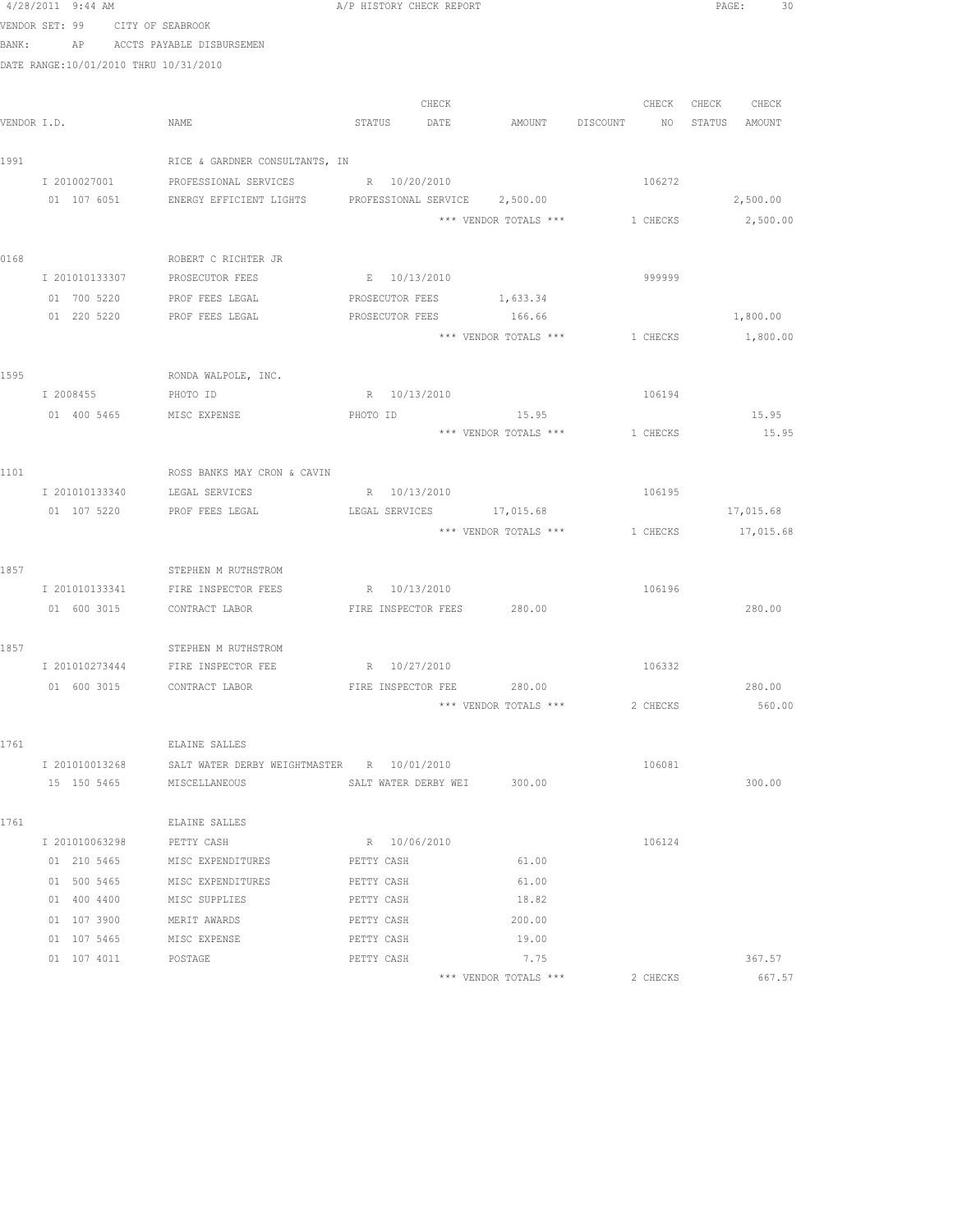|      | 4/28/2011 9:44 AM                     |                                                         | A/P HISTORY CHECK REPORT  |              |                                |          |                   | PAGE:<br>30 |  |
|------|---------------------------------------|---------------------------------------------------------|---------------------------|--------------|--------------------------------|----------|-------------------|-------------|--|
|      | VENDOR SET: 99 CITY OF SEABROOK       |                                                         |                           |              |                                |          |                   |             |  |
|      | BANK:                                 | AP ACCTS PAYABLE DISBURSEMEN                            |                           |              |                                |          |                   |             |  |
|      | DATE RANGE:10/01/2010 THRU 10/31/2010 |                                                         |                           |              |                                |          |                   |             |  |
|      |                                       |                                                         |                           |              |                                |          |                   |             |  |
|      |                                       |                                                         |                           | CHECK        |                                |          | CHECK CHECK CHECK |             |  |
|      | VENDOR I.D.                           | NAME                                                    | STATUS DATE               |              | AMOUNT DISCOUNT NO             |          | STATUS AMOUNT     |             |  |
|      |                                       |                                                         |                           |              |                                |          |                   |             |  |
| 1991 |                                       | RICE & GARDNER CONSULTANTS, IN                          |                           |              |                                |          |                   |             |  |
|      | I 2010027001                          | PROFESSIONAL SERVICES                                   | R 10/20/2010              |              |                                | 106272   |                   |             |  |
|      | 01 107 6051                           | ENERGY EFFICIENT LIGHTS  PROFESSIONAL SERVICE  2,500.00 |                           |              |                                |          |                   | 2,500.00    |  |
|      |                                       |                                                         |                           |              | *** VENDOR TOTALS *** 1 CHECKS |          |                   | 2,500.00    |  |
| 0168 |                                       | ROBERT C RICHTER JR                                     |                           |              |                                |          |                   |             |  |
|      |                                       | I 201010133307 PROSECUTOR FEES                          | E 10/13/2010              |              |                                | 999999   |                   |             |  |
|      | 01 700 5220                           | PROF FEES LEGAL                                         |                           |              | PROSECUTOR FEES 1,633.34       |          |                   |             |  |
|      | 01 220 5220                           | PROF FEES LEGAL                                         | PROSECUTOR FEES           |              | 166.66                         |          |                   | 1,800.00    |  |
|      |                                       |                                                         |                           |              | *** VENDOR TOTALS *** 1 CHECKS |          |                   | 1,800.00    |  |
|      |                                       |                                                         |                           |              |                                |          |                   |             |  |
| 1595 |                                       | RONDA WALPOLE, INC.                                     |                           |              |                                |          |                   |             |  |
|      | I 2008455                             | PHOTO ID                                                |                           | R 10/13/2010 |                                | 106194   |                   |             |  |
|      | 01 400 5465 MISC EXPENSE              |                                                         | PHOTO ID                  |              | 15.95                          |          |                   | 15.95       |  |
|      |                                       |                                                         |                           |              | *** VENDOR TOTALS *** 1 CHECKS |          |                   | 15.95       |  |
|      |                                       |                                                         |                           |              |                                |          |                   |             |  |
| 1101 |                                       | ROSS BANKS MAY CRON & CAVIN                             |                           |              |                                |          |                   |             |  |
|      |                                       | I 201010133340 LEGAL SERVICES                           | R 10/13/2010              |              |                                | 106195   |                   |             |  |
|      | 01 107 5220                           | PROF FEES LEGAL                                         |                           |              | LEGAL SERVICES 17,015.68       |          |                   | 17,015.68   |  |
|      |                                       |                                                         |                           |              | *** VENDOR TOTALS ***          | 1 CHECKS |                   | 17,015.68   |  |
|      |                                       |                                                         |                           |              |                                |          |                   |             |  |
| 1857 |                                       | STEPHEN M RUTHSTROM                                     |                           |              |                                |          |                   |             |  |
|      |                                       | I 201010133341 FIRE INSPECTOR FEES                      | R 10/13/2010              |              |                                | 106196   |                   |             |  |
|      |                                       | 01 600 3015 CONTRACT LABOR                              |                           |              | FIRE INSPECTOR FEES 280.00     |          |                   | 280.00      |  |
|      |                                       |                                                         |                           |              |                                |          |                   |             |  |
| 1857 |                                       | STEPHEN M RUTHSTROM                                     |                           |              |                                |          |                   |             |  |
|      |                                       | I 201010273444 FIRE INSPECTOR FEE B R 10/27/2010        |                           |              |                                | 106332   |                   |             |  |
|      |                                       | 01 600 3015 CONTRACT LABOR                              | FIRE INSPECTOR FEE 280.00 |              |                                |          |                   | 280.00      |  |
|      |                                       |                                                         |                           |              | *** VENDOR TOTALS ***          | 2 CHECKS |                   | 560.00      |  |
| 1761 |                                       | ELAINE SALLES                                           |                           |              |                                |          |                   |             |  |
|      | I 201010013268                        | SALT WATER DERBY WEIGHTMASTER R 10/01/2010              |                           |              |                                | 106081   |                   |             |  |
|      | 15 150 5465                           | MISCELLANEOUS                                           | SALT WATER DERBY WEI      |              | 300.00                         |          |                   | 300.00      |  |
|      |                                       |                                                         |                           |              |                                |          |                   |             |  |
| 1761 |                                       | ELAINE SALLES                                           |                           |              |                                |          |                   |             |  |
|      | I 201010063298                        | PETTY CASH                                              | R 10/06/2010              |              |                                | 106124   |                   |             |  |
|      | 01 210 5465                           | MISC EXPENDITURES                                       | PETTY CASH                |              | 61.00                          |          |                   |             |  |
|      | 01 500 5465                           | MISC EXPENDITURES                                       | PETTY CASH                |              | 61.00                          |          |                   |             |  |
|      | 01 400 4400                           | MISC SUPPLIES                                           | PETTY CASH                |              | 18.82                          |          |                   |             |  |
|      | 01 107 3900                           | MERIT AWARDS                                            | PETTY CASH                |              | 200.00                         |          |                   |             |  |
|      | 01 107 5465                           | MISC EXPENSE                                            | PETTY CASH                |              | 19.00                          |          |                   |             |  |
|      | 01 107 4011                           | POSTAGE                                                 | PETTY CASH                |              | 7.75                           |          |                   | 367.57      |  |
|      |                                       |                                                         |                           |              | *** VENDOR TOTALS ***          | 2 CHECKS |                   | 667.57      |  |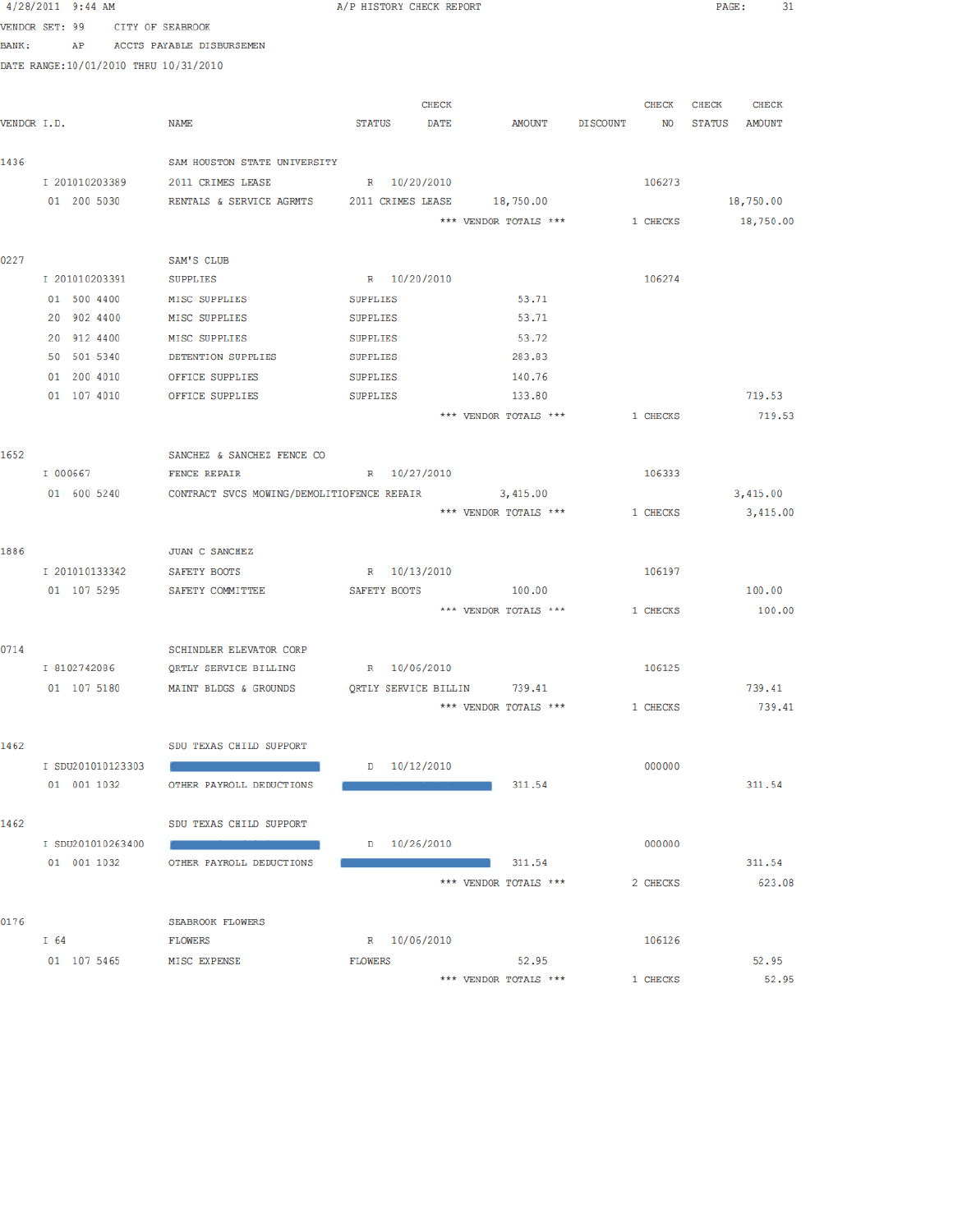|               | 4/28/2011 9:44 AM                      |                                                      | A/P HISTORY CHECK REPORT |              |                                |              | PAGE: 31      |  |
|---------------|----------------------------------------|------------------------------------------------------|--------------------------|--------------|--------------------------------|--------------|---------------|--|
|               | VENDOR SET: 99<br>CITY OF SEABROOK     |                                                      |                          |              |                                |              |               |  |
| <b>BANK :</b> | AP                                     | ACCTS PAYABLE DISBURSEMEN                            |                          |              |                                |              |               |  |
|               | DATE RANGE: 10/01/2010 THRU 10/31/2010 |                                                      |                          |              |                                |              |               |  |
|               |                                        |                                                      |                          |              |                                |              |               |  |
|               |                                        |                                                      |                          | <b>CHECK</b> |                                | <b>CHECK</b> | CHECK CHECK   |  |
| VENDOR I.D.   |                                        | NAME                                                 | STATUS DATE              |              | AMOUNT DISCOUNT NO             |              | STATUS AMOUNT |  |
|               |                                        |                                                      |                          |              |                                |              |               |  |
| 1436          |                                        | SAM HOUSTON STATE UNIVERSITY                         |                          |              |                                |              |               |  |
|               | I 201010203389                         | 2011 CRIMES LEASE                                    | R 10/20/2010             |              |                                | 106273       |               |  |
|               | 01 200 5030                            | RENTALS & SERVICE AGRMTS 2011 CRIMES LEASE 18,750.00 |                          |              |                                |              | 18,750.00     |  |
|               |                                        |                                                      |                          |              | *** VENDOR TOTALS *** 1 CHECKS |              | 18,750.00     |  |
|               |                                        |                                                      |                          |              |                                |              |               |  |
| 0227          |                                        | SAM'S CLUB                                           |                          |              |                                |              |               |  |
|               | I 201010203391                         | <b>SUPPLIES</b>                                      | R 10/20/2010             |              |                                | 106274       |               |  |
|               | 01 500 4400                            | MISC SUPPLIES                                        | SUPPLIES                 |              | 53.71                          |              |               |  |
|               | 20 902 4400                            | MISC SUPPLIES                                        | SUPPLIES                 |              | 53.71                          |              |               |  |
|               | 20 912 4400                            | MISC SUPPLIES                                        | SUPPLIES                 |              | 53.72                          |              |               |  |
|               | 50 501 5340                            | DETENTION SUPPLIES                                   | SUPPLIES                 |              | 283.83                         |              |               |  |
|               | 01 200 4010                            | OFFICE SUPPLIES                                      | SUPPLIES                 |              | 140.76                         |              |               |  |
|               | 01 107 4010                            | OFFICE SUPPLIES                                      | SUPPLIES                 |              | 133.80                         |              | 719.53        |  |
|               |                                        |                                                      |                          |              | *** VENDOR TOTALS ***          | 1 CHECKS     | 719.53        |  |
|               |                                        |                                                      |                          |              |                                |              |               |  |
| 1652          |                                        | SANCHEZ & SANCHEZ FENCE CO                           |                          |              |                                |              |               |  |
|               | I 000667                               | <b>FENCE REPAIR</b>                                  | R 10/27/2010             |              |                                | 106333       |               |  |
|               | 01 600 5240                            | CONTRACT SVCS MOWING/DEMOLITIOFENCE REPAIR 3,415.00  |                          |              |                                |              | 3,415.00      |  |
|               |                                        |                                                      |                          |              | *** VENDOR TOTALS *** 1 CHECKS |              | 3,415.00      |  |
| 1886          |                                        | JUAN C SANCHEZ                                       |                          |              |                                |              |               |  |
|               | I 201010133342                         |                                                      | R 10/13/2010             |              |                                | 106197       |               |  |
|               |                                        | SAFETY BOOTS<br>01 107 5295 SAFETY COMMITTEE         | SAFETY BOOTS             |              | 100.00                         |              | 100.00        |  |
|               |                                        |                                                      |                          |              | *** VENDOR TOTALS ***          | 1 CHECKS     | 100.00        |  |
|               |                                        |                                                      |                          |              |                                |              |               |  |
| 0714          |                                        | SCHINDLER ELEVATOR CORP                              |                          |              |                                |              |               |  |
|               | I 8102742086                           | QRTLY SERVICE BILLING                                | R 10/06/2010             |              |                                | 106125       |               |  |
|               | 01 107 5180                            | MAINT BLDGS & GROUNDS                                |                          |              | QRTLY SERVICE BILLIN 739.41    |              | 739.41        |  |
|               |                                        |                                                      |                          |              | *** VENDOR TOTALS ***          | 1 CHECKS     | 739.41        |  |
|               |                                        |                                                      |                          |              |                                |              |               |  |
| 1462          |                                        | SDU TEXAS CHILD SUPPORT                              |                          |              |                                |              |               |  |
|               | I SDU201010123303                      |                                                      | D 10/12/2010             |              |                                | 000000       |               |  |
|               | 01 001 1032                            | OTHER PAYROLL DEDUCTIONS                             |                          |              | 311.54                         |              | 311.54        |  |
|               |                                        |                                                      |                          |              |                                |              |               |  |
| 1462          |                                        | SDU TEXAS CHILD SUPPORT                              |                          |              |                                |              |               |  |
|               | I SDU201010263400                      |                                                      | D 10/26/2010             |              |                                | 000000       |               |  |
|               | 01 001 1032                            | OTHER PAYROLL DEDUCTIONS                             |                          |              | 311.54                         |              | 311.54        |  |
|               |                                        |                                                      |                          |              | *** VENDOR TOTALS ***          | 2 CHECKS     | 623.08        |  |
|               |                                        |                                                      |                          |              |                                |              |               |  |
| 0176          |                                        | SEABROOK FLOWERS                                     |                          |              |                                |              |               |  |
|               | $I\ 64$                                | FLOWERS                                              | R 10/06/2010             |              |                                | 106126       |               |  |
|               | 01 107 5465 MISC EXPENSE               |                                                      | <b>FLOWERS</b>           |              | 52.95                          |              | 52.95         |  |
|               |                                        |                                                      |                          |              | *** VENDOR TOTALS ***          | 1 CHECKS     | 52.95         |  |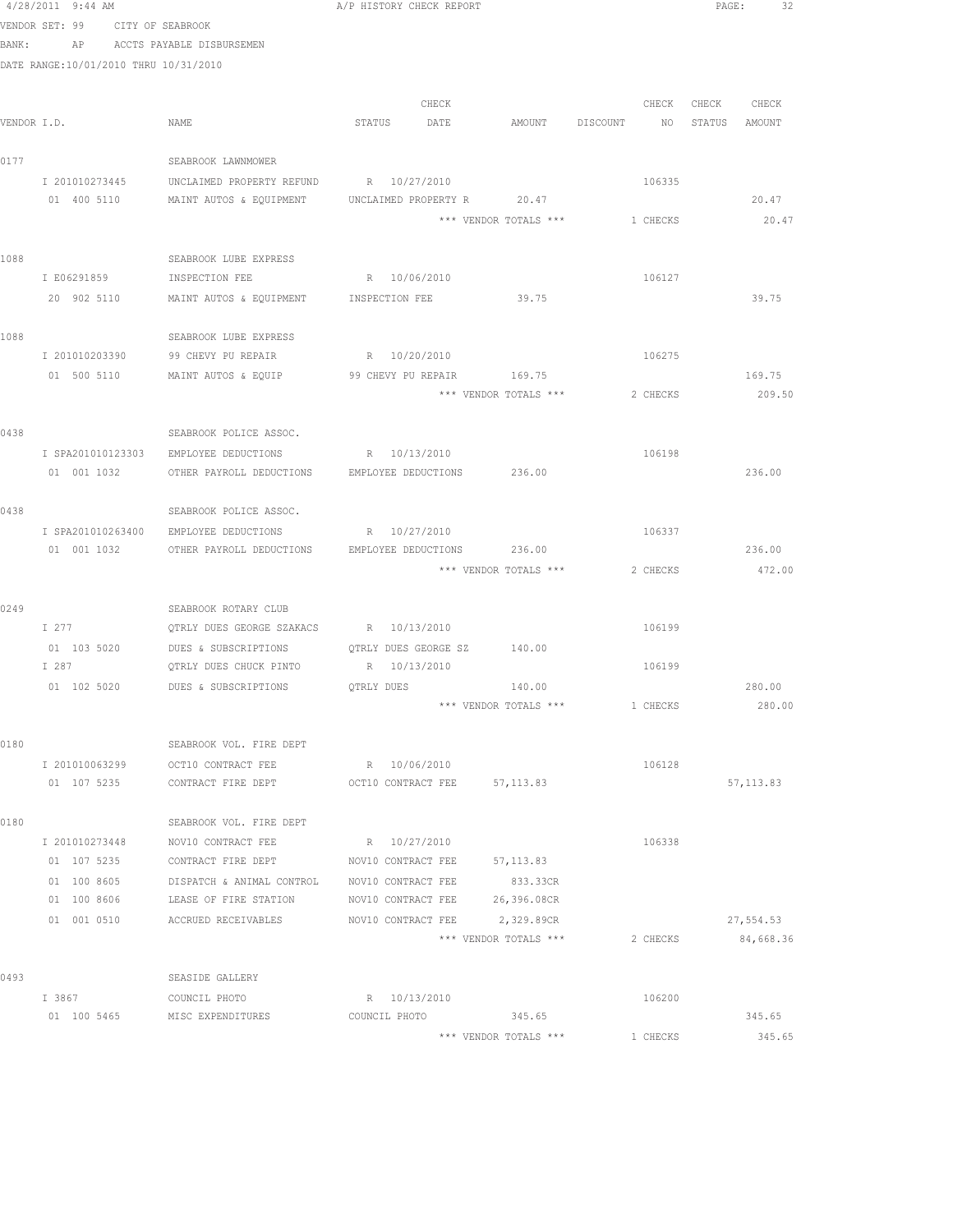|             | 4/28/2011 9:44 AM                     |                                                                            | A/F HISTORY CHECK REFORT    |                       |                    | PAGE:             |
|-------------|---------------------------------------|----------------------------------------------------------------------------|-----------------------------|-----------------------|--------------------|-------------------|
|             | VENDOR SET: 99 CITY OF SEABROOK       |                                                                            |                             |                       |                    |                   |
|             | BANK: AP ACCTS PAYABLE DISBURSEMEN    |                                                                            |                             |                       |                    |                   |
|             | DATE RANGE:10/01/2010 THRU 10/31/2010 |                                                                            |                             |                       |                    |                   |
|             |                                       |                                                                            |                             |                       |                    |                   |
|             |                                       |                                                                            | CHECK                       |                       |                    | CHECK CHECK CHECK |
| VENDOR I.D. |                                       | NAME                                                                       | STATUS DATE                 | AMOUNT                | DISCOUNT NO STATUS | AMOUNT            |
| 0177        |                                       | SEABROOK LAWNMOWER                                                         |                             |                       |                    |                   |
|             | I 201010273445                        | UNCLAIMED PROPERTY REFUND                                                  | R 10/27/2010                |                       | 106335             |                   |
|             | 01 400 5110                           | MAINT AUTOS & EQUIPMENT                                                    | UNCLAIMED PROPERTY R        | 20.47                 |                    | 20.47             |
|             |                                       |                                                                            |                             | *** VENDOR TOTALS *** | 1 CHECKS           | 20.47             |
|             |                                       |                                                                            |                             |                       |                    |                   |
| 1088        |                                       | SEABROOK LUBE EXPRESS                                                      |                             |                       |                    |                   |
|             | I E06291859                           | INSPECTION FEE                                                             | R 10/06/2010                |                       | 106127             |                   |
|             | 20 902 5110                           | MAINT AUTOS & EQUIPMENT                                                    | INSPECTION FEE              | 39.75                 |                    | 39.75             |
| 1088        |                                       | SEABROOK LUBE EXPRESS                                                      |                             |                       |                    |                   |
|             |                                       | I 201010203390 99 CHEVY PU REPAIR                                          | R 10/20/2010                |                       | 106275             |                   |
|             |                                       | 01 500 5110 MAINT AUTOS & EQUIP                                            | 99 CHEVY PU REPAIR          | 169.75                |                    | 169.75            |
|             |                                       |                                                                            |                             | *** VENDOR TOTALS *** | 2 CHECKS           | 209.50            |
|             |                                       |                                                                            |                             |                       |                    |                   |
| 0438        | I SPA201010123303                     | SEABROOK POLICE ASSOC.                                                     |                             |                       | 106198             |                   |
|             | 01 001 1032                           | EMPLOYEE DEDUCTIONS<br>OTHER PAYROLL DEDUCTIONS EMPLOYEE DEDUCTIONS 236.00 | R 10/13/2010                |                       |                    | 236.00            |
|             |                                       |                                                                            |                             |                       |                    |                   |
| 0438        |                                       | SEABROOK POLICE ASSOC.                                                     |                             |                       |                    |                   |
|             | I SPA201010263400                     | EMPLOYEE DEDUCTIONS R 10/27/2010                                           |                             |                       | 106337             |                   |
|             | 01 001 1032                           | OTHER PAYROLL DEDUCTIONS EMPLOYEE DEDUCTIONS 236.00                        |                             |                       |                    | 236.00            |
|             |                                       |                                                                            |                             | *** VENDOR TOTALS *** | 2 CHECKS           | 472.00            |
| 0249        |                                       | SEABROOK ROTARY CLUB                                                       |                             |                       |                    |                   |
|             | I 277                                 | OTRLY DUES GEORGE SZAKACS                                                  | R 10/13/2010                |                       | 106199             |                   |
|             | 01 103 5020                           | DUES & SUBSCRIPTIONS                                                       | OTRLY DUES GEORGE SZ 140.00 |                       |                    |                   |
|             | I 287                                 | QTRLY DUES CHUCK PINTO                                                     | R 10/13/2010                |                       | 106199             |                   |
|             | 01 102 5020                           | DUES & SUBSCRIPTIONS                                                       | QTRLY DUES                  | 140.00                |                    | 280.00            |
|             |                                       |                                                                            |                             | *** VENDOR TOTALS *** | 1 CHECKS           | 280.00            |
|             |                                       |                                                                            |                             |                       |                    |                   |
| 0180        |                                       | SEABROOK VOL. FIRE DEPT                                                    |                             |                       |                    |                   |
|             |                                       | I 201010063299 0CT10 CONTRACT FEE                                          | R 10/06/2010                |                       | 106128             |                   |
|             |                                       | 01 107 5235 CONTRACT FIRE DEPT OCT10 CONTRACT FEE 57,113.83                |                             |                       |                    | 57, 113.83        |
| 0180        |                                       | SEABROOK VOL. FIRE DEPT                                                    |                             |                       |                    |                   |
|             | I 201010273448                        | NOV10 CONTRACT FEE                                                         | R 10/27/2010                |                       | 106338             |                   |
|             | 01 107 5235                           | CONTRACT FIRE DEPT                                                         | NOV10 CONTRACT FEE          | 57,113.83             |                    |                   |
|             | 01 100 8605                           | DISPATCH & ANIMAL CONTROL                                                  | NOV10 CONTRACT FEE          | 833.33CR              |                    |                   |
|             | 01 100 8606                           | LEASE OF FIRE STATION                                                      | NOV10 CONTRACT FEE          | 26,396.08CR           |                    |                   |
|             | 01 001 0510                           | ACCRUED RECEIVABLES                                                        | NOV10 CONTRACT FEE          | 2,329.89CR            |                    | 27,554.53         |
|             |                                       |                                                                            |                             | *** VENDOR TOTALS *** | 2 CHECKS           | 84,668.36         |
| 0493        |                                       | SEASIDE GALLERY                                                            |                             |                       |                    |                   |
|             | I 3867 COUNCIL PHOTO                  |                                                                            | R 10/13/2010                |                       | 106200             |                   |
|             |                                       | 01 100 5465 MISC EXPENDITURES                                              | COUNCIL PHOTO               | 345.65                |                    | 345.65            |
|             |                                       |                                                                            |                             | *** VENDOR TOTALS *** | 1 CHECKS           | 345.65            |
|             |                                       |                                                                            |                             |                       |                    |                   |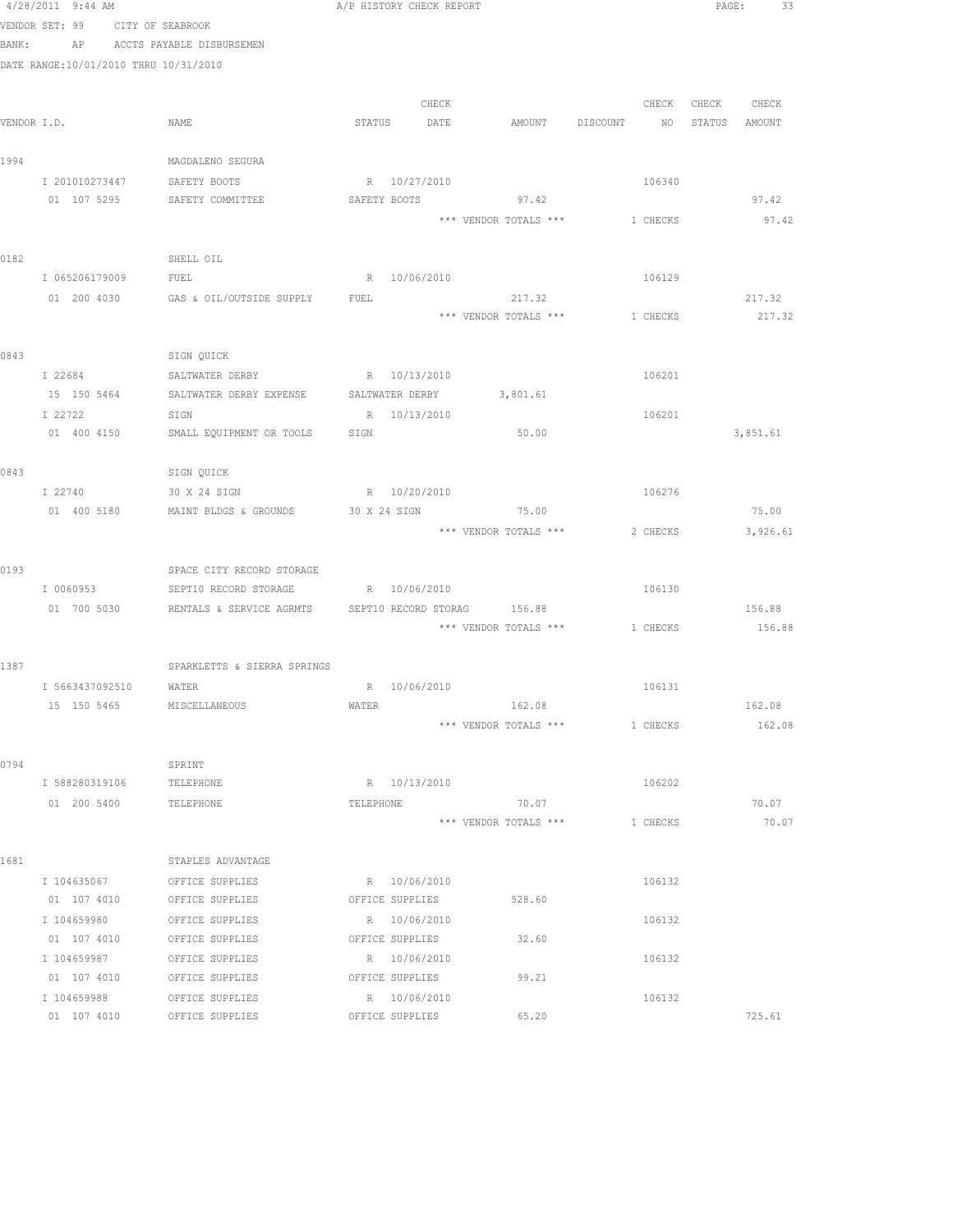|      | 4/28/2011 9:44 AM<br>VENDOR SET: 99 CITY OF SEABROOK |                                                                  | A/P HISTORY CHECK REPORT        |       |                                |          | PAGE: 33         |       |
|------|------------------------------------------------------|------------------------------------------------------------------|---------------------------------|-------|--------------------------------|----------|------------------|-------|
|      |                                                      | BANK: AP ACCTS PAYABLE DISBURSEMEN                               |                                 |       |                                |          |                  |       |
|      | DATE RANGE:10/01/2010 THRU 10/31/2010                |                                                                  |                                 |       |                                |          |                  |       |
|      |                                                      |                                                                  |                                 |       |                                |          |                  |       |
|      |                                                      |                                                                  |                                 | CHECK |                                | CHECK    | CHECK CHECK      |       |
|      | VENDOR I.D.                                          | NAME                                                             | STATUS DATE                     |       | AMOUNT DISCOUNT                | NO       | STATUS<br>AMOUNT |       |
|      |                                                      |                                                                  |                                 |       |                                |          |                  |       |
| 1994 |                                                      | MAGDALENO SEGURA                                                 |                                 |       |                                |          |                  |       |
|      | I 201010273447                                       | SAFETY BOOTS                                                     | R 10/27/2010                    |       |                                | 106340   |                  |       |
|      | 01 107 5295                                          | SAFETY COMMITTEE                                                 |                                 |       | SAFETY BOOTS 97.42             |          | 97.42            |       |
|      |                                                      |                                                                  |                                 |       | *** VENDOR TOTALS ***          | 1 CHECKS | 97.42            |       |
|      |                                                      |                                                                  |                                 |       |                                |          |                  |       |
| 0182 |                                                      | SHELL OIL                                                        |                                 |       |                                |          |                  |       |
|      | I 065206179009                                       | FUEL                                                             | R 10/06/2010                    |       |                                | 106129   |                  |       |
|      |                                                      | 01 200 4030 GAS & OIL/OUTSIDE SUPPLY FUEL                        |                                 |       | 217.32                         |          | 217.32           |       |
|      |                                                      |                                                                  |                                 |       | *** VENDOR TOTALS *** 1 CHECKS |          | 217.32           |       |
|      |                                                      |                                                                  |                                 |       |                                |          |                  |       |
| 0843 |                                                      | SIGN QUICK                                                       |                                 |       |                                |          |                  |       |
|      |                                                      | I 22684 SALTWATER DERBY R 10/13/2010                             |                                 |       |                                | 106201   |                  |       |
|      |                                                      | 15 150 5464 SALTWATER DERBY EXPENSE SALTWATER DERBY 3,801.61     |                                 |       |                                |          |                  |       |
|      | I 22722                                              | SIGN                                                             | R 10/13/2010                    |       |                                | 106201   |                  |       |
|      | 01 400 4150                                          | SMALL EQUIPMENT OR TOOLS                                         | SIGN                            |       | 50.00                          |          | 3,851.61         |       |
|      |                                                      |                                                                  |                                 |       |                                |          |                  |       |
| 0843 |                                                      | SIGN QUICK                                                       |                                 |       |                                |          |                  |       |
|      | I 22740                                              | 30 X 24 SIGN                                                     | R 10/20/2010                    |       |                                | 106276   |                  |       |
|      | 01 400 5180                                          | MAINT BLDGS & GROUNDS                                            | 30 X 24 SIGN                    |       | 75.00                          |          | 75.00            |       |
|      |                                                      |                                                                  |                                 |       | *** VENDOR TOTALS *** 2 CHECKS |          | 3,926.61         |       |
|      |                                                      |                                                                  |                                 |       |                                |          |                  |       |
| 0193 |                                                      | SPACE CITY RECORD STORAGE                                        |                                 |       |                                |          |                  |       |
|      | I 0060953                                            | SEPT10 RECORD STORAGE R 10/06/2010                               |                                 |       |                                | 106130   |                  |       |
|      |                                                      | 01 700 5030 RENTALS & SERVICE AGRMTS SEPT10 RECORD STORAG 156.88 |                                 |       |                                |          | 156.88           |       |
|      |                                                      |                                                                  |                                 |       | *** VENDOR TOTALS *** 1 CHECKS |          | 156.88           |       |
|      |                                                      |                                                                  |                                 |       |                                |          |                  |       |
| 1387 |                                                      | SPARKLETTS & SIERRA SPRINGS                                      |                                 |       |                                |          |                  |       |
|      | I 5663437092510 WATER                                |                                                                  | R 10/06/2010                    |       |                                | 106131   |                  |       |
|      | 15 150 5465                                          | MISCELLANEOUS                                                    | WATER                           |       | 162.08                         |          | 162.08           |       |
|      |                                                      |                                                                  |                                 |       | *** VENDOR TOTALS ***          | 1 CHECKS | 162.08           |       |
|      |                                                      |                                                                  |                                 |       |                                |          |                  |       |
| 0794 |                                                      | SPRINT                                                           |                                 |       |                                |          |                  |       |
|      | I 588280319106                                       | TELEPHONE                                                        | R 10/13/2010                    |       |                                | 106202   |                  |       |
|      | 01 200 5400                                          | TELEPHONE                                                        | TELEPHONE                       |       | 70.07                          |          | 70.07            |       |
|      |                                                      |                                                                  |                                 |       | *** VENDOR TOTALS ***          | 1 CHECKS |                  | 70.07 |
|      |                                                      |                                                                  |                                 |       |                                |          |                  |       |
| 1681 |                                                      | STAPLES ADVANTAGE                                                |                                 |       |                                |          |                  |       |
|      | I 104635067                                          | OFFICE SUPPLIES                                                  | R 10/06/2010                    |       |                                | 106132   |                  |       |
|      | 01 107 4010                                          | OFFICE SUPPLIES                                                  | OFFICE SUPPLIES<br>R 10/06/2010 |       | 528.60                         |          |                  |       |
|      | I 104659980<br>01 107 4010                           | OFFICE SUPPLIES<br>OFFICE SUPPLIES                               | OFFICE SUPPLIES                 |       | 32.60                          | 106132   |                  |       |
|      | I 104659987                                          | OFFICE SUPPLIES                                                  | R 10/06/2010                    |       |                                | 106132   |                  |       |
|      | 01 107 4010                                          | OFFICE SUPPLIES                                                  | OFFICE SUPPLIES                 |       | 99.21                          |          |                  |       |
|      | I 104659988                                          | OFFICE SUPPLIES                                                  | R 10/06/2010                    |       |                                | 106132   |                  |       |
|      | 01 107 4010                                          | OFFICE SUPPLIES                                                  | OFFICE SUPPLIES                 |       | 65.20                          |          | 725.61           |       |
|      |                                                      |                                                                  |                                 |       |                                |          |                  |       |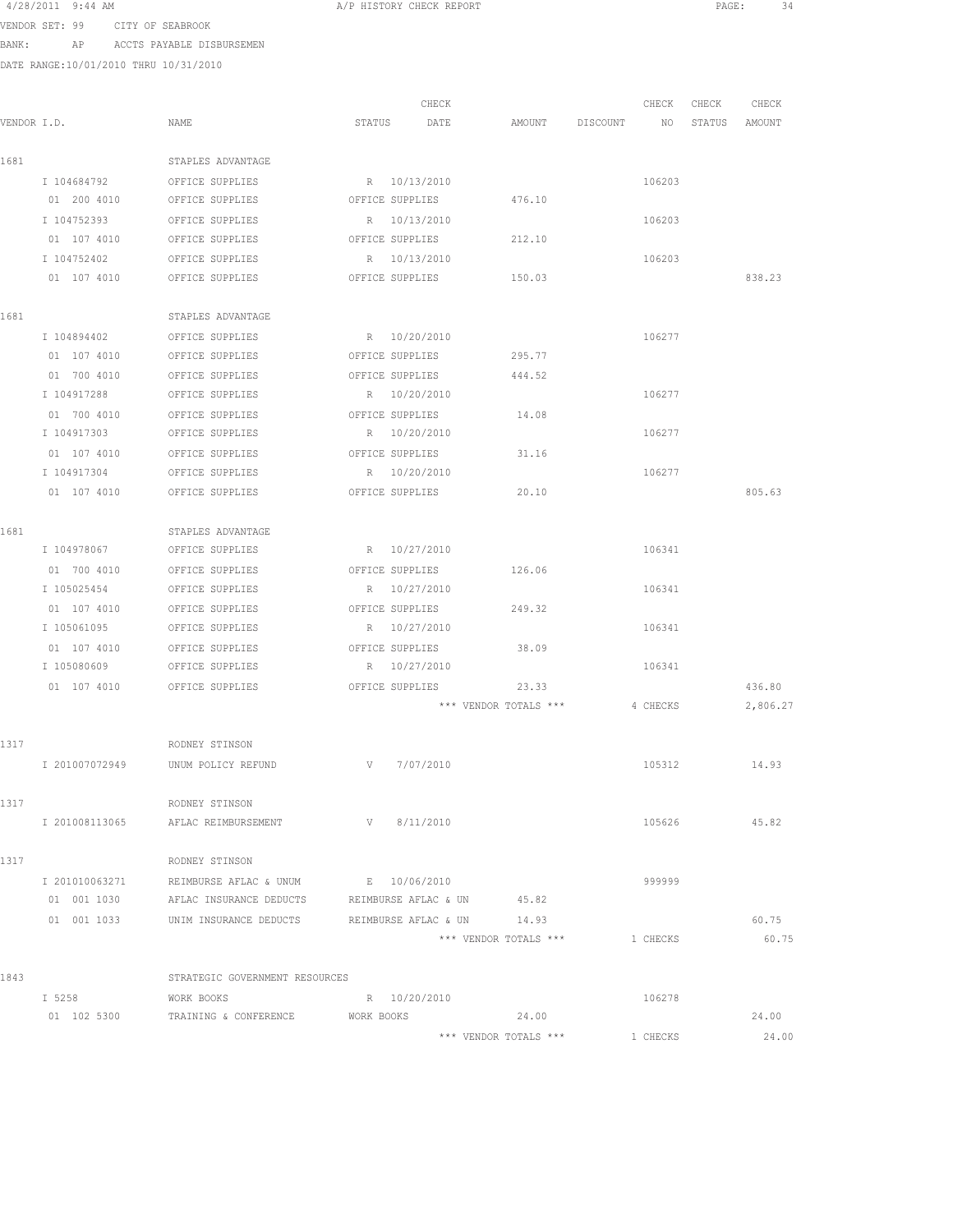| 4/28/2011 9:44 AM |                  |
|-------------------|------------------|
| VENDOR SET: 99    | CITY OF SEABROOK |

BANK: AP ACCTS PAYABLE DISBURSEMEN

DATE RANGE:10/01/2010 THRU 10/31/2010

| VENDOR I.D. |                | NAME                                                           | CHECK<br>STATUS<br>DATE | AMOUNT                | DISCOUNT NO | CHECK    | CHECK<br>STATUS | CHECK<br>AMOUNT |
|-------------|----------------|----------------------------------------------------------------|-------------------------|-----------------------|-------------|----------|-----------------|-----------------|
|             |                |                                                                |                         |                       |             |          |                 |                 |
| 1681        |                | STAPLES ADVANTAGE                                              |                         |                       |             |          |                 |                 |
|             | I 104684792    | OFFICE SUPPLIES                                                | R 10/13/2010            |                       |             | 106203   |                 |                 |
|             | 01 200 4010    | OFFICE SUPPLIES                                                | OFFICE SUPPLIES         | 476.10                |             |          |                 |                 |
|             | I 104752393    | OFFICE SUPPLIES                                                | R 10/13/2010            |                       |             | 106203   |                 |                 |
|             | 01 107 4010    | OFFICE SUPPLIES                                                | OFFICE SUPPLIES         | 212.10                |             |          |                 |                 |
|             | I 104752402    | OFFICE SUPPLIES                                                | R 10/13/2010            |                       |             | 106203   |                 |                 |
|             |                | 01 107 4010 OFFICE SUPPLIES                                    | OFFICE SUPPLIES         | 150.03                |             |          |                 | 838.23          |
| 1681        |                | STAPLES ADVANTAGE                                              |                         |                       |             |          |                 |                 |
|             | I 104894402    | OFFICE SUPPLIES                                                | R 10/20/2010            |                       |             | 106277   |                 |                 |
|             | 01 107 4010    | OFFICE SUPPLIES                                                | OFFICE SUPPLIES         | 295.77                |             |          |                 |                 |
|             | 01 700 4010    | OFFICE SUPPLIES                                                | OFFICE SUPPLIES         | 444.52                |             |          |                 |                 |
|             | I 104917288    | OFFICE SUPPLIES                                                | R 10/20/2010            |                       |             | 106277   |                 |                 |
|             | 01 700 4010    | OFFICE SUPPLIES                                                | OFFICE SUPPLIES         | 14.08                 |             |          |                 |                 |
|             | I 104917303    | OFFICE SUPPLIES                                                | R 10/20/2010            |                       |             | 106277   |                 |                 |
|             | 01 107 4010    | OFFICE SUPPLIES                                                | OFFICE SUPPLIES         | 31.16                 |             |          |                 |                 |
|             | I 104917304    | OFFICE SUPPLIES                                                | R 10/20/2010            |                       |             | 106277   |                 |                 |
|             | 01 107 4010    | OFFICE SUPPLIES                                                | OFFICE SUPPLIES         | 20.10                 |             |          |                 | 805.63          |
| 1681        |                | STAPLES ADVANTAGE                                              |                         |                       |             |          |                 |                 |
|             | I 104978067    | OFFICE SUPPLIES                                                | R 10/27/2010            |                       |             | 106341   |                 |                 |
|             | 01 700 4010    | OFFICE SUPPLIES                                                | OFFICE SUPPLIES         | 126.06                |             |          |                 |                 |
|             | I 105025454    | OFFICE SUPPLIES                                                | R 10/27/2010            |                       |             | 106341   |                 |                 |
|             | 01 107 4010    | OFFICE SUPPLIES                                                | OFFICE SUPPLIES         | 249.32                |             |          |                 |                 |
|             | I 105061095    | OFFICE SUPPLIES                                                | R 10/27/2010            |                       |             | 106341   |                 |                 |
|             | 01 107 4010    | OFFICE SUPPLIES                                                | OFFICE SUPPLIES         | 38.09                 |             |          |                 |                 |
|             | I 105080609    | OFFICE SUPPLIES                                                | R 10/27/2010            |                       |             | 106341   |                 |                 |
|             | 01 107 4010    | OFFICE SUPPLIES                                                | OFFICE SUPPLIES         | 23.33                 |             |          |                 | 436.80          |
|             |                |                                                                |                         | *** VENDOR TOTALS *** |             | 4 CHECKS |                 | 2,806.27        |
|             |                |                                                                |                         |                       |             |          |                 |                 |
| 1317        |                | RODNEY STINSON                                                 |                         |                       |             |          |                 |                 |
|             | I 201007072949 | UNUM POLICY REFUND                                             | 7/07/2010<br>V V        |                       |             | 105312   |                 | 14.93           |
| 1317        |                | RODNEY STINSON                                                 |                         |                       |             |          |                 |                 |
|             | I 201008113065 | AFLAC REIMBURSEMENT                                            | V 8/11/2010             |                       |             | 105626   |                 | 45.82           |
| 1317        |                | RODNEY STINSON                                                 |                         |                       |             |          |                 |                 |
|             |                | I 201010063271 REIMBURSE AFLAC & UNUM E 10/06/2010             |                         |                       |             | 999999   |                 |                 |
|             |                | 01 001 1030 AFLAC INSURANCE DEDUCTS REIMBURSE AFLAC & UN 45.82 |                         |                       |             |          |                 |                 |
|             |                | 01 001 1033 UNIM INSURANCE DEDUCTS REIMBURSE AFLAC & UN 14.93  |                         |                       |             |          |                 | 60.75           |
|             |                |                                                                |                         | *** VENDOR TOTALS *** |             | 1 CHECKS |                 | 60.75           |
| 1843        |                | STRATEGIC GOVERNMENT RESOURCES                                 |                         |                       |             |          |                 |                 |
|             | I 5258         | WORK BOOKS                                                     | R 10/20/2010            |                       |             | 106278   |                 |                 |
|             | 01 102 5300    | TRAINING & CONFERENCE                                          | WORK BOOKS              | 24.00                 |             |          |                 | 24.00           |
|             |                |                                                                |                         | *** VENDOR TOTALS *** |             | 1 CHECKS |                 | 24.00           |

A/P HISTORY CHECK REPORT **PAGE:** 34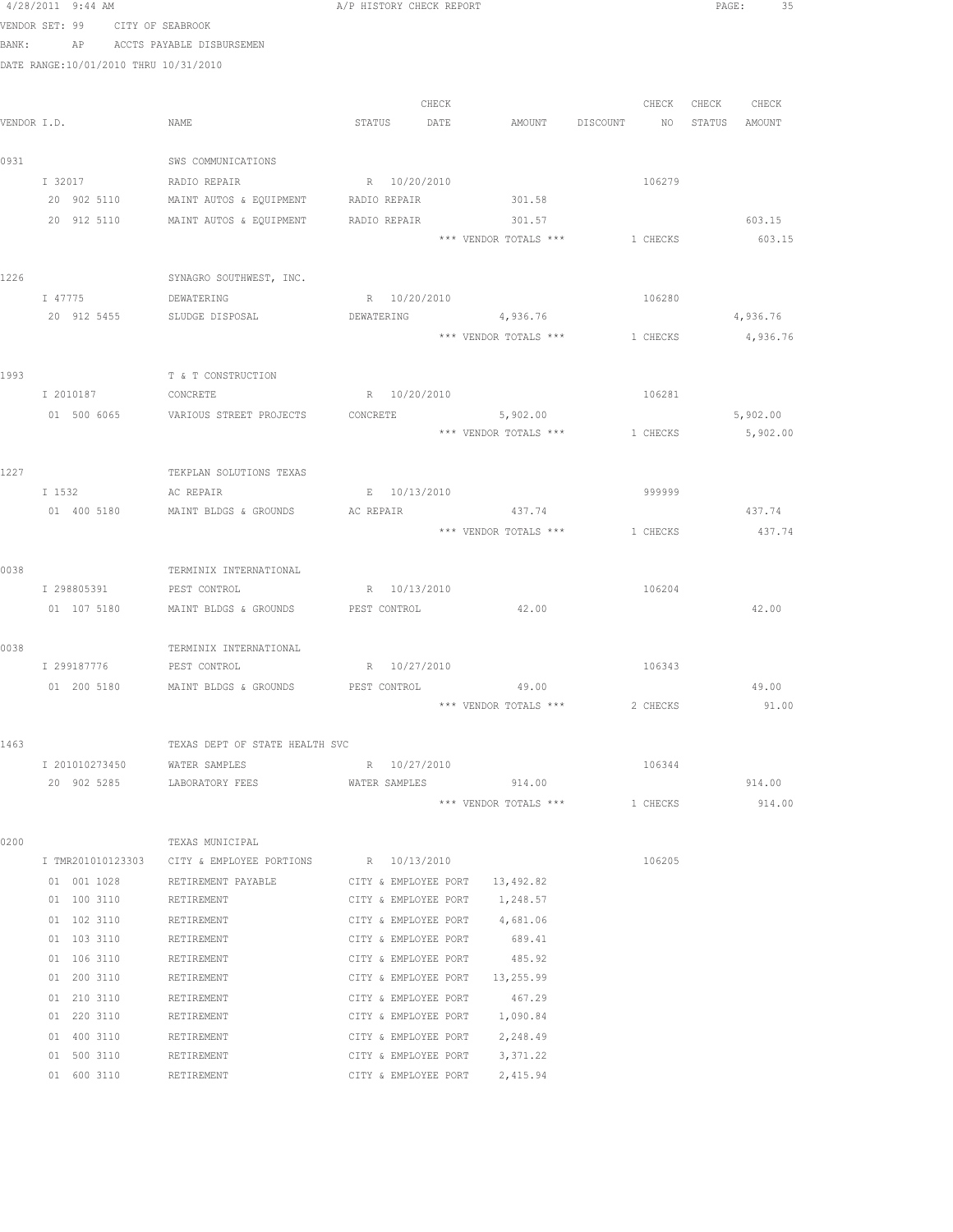|      | 4/28/2011 9:44 AM                     |                                                               | A/P HISTORY CHECK REPORT       |                                 |                                | PAGE:<br>- 35    |
|------|---------------------------------------|---------------------------------------------------------------|--------------------------------|---------------------------------|--------------------------------|------------------|
|      | VENDOR SET: 99 CITY OF SEABROOK       |                                                               |                                |                                 |                                |                  |
|      | BANK: AP ACCTS PAYABLE DISBURSEMEN    |                                                               |                                |                                 |                                |                  |
|      | DATE RANGE:10/01/2010 THRU 10/31/2010 |                                                               |                                |                                 |                                |                  |
|      |                                       |                                                               |                                |                                 |                                |                  |
|      |                                       |                                                               | CHECK                          |                                 | CHECK                          | CHECK<br>CHECK   |
|      | VENDOR I.D.                           | NAME                                                          | STATUS<br>DATE                 | AMOUNT                          | DISCOUNT NO                    | STATUS AMOUNT    |
|      |                                       |                                                               |                                |                                 |                                |                  |
| 0931 |                                       | SWS COMMUNICATIONS                                            |                                |                                 |                                |                  |
|      | I 32017                               | RADIO REPAIR                                                  | R 10/20/2010                   |                                 | 106279                         |                  |
|      | 20 902 5110                           | MAINT AUTOS & EQUIPMENT                                       | RADIO REPAIR                   | 301.58                          |                                |                  |
|      | 20 912 5110                           | MAINT AUTOS & EQUIPMENT                                       | RADIO REPAIR                   | 301.57<br>*** VENDOR TOTALS *** | 1 CHECKS                       | 603.15<br>603.15 |
|      |                                       |                                                               |                                |                                 |                                |                  |
| 1226 |                                       | SYNAGRO SOUTHWEST, INC.                                       |                                |                                 |                                |                  |
|      | I 47775                               | DEWATERING                                                    | R 10/20/2010                   |                                 | 106280                         |                  |
|      |                                       | 20 912 5455 SLUDGE DISPOSAL                                   | DEWATERING                     | 4,936.76                        |                                | 4,936.76         |
|      |                                       |                                                               |                                |                                 | *** VENDOR TOTALS *** 1 CHECKS | 4,936.76         |
|      |                                       |                                                               |                                |                                 |                                |                  |
| 1993 |                                       | T & T CONSTRUCTION                                            |                                |                                 |                                |                  |
|      | I 2010187                             | CONCRETE                                                      | R 10/20/2010                   |                                 | 106281                         |                  |
|      | 01 500 6065                           | VARIOUS STREET PROJECTS                                       | CONCRETE                       | 5,902.00                        |                                | 5,902.00         |
|      |                                       |                                                               |                                |                                 | *** VENDOR TOTALS *** 1 CHECKS | 5,902.00         |
|      |                                       |                                                               |                                |                                 |                                |                  |
| 1227 |                                       | TEKPLAN SOLUTIONS TEXAS                                       |                                |                                 |                                |                  |
|      | I 1532                                | AC REPAIR                                                     | E 10/13/2010                   |                                 | 999999                         |                  |
|      | 01 400 5180                           | MAINT BLDGS & GROUNDS AC REPAIR                               |                                | 437.74                          |                                | 437.74           |
|      |                                       |                                                               |                                | *** VENDOR TOTALS ***           | 1 CHECKS                       | 437.74           |
| 0038 |                                       | TERMINIX INTERNATIONAL                                        |                                |                                 |                                |                  |
|      | I 298805391 PEST CONTROL              |                                                               | R 10/13/2010                   |                                 | 106204                         |                  |
|      | 01 107 5180                           | MAINT BLDGS & GROUNDS                                         | PEST CONTROL                   | 42.00                           |                                | 42.00            |
|      |                                       |                                                               |                                |                                 |                                |                  |
| 0038 |                                       | TERMINIX INTERNATIONAL                                        |                                |                                 |                                |                  |
|      | I 299187776                           | PEST CONTROL                                                  | R 10/27/2010                   |                                 | 106343                         |                  |
|      |                                       | 01 200 5180 MAINT BLDGS & GROUNDS PEST CONTROL                |                                | 49.00                           |                                | 49.00            |
|      |                                       |                                                               |                                | *** VENDOR TOTALS ***           | 2 CHECKS                       | 91.00            |
|      |                                       |                                                               |                                |                                 |                                |                  |
| 1463 |                                       | TEXAS DEPT OF STATE HEALTH SVC                                |                                |                                 |                                |                  |
|      | I 201010273450 WATER SAMPLES          |                                                               | R 10/27/2010                   |                                 | 106344                         |                  |
|      |                                       | 20 902 5285 LABORATORY FEES WATER SAMPLES 914.00              |                                |                                 |                                | 914.00           |
|      |                                       |                                                               |                                | *** VENDOR TOTALS ***           | 1 CHECKS                       | 914.00           |
|      |                                       |                                                               |                                |                                 |                                |                  |
| 0200 |                                       | TEXAS MUNICIPAL<br>I TMR201010123303 CITY & EMPLOYEE PORTIONS | R 10/13/2010                   |                                 | 106205                         |                  |
|      | 01 001 1028                           | RETIREMENT PAYABLE                                            | CITY & EMPLOYEE PORT 13,492.82 |                                 |                                |                  |
|      | 01 100 3110                           | RETIREMENT                                                    | CITY & EMPLOYEE PORT           | 1,248.57                        |                                |                  |
|      | 01 102 3110                           | RETIREMENT                                                    | CITY & EMPLOYEE PORT 4,681.06  |                                 |                                |                  |
|      | 01 103 3110                           | RETIREMENT                                                    | CITY & EMPLOYEE PORT           | 689.41                          |                                |                  |
|      | 01 106 3110                           | RETIREMENT                                                    | CITY & EMPLOYEE PORT           | 485.92                          |                                |                  |
|      | 01 200 3110                           | RETIREMENT                                                    | CITY & EMPLOYEE PORT 13,255.99 |                                 |                                |                  |
|      | 01 210 3110                           | RETIREMENT                                                    | CITY & EMPLOYEE PORT           | 467.29                          |                                |                  |
|      | 01 220 3110                           | RETIREMENT                                                    | CITY & EMPLOYEE PORT 1,090.84  |                                 |                                |                  |
|      | 01 400 3110                           | RETIREMENT                                                    | CITY & EMPLOYEE PORT 2,248.49  |                                 |                                |                  |
|      | 01 500 3110                           | RETIREMENT                                                    | CITY & EMPLOYEE PORT 3,371.22  |                                 |                                |                  |
|      |                                       |                                                               |                                |                                 |                                |                  |

01 600 3110 RETIREMENT CITY & EMPLOYEE PORT 2,415.94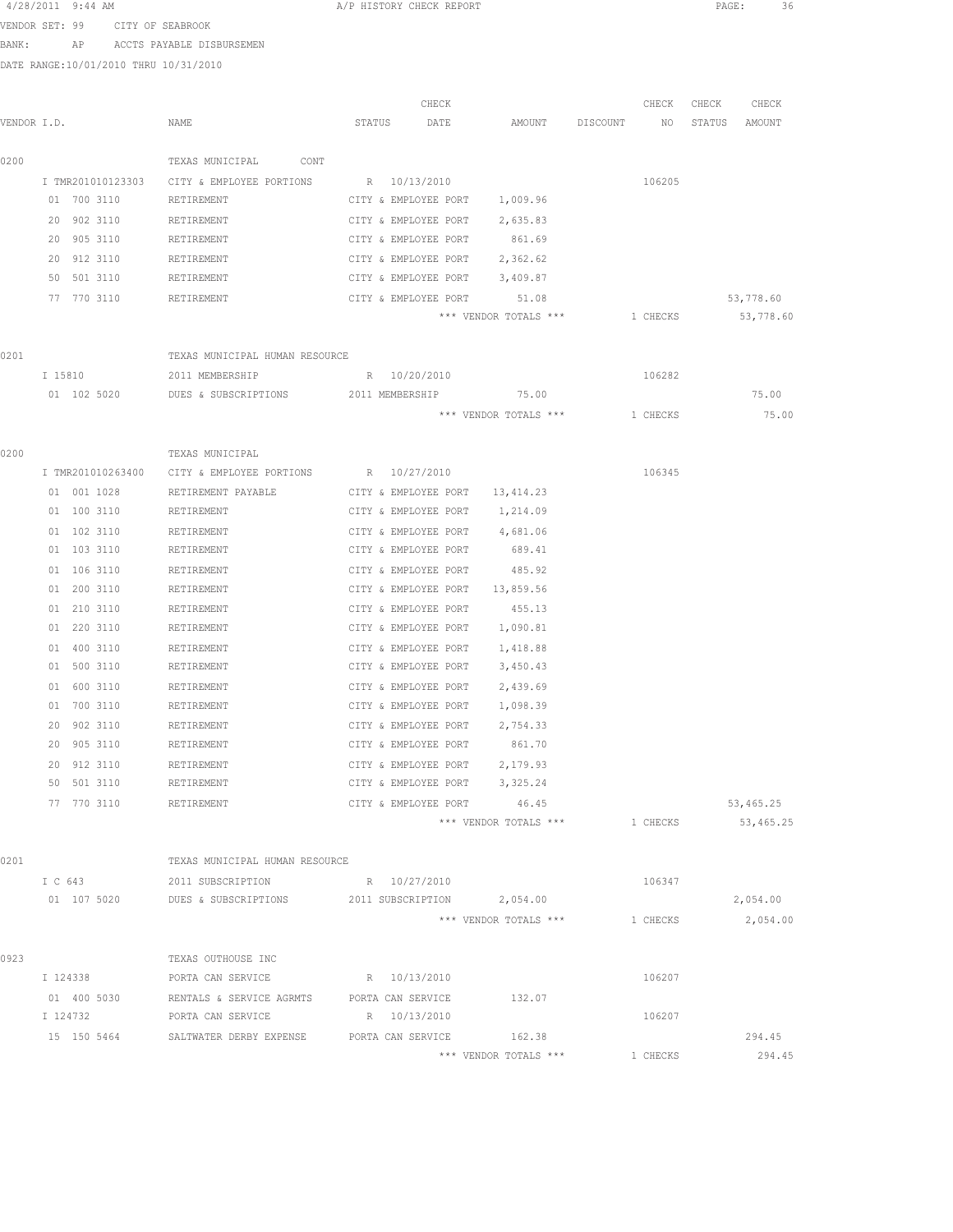| 4/28/2011 9:44 AM |  |                  |  |
|-------------------|--|------------------|--|
| VENDOR SET: 99    |  | CITY OF SEABROOK |  |

BANK: AP ACCTS PAYABLE DISBURSEMEN

DATE RANGE:10/01/2010 THRU 10/31/2010

|             | 21118 1918-08: 1979 017 2010 1111-0 1979 1977 2010 |                                                                  |                   |                               |                       |          |          |        |                   |
|-------------|----------------------------------------------------|------------------------------------------------------------------|-------------------|-------------------------------|-----------------------|----------|----------|--------|-------------------|
|             |                                                    |                                                                  |                   | CHECK                         |                       |          | CHECK    | CHECK  | CHECK             |
| VENDOR I.D. |                                                    | NAME                                                             | STATUS            | DATE                          | AMOUNT                | DISCOUNT | NO.      | STATUS | AMOUNT            |
| 0200        |                                                    | TEXAS MUNICIPAL<br>CONT                                          |                   |                               |                       |          |          |        |                   |
|             | I TMR201010123303                                  | CITY & EMPLOYEE PORTIONS R 10/13/2010                            |                   |                               |                       |          | 106205   |        |                   |
|             | 01 700 3110                                        | RETIREMENT                                                       |                   | CITY & EMPLOYEE PORT 1,009.96 |                       |          |          |        |                   |
|             | 20 902 3110                                        | RETIREMENT                                                       |                   | CITY & EMPLOYEE PORT 2,635.83 |                       |          |          |        |                   |
|             | 20 905 3110                                        | RETIREMENT                                                       |                   | CITY & EMPLOYEE PORT 861.69   |                       |          |          |        |                   |
|             | 20 912 3110                                        | RETIREMENT                                                       |                   | CITY & EMPLOYEE PORT          | 2,362.62              |          |          |        |                   |
|             | 50 501 3110                                        | RETIREMENT                                                       |                   | CITY & EMPLOYEE PORT          | 3,409.87              |          |          |        |                   |
|             | 77 770 3110                                        | RETIREMENT                                                       |                   | CITY & EMPLOYEE PORT          | 51.08                 |          |          |        | 53,778.60         |
|             |                                                    |                                                                  |                   |                               | *** VENDOR TOTALS *** |          | 1 CHECKS |        | 53,778.60         |
| 0201        |                                                    | TEXAS MUNICIPAL HUMAN RESOURCE                                   |                   |                               |                       |          |          |        |                   |
|             | I 15810                                            | 2011 MEMBERSHIP                                                  | R 10/20/2010      |                               |                       |          | 106282   |        |                   |
|             | 01 102 5020                                        | DUES & SUBSCRIPTIONS                                             | 2011 MEMBERSHIP   |                               | 75.00                 |          |          |        | 75.00             |
|             |                                                    |                                                                  |                   |                               | *** VENDOR TOTALS *** |          | 1 CHECKS |        | 75.00             |
| 0200        |                                                    | TEXAS MUNICIPAL                                                  |                   |                               |                       |          |          |        |                   |
|             | I TMR201010263400                                  | CITY & EMPLOYEE PORTIONS R 10/27/2010                            |                   |                               |                       |          | 106345   |        |                   |
|             | 01 001 1028                                        | RETIREMENT PAYABLE                                               |                   | CITY & EMPLOYEE PORT          | 13, 414.23            |          |          |        |                   |
|             | 01 100 3110                                        | RETIREMENT                                                       |                   | CITY & EMPLOYEE PORT          | 1,214.09              |          |          |        |                   |
|             | 01 102 3110                                        | RETIREMENT                                                       |                   | CITY & EMPLOYEE PORT          | 4,681.06              |          |          |        |                   |
|             | 01 103 3110                                        | RETIREMENT                                                       |                   | CITY & EMPLOYEE PORT          | 689.41                |          |          |        |                   |
|             | 01 106 3110                                        | RETIREMENT                                                       |                   | CITY & EMPLOYEE PORT          | 485.92                |          |          |        |                   |
|             | 01 200 3110                                        | RETIREMENT                                                       |                   | CITY & EMPLOYEE PORT          | 13,859.56             |          |          |        |                   |
|             | 01 210 3110                                        | RETIREMENT                                                       |                   | CITY & EMPLOYEE PORT          | 455.13                |          |          |        |                   |
|             | 01 220 3110                                        | RETIREMENT                                                       |                   | CITY & EMPLOYEE PORT          | 1,090.81              |          |          |        |                   |
|             | 01 400 3110                                        | RETIREMENT                                                       |                   | CITY & EMPLOYEE PORT          | 1,418.88              |          |          |        |                   |
|             | 01 500 3110                                        | RETIREMENT                                                       |                   | CITY & EMPLOYEE PORT          | 3,450.43              |          |          |        |                   |
|             | 01 600 3110                                        | RETIREMENT                                                       |                   | CITY & EMPLOYEE PORT          | 2,439.69              |          |          |        |                   |
|             | 01 700 3110                                        | RETIREMENT                                                       |                   | CITY & EMPLOYEE PORT          | 1,098.39              |          |          |        |                   |
|             | 20 902 3110                                        | RETIREMENT                                                       |                   | CITY & EMPLOYEE PORT          | 2,754.33              |          |          |        |                   |
|             | 20 905 3110                                        | RETIREMENT                                                       |                   | CITY & EMPLOYEE PORT          | 861.70                |          |          |        |                   |
|             | 20 912 3110                                        | RETIREMENT                                                       |                   | CITY & EMPLOYEE PORT          | 2,179.93              |          |          |        |                   |
|             | 50 501 3110                                        | RETIREMENT                                                       |                   | CITY & EMPLOYEE PORT 3,325.24 |                       |          |          |        |                   |
|             | 77 770 3110                                        | RETIREMENT                                                       |                   | CITY & EMPLOYEE PORT 46.45    |                       |          |          |        | 53,465.25         |
|             |                                                    |                                                                  |                   |                               | *** VENDOR TOTALS *** |          | 1 CHECKS |        | 53,465.25         |
| 0201        |                                                    | TEXAS MUNICIPAL HUMAN RESOURCE                                   |                   |                               |                       |          |          |        |                   |
|             | I C 643                                            | 2011 SUBSCRIPTION R 10/27/2010                                   |                   |                               |                       |          | 106347   |        |                   |
|             |                                                    | 01  107  5020  DUES & SUBSCRIPTIONS  2011 SUBSCRIPTION  2,054.00 |                   |                               |                       |          |          |        | 2,054.00          |
|             |                                                    |                                                                  |                   |                               | *** VENDOR TOTALS *** |          |          |        | 1 CHECKS 2,054.00 |
| 0923        |                                                    | TEXAS OUTHOUSE INC                                               |                   |                               |                       |          |          |        |                   |
|             | I 124338                                           | PORTA CAN SERVICE                                                | R 10/13/2010      |                               |                       |          | 106207   |        |                   |
|             | 01 400 5030                                        | RENTALS & SERVICE AGRMTS                                         | PORTA CAN SERVICE |                               | 132.07                |          |          |        |                   |
|             | I 124732                                           | PORTA CAN SERVICE                                                | R 10/13/2010      |                               |                       |          | 106207   |        |                   |
|             | 15 150 5464                                        | SALTWATER DERBY EXPENSE          PORTA CAN SERVICE               |                   |                               | 162.38                |          |          |        | 294.45            |
|             |                                                    |                                                                  |                   |                               | *** VENDOR TOTALS *** |          | 1 CHECKS |        | 294.45            |

A/P HISTORY CHECK REPORT PAGE: 36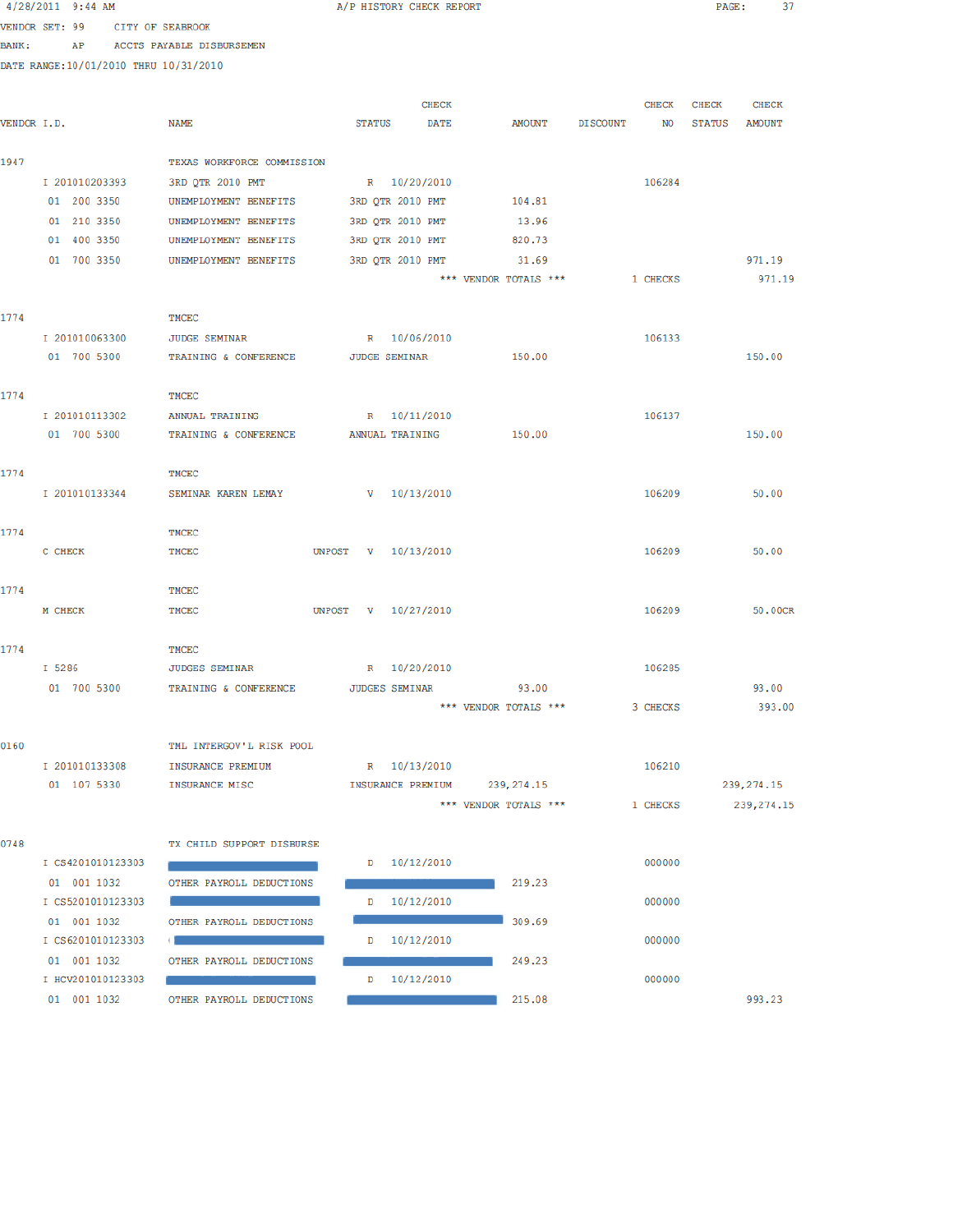|             | 4/28/2011 9:44 AM                     |                            |               | A/P HISTORY CHECK REPORT |                               |                 |          | PAGE:         | 37           |  |
|-------------|---------------------------------------|----------------------------|---------------|--------------------------|-------------------------------|-----------------|----------|---------------|--------------|--|
|             | VENDOR SET: 99                        | CITY OF SEABROOK           |               |                          |                               |                 |          |               |              |  |
| BANK :      | AP                                    | ACCTS PAYABLE DISBURSEMEN  |               |                          |                               |                 |          |               |              |  |
|             | DATE RANGE:10/01/2010 THRU 10/31/2010 |                            |               |                          |                               |                 |          |               |              |  |
|             |                                       |                            |               |                          |                               |                 |          |               |              |  |
|             |                                       |                            |               | <b>CHECK</b>             |                               |                 | CHECK    | <b>CHECK</b>  | <b>CHECK</b> |  |
| VENDOR I.D. |                                       | <b>NAME</b>                | <b>STATUS</b> | <b>DATE</b>              | AMOUNT                        | <b>DISCOUNT</b> | NO       | <b>STATUS</b> | AMOUNT       |  |
|             |                                       |                            |               |                          |                               |                 |          |               |              |  |
| 1947        |                                       | TEXAS WORKFORCE COMMISSION |               |                          |                               |                 |          |               |              |  |
|             | I 201010203393                        | 3RD OTR 2010 PMT           |               | R 10/20/2010             |                               |                 | 106284   |               |              |  |
|             | 01 200 3350                           | UNEMPLOYMENT BENEFITS      |               | 3RD QTR 2010 PMT         | 104.81                        |                 |          |               |              |  |
|             | 01 210 3350                           | UNEMPLOYMENT BENEFITS      |               | 3RD QTR 2010 PMT         | 13.96                         |                 |          |               |              |  |
|             | 01 400 3350                           | UNEMPLOYMENT BENEFITS      |               | 3RD QTR 2010 PMT         | 820.73                        |                 |          |               |              |  |
|             | 01 700 3350                           | UNEMPLOYMENT BENEFITS      |               | 3RD QTR 2010 PMT         | 31.69                         |                 |          |               | 971.19       |  |
|             |                                       |                            |               |                          | *** VENDOR TOTALS ***         |                 | 1 CHECKS |               | 971.19       |  |
|             |                                       |                            |               |                          |                               |                 |          |               |              |  |
| 1774        |                                       | TMCEC                      |               |                          |                               |                 |          |               |              |  |
|             | I 201010063300                        | <b>JUDGE SEMINAR</b>       |               | R 10/06/2010             |                               |                 | 106133   |               |              |  |
|             | 01 700 5300                           | TRAINING & CONFERENCE      |               | <b>JUDGE SEMINAR</b>     | 150.00                        |                 |          |               | 150.00       |  |
|             |                                       |                            |               |                          |                               |                 |          |               |              |  |
| 1774        |                                       | TMCEC                      |               |                          |                               |                 |          |               |              |  |
|             | I 201010113302                        | ANNUAL TRAINING            |               | R 10/11/2010             |                               |                 | 106137   |               |              |  |
|             | 01 700 5300                           | TRAINING & CONFERENCE      |               | ANNUAL TRAINING          | 150.00                        |                 |          |               | 150.00       |  |
|             |                                       |                            |               |                          |                               |                 |          |               |              |  |
| 1774        |                                       | TMCEC                      |               |                          |                               |                 |          |               |              |  |
|             | I 201010133344                        | SEMINAR KAREN LEMAY        |               | V 10/13/2010             |                               |                 | 106209   |               | 50.00        |  |
|             |                                       |                            |               |                          |                               |                 |          |               |              |  |
| 1774        |                                       | TMCEC                      |               |                          |                               |                 | 106209   |               | 50.00        |  |
|             | C CHECK                               | TMCEC                      |               | UNPOST V 10/13/2010      |                               |                 |          |               |              |  |
| 1774        |                                       | TMCEC                      |               |                          |                               |                 |          |               |              |  |
|             | M CHECK                               | TMCEC                      |               | UNPOST V 10/27/2010      |                               |                 | 106209   |               | 50.00CR      |  |
|             |                                       |                            |               |                          |                               |                 |          |               |              |  |
| 1774        |                                       | TMCEC                      |               |                          |                               |                 |          |               |              |  |
|             | I 5286                                | <b>JUDGES SEMINAR</b>      |               | R 10/20/2010             |                               |                 | 106285   |               |              |  |
|             | 01 700 5300                           | TRAINING & CONFERENCE      |               | <b>JUDGES SEMINAR</b>    | 93,00                         |                 |          |               | 93.00        |  |
|             |                                       |                            |               |                          | *** VENDOR TOTALS ***         |                 | 3 CHECKS |               | 393.00       |  |
|             |                                       |                            |               |                          |                               |                 |          |               |              |  |
| 0160        |                                       | TML INTERGOV'L RISK POOL   |               |                          |                               |                 |          |               |              |  |
|             | I 201010133308                        | INSURANCE PREMIUM          |               | R 10/13/2010             |                               |                 | 106210   |               |              |  |
|             | 01 107 5330                           | INSURANCE MISC             |               |                          | INSURANCE PREMIUM 239, 274.15 |                 |          |               | 239, 274, 15 |  |
|             |                                       |                            |               |                          | *** VENDOR TOTALS ***         |                 | 1 CHECKS |               | 239, 274.15  |  |
|             |                                       |                            |               |                          |                               |                 |          |               |              |  |
| 0748        |                                       | TX CHILD SUPPORT DISBURSE  |               |                          |                               |                 |          |               |              |  |
|             | I CS4201010123303                     |                            |               | $D = 10/12/2010$         |                               |                 | 000000   |               |              |  |
|             | 01 001 1032                           | OTHER PAYROLL DEDUCTIONS   |               |                          | 219.23                        |                 |          |               |              |  |
|             | I CS5201010123303                     |                            |               | D 10/12/2010             |                               |                 | 000000   |               |              |  |
|             | 01 001 1032                           | OTHER PAYROLL DEDUCTIONS   |               |                          | 309.69                        |                 |          |               |              |  |
|             | I CS6201010123303                     |                            |               | $D = 10/12/2010$         |                               |                 | 000000   |               |              |  |
|             | 01 001 1032                           | OTHER PAYROLL DEDUCTIONS   |               |                          | 249.23                        |                 |          |               |              |  |
|             | I HCV201010123303                     |                            | D             | 10/12/2010               |                               |                 | 000000   |               |              |  |
|             | 01 001 1032                           | OTHER PAYROLL DEDUCTIONS   |               |                          | 215.08                        |                 |          |               | 993.23       |  |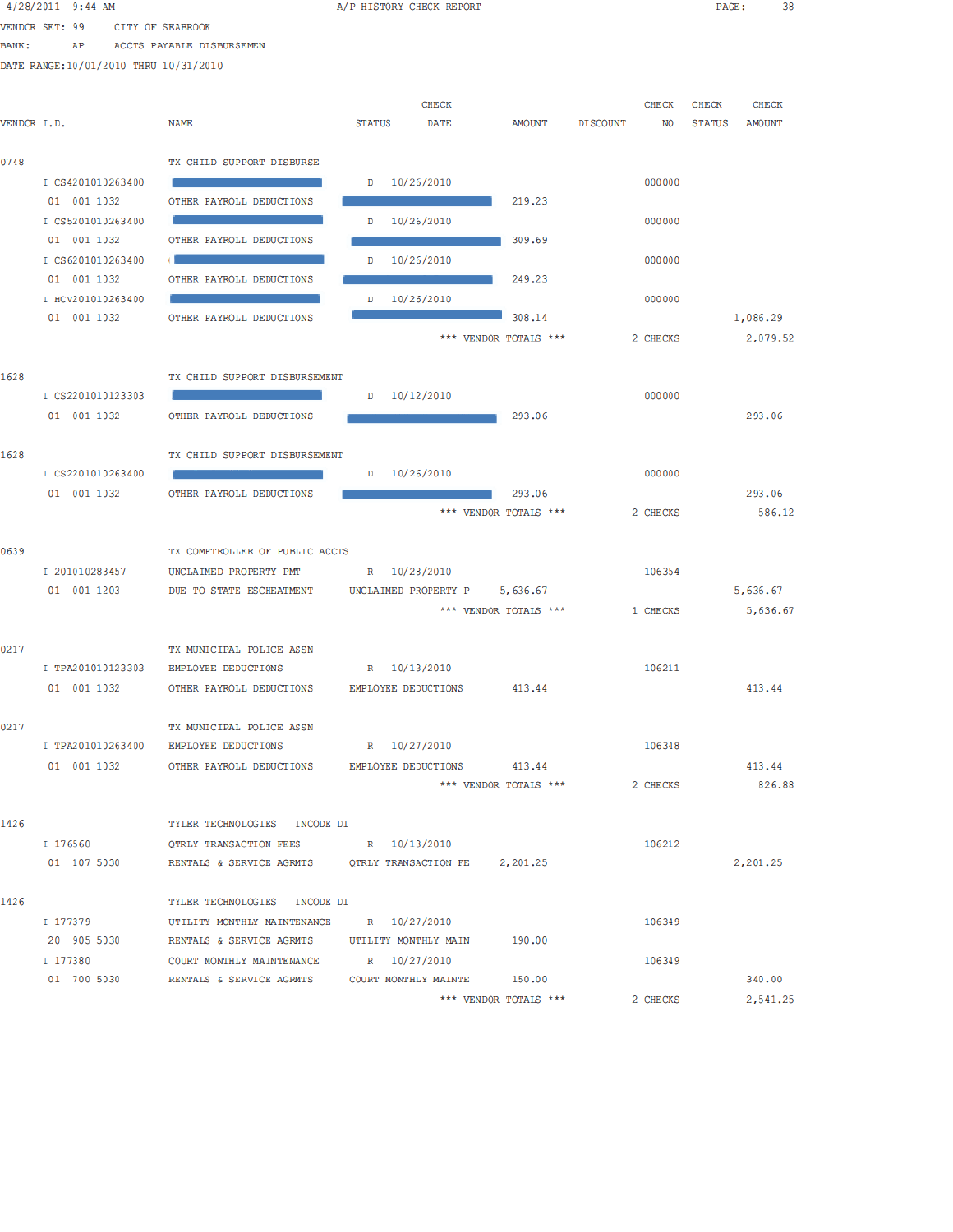|               | $4/28/2011$ 9:44 AM                    |                                                                  | A/P HISTORY CHECK REPORT      |                       |                       | PAGE:  | 38           |  |
|---------------|----------------------------------------|------------------------------------------------------------------|-------------------------------|-----------------------|-----------------------|--------|--------------|--|
|               | VENDOR SET: 99<br>CITY OF SEABROOK     |                                                                  |                               |                       |                       |        |              |  |
| <b>BANK :</b> | AP                                     | ACCTS PAYABLE DISBURSEMEN                                        |                               |                       |                       |        |              |  |
|               | DATE RANGE: 10/01/2010 THRU 10/31/2010 |                                                                  |                               |                       |                       |        |              |  |
|               |                                        |                                                                  |                               |                       |                       |        |              |  |
|               |                                        |                                                                  | <b>CHECK</b>                  |                       | CHECK                 | CHECK  | <b>CHECK</b> |  |
| VENDOR I.D.   |                                        | NAME                                                             | STATUS<br><b>DATE</b>         | AMOUNT                | <b>DISCOUNT</b><br>NO | STATUS | AMOUNT       |  |
| 0748          |                                        | TX CHILD SUPPORT DISBURSE                                        |                               |                       |                       |        |              |  |
|               | I CS4201010263400                      |                                                                  | $D = 10/26/2010$              |                       | 000000                |        |              |  |
|               | 01 001 1032                            | OTHER PAYROLL DEDUCTIONS                                         |                               | 219.23                |                       |        |              |  |
|               | I CS5201010263400                      |                                                                  | D 10/26/2010                  |                       | 000000                |        |              |  |
|               | 01 001 1032                            | OTHER PAYROLL DEDUCTIONS                                         |                               | 309.69                |                       |        |              |  |
|               | I CS6201010263400                      |                                                                  | 10/26/2010<br>D               |                       | 000000                |        |              |  |
|               | 01 001 1032                            | OTHER PAYROLL DEDUCTIONS                                         |                               | 249.23                |                       |        |              |  |
|               | I HCV201010263400                      |                                                                  | 10/26/2010<br>D               |                       | 000000                |        |              |  |
|               | 01 001 1032                            | OTHER PAYROLL DEDUCTIONS                                         |                               | 308.14                |                       |        | 1,086.29     |  |
|               |                                        |                                                                  |                               | *** VENDOR TOTALS *** | 2 CHECKS              |        | 2,079.52     |  |
|               |                                        |                                                                  |                               |                       |                       |        |              |  |
| 1628          |                                        | TX CHILD SUPPORT DISBURSEMENT                                    |                               |                       |                       |        |              |  |
|               | I CS2201010123303                      |                                                                  | $D = 10/12/2010$              |                       | 000000                |        |              |  |
|               | 01 001 1032                            | OTHER PAYROLL DEDUCTIONS                                         |                               | 293.06                |                       |        | 293.06       |  |
|               |                                        |                                                                  |                               |                       |                       |        |              |  |
| 1628          |                                        | TX CHILD SUPPORT DISBURSEMENT                                    |                               |                       |                       |        |              |  |
|               | I CS2201010263400                      |                                                                  | $D = 10/26/2010$              |                       | 000000                |        |              |  |
|               | 01 001 1032                            | OTHER PAYROLL DEDUCTIONS                                         |                               | 293.06                |                       |        | 293.06       |  |
|               |                                        |                                                                  |                               | *** VENDOR TOTALS *** | 2 CHECKS              |        | 586.12       |  |
|               |                                        |                                                                  |                               |                       |                       |        |              |  |
| 0639          |                                        | TX COMPTROLLER OF PUBLIC ACCTS                                   |                               |                       |                       |        |              |  |
|               | I 201010283457                         | UNCLAIMED PROPERTY PMT                                           | R 10/28/2010                  |                       | 106354                |        |              |  |
|               | 01 001 1203                            | DUE TO STATE ESCHEATMENT                                         | UNCLAIMED PROPERTY P 5,636.67 |                       | 1 CHECKS              |        | 5,636.67     |  |
|               |                                        |                                                                  |                               | *** VENDOR TOTALS *** |                       |        | 5,636.67     |  |
| 0217          |                                        | TX MUNICIPAL POLICE ASSN                                         |                               |                       |                       |        |              |  |
|               | I TPA201010123303                      | EMPLOYEE DEDUCTIONS                                              | R 10/13/2010                  |                       | 106211                |        |              |  |
|               | 01 001 1032                            | OTHER PAYROLL DEDUCTIONS EMPLOYEE DEDUCTIONS                     |                               | 413.44                |                       |        | 413.44       |  |
|               |                                        |                                                                  |                               |                       |                       |        |              |  |
| 0217          |                                        | TX MUNICIPAL POLICE ASSN                                         |                               |                       |                       |        |              |  |
|               |                                        | I TPA201010263400 EMPLOYEE DEDUCTIONS                            | R 10/27/2010                  |                       | 106348                |        |              |  |
|               |                                        | 01 001 1032 OTHER PAYROLL DEDUCTIONS                             | EMPLOYEE DEDUCTIONS           | 413.44                |                       |        | 413.44       |  |
|               |                                        |                                                                  |                               | *** VENDOR TOTALS *** | 2 CHECKS              |        | 826.88       |  |
|               |                                        |                                                                  |                               |                       |                       |        |              |  |
| 1426          |                                        | TYLER TECHNOLOGIES INCODE DI                                     |                               |                       |                       |        |              |  |
|               | I 176560                               | QTRLY TRANSACTION FEES R 10/13/2010                              |                               |                       | 106212                |        |              |  |
|               | 01 107 5030                            |                                                                  |                               |                       |                       |        | 2,201.25     |  |
|               |                                        |                                                                  |                               |                       |                       |        |              |  |
| 1426          |                                        | TYLER TECHNOLOGIES INCODE DI                                     |                               |                       |                       |        |              |  |
|               |                                        | I 177379 UTILITY MONTHLY MAINTENANCE R 10/27/2010                |                               |                       | 106349                |        |              |  |
|               |                                        | 20 905 5030 RENTALS & SERVICE AGRMTS UTILITY MONTHLY MAIN 190.00 |                               |                       |                       |        |              |  |
|               | I 177380                               | COURT MONTHLY MAINTENANCE R 10/27/2010                           |                               |                       | 106349                |        |              |  |
|               |                                        | 01 700 5030 RENTALS & SERVICE AGRMTS COURT MONTHLY MAINTE 150.00 |                               |                       |                       |        | 340.00       |  |
|               |                                        |                                                                  |                               | *** VENDOR TOTALS *** | 2 CHECKS              |        | 2,541.25     |  |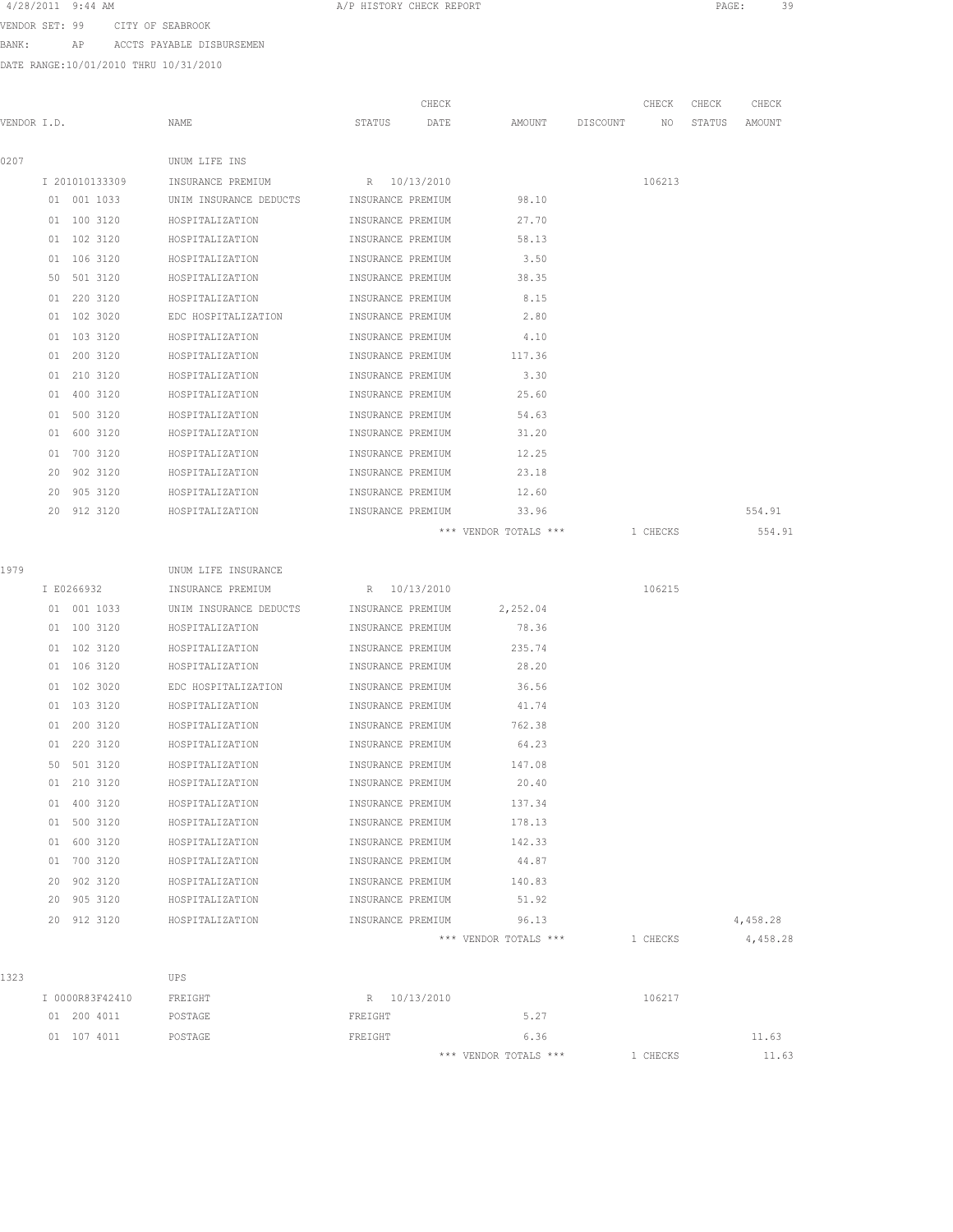4/28/2011 9:44 AM A/P HISTORY CHECK REPORT PAGE: 39

VENDOR SET: 99 CITY OF SEABROOK

BANK: AP ACCTS PAYABLE DISBURSEMEN

DATE RANGE:10/01/2010 THRU 10/31/2010

| VENDOR I.D. |                 | NAME                                     | CHECK<br>STATUS<br>DATE | AMOUNT                | DISCOUNT NO | CHECK    | CHECK | CHECK<br>STATUS AMOUNT |
|-------------|-----------------|------------------------------------------|-------------------------|-----------------------|-------------|----------|-------|------------------------|
|             |                 |                                          |                         |                       |             |          |       |                        |
| 0207        |                 | UNUM LIFE INS                            |                         |                       |             |          |       |                        |
|             | I 201010133309  | INSURANCE PREMIUM                        | R 10/13/2010            |                       |             | 106213   |       |                        |
|             | 01 001 1033     | UNIM INSURANCE DEDUCTS INSURANCE PREMIUM |                         | 98.10                 |             |          |       |                        |
|             | 01 100 3120     | HOSPITALIZATION                          | INSURANCE PREMIUM       | 27.70                 |             |          |       |                        |
|             | 01 102 3120     | HOSPITALIZATION                          | INSURANCE PREMIUM       | 58.13                 |             |          |       |                        |
|             | 01 106 3120     | HOSPITALIZATION                          | INSURANCE PREMIUM       | 3.50                  |             |          |       |                        |
|             | 50 501 3120     | HOSPITALIZATION                          | INSURANCE PREMIUM       | 38.35                 |             |          |       |                        |
|             | 01 220 3120     | HOSPITALIZATION                          | INSURANCE PREMIUM       | 8.15                  |             |          |       |                        |
|             | 01 102 3020     | EDC HOSPITALIZATION                      | INSURANCE PREMIUM       | 2.80                  |             |          |       |                        |
|             | 01 103 3120     | HOSPITALIZATION                          | INSURANCE PREMIUM       | 4.10                  |             |          |       |                        |
|             | 01 200 3120     | HOSPITALIZATION                          | INSURANCE PREMIUM       | 117.36                |             |          |       |                        |
|             | 01 210 3120     | HOSPITALIZATION                          | INSURANCE PREMIUM       | 3.30                  |             |          |       |                        |
|             | 01 400 3120     | HOSPITALIZATION                          | INSURANCE PREMIUM       | 25.60                 |             |          |       |                        |
|             | 01 500 3120     | HOSPITALIZATION                          | INSURANCE PREMIUM       | 54.63                 |             |          |       |                        |
|             | 01 600 3120     | HOSPITALIZATION                          | INSURANCE PREMIUM       | 31.20                 |             |          |       |                        |
|             | 01 700 3120     | HOSPITALIZATION                          | INSURANCE PREMIUM       | 12.25                 |             |          |       |                        |
|             | 20 902 3120     | HOSPITALIZATION                          | INSURANCE PREMIUM       | 23.18                 |             |          |       |                        |
|             | 20 905 3120     | HOSPITALIZATION                          | INSURANCE PREMIUM       | 12.60                 |             |          |       |                        |
|             | 20 912 3120     | HOSPITALIZATION                          | INSURANCE PREMIUM       | 33.96                 |             |          |       | 554.91                 |
|             |                 |                                          |                         | *** VENDOR TOTALS *** |             | 1 CHECKS |       | 554.91                 |
|             |                 |                                          |                         |                       |             |          |       |                        |
| 1979        |                 | UNUM LIFE INSURANCE                      |                         |                       |             |          |       |                        |
|             | I E0266932      | INSURANCE PREMIUM                        | R 10/13/2010            |                       |             | 106215   |       |                        |
|             | 01 001 1033     | UNIM INSURANCE DEDUCTS                   | INSURANCE PREMIUM       | 2,252.04              |             |          |       |                        |
|             | 01 100 3120     | HOSPITALIZATION                          | INSURANCE PREMIUM       | 78.36                 |             |          |       |                        |
|             | 01 102 3120     | HOSPITALIZATION                          | INSURANCE PREMIUM       | 235.74                |             |          |       |                        |
|             | 01 106 3120     | HOSPITALIZATION                          | INSURANCE PREMIUM       | 28.20                 |             |          |       |                        |
|             | 01 102 3020     | EDC HOSPITALIZATION                      | INSURANCE PREMIUM       | 36.56                 |             |          |       |                        |
|             | 01 103 3120     | HOSPITALIZATION                          | INSURANCE PREMIUM       | 41.74                 |             |          |       |                        |
|             | 01 200 3120     | HOSPITALIZATION                          | INSURANCE PREMIUM       | 762.38                |             |          |       |                        |
|             | 01 220 3120     | HOSPITALIZATION                          | INSURANCE PREMIUM       | 64.23                 |             |          |       |                        |
|             | 50 501 3120     | HOSPITALIZATION                          | INSURANCE PREMIUM       | 147.08                |             |          |       |                        |
|             | 01 210 3120     | HOSPITALIZATION                          | INSURANCE PREMIUM       | 20.40                 |             |          |       |                        |
|             | 01 400 3120     | HOSPITALIZATION                          | INSURANCE PREMIUM       | 137.34                |             |          |       |                        |
|             | 01 500 3120     | HOSPITALIZATION                          | INSURANCE PREMIUM       | 178.13                |             |          |       |                        |
|             | 01 600 3120     | HOSPITALIZATION                          | INSURANCE PREMIUM       | 142.33                |             |          |       |                        |
|             | 01 700 3120     | HOSPITALIZATION                          | INSURANCE PREMIUM       | 44.87                 |             |          |       |                        |
|             | 20 902 3120     | HOSPITALIZATION                          | INSURANCE PREMIUM       | 140.83                |             |          |       |                        |
|             | 20 905 3120     | HOSPITALIZATION                          | INSURANCE PREMIUM 51.92 |                       |             |          |       |                        |
|             | 20 912 3120     | HOSPITALIZATION                          | INSURANCE PREMIUM 96.13 |                       |             |          |       | 4,458.28               |
|             |                 |                                          |                         | *** VENDOR TOTALS *** |             | 1 CHECKS |       | 4,458.28               |
|             |                 |                                          |                         |                       |             |          |       |                        |
| 1323        |                 | UPS                                      |                         |                       |             |          |       |                        |
|             | I 0000R83F42410 | FREIGHT                                  | R 10/13/2010            |                       |             | 106217   |       |                        |
|             | 01 200 4011     | POSTAGE                                  | FREIGHT                 | 5.27                  |             |          |       |                        |
|             | 01 107 4011     | POSTAGE                                  | FREIGHT                 | 6.36                  |             |          |       | 11.63                  |

\*\*\* VENDOR TOTALS \*\*\* 1 CHECKS 11.63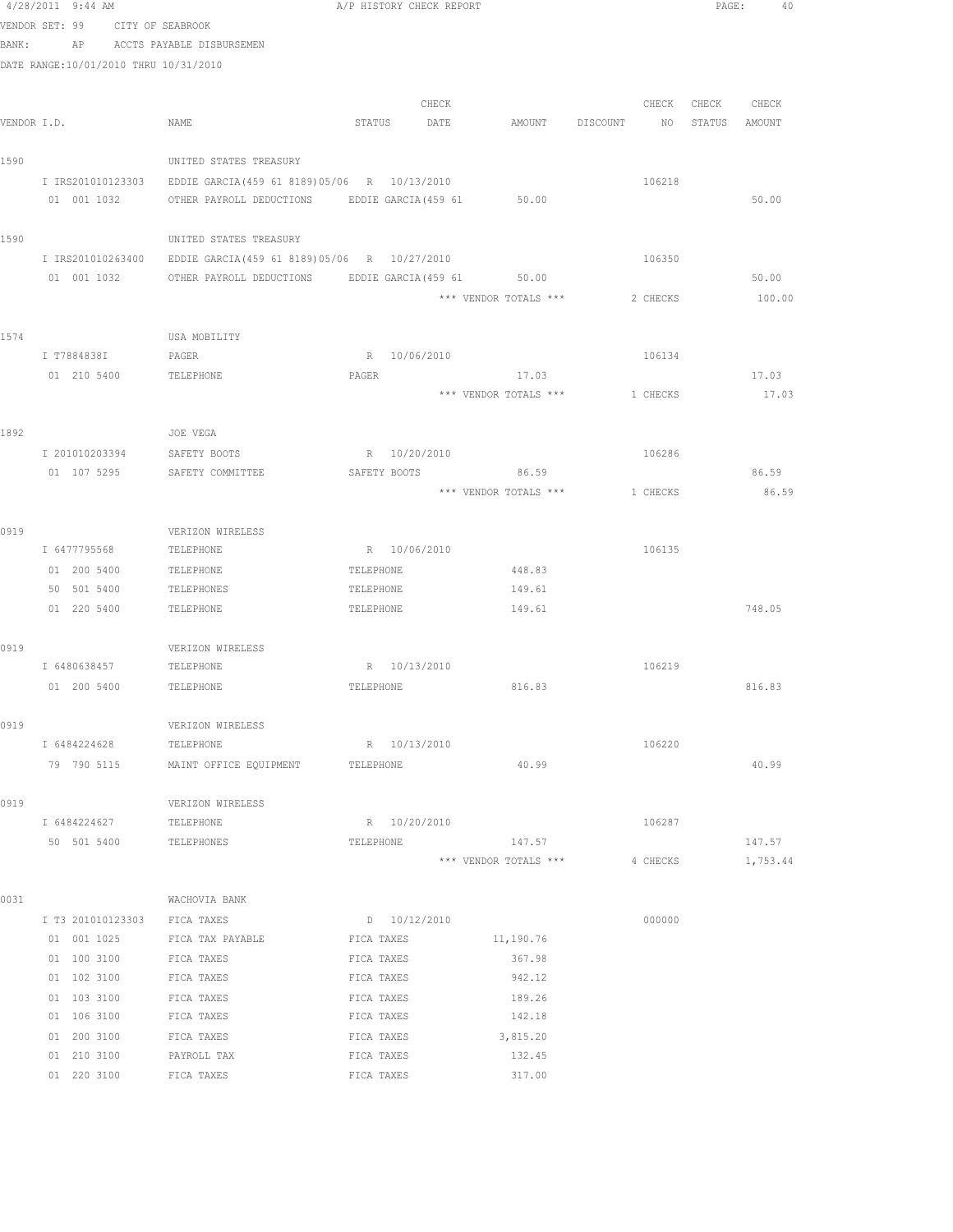|             | $4/28/2011$ 9:44 AM                   |                                               | A/P HISTORY CHECK REPORT |       |                            |          | PAGE:         | 40       |  |
|-------------|---------------------------------------|-----------------------------------------------|--------------------------|-------|----------------------------|----------|---------------|----------|--|
|             | VENDOR SET: 99 CITY OF SEABROOK       |                                               |                          |       |                            |          |               |          |  |
| BANK:       |                                       | AP ACCTS PAYABLE DISBURSEMEN                  |                          |       |                            |          |               |          |  |
|             | DATE RANGE:10/01/2010 THRU 10/31/2010 |                                               |                          |       |                            |          |               |          |  |
|             |                                       |                                               |                          |       |                            |          |               |          |  |
|             |                                       |                                               |                          | CHECK |                            | CHECK    | CHECK         | CHECK    |  |
| VENDOR I.D. |                                       | NAME                                          | STATUS DATE              |       | AMOUNT DISCOUNT NO         |          | STATUS AMOUNT |          |  |
|             |                                       |                                               |                          |       |                            |          |               |          |  |
| 1590        |                                       | UNITED STATES TREASURY                        |                          |       |                            |          |               |          |  |
|             | I IRS201010123303                     | EDDIE GARCIA (459 61 8189) 05/06 R 10/13/2010 |                          |       |                            | 106218   |               |          |  |
|             | 01 001 1032                           | OTHER PAYROLL DEDUCTIONS                      |                          |       | EDDIE GARCIA (459 61 50.00 |          |               | 50.00    |  |
|             |                                       |                                               |                          |       |                            |          |               |          |  |
| 1590        |                                       | UNITED STATES TREASURY                        |                          |       |                            |          |               |          |  |
|             | I IRS201010263400                     | EDDIE GARCIA (459 61 8189) 05/06 R 10/27/2010 |                          |       |                            | 106350   |               |          |  |
|             | 01 001 1032                           | OTHER PAYROLL DEDUCTIONS                      |                          |       | EDDIE GARCIA (459 61 50.00 |          |               | 50.00    |  |
|             |                                       |                                               |                          |       | *** VENDOR TOTALS ***      | 2 CHECKS |               | 100.00   |  |
|             |                                       |                                               |                          |       |                            |          |               |          |  |
| 1574        |                                       | USA MOBILITY                                  |                          |       |                            |          |               |          |  |
|             | I T7884838I                           | PAGER                                         | R 10/06/2010             |       |                            | 106134   |               |          |  |
|             | 01 210 5400                           | TELEPHONE                                     | PAGER                    |       | 17.03                      |          |               | 17.03    |  |
|             |                                       |                                               |                          |       | *** VENDOR TOTALS ***      | 1 CHECKS |               | 17.03    |  |
|             |                                       |                                               |                          |       |                            |          |               |          |  |
| 1892        | I 201010203394                        | JOE VEGA<br>SAFETY BOOTS                      | R 10/20/2010             |       |                            | 106286   |               |          |  |
|             | 01 107 5295                           | SAFETY COMMITTEE                              |                          |       | SAFETY BOOTS 86.59         |          |               | 86.59    |  |
|             |                                       |                                               |                          |       | *** VENDOR TOTALS ***      | 1 CHECKS |               | 86.59    |  |
|             |                                       |                                               |                          |       |                            |          |               |          |  |
| 0919        |                                       | VERIZON WIRELESS                              |                          |       |                            |          |               |          |  |
|             | I 6477795568                          | TELEPHONE                                     | R 10/06/2010             |       |                            | 106135   |               |          |  |
|             | 01 200 5400                           | TELEPHONE                                     | TELEPHONE                |       | 448.83                     |          |               |          |  |
|             | 50 501 5400                           | TELEPHONES                                    | TELEPHONE                |       | 149.61                     |          |               |          |  |
|             | 01 220 5400                           | TELEPHONE                                     | TELEPHONE                |       | 149.61                     |          |               | 748.05   |  |
|             |                                       |                                               |                          |       |                            |          |               |          |  |
| 0919        |                                       | VERIZON WIRELESS                              |                          |       |                            |          |               |          |  |
|             | I 6480638457                          | TELEPHONE                                     | R 10/13/2010             |       |                            | 106219   |               |          |  |
|             | 01 200 5400                           | <b>TELEPHONE</b>                              | TELEPHONE                |       | 816.83                     |          |               | 816.83   |  |
|             |                                       |                                               |                          |       |                            |          |               |          |  |
| 0919        |                                       | VERIZON WIRELESS                              |                          |       |                            |          |               |          |  |
|             | I 6484224628                          | TELEPHONE                                     | R 10/13/2010             |       |                            | 106220   |               |          |  |
|             | 79 790 5115                           | MAINT OFFICE EQUIPMENT                        | TELEPHONE                |       | 40.99                      |          |               | 40.99    |  |
|             |                                       |                                               |                          |       |                            |          |               |          |  |
| 0919        |                                       | VERIZON WIRELESS                              |                          |       |                            |          |               |          |  |
|             | I 6484224627                          | TELEPHONE                                     | R 10/20/2010             |       |                            | 106287   |               |          |  |
|             | 50 501 5400                           | TELEPHONES                                    | TELEPHONE                |       | 147.57                     |          |               | 147.57   |  |
|             |                                       |                                               |                          |       | *** VENDOR TOTALS ***      | 4 CHECKS |               | 1,753.44 |  |
|             |                                       |                                               |                          |       |                            |          |               |          |  |
| 0031        |                                       | WACHOVIA BANK                                 |                          |       |                            |          |               |          |  |
|             | I T3 201010123303                     | FICA TAXES                                    | D 10/12/2010             |       |                            | 000000   |               |          |  |
|             | 01 001 1025                           | FICA TAX PAYABLE                              | FICA TAXES               |       | 11,190.76                  |          |               |          |  |
|             | 01 100 3100<br>01 102 3100            | FICA TAXES<br>FICA TAXES                      | FICA TAXES<br>FICA TAXES |       | 367.98<br>942.12           |          |               |          |  |
|             | 01 103 3100                           | FICA TAXES                                    | FICA TAXES               |       | 189.26                     |          |               |          |  |
|             | 01 106 3100                           | FICA TAXES                                    | FICA TAXES               |       | 142.18                     |          |               |          |  |
|             | 01 200 3100                           | FICA TAXES                                    | FICA TAXES               |       | 3,815.20                   |          |               |          |  |
|             | 01 210 3100                           | PAYROLL TAX                                   | FICA TAXES               |       | 132.45                     |          |               |          |  |
|             | 01 220 3100                           | FICA TAXES                                    | FICA TAXES               |       | 317.00                     |          |               |          |  |
|             |                                       |                                               |                          |       |                            |          |               |          |  |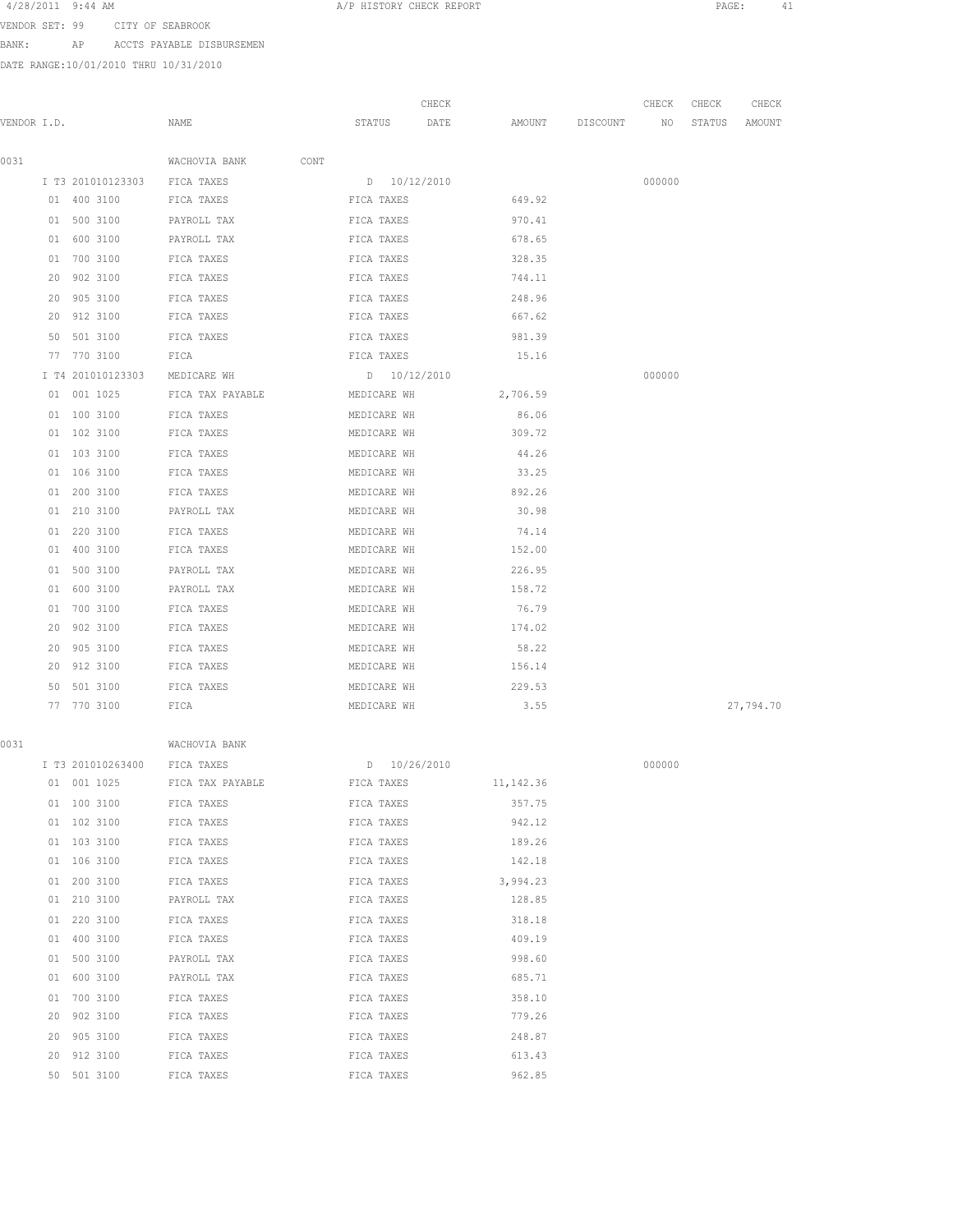4/28/2011 9:44 AM **A/P HISTORY CHECK REPORT PAGE:** 41

VENDOR SET: 99 CITY OF SEABROOK BANK: AP ACCTS PAYABLE DISBURSEMEN

DATE RANGE:10/01/2010 THRU 10/31/2010

|      | DATE RANGE:10/01/2010 THRU 10/31/2010 |                       |                 |                         |          |              |                 |                 |  |
|------|---------------------------------------|-----------------------|-----------------|-------------------------|----------|--------------|-----------------|-----------------|--|
|      | VENDOR I.D.                           | NAME                  | STATUS          | CHECK<br>DATE<br>AMOUNT | DISCOUNT | CHECK<br>NO. | CHECK<br>STATUS | CHECK<br>AMOUNT |  |
|      |                                       |                       |                 |                         |          |              |                 |                 |  |
| 0031 |                                       | WACHOVIA BANK<br>CONT |                 |                         |          |              |                 |                 |  |
|      | I T3 201010123303                     | FICA TAXES            | 10/12/2010<br>D |                         |          | 000000       |                 |                 |  |
|      | 400 3100<br>01                        | FICA TAXES            | FICA TAXES      | 649.92                  |          |              |                 |                 |  |
|      | 500 3100<br>01                        | PAYROLL TAX           | FICA TAXES      | 970.41                  |          |              |                 |                 |  |

|    |             | I T3 201010123303 FICA TAXES D 10/12/2010                 |                     |        | 000000 |           |
|----|-------------|-----------------------------------------------------------|---------------------|--------|--------|-----------|
|    |             |                                                           |                     |        |        |           |
|    |             | 01 500 3100 PAYROLL TAX PART FICA TAXES                   |                     | 970.41 |        |           |
|    | 01 600 3100 | FICA TAXES<br>PAYROLL TAX                                 |                     | 678.65 |        |           |
|    | 01 700 3100 | FICA TAXES 528.35                                         |                     |        |        |           |
| 20 |             | 902 3100 FICA TAXES                                       | FICA TAXES          | 744.11 |        |           |
|    |             | 20 905 3100 FICA TAXES FICA TAXES                         | 248.96              |        |        |           |
|    | 20 912 3100 | FICA TAXES 667.62                                         |                     |        |        |           |
| 50 |             | 501 3100 FICA TAXES FICA TAXES 981.39                     |                     |        |        |           |
|    |             | 77 770 3100 FICA <b>FIGR</b> FICA <b>FICA TAXES</b> 15.16 |                     |        |        |           |
|    |             | I T4 201010123303 MEDICARE WH  D 10/12/2010               |                     |        | 000000 |           |
|    |             | 01 001 1025 FICA TAX PAYABLE MEDICARE WH 2,706.59         |                     |        |        |           |
|    |             | 01 100 3100 FICA TAXES MEDICARE WH 86.06                  |                     |        |        |           |
|    | 01 102 3100 | FICA TAXES 600 MEDICARE WH 309.72                         |                     |        |        |           |
|    | 01 103 3100 | FICA TAXES                                                | MEDICARE WH         | 44.26  |        |           |
|    | 01 106 3100 | FICA TAXES 63.25                                          |                     |        |        |           |
|    | 01 200 3100 | FICA TAXES 692.26                                         |                     |        |        |           |
|    | 01 210 3100 | PAYROLL TAX                                               | MEDICARE WH 30.98   |        |        |           |
|    | 01 220 3100 | FICA TAXES 674.14                                         |                     |        |        |           |
|    | 01 400 3100 | FICA TAXES 60 MEDICARE WH                                 |                     |        |        |           |
| 01 | 500 3100    | PAYROLL TAX                                               | MEDICARE WH 226.95  |        |        |           |
|    | 01 600 3100 | PAYROLL TAX                                               | MEDICARE WH 158.72  |        |        |           |
| 01 | 700 3100    | FICA TAXES 6.79 MEDICARE WH                               |                     |        |        |           |
|    | 20 902 3100 | FICA TAXES                                                | MEDICARE WH 174.02  |        |        |           |
|    | 20 905 3100 | FICA TAXES 6.22                                           |                     |        |        |           |
| 20 | 912 3100    | FICA TAXES MEDICARE WH 156.14                             |                     |        |        |           |
| 50 | 501 3100    | FICA TAXES                                                | MEDICARE WH 229.53  |        |        |           |
|    | 77 770 3100 | FICA                                                      | 3.55<br>MEDICARE WH |        |        | 27,794.70 |
|    |             |                                                           |                     |        |        |           |

|             |        | ۰ |  |
|-------------|--------|---|--|
| ٠<br>$\sim$ | ×<br>I | ٧ |  |

| 0031 |    |             | WACHOVIA BANK                                     |                   |          |        |
|------|----|-------------|---------------------------------------------------|-------------------|----------|--------|
|      |    |             | I T3 201010263400 FICA TAXES D 10/26/2010         |                   |          | 000000 |
|      |    |             | 01 001 1025 FICA TAX PAYABLE FICA TAXES 11,142.36 |                   |          |        |
|      |    |             | 01 100 3100 FICA TAXES                            | FICA TAXES 357.75 |          |        |
|      |    | 01 102 3100 | FICA TAXES                                        | FICA TAXES        | 942.12   |        |
|      |    |             | 01 103 3100 FICA TAXES                            | FICA TAXES        | 189.26   |        |
|      |    | 01 106 3100 | FICA TAXES                                        | FICA TAXES 142.18 |          |        |
|      |    | 01 200 3100 | FICA TAXES FICA TAXES                             |                   | 3,994.23 |        |
|      |    | 01 210 3100 | PAYROLL TAX                                       | FICA TAXES        | 128.85   |        |
|      |    | 01 220 3100 |                                                   |                   | 318.18   |        |
|      |    | 01 400 3100 | FICA TAXES FICA TAXES                             |                   | 409.19   |        |
|      |    | 01 500 3100 | PAYROLL TAX <b>EXECUTE:</b> FICA TAXES            |                   | 998.60   |        |
|      |    | 01 600 3100 | FICA TAXES<br>PAYROLL TAX                         |                   | 685.71   |        |
|      | 01 | 700 3100    | FICA TAXES                                        | FICA TAXES        | 358.10   |        |
|      | 20 | 902 3100    | FICA TAXES                                        | FICA TAXES        | 779.26   |        |
|      | 20 | 905 3100    | FICA TAXES                                        | FICA TAXES        | 248.87   |        |
|      | 20 | 912 3100    | FICA TAXES                                        | FICA TAXES        | 613.43   |        |
|      |    | 50 501 3100 | FICA TAXES<br>FICA TAXES                          |                   | 962.85   |        |
|      |    |             |                                                   |                   |          |        |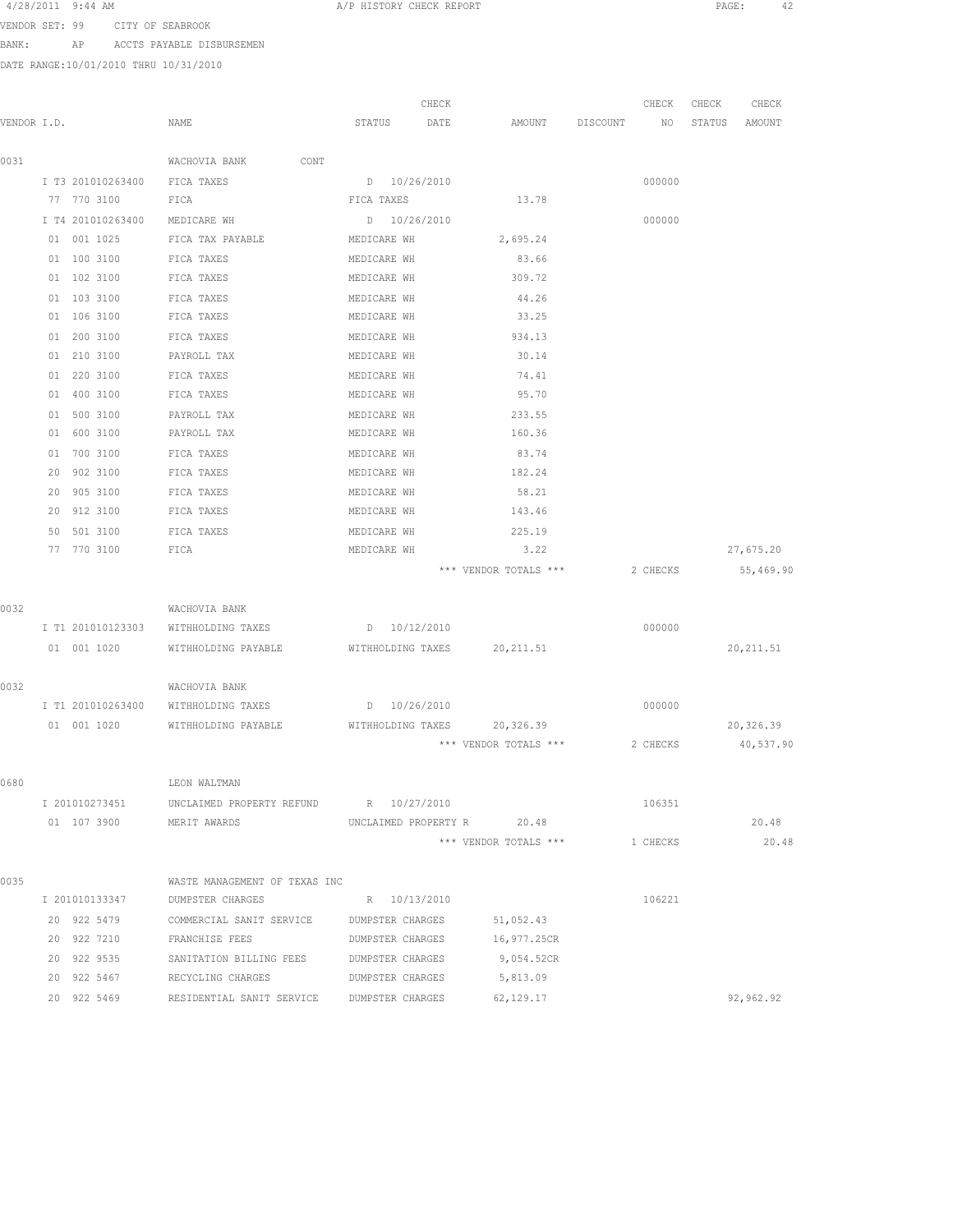| 4/28/2011 | 9:44 AM |  |
|-----------|---------|--|
|-----------|---------|--|

A/P HISTORY CHECK REPORT PAGE: 42

VENDOR SET: 99 CITY OF SEABROOK

BANK: AP ACCTS PAYABLE DISBURSEMEN

DATE RANGE:10/01/2010 THRU 10/31/2010

|             |                   |                                           | CHECK                      |                       |          | CHECK    | CHECK  | CHECK      |
|-------------|-------------------|-------------------------------------------|----------------------------|-----------------------|----------|----------|--------|------------|
| VENDOR I.D. |                   | NAME                                      | STATUS<br>DATE             | AMOUNT                | DISCOUNT | NO       | STATUS | AMOUNT     |
| 0031        |                   | WACHOVIA BANK<br>CONT                     |                            |                       |          |          |        |            |
|             | I T3 201010263400 | FICA TAXES                                | D 10/26/2010               |                       |          | 000000   |        |            |
|             | 77 770 3100       | FICA                                      | FICA TAXES                 | 13.78                 |          |          |        |            |
|             | I T4 201010263400 | MEDICARE WH                               | D 10/26/2010               |                       |          | 000000   |        |            |
|             | 01 001 1025       | FICA TAX PAYABLE                          | MEDICARE WH                | 2,695.24              |          |          |        |            |
|             | 01 100 3100       | FICA TAXES                                | MEDICARE WH                | 83.66                 |          |          |        |            |
|             | 01 102 3100       | FICA TAXES                                | MEDICARE WH                | 309.72                |          |          |        |            |
|             | 01 103 3100       | FICA TAXES                                | MEDICARE WH                | 44.26                 |          |          |        |            |
|             | 01 106 3100       | FICA TAXES                                | MEDICARE WH                | 33.25                 |          |          |        |            |
|             | 01 200 3100       | FICA TAXES                                | MEDICARE WH                | 934.13                |          |          |        |            |
|             | 01 210 3100       | PAYROLL TAX                               | MEDICARE WH                | 30.14                 |          |          |        |            |
|             | 01 220 3100       | FICA TAXES                                | MEDICARE WH                | 74.41                 |          |          |        |            |
|             | 400 3100<br>01    | FICA TAXES                                | MEDICARE WH                | 95.70                 |          |          |        |            |
|             | 01 500 3100       | PAYROLL TAX                               | MEDICARE WH                | 233.55                |          |          |        |            |
|             | 600 3100<br>01    | PAYROLL TAX                               | MEDICARE WH                | 160.36                |          |          |        |            |
|             | 01 700 3100       | FICA TAXES                                | MEDICARE WH                | 83.74                 |          |          |        |            |
|             | 20<br>902 3100    | FICA TAXES                                | MEDICARE WH                | 182.24                |          |          |        |            |
|             | 905 3100<br>20    | FICA TAXES                                | MEDICARE WH                | 58.21                 |          |          |        |            |
|             | 20<br>912 3100    | FICA TAXES                                | MEDICARE WH                | 143.46                |          |          |        |            |
|             | 501 3100<br>50    | FICA TAXES                                | MEDICARE WH                | 225.19                |          |          |        |            |
|             | 77 770 3100       | FICA                                      | MEDICARE WH                | 3.22                  |          |          |        | 27,675.20  |
|             |                   |                                           |                            | *** VENDOR TOTALS *** |          | 2 CHECKS |        | 55,469.90  |
| 0032        |                   | WACHOVIA BANK                             |                            |                       |          |          |        |            |
|             | I T1 201010123303 | WITHHOLDING TAXES                         | $D = 10/12/2010$           |                       |          | 000000   |        |            |
|             | 01 001 1020       | WITHHOLDING PAYABLE                       | WITHHOLDING TAXES          | 20, 211.51            |          |          |        | 20, 211.51 |
|             |                   |                                           |                            |                       |          |          |        |            |
| 0032        |                   | WACHOVIA BANK                             |                            |                       |          |          |        |            |
|             | I T1 201010263400 | WITHHOLDING TAXES                         | D 10/26/2010               |                       |          | 000000   |        |            |
|             | 01 001 1020       | WITHHOLDING PAYABLE                       | WITHHOLDING TAXES          | 20,326.39             |          |          |        | 20,326.39  |
|             |                   |                                           |                            | *** VENDOR TOTALS *** |          | 2 CHECKS |        | 40,537.90  |
| 0680        |                   | LEON WALTMAN                              |                            |                       |          |          |        |            |
|             | I 201010273451    | UNCLAIMED PROPERTY REFUND R 10/27/2010    |                            |                       |          | 106351   |        |            |
|             | 01 107 3900       | MERIT AWARDS                              | UNCLAIMED PROPERTY R 20.48 |                       |          |          |        | 20.48      |
|             |                   |                                           |                            | *** VENDOR TOTALS *** |          | 1 CHECKS |        | 20.48      |
|             |                   |                                           |                            |                       |          |          |        |            |
| 0035        |                   | WASTE MANAGEMENT OF TEXAS INC             |                            |                       |          |          |        |            |
|             | I 201010133347    | DUMPSTER CHARGES                          | R 10/13/2010               |                       |          | 106221   |        |            |
|             | 20 922 5479       | COMMERCIAL SANIT SERVICE DUMPSTER CHARGES |                            | 51,052.43             |          |          |        |            |
|             | 20 922 7210       | FRANCHISE FEES                            | DUMPSTER CHARGES           | 16,977.25CR           |          |          |        |            |
|             | 20 922 9535       | SANITATION BILLING FEES                   | DUMPSTER CHARGES           | 9,054.52CR            |          |          |        |            |
|             | 20 922 5467       | RECYCLING CHARGES                         | DUMPSTER CHARGES           | 5,813.09              |          |          |        |            |
|             | 20 922 5469       | RESIDENTIAL SANIT SERVICE                 | DUMPSTER CHARGES           | 62,129.17             |          |          |        | 92,962.92  |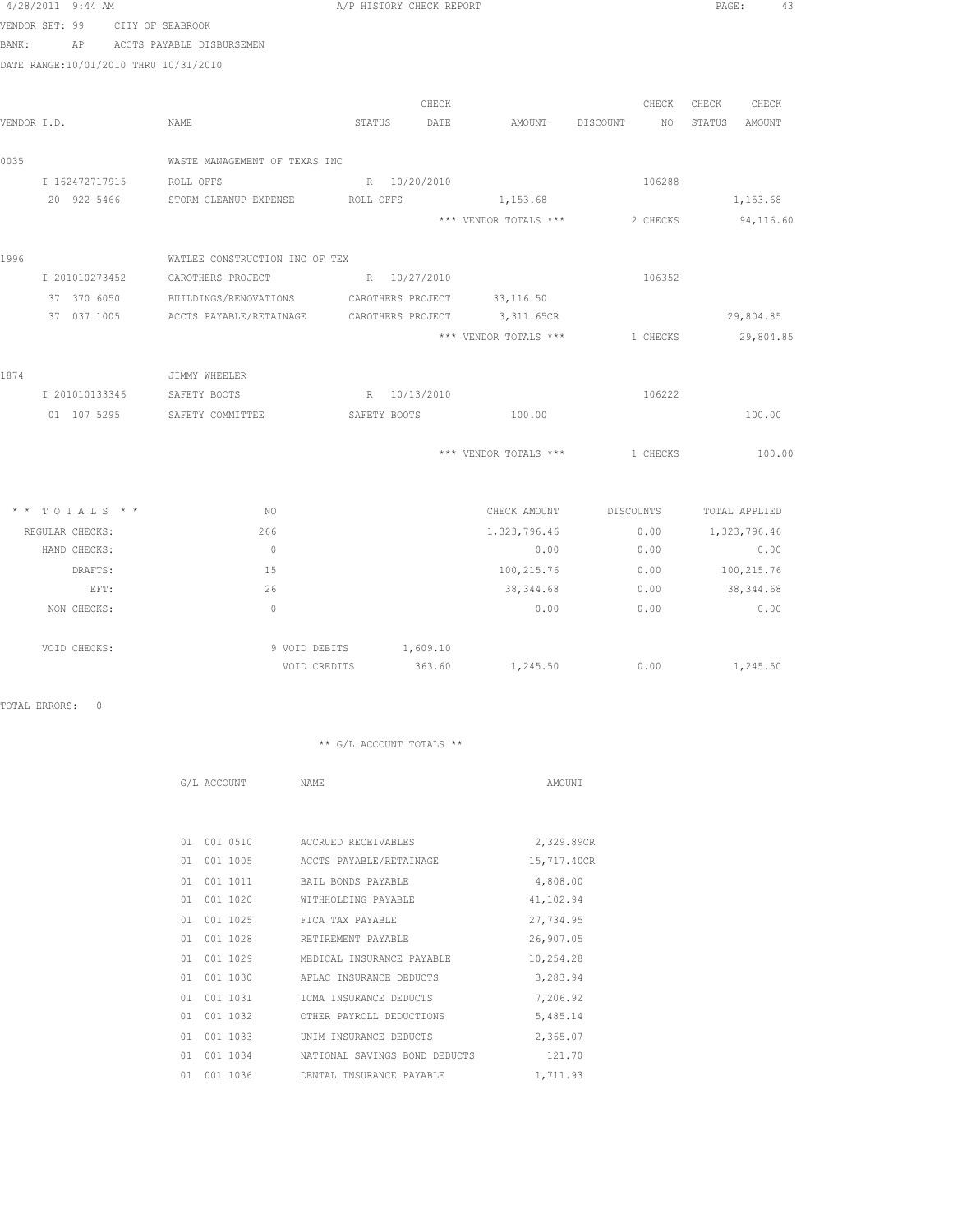| 4/28/2011 9:44 AM                     |                                                       | A/P HISTORY CHECK REPORT |                       |                        | PAGE:<br>43      |
|---------------------------------------|-------------------------------------------------------|--------------------------|-----------------------|------------------------|------------------|
| VENDOR SET: 99                        | CITY OF SEABROOK                                      |                          |                       |                        |                  |
| BANK:<br>AP                           | ACCTS PAYABLE DISBURSEMEN                             |                          |                       |                        |                  |
| DATE RANGE:10/01/2010 THRU 10/31/2010 |                                                       |                          |                       |                        |                  |
|                                       |                                                       |                          |                       |                        |                  |
|                                       |                                                       | CHECK                    |                       | CHECK                  | CHECK<br>CHECK   |
| VENDOR I.D.                           | NAME                                                  | STATUS<br>DATE           | AMOUNT DISCOUNT       | NO                     | STATUS<br>AMOUNT |
| 0035                                  | WASTE MANAGEMENT OF TEXAS INC                         |                          |                       |                        |                  |
|                                       | I 162472717915 ROLL OFFS                              | R 10/20/2010             |                       | 106288                 |                  |
| 20 922 5466                           | STORM CLEANUP EXPENSE                                 | ROLL OFFS                | 1,153.68              |                        | 1,153.68         |
|                                       |                                                       |                          | *** VENDOR TOTALS *** | 2 CHECKS               | 94,116.60        |
| 1996                                  | WATLEE CONSTRUCTION INC OF TEX                        |                          |                       |                        |                  |
| I 201010273452                        | CAROTHERS PROJECT                                     | R 10/27/2010             |                       | 106352                 |                  |
|                                       | 37 370 6050 BUILDINGS/RENOVATIONS CAROTHERS PROJECT   |                          | 33, 116.50            |                        |                  |
|                                       | 37 037 1005 ACCTS PAYABLE/RETAINAGE CAROTHERS PROJECT |                          | 3,311.65CR            |                        | 29,804.85        |
|                                       |                                                       |                          | *** VENDOR TOTALS *** | 1 CHECKS               | 29,804.85        |
| 1874                                  | JIMMY WHEELER                                         |                          |                       |                        |                  |
| I 201010133346                        | SAFETY BOOTS                                          | R 10/13/2010             |                       | 106222                 |                  |
|                                       | 01 107 5295 SAFETY COMMITTEE                          | SAFETY BOOTS 100.00      |                       |                        | 100.00           |
|                                       |                                                       |                          | *** VENDOR TOTALS *** | 1 CHECKS               | 100.00           |
| $*$ * TOTALS * *                      | NO.                                                   |                          |                       | CHECK AMOUNT DISCOUNTS | TOTAL APPLIED    |
| REGULAR CHECKS:                       | 266                                                   |                          | 1,323,796.46          | 0.00                   | 1,323,796.46     |
| HAND CHECKS:                          | $\overline{0}$                                        |                          | 0.00                  | 0.00                   | 0.00             |
| DRAFTS:                               | 15                                                    |                          | 100,215.76            | 0.00                   | 100,215.76       |
| EFT:                                  | 26                                                    |                          | 38,344.68             | 0.00                   | 38, 344.68       |
| NON CHECKS:                           | $\bigcirc$                                            |                          | 0.00                  | 0.00                   | 0.00             |
| VOID CHECKS:                          | 9 VOID DEBITS                                         | 1,609.10                 |                       |                        |                  |
|                                       |                                                       | 363.60<br>VOID CREDITS   |                       | 1,245.50 0.00          | 1,245.50         |

TOTAL ERRORS: 0

|    | G/L ACCOUNT | NAME                          | AMOUNT      |
|----|-------------|-------------------------------|-------------|
|    |             |                               |             |
|    |             |                               |             |
| 01 | 001 0510    | ACCRUED RECEIVABLES           | 2,329.89CR  |
| 01 | 001 1005    | ACCTS PAYABLE/RETAINAGE       | 15,717.40CR |
| 01 | 001 1011    | BAIL BONDS PAYABLE            | 4,808.00    |
| 01 | 001 1020    | WITHHOLDING PAYABLE           | 41,102.94   |
| 01 | 001 1025    | FICA TAX PAYABLE              | 27,734.95   |
| 01 | 001 1028    | RETIREMENT PAYABLE            | 26,907.05   |
| 01 | 001 1029    | MEDICAL INSURANCE PAYABLE     | 10,254.28   |
| 01 | 001 1030    | AFLAC INSURANCE DEDUCTS       | 3,283.94    |
| 01 | 001 1031    | ICMA INSURANCE DEDUCTS        | 7,206.92    |
| 01 | 001 1032    | OTHER PAYROLL DEDUCTIONS      | 5,485.14    |
| 01 | 001 1033    | UNIM INSURANCE DEDUCTS        | 2,365.07    |
| 01 | 001 1034    | NATIONAL SAVINGS BOND DEDUCTS | 121.70      |
| 01 | 001 1036    | DENTAL INSURANCE PAYABLE      | 1,711.93    |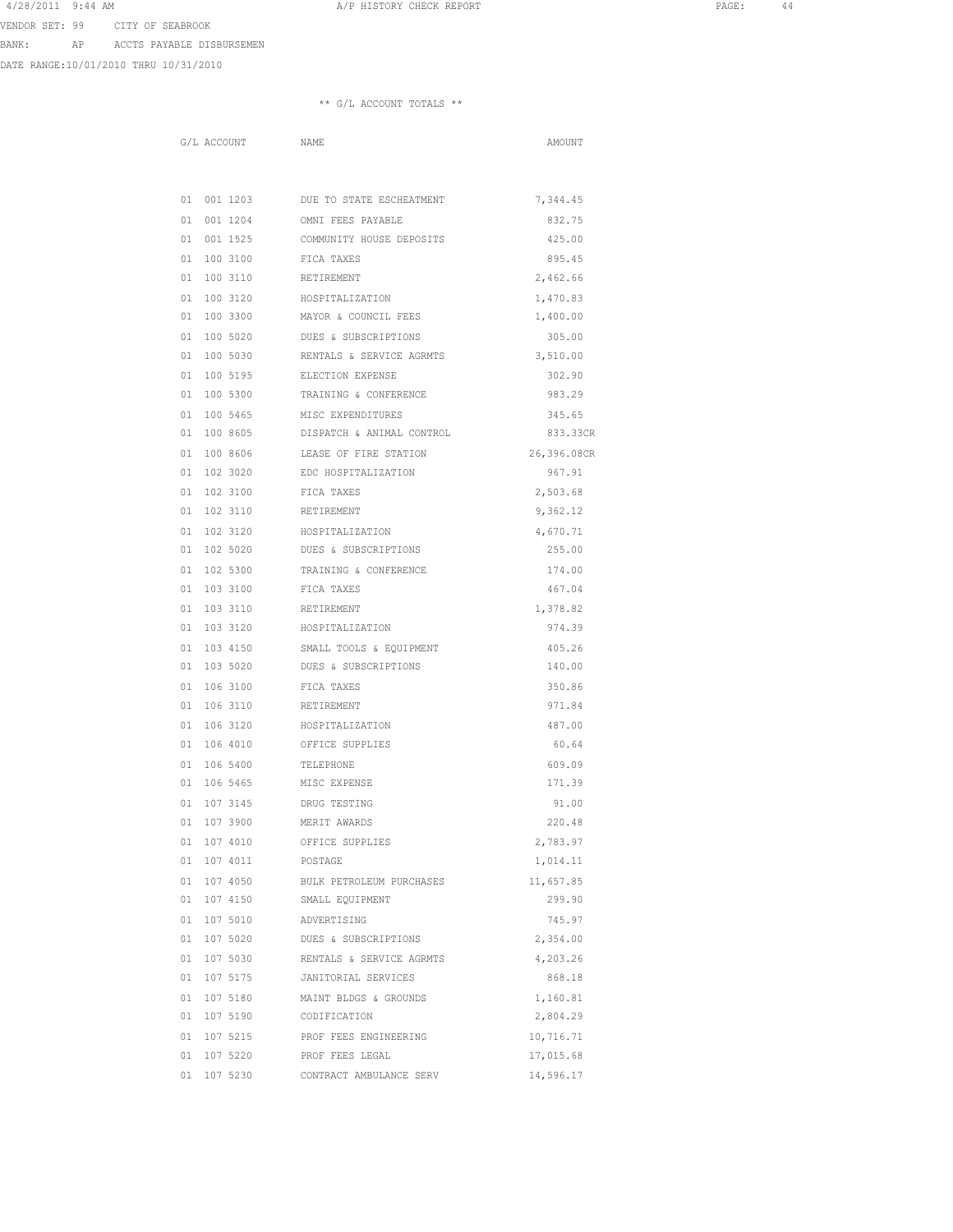4/28/2011 9:44 AM A/P HISTORY CHECK REPORT PAGE: 44

VENDOR SET: 99 CITY OF SEABROOK

BANK: AP ACCTS PAYABLE DISBURSEMEN

DATE RANGE:10/01/2010 THRU 10/31/2010

### \*\* G/L ACCOUNT TOTALS \*\*

G/L ACCOUNT NAME NAME

|             | 01 001 1203 DUE TO STATE ESCHEATMENT                           | 7,344.45    |
|-------------|----------------------------------------------------------------|-------------|
|             | 01 001 1204 OMNI FEES PAYABLE                                  | 832.75      |
|             | 01 001 1525 COMMUNITY HOUSE DEPOSITS                           | 425.00      |
|             | 01 100 3100 FICA TAXES                                         | 895.45      |
|             | 01 100 3110 RETIREMENT                                         | 2,462.66    |
| 01 100 3120 | HOSPITALIZATION                                                | 1,470.83    |
| 01 100 3300 | MAYOR & COUNCIL FEES                                           | 1,400.00    |
| 01 100 5020 | DUES & SUBSCRIPTIONS                                           | 305.00      |
| 01 100 5030 | RENTALS & SERVICE AGRMTS                                       | 3,510.00    |
| 01 100 5195 | ELECTION EXPENSE                                               | 302.90      |
|             | 01 100 5300 TRAINING & CONFERENCE                              | 983.29      |
|             | 01 100 5465 MISC EXPENDITURES                                  | 345.65      |
|             | 01 100 8605 DISPATCH & ANIMAL CONTROL                          | 833.33CR    |
|             | 01 100 8606 LEASE OF FIRE STATION                              | 26,396.08CR |
|             | 01 102 3020 EDC HOSPITALIZATION                                | 967.91      |
|             | 01 102 3100 FICA TAXES                                         | 2,503.68    |
|             | 01  102  3110  RETIREMENT                                      | 9,362.12    |
| 01 102 3120 | HOSPITALIZATION                                                | 4,670.71    |
| 01 102 5020 | DUES & SUBSCRIPTIONS                                           | 255.00      |
| 01 102 5300 | TRAINING & CONFERENCE                                          | 174.00      |
| 01 103 3100 | FICA TAXES                                                     | 467.04      |
| 01 103 3110 | RETIREMENT                                                     | 1,378.82    |
|             | $01 \quad 103 \quad 3120 \qquad \qquad \text{HOSPITALIZATION}$ | 974.39      |
|             | 01 103 4150 SMALL TOOLS & EQUIPMENT                            | 405.26      |
|             | 01 103 5020 DUES & SUBSCRIPTIONS                               | 140.00      |
|             | 01 106 3100 FICA TAXES                                         | 350.86      |
|             | 01 106 3110 RETIREMENT                                         | 971.84      |
|             | 01 106 3120 HOSPITALIZATION                                    | 487.00      |
|             | 01 106 4010 OFFICE SUPPLIES                                    | 60.64       |
| 01 106 5400 | TELEPHONE                                                      | 609.09      |
| 01 106 5465 | MISC EXPENSE                                                   | 171.39      |
| 01 107 3145 | DRUG TESTING                                                   | 91.00       |
| 01 107 3900 | MERIT AWARDS                                                   | 220.48      |
| 01 107 4010 | OFFICE SUPPLIES                                                | 2,783.97    |
| 01 107 4011 | POSTAGE                                                        | 1,014.11    |
|             | 01 107 4050 BULK PETROLEUM PURCHASES                           | 11,657.85   |
| 01 107 4150 | SMALL EQUIPMENT                                                | 299.90      |
| 01 107 5010 | ADVERTISING                                                    | 745.97      |
| 01 107 5020 | DUES & SUBSCRIPTIONS                                           | 2,354.00    |
|             | 01 107 5030 RENTALS & SERVICE AGRMTS                           | 4,203.26    |
| 01 107 5175 | JANITORIAL SERVICES                                            | 868.18      |
| 01 107 5180 | MAINT BLDGS & GROUNDS                                          | 1,160.81    |
| 01 107 5190 | CODIFICATION                                                   | 2,804.29    |
| 01 107 5215 | PROF FEES ENGINEERING                                          | 10,716.71   |
| 01 107 5220 | PROF FEES LEGAL                                                | 17,015.68   |
| 01 107 5230 | CONTRACT AMBULANCE SERV                                        | 14,596.17   |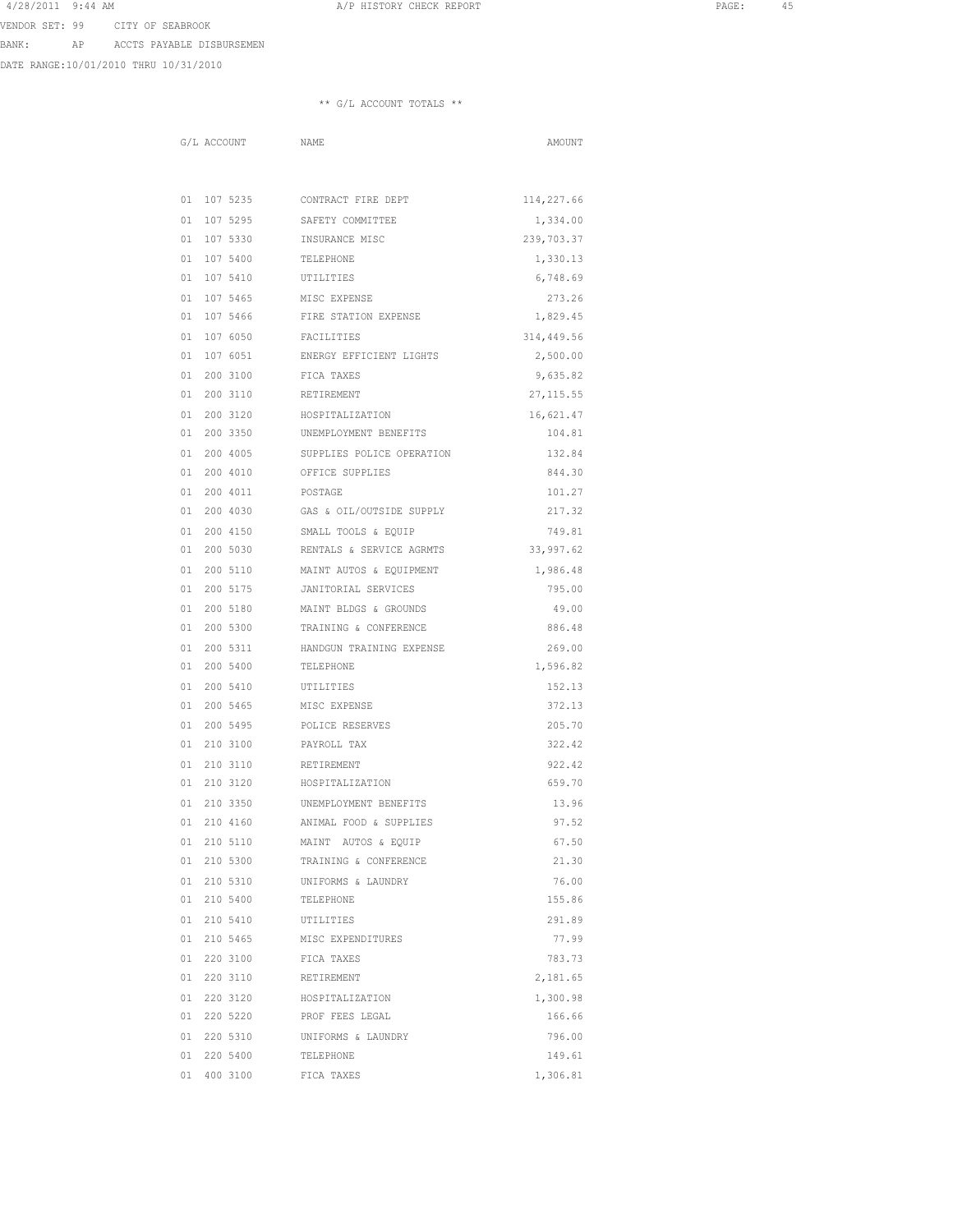A A SHORT CHECK REPORT CHECK REPORT AND RAGE: 45

VENDOR SET: 99 CITY OF SEABROOK

BANK: AP ACCTS PAYABLE DISBURSEMEN

DATE RANGE:10/01/2010 THRU 10/31/2010

| G/L ACCOUNT            | NAME                               | AMOUNT                 |
|------------------------|------------------------------------|------------------------|
|                        |                                    |                        |
|                        |                                    |                        |
| 01 107 5295            | 01 107 5235 CONTRACT FIRE DEPT     | 114,227.66             |
| 01 107 5330            | SAFETY COMMITTEE<br>INSURANCE MISC | 1,334.00<br>239,703.37 |
| 01 107 5400            | TELEPHONE                          |                        |
| 01 107 5410            | UTILITIES                          | 1,330.13<br>6,748.69   |
| 01 107 5465            | MISC EXPENSE                       | 273.26                 |
| 01 107 5466            | FIRE STATION EXPENSE               | 1,829.45               |
| 01 107 6050            | FACILITIES                         | 314,449.56             |
| 01 107 6051            | ENERGY EFFICIENT LIGHTS            | 2,500.00               |
| 01 200 3100            | FICA TAXES                         | 9,635.82               |
| 01 200 3110            | RETIREMENT                         | 27, 115.55             |
| 01 200 3120            | HOSPITALIZATION                    | 16,621.47              |
| 01 200 3350            | UNEMPLOYMENT BENEFITS              | 104.81                 |
| 01 200 4005            | SUPPLIES POLICE OPERATION          | 132.84                 |
| 01 200 4010            | OFFICE SUPPLIES                    | 844.30                 |
| 01 200 4011            | POSTAGE                            | 101.27                 |
| 01 200 4030            | GAS & OIL/OUTSIDE SUPPLY           | 217.32                 |
| 01 200 4150            | SMALL TOOLS & EQUIP                | 749.81                 |
| 01 200 5030            | RENTALS & SERVICE AGRMTS           | 33,997.62              |
| 01 200 5110            | MAINT AUTOS & EQUIPMENT            | 1,986.48               |
| 01 200 5175            | JANITORIAL SERVICES                | 795.00                 |
| 01 200 5180            | MAINT BLDGS & GROUNDS              | 49.00                  |
| 01 200 5300            | TRAINING & CONFERENCE              | 886.48                 |
| 01 200 5311            | HANDGUN TRAINING EXPENSE           | 269.00                 |
| 01 200 5400            | TELEPHONE                          | 1,596.82               |
| 01 200 5410            | UTILITIES                          | 152.13                 |
| 01 200 5465            | MISC EXPENSE                       | 372.13                 |
| 01 200 5495            | POLICE RESERVES                    | 205.70                 |
| 01 210 3100            | PAYROLL TAX                        | 322.42                 |
| 01 210 3110            | RETIREMENT                         | 922.42                 |
| 01 210 3120            | HOSPITALIZATION                    | 659.70                 |
| 01 210 3350            | UNEMPLOYMENT BENEFITS              | 13.96                  |
| 01 210 4160            | ANIMAL FOOD & SUPPLIES             | 97.52                  |
| 01 210 5110            | MAINT AUTOS & EQUIP                | 67.50                  |
| 01 210 5300            | TRAINING & CONFERENCE              | 21.30                  |
| 01 210 5310            | UNIFORMS & LAUNDRY                 | 76.00                  |
| 01 210 5400            | TELEPHONE                          | 155.86                 |
| 01 210 5410            | UTILITIES                          | 291.89                 |
| 01 210 5465            | MISC EXPENDITURES                  | 77.99                  |
| 01 220 3100 FICA TAXES |                                    | 783.73                 |
| 01 220 3110            | RETIREMENT                         | 2,181.65               |
| 01 220 3120            | HOSPITALIZATION                    | 1,300.98               |
| 01 220 5220            | PROF FEES LEGAL                    | 166.66                 |
| 01 220 5310            | UNIFORMS & LAUNDRY                 | 796.00                 |
| 01 220 5400            | TELEPHONE                          | 149.61                 |
| 01 400 3100            | FICA TAXES                         | 1,306.81               |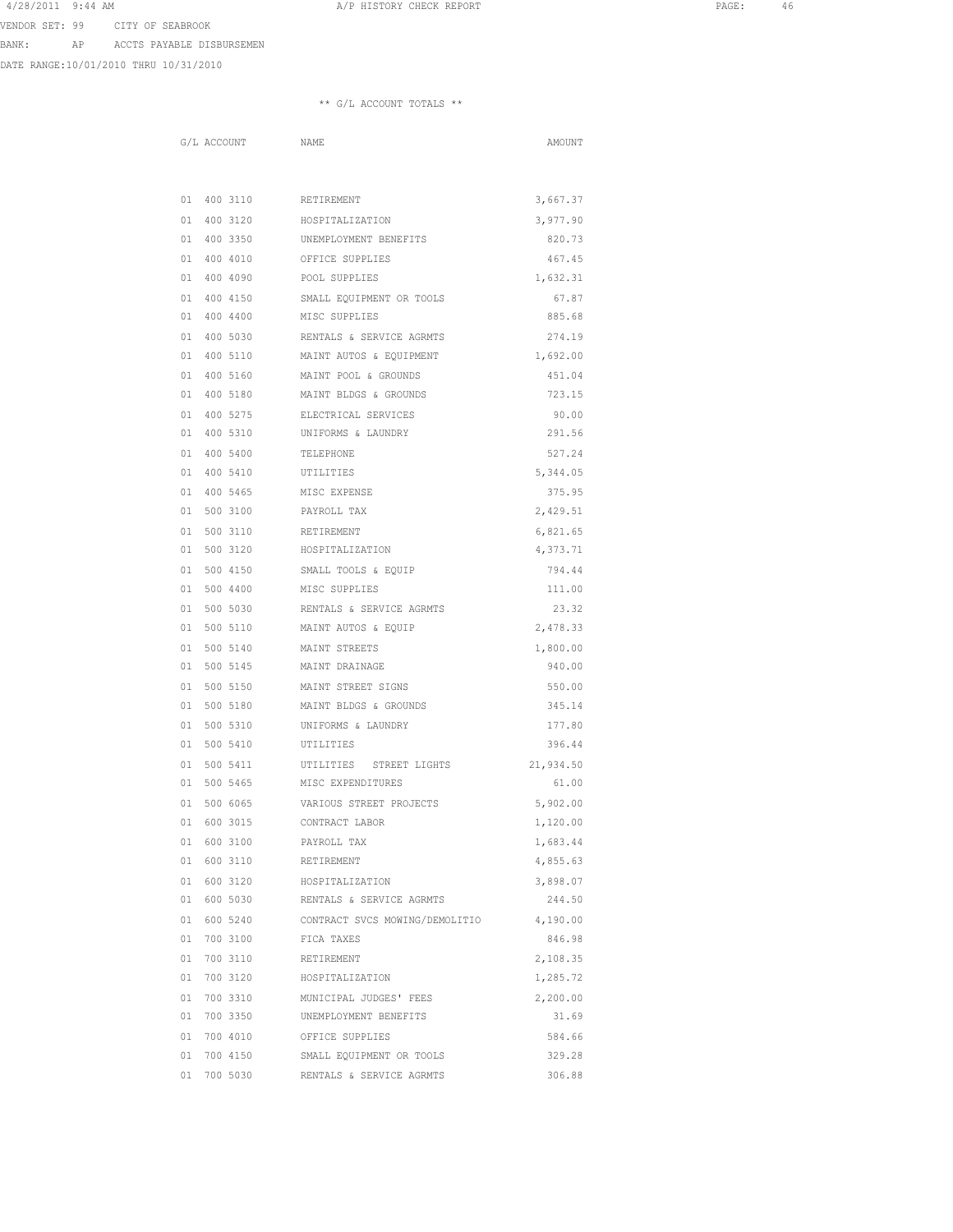4/28/2011 9:44 AM A/P HISTORY CHECK REPORT PAGE: 46 VENDOR SET: 99 CITY OF SEABROOK

BANK: AP ACCTS PAYABLE DISBURSEMEN

DATE RANGE:10/01/2010 THRU 10/31/2010

|  | G/L ACCOUNT               | <b>NAME</b>                                         | AMOUNT    |
|--|---------------------------|-----------------------------------------------------|-----------|
|  |                           |                                                     |           |
|  |                           |                                                     |           |
|  | 01  400  3110  RETIREMENT |                                                     | 3,667.37  |
|  |                           | 01 400 3120 HOSPITALIZATION                         | 3,977.90  |
|  |                           | 01 400 3350 UNEMPLOYMENT BENEFITS                   | 820.73    |
|  |                           | 01 400 4010 OFFICE SUPPLIES                         | 467.45    |
|  | 01 400 4090               | POOL SUPPLIES                                       | 1,632.31  |
|  | 01 400 4150               | SMALL EQUIPMENT OR TOOLS                            | 67.87     |
|  | 01 400 4400               | MISC SUPPLIES                                       | 885.68    |
|  | 01 400 5030               | RENTALS & SERVICE AGRMTS                            | 274.19    |
|  | 01 400 5110               | MAINT AUTOS & EQUIPMENT                             | 1,692.00  |
|  | 01 400 5160               | MAINT POOL & GROUNDS                                | 451.04    |
|  | 01 400 5180               | MAINT BLDGS & GROUNDS                               | 723.15    |
|  |                           | 01 400 5275 ELECTRICAL SERVICES                     | 90.00     |
|  |                           | 01 400 5310 UNIFORMS & LAUNDRY                      | 291.56    |
|  | 01 400 5400               | TELEPHONE                                           | 527.24    |
|  | 01  400  5410   UTILITIES |                                                     | 5,344.05  |
|  | 01 400 5465 MISC EXPENSE  |                                                     | 375.95    |
|  | 01 500 3100               | PAYROLL TAX                                         | 2,429.51  |
|  | 01 500 3110               | RETIREMENT                                          | 6,821.65  |
|  | 01 500 3120               | HOSPITALIZATION                                     | 4,373.71  |
|  | 01 500 4150               | SMALL TOOLS & EQUIP                                 | 794.44    |
|  | 01 500 4400               | MISC SUPPLIES                                       | 111.00    |
|  | 01 500 5030               | RENTALS & SERVICE AGRMTS                            | 23.32     |
|  | 01 500 5110               | MAINT AUTOS & EQUIP                                 | 2,478.33  |
|  | 01 500 5140               | MAINT STREETS                                       | 1,800.00  |
|  | 01 500 5145               | MAINT DRAINAGE                                      | 940.00    |
|  |                           | 01 500 5150 MAINT STREET SIGNS                      | 550.00    |
|  |                           | 01 500 5180 MAINT BLDGS & GROUNDS                   | 345.14    |
|  | 01 500 5310               | UNIFORMS & LAUNDRY                                  | 177.80    |
|  | 01 500 5410               | UTILITIES                                           | 396.44    |
|  | 01 500 5411               | UTILITIES STREET LIGHTS                             | 21,934.50 |
|  | 01 500 5465               | MISC EXPENDITURES                                   | 61.00     |
|  | 01 500 6065               | VARIOUS STREET PROJECTS                             | 5,902.00  |
|  | 01 600 3015               | CONTRACT LABOR                                      | 1,120.00  |
|  | 01 600 3100               | PAYROLL TAX                                         | 1,683.44  |
|  | 01 600 3110               | RETIREMENT                                          | 4,855.63  |
|  |                           | 01 600 3120 HOSPITALIZATION                         | 3,898.07  |
|  |                           | 01 600 5030 RENTALS & SERVICE AGRMTS                | 244.50    |
|  |                           | 01 600 5240 CONTRACT SVCS MOWING/DEMOLITIO 4,190.00 |           |
|  | 01 700 3100 FICA TAXES    |                                                     | 846.98    |
|  | 01 700 3110 RETIREMENT    |                                                     | 2,108.35  |
|  |                           | 01 700 3120 HOSPITALIZATION                         | 1,285.72  |
|  | 01 700 3310               | MUNICIPAL JUDGES' FEES                              | 2,200.00  |
|  | 01 700 3350               | UNEMPLOYMENT BENEFITS                               | 31.69     |
|  | 01 700 4010               | OFFICE SUPPLIES                                     | 584.66    |
|  | 01 700 4150               | SMALL EQUIPMENT OR TOOLS                            | 329.28    |
|  | 01 700 5030               | RENTALS & SERVICE AGRMTS                            | 306.88    |
|  |                           |                                                     |           |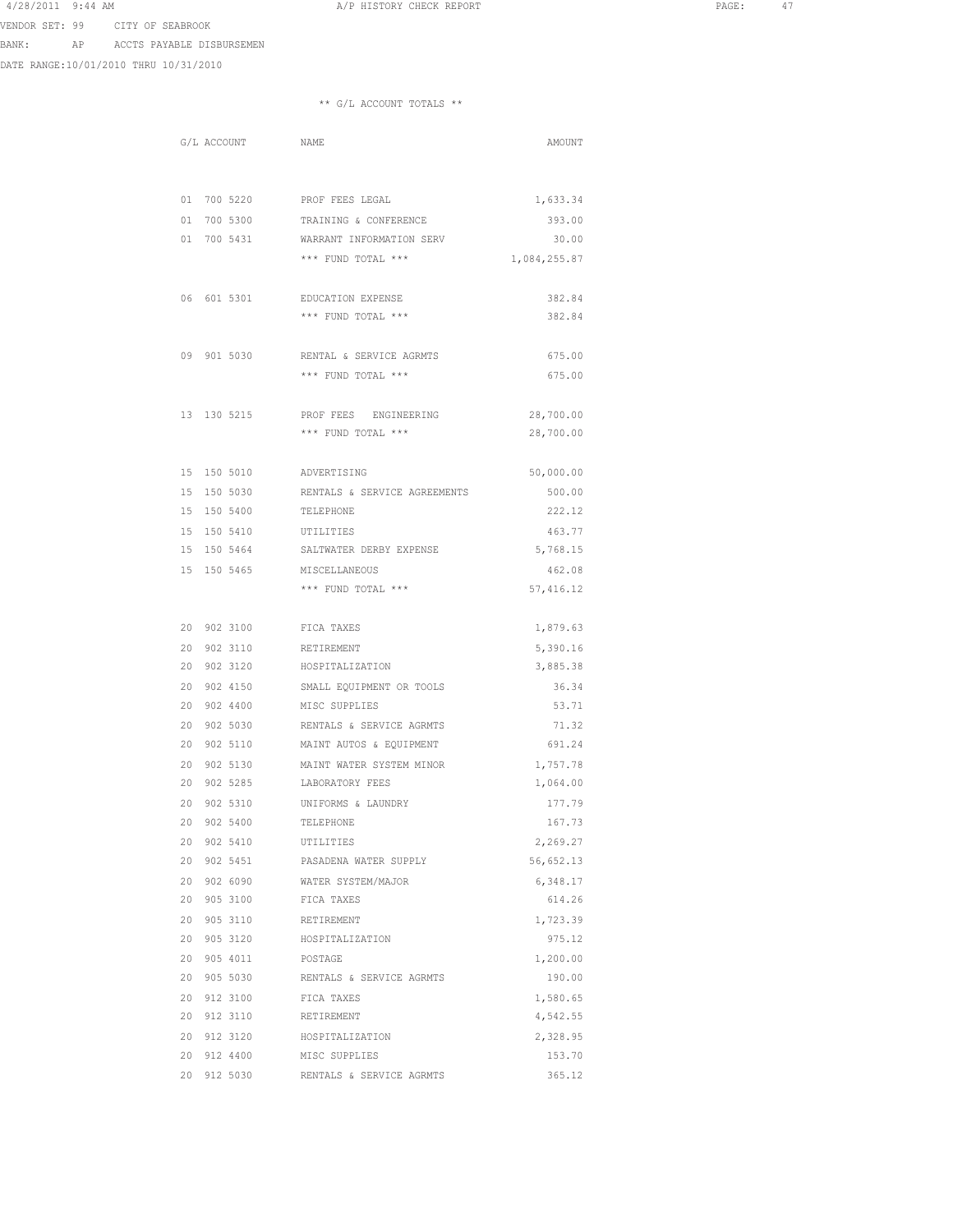4/28/2011 9:44 AM A/P HISTORY CHECK REPORT PAGE: 47 VENDOR SET: 99 CITY OF SEABROOK

BANK: AP ACCTS PAYABLE DISBURSEMEN

DATE RANGE:10/01/2010 THRU 10/31/2010

|  | G/L ACCOUNT NAME          |                                      | AMOUNT               |
|--|---------------------------|--------------------------------------|----------------------|
|  |                           |                                      |                      |
|  |                           |                                      |                      |
|  |                           | 01 700 5220 PROF FEES LEGAL          | 1,633.34             |
|  |                           | 01 700 5300 TRAINING & CONFERENCE    | 393.00               |
|  |                           | 01 700 5431 WARRANT INFORMATION SERV | 30.00                |
|  |                           | *** FUND TOTAL ***                   | 1,084,255.87         |
|  |                           |                                      |                      |
|  | 06 601 5301               | EDUCATION EXPENSE                    | 382.84               |
|  |                           | *** FUND TOTAL ***                   | 382.84               |
|  |                           |                                      |                      |
|  | 09 901 5030               | RENTAL & SERVICE AGRMTS              | 675.00               |
|  |                           | *** FUND TOTAL ***                   | 675.00               |
|  |                           |                                      |                      |
|  |                           | 13 130 5215 PROF FEES ENGINEERING    | 28,700.00            |
|  |                           | *** FUND TOTAL ***                   | 28,700.00            |
|  |                           |                                      |                      |
|  | 15 150 5010 ADVERTISING   |                                      | 50,000.00            |
|  | 15 150 5030               | RENTALS & SERVICE AGREEMENTS         | 500.00               |
|  | 15 150 5400               | TELEPHONE                            | 222.12               |
|  | 15 150 5410               | UTILITIES                            | 463.77               |
|  | 15 150 5464               | SALTWATER DERBY EXPENSE              | 5,768.15             |
|  | 15 150 5465               | MISCELLANEOUS                        | 462.08               |
|  |                           | *** FUND TOTAL ***                   | 57,416.12            |
|  | 20 902 3100 FICA TAXES    |                                      |                      |
|  | 20 902 3110 RETIREMENT    |                                      | 1,879.63             |
|  |                           | 20 902 3120 HOSPITALIZATION          | 5,390.16<br>3,885.38 |
|  |                           | 20 902 4150 SMALL EQUIPMENT OR TOOLS | 36.34                |
|  | 20 902 4400 MISC SUPPLIES |                                      | 53.71                |
|  | 20 902 5030               | RENTALS & SERVICE AGRMTS             | 71.32                |
|  | 20 902 5110               | MAINT AUTOS & EQUIPMENT              | 691.24               |
|  | 20 902 5130               | MAINT WATER SYSTEM MINOR             |                      |
|  | 20 902 5285               | LABORATORY FEES                      | 1,757.78             |
|  | 20 902 5310               | UNIFORMS & LAUNDRY                   | 1,064.00<br>177.79   |
|  | 20 902 5400               | TELEPHONE                            | 167.73               |
|  | 20 902 5410               | UTILITIES                            | 2,269.27             |
|  | 20 902 5451               | PASADENA WATER SUPPLY                | 56,652.13            |
|  | 20 902 6090               | WATER SYSTEM/MAJOR                   | 6,348.17             |
|  | 20 905 3100 FICA TAXES    |                                      | 614.26               |
|  | 20 905 3110               | RETIREMENT                           | 1,723.39             |
|  | 20 905 3120               | HOSPITALIZATION                      | 975.12               |
|  | 20 905 4011               | POSTAGE                              | 1,200.00             |
|  | 20 905 5030               | RENTALS & SERVICE AGRMTS             | 190.00               |
|  | 20 912 3100               | FICA TAXES                           | 1,580.65             |
|  | 20 912 3110               | RETIREMENT                           | 4,542.55             |
|  | 20 912 3120               | HOSPITALIZATION                      | 2,328.95             |
|  | 20 912 4400               | MISC SUPPLIES                        | 153.70               |
|  | 20 912 5030               | RENTALS & SERVICE AGRMTS             | 365.12               |
|  |                           |                                      |                      |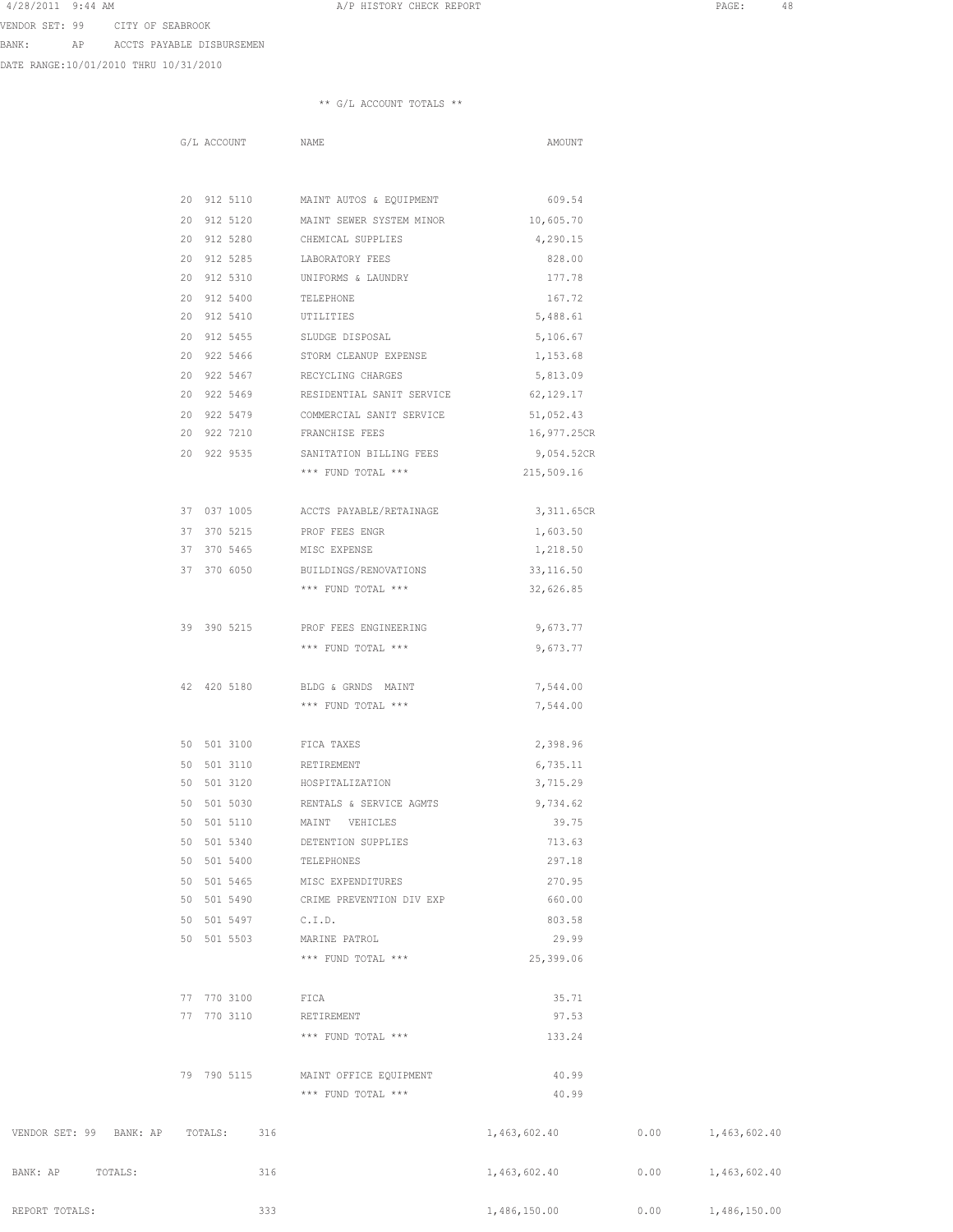4/28/2011 9:44 AM A/P HISTORY CHECK REPORT PAGE: 48

VENDOR SET: 99 CITY OF SEABROOK

BANK: AP ACCTS PAYABLE DISBURSEMEN

DATE RANGE:10/01/2010 THRU 10/31/2010

|                                 | G/L ACCOUNT NAME |                                                 | AMOUNT          |      |              |
|---------------------------------|------------------|-------------------------------------------------|-----------------|------|--------------|
|                                 |                  |                                                 |                 |      |              |
|                                 |                  | 20 912 5110 MAINT AUTOS & EQUIPMENT 609.54      |                 |      |              |
|                                 |                  | 20 912 5120 MAINT SEWER SYSTEM MINOR 10,605.70  |                 |      |              |
|                                 |                  | 20 912 5280 CHEMICAL SUPPLIES                   | 4,290.15        |      |              |
|                                 | 20 912 5285      | LABORATORY FEES                                 | 828.00          |      |              |
|                                 | 20 912 5310      | UNIFORMS & LAUNDRY                              | 177.78          |      |              |
|                                 | 20 912 5400      | TELEPHONE                                       | 167.72          |      |              |
|                                 | 20 912 5410      | UTILITIES                                       | 5,488.61        |      |              |
|                                 | 20 912 5455      | SLUDGE DISPOSAL                                 | 5,106.67        |      |              |
|                                 |                  | 20 922 5466 STORM CLEANUP EXPENSE               | 1,153.68        |      |              |
|                                 |                  | 20 922 5467 RECYCLING CHARGES                   | 5,813.09        |      |              |
|                                 |                  | 20 922 5469 RESIDENTIAL SANIT SERVICE 62,129.17 |                 |      |              |
|                                 |                  | 20 922 5479 COMMERCIAL SANIT SERVICE 51,052.43  |                 |      |              |
|                                 |                  | 20 922 7210 FRANCHISE FEES                      | 16,977.25CR     |      |              |
|                                 |                  | 20 922 9535 SANITATION BILLING FEES             | 9,054.52CR      |      |              |
|                                 |                  | *** FUND TOTAL *** 215,509.16                   |                 |      |              |
|                                 |                  | 37 037 1005 ACCTS PAYABLE/RETAINAGE             | 3,311.65CR      |      |              |
|                                 | 37 370 5215      | PROF FEES ENGR                                  | 1,603.50        |      |              |
|                                 | 37 370 5465      | MISC EXPENSE                                    | 1,218.50        |      |              |
|                                 | 37 370 6050      | BUILDINGS/RENOVATIONS                           | 33,116.50       |      |              |
|                                 |                  | *** FUND TOTAL ***                              | 32,626.85       |      |              |
|                                 |                  | 39 390 5215 PROF FEES ENGINEERING               |                 |      |              |
|                                 |                  | *** FUND TOTAL ***                              | 9,673.77        |      |              |
|                                 |                  |                                                 | 9,673.77        |      |              |
|                                 | 42 420 5180      | BLDG & GRNDS MAINT                              | 7,544.00        |      |              |
|                                 |                  | *** FUND TOTAL ***                              | 7,544.00        |      |              |
|                                 | 50 501 3100      | FICA TAXES                                      | 2,398.96        |      |              |
|                                 | 50 501 3110      | RETIREMENT                                      | 6,735.11        |      |              |
|                                 | 50 501 3120      | HOSPITALIZATION                                 | 3,715.29        |      |              |
|                                 | 50 501 5030      | RENTALS & SERVICE AGMTS                         | 9,734.62        |      |              |
|                                 | 50 501 5110      | MAINT VEHICLES                                  | 39.75           |      |              |
|                                 | 50 501 5340      | DETENTION SUPPLIES                              | 713.63          |      |              |
|                                 | 50 501 5400      | TELEPHONES                                      | 297.18          |      |              |
|                                 | 50 501 5465      | MISC EXPENDITURES                               | 270.95          |      |              |
|                                 | 50 501 5490      | CRIME PREVENTION DIV EXP                        | 660.00          |      |              |
|                                 | 50 501 5497      | C.I.D.                                          | 803.58          |      |              |
|                                 | 50 501 5503      | MARINE PATROL                                   | 29.99           |      |              |
|                                 |                  | *** FUND TOTAL ***                              | 25,399.06       |      |              |
|                                 |                  |                                                 |                 |      |              |
|                                 | 77 770 3100      | FICA                                            | 35.71           |      |              |
|                                 | 77 770 3110      | RETIREMENT<br>*** FUND TOTAL ***                | 97.53<br>133.24 |      |              |
|                                 |                  |                                                 |                 |      |              |
|                                 | 79 790 5115      | MAINT OFFICE EQUIPMENT                          | 40.99           |      |              |
|                                 |                  | *** FUND TOTAL ***                              | 40.99           |      |              |
| VENDOR SET: 99 BANK: AP TOTALS: | 316              |                                                 | 1,463,602.40    | 0.00 | 1,463,602.40 |
| BANK: AP TOTALS:                | 316              |                                                 | 1,463,602.40    | 0.00 | 1,463,602.40 |
| REPORT TOTALS:                  | 333              |                                                 | 1,486,150.00    | 0.00 | 1,486,150.00 |